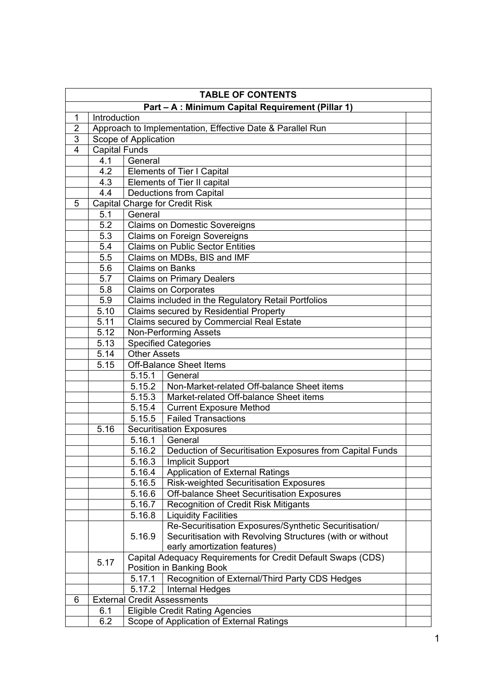|                | <b>TABLE OF CONTENTS</b>                                           |                              |                                                              |  |  |  |  |  |
|----------------|--------------------------------------------------------------------|------------------------------|--------------------------------------------------------------|--|--|--|--|--|
|                |                                                                    |                              | Part - A : Minimum Capital Requirement (Pillar 1)            |  |  |  |  |  |
| 1              | Introduction                                                       |                              |                                                              |  |  |  |  |  |
| $\overline{2}$ |                                                                    |                              | Approach to Implementation, Effective Date & Parallel Run    |  |  |  |  |  |
| 3              |                                                                    | Scope of Application         |                                                              |  |  |  |  |  |
| $\overline{4}$ | <b>Capital Funds</b>                                               |                              |                                                              |  |  |  |  |  |
|                | 4.1                                                                | General                      |                                                              |  |  |  |  |  |
|                | 4.2                                                                |                              | <b>Elements of Tier I Capital</b>                            |  |  |  |  |  |
|                | 4.3                                                                |                              | Elements of Tier II capital                                  |  |  |  |  |  |
|                | 4.4                                                                |                              | <b>Deductions from Capital</b>                               |  |  |  |  |  |
| 5              |                                                                    |                              | Capital Charge for Credit Risk                               |  |  |  |  |  |
|                | 5.1                                                                | General                      |                                                              |  |  |  |  |  |
|                | 5.2                                                                |                              | <b>Claims on Domestic Sovereigns</b>                         |  |  |  |  |  |
|                | 5.3                                                                |                              | <b>Claims on Foreign Sovereigns</b>                          |  |  |  |  |  |
|                | 5.4                                                                |                              | <b>Claims on Public Sector Entities</b>                      |  |  |  |  |  |
|                | 5.5                                                                |                              | Claims on MDBs, BIS and IMF                                  |  |  |  |  |  |
|                | 5.6<br>Claims on Banks                                             |                              |                                                              |  |  |  |  |  |
|                | 5.7<br><b>Claims on Primary Dealers</b>                            |                              |                                                              |  |  |  |  |  |
|                | 5.8<br><b>Claims on Corporates</b>                                 |                              |                                                              |  |  |  |  |  |
|                | Claims included in the Regulatory Retail Portfolios<br>5.9         |                              |                                                              |  |  |  |  |  |
|                | 5.10<br>Claims secured by Residential Property                     |                              |                                                              |  |  |  |  |  |
|                | Claims secured by Commercial Real Estate<br>5.11                   |                              |                                                              |  |  |  |  |  |
|                | 5.12                                                               | <b>Non-Performing Assets</b> |                                                              |  |  |  |  |  |
|                | 5.13                                                               | <b>Specified Categories</b>  |                                                              |  |  |  |  |  |
|                | 5.14                                                               |                              | <b>Other Assets</b>                                          |  |  |  |  |  |
|                | 5.15                                                               |                              | <b>Off-Balance Sheet Items</b>                               |  |  |  |  |  |
|                |                                                                    | 5.15.1                       | General                                                      |  |  |  |  |  |
|                |                                                                    | 5.15.2                       | Non-Market-related Off-balance Sheet items                   |  |  |  |  |  |
|                |                                                                    |                              | 5.15.3   Market-related Off-balance Sheet items              |  |  |  |  |  |
|                |                                                                    |                              | 5.15.4   Current Exposure Method                             |  |  |  |  |  |
|                |                                                                    | 5.15.5                       | Failed Transactions                                          |  |  |  |  |  |
|                | 5.16                                                               |                              | Securitisation Exposures                                     |  |  |  |  |  |
|                | 5.16.1<br>General                                                  |                              |                                                              |  |  |  |  |  |
|                | 5.16.2<br>Deduction of Securitisation Exposures from Capital Funds |                              |                                                              |  |  |  |  |  |
|                |                                                                    | 5.16.3                       | <b>Implicit Support</b>                                      |  |  |  |  |  |
|                |                                                                    | 5.16.4                       | <b>Application of External Ratings</b>                       |  |  |  |  |  |
|                |                                                                    | 5.16.5                       | <b>Risk-weighted Securitisation Exposures</b>                |  |  |  |  |  |
|                |                                                                    | 5.16.6                       | Off-balance Sheet Securitisation Exposures                   |  |  |  |  |  |
|                |                                                                    | 5.16.7                       | Recognition of Credit Risk Mitigants                         |  |  |  |  |  |
|                |                                                                    | 5.16.8                       | <b>Liquidity Facilities</b>                                  |  |  |  |  |  |
|                |                                                                    |                              | Re-Securitisation Exposures/Synthetic Securitisation/        |  |  |  |  |  |
|                |                                                                    | 5.16.9                       | Securitisation with Revolving Structures (with or without    |  |  |  |  |  |
|                |                                                                    |                              | early amortization features)                                 |  |  |  |  |  |
|                | 5.17                                                               |                              | Capital Adequacy Requirements for Credit Default Swaps (CDS) |  |  |  |  |  |
|                |                                                                    |                              | Position in Banking Book                                     |  |  |  |  |  |
|                |                                                                    | 5.17.1                       | Recognition of External/Third Party CDS Hedges               |  |  |  |  |  |
|                |                                                                    | 5.17.2                       | <b>Internal Hedges</b>                                       |  |  |  |  |  |
| 6              |                                                                    |                              | <b>External Credit Assessments</b>                           |  |  |  |  |  |
|                | 6.1                                                                |                              | <b>Eligible Credit Rating Agencies</b>                       |  |  |  |  |  |
|                | 6.2<br>Scope of Application of External Ratings                    |                              |                                                              |  |  |  |  |  |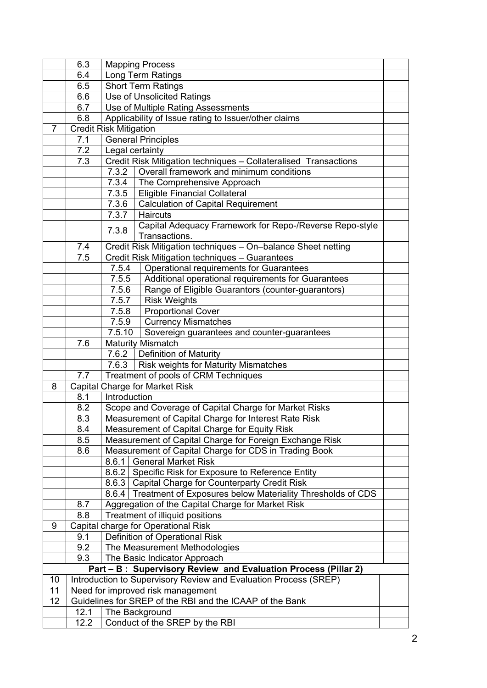|    | 6.3  | <b>Mapping Process</b>                               |                                                                  |  |  |  |  |  |
|----|------|------------------------------------------------------|------------------------------------------------------------------|--|--|--|--|--|
|    | 6.4  |                                                      | Long Term Ratings                                                |  |  |  |  |  |
|    | 6.5  |                                                      | <b>Short Term Ratings</b>                                        |  |  |  |  |  |
|    | 6.6  |                                                      | <b>Use of Unsolicited Ratings</b>                                |  |  |  |  |  |
|    | 6.7  |                                                      | Use of Multiple Rating Assessments                               |  |  |  |  |  |
|    | 6.8  | Applicability of Issue rating to Issuer/other claims |                                                                  |  |  |  |  |  |
| 7  |      | <b>Credit Risk Mitigation</b>                        |                                                                  |  |  |  |  |  |
|    | 7.1  |                                                      | <b>General Principles</b>                                        |  |  |  |  |  |
|    | 7.2  |                                                      | Legal certainty                                                  |  |  |  |  |  |
|    | 7.3  |                                                      | Credit Risk Mitigation techniques - Collateralised Transactions  |  |  |  |  |  |
|    |      | 7.3.2                                                | Overall framework and minimum conditions                         |  |  |  |  |  |
|    |      | 7.3.4                                                | The Comprehensive Approach                                       |  |  |  |  |  |
|    |      | 7.3.5                                                | <b>Eligible Financial Collateral</b>                             |  |  |  |  |  |
|    |      | 7.3.6                                                | <b>Calculation of Capital Requirement</b>                        |  |  |  |  |  |
|    |      | 7.3.7                                                | Haircuts                                                         |  |  |  |  |  |
|    |      | 7.3.8                                                | Capital Adequacy Framework for Repo-/Reverse Repo-style          |  |  |  |  |  |
|    |      |                                                      | Transactions.                                                    |  |  |  |  |  |
|    | 7.4  |                                                      | Credit Risk Mitigation techniques - On-balance Sheet netting     |  |  |  |  |  |
|    | 7.5  |                                                      | Credit Risk Mitigation techniques - Guarantees                   |  |  |  |  |  |
|    |      | 7.5.4                                                | <b>Operational requirements for Guarantees</b>                   |  |  |  |  |  |
|    |      | 7.5.5                                                | Additional operational requirements for Guarantees               |  |  |  |  |  |
|    |      | 7.5.6                                                | Range of Eligible Guarantors (counter-guarantors)                |  |  |  |  |  |
|    |      | 7.5.7                                                | <b>Risk Weights</b>                                              |  |  |  |  |  |
|    |      | 7.5.8                                                | <b>Proportional Cover</b>                                        |  |  |  |  |  |
|    |      | 7.5.9                                                | <b>Currency Mismatches</b>                                       |  |  |  |  |  |
|    |      | 7.5.10                                               | Sovereign guarantees and counter-guarantees                      |  |  |  |  |  |
|    | 7.6  |                                                      | <b>Maturity Mismatch</b>                                         |  |  |  |  |  |
|    |      | 7.6.2                                                | <b>Definition of Maturity</b>                                    |  |  |  |  |  |
|    |      | 7.6.3                                                | <b>Risk weights for Maturity Mismatches</b>                      |  |  |  |  |  |
|    | 7.7  |                                                      | Treatment of pools of CRM Techniques                             |  |  |  |  |  |
| 8  |      |                                                      | <b>Capital Charge for Market Risk</b>                            |  |  |  |  |  |
|    | 8.1  | Introduction                                         |                                                                  |  |  |  |  |  |
|    | 8.2  |                                                      | Scope and Coverage of Capital Charge for Market Risks            |  |  |  |  |  |
|    | 8.3  |                                                      | Measurement of Capital Charge for Interest Rate Risk             |  |  |  |  |  |
|    | 8.4  |                                                      | Measurement of Capital Charge for Equity Risk                    |  |  |  |  |  |
|    | 8.5  |                                                      | Measurement of Capital Charge for Foreign Exchange Risk          |  |  |  |  |  |
|    | 8.6  |                                                      | Measurement of Capital Charge for CDS in Trading Book            |  |  |  |  |  |
|    |      |                                                      | 8.6.1 General Market Risk                                        |  |  |  |  |  |
|    |      |                                                      | 8.6.2 Specific Risk for Exposure to Reference Entity             |  |  |  |  |  |
|    |      |                                                      | 8.6.3 Capital Charge for Counterparty Credit Risk                |  |  |  |  |  |
|    |      |                                                      | 8.6.4 Treatment of Exposures below Materiality Thresholds of CDS |  |  |  |  |  |
|    | 8.7  |                                                      | Aggregation of the Capital Charge for Market Risk                |  |  |  |  |  |
|    | 8.8  |                                                      | Treatment of illiquid positions                                  |  |  |  |  |  |
| 9  |      |                                                      | Capital charge for Operational Risk                              |  |  |  |  |  |
|    | 9.1  |                                                      | Definition of Operational Risk                                   |  |  |  |  |  |
|    | 9.2  |                                                      | The Measurement Methodologies                                    |  |  |  |  |  |
|    | 9.3  |                                                      | The Basic Indicator Approach                                     |  |  |  |  |  |
|    |      |                                                      | Part - B : Supervisory Review and Evaluation Process (Pillar 2)  |  |  |  |  |  |
| 10 |      |                                                      | Introduction to Supervisory Review and Evaluation Process (SREP) |  |  |  |  |  |
| 11 |      |                                                      | Need for improved risk management                                |  |  |  |  |  |
| 12 |      |                                                      | Guidelines for SREP of the RBI and the ICAAP of the Bank         |  |  |  |  |  |
|    | 12.1 |                                                      | The Background                                                   |  |  |  |  |  |
|    | 12.2 |                                                      | Conduct of the SREP by the RBI                                   |  |  |  |  |  |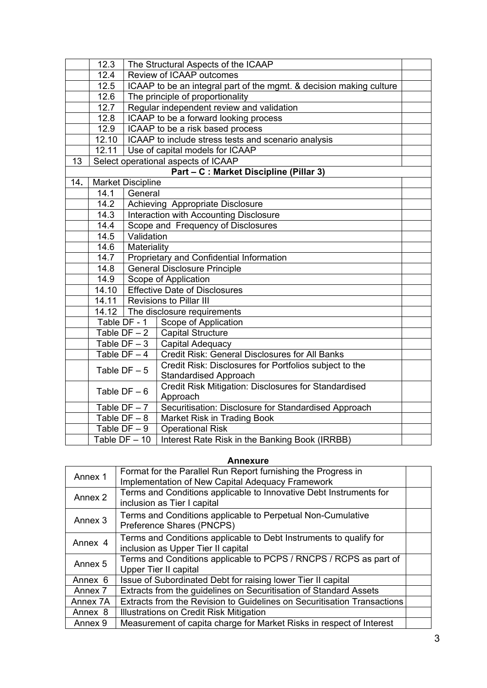|     | 12.3                                                   |                                      | The Structural Aspects of the ICAAP                                 |  |  |  |
|-----|--------------------------------------------------------|--------------------------------------|---------------------------------------------------------------------|--|--|--|
|     | 12.4                                                   |                                      | Review of ICAAP outcomes                                            |  |  |  |
|     | 12.5                                                   |                                      | ICAAP to be an integral part of the mgmt. & decision making culture |  |  |  |
|     | 12.6                                                   |                                      | The principle of proportionality                                    |  |  |  |
|     | 12.7                                                   |                                      | Regular independent review and validation                           |  |  |  |
|     | 12.8                                                   |                                      | ICAAP to be a forward looking process                               |  |  |  |
|     | 12.9                                                   |                                      | ICAAP to be a risk based process                                    |  |  |  |
|     | 12.10                                                  |                                      | ICAAP to include stress tests and scenario analysis                 |  |  |  |
|     | 12.11                                                  |                                      | Use of capital models for ICAAP                                     |  |  |  |
| 13  |                                                        |                                      | Select operational aspects of ICAAP                                 |  |  |  |
|     |                                                        |                                      | Part - C : Market Discipline (Pillar 3)                             |  |  |  |
| 14. |                                                        | <b>Market Discipline</b>             |                                                                     |  |  |  |
|     | 14.1                                                   | General                              |                                                                     |  |  |  |
|     | 14.2                                                   |                                      | Achieving Appropriate Disclosure                                    |  |  |  |
|     | 14.3                                                   |                                      | Interaction with Accounting Disclosure                              |  |  |  |
|     | 14.4                                                   |                                      | Scope and Frequency of Disclosures                                  |  |  |  |
|     | 14.5                                                   | Validation                           |                                                                     |  |  |  |
|     | 14.6                                                   | Materiality                          |                                                                     |  |  |  |
|     | 14.7                                                   |                                      | Proprietary and Confidential Information                            |  |  |  |
|     | 14.8                                                   |                                      | <b>General Disclosure Principle</b>                                 |  |  |  |
|     | 14.9                                                   |                                      | Scope of Application                                                |  |  |  |
|     | 14.10                                                  | <b>Effective Date of Disclosures</b> |                                                                     |  |  |  |
|     | 14.11<br><b>Revisions to Pillar III</b>                |                                      |                                                                     |  |  |  |
|     | 14.12                                                  |                                      | The disclosure requirements                                         |  |  |  |
|     |                                                        | Table DF - 1                         | Scope of Application                                                |  |  |  |
|     |                                                        | Table $DF - 2$                       | <b>Capital Structure</b>                                            |  |  |  |
|     |                                                        | Table $DF - 3$                       | Capital Adequacy                                                    |  |  |  |
|     |                                                        | Table $DF - 4$                       | Credit Risk: General Disclosures for All Banks                      |  |  |  |
|     | Credit Risk: Disclosures for Portfolios subject to the |                                      |                                                                     |  |  |  |
|     | Table $DF - 5$<br><b>Standardised Approach</b>         |                                      |                                                                     |  |  |  |
|     | Table $DF - 6$                                         |                                      | Credit Risk Mitigation: Disclosures for Standardised                |  |  |  |
|     |                                                        |                                      | Approach                                                            |  |  |  |
|     |                                                        | Table $DF - 7$                       | Securitisation: Disclosure for Standardised Approach                |  |  |  |
|     |                                                        | Table $DF - 8$                       | Market Risk in Trading Book                                         |  |  |  |
|     |                                                        | Table $DF - 9$                       | <b>Operational Risk</b>                                             |  |  |  |
|     | Table $DF - 10$                                        |                                      | Interest Rate Risk in the Banking Book (IRRBB)                      |  |  |  |

| <b>Annexure</b> |                                                                         |  |  |  |  |
|-----------------|-------------------------------------------------------------------------|--|--|--|--|
| Annex 1         | Format for the Parallel Run Report furnishing the Progress in           |  |  |  |  |
|                 | Implementation of New Capital Adequacy Framework                        |  |  |  |  |
| Annex 2         | Terms and Conditions applicable to Innovative Debt Instruments for      |  |  |  |  |
|                 | inclusion as Tier I capital                                             |  |  |  |  |
| Annex 3         | Terms and Conditions applicable to Perpetual Non-Cumulative             |  |  |  |  |
|                 | Preference Shares (PNCPS)                                               |  |  |  |  |
| Annex 4         | Terms and Conditions applicable to Debt Instruments to qualify for      |  |  |  |  |
|                 | inclusion as Upper Tier II capital                                      |  |  |  |  |
| Annex 5         | Terms and Conditions applicable to PCPS / RNCPS / RCPS as part of       |  |  |  |  |
|                 | <b>Upper Tier II capital</b>                                            |  |  |  |  |
| Annex 6         | Issue of Subordinated Debt for raising lower Tier II capital            |  |  |  |  |
| Annex 7         | Extracts from the guidelines on Securitisation of Standard Assets       |  |  |  |  |
| Annex 7A        | Extracts from the Revision to Guidelines on Securitisation Transactions |  |  |  |  |
| Annex 8         | Illustrations on Credit Risk Mitigation                                 |  |  |  |  |
| Annex 9         | Measurement of capita charge for Market Risks in respect of Interest    |  |  |  |  |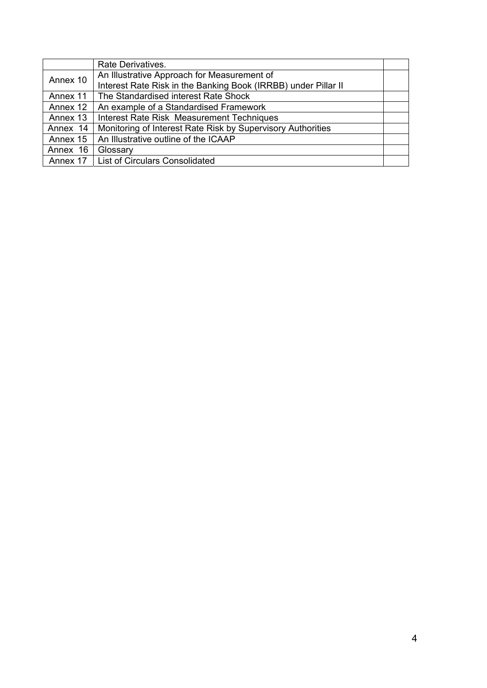|          | Rate Derivatives.                                              |  |
|----------|----------------------------------------------------------------|--|
| Annex 10 | An Illustrative Approach for Measurement of                    |  |
|          | Interest Rate Risk in the Banking Book (IRRBB) under Pillar II |  |
| Annex 11 | The Standardised interest Rate Shock                           |  |
| Annex 12 | An example of a Standardised Framework                         |  |
| Annex 13 | <b>Interest Rate Risk Measurement Techniques</b>               |  |
| Annex 14 | Monitoring of Interest Rate Risk by Supervisory Authorities    |  |
| Annex 15 | An Illustrative outline of the ICAAP                           |  |
| Annex 16 | Glossary                                                       |  |
|          | Annex 17   List of Circulars Consolidated                      |  |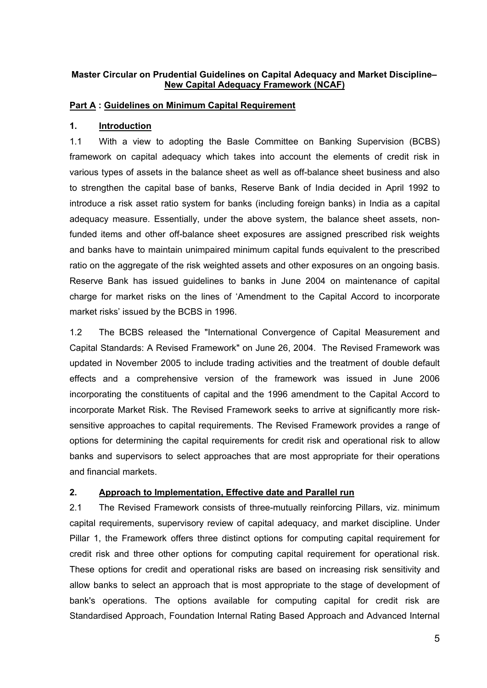### **Master Circular on Prudential Guidelines on Capital Adequacy and Market Discipline– New Capital Adequacy Framework (NCAF)**

### **Part A : Guidelines on Minimum Capital Requirement**

## **1. Introduction**

1.1 With a view to adopting the Basle Committee on Banking Supervision (BCBS) framework on capital adequacy which takes into account the elements of credit risk in various types of assets in the balance sheet as well as off-balance sheet business and also to strengthen the capital base of banks, Reserve Bank of India decided in April 1992 to introduce a risk asset ratio system for banks (including foreign banks) in India as a capital adequacy measure. Essentially, under the above system, the balance sheet assets, nonfunded items and other off-balance sheet exposures are assigned prescribed risk weights and banks have to maintain unimpaired minimum capital funds equivalent to the prescribed ratio on the aggregate of the risk weighted assets and other exposures on an ongoing basis. Reserve Bank has issued guidelines to banks in June 2004 on maintenance of capital charge for market risks on the lines of 'Amendment to the Capital Accord to incorporate market risks' issued by the BCBS in 1996.

1.2 The BCBS released the "International Convergence of Capital Measurement and Capital Standards: A Revised Framework" on June 26, 2004. The Revised Framework was updated in November 2005 to include trading activities and the treatment of double default effects and a comprehensive version of the framework was issued in June 2006 incorporating the constituents of capital and the 1996 amendment to the Capital Accord to incorporate Market Risk. The Revised Framework seeks to arrive at significantly more risksensitive approaches to capital requirements. The Revised Framework provides a range of options for determining the capital requirements for credit risk and operational risk to allow banks and supervisors to select approaches that are most appropriate for their operations and financial markets.

### **2. Approach to Implementation, Effective date and Parallel run**

2.1 The Revised Framework consists of three-mutually reinforcing Pillars, viz. minimum capital requirements, supervisory review of capital adequacy, and market discipline. Under Pillar 1, the Framework offers three distinct options for computing capital requirement for credit risk and three other options for computing capital requirement for operational risk. These options for credit and operational risks are based on increasing risk sensitivity and allow banks to select an approach that is most appropriate to the stage of development of bank's operations. The options available for computing capital for credit risk are Standardised Approach, Foundation Internal Rating Based Approach and Advanced Internal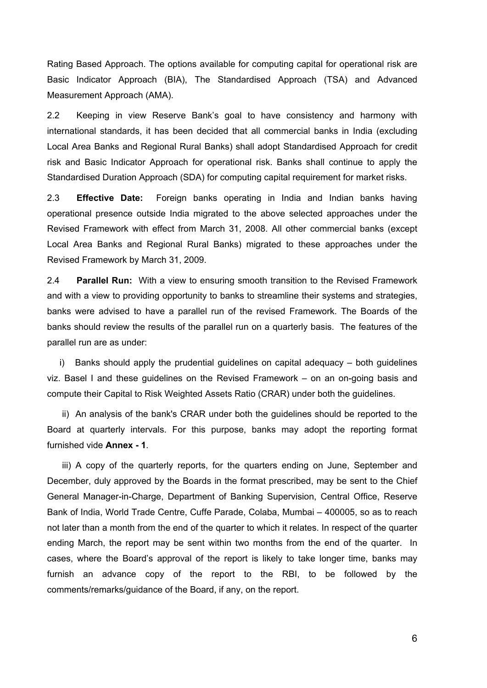Rating Based Approach. The options available for computing capital for operational risk are Basic Indicator Approach (BIA), The Standardised Approach (TSA) and Advanced Measurement Approach (AMA).

2.2 Keeping in view Reserve Bank's goal to have consistency and harmony with international standards, it has been decided that all commercial banks in India (excluding Local Area Banks and Regional Rural Banks) shall adopt Standardised Approach for credit risk and Basic Indicator Approach for operational risk. Banks shall continue to apply the Standardised Duration Approach (SDA) for computing capital requirement for market risks.

2.3 **Effective Date:** Foreign banks operating in India and Indian banks having operational presence outside India migrated to the above selected approaches under the Revised Framework with effect from March 31, 2008. All other commercial banks (except Local Area Banks and Regional Rural Banks) migrated to these approaches under the Revised Framework by March 31, 2009.

2.4 **Parallel Run:** With a view to ensuring smooth transition to the Revised Framework and with a view to providing opportunity to banks to streamline their systems and strategies, banks were advised to have a parallel run of the revised Framework. The Boards of the banks should review the results of the parallel run on a quarterly basis. The features of the parallel run are as under:

 i) Banks should apply the prudential guidelines on capital adequacy – both guidelines viz. Basel I and these guidelines on the Revised Framework – on an on-going basis and compute their Capital to Risk Weighted Assets Ratio (CRAR) under both the guidelines.

 ii) An analysis of the bank's CRAR under both the guidelines should be reported to the Board at quarterly intervals. For this purpose, banks may adopt the reporting format furnished vide **Annex - 1**.

 iii) A copy of the quarterly reports, for the quarters ending on June, September and December, duly approved by the Boards in the format prescribed, may be sent to the Chief General Manager-in-Charge, Department of Banking Supervision, Central Office, Reserve Bank of India, World Trade Centre, Cuffe Parade, Colaba, Mumbai – 400005, so as to reach not later than a month from the end of the quarter to which it relates. In respect of the quarter ending March, the report may be sent within two months from the end of the quarter. In cases, where the Board's approval of the report is likely to take longer time, banks may furnish an advance copy of the report to the RBI, to be followed by the comments/remarks/guidance of the Board, if any, on the report.

6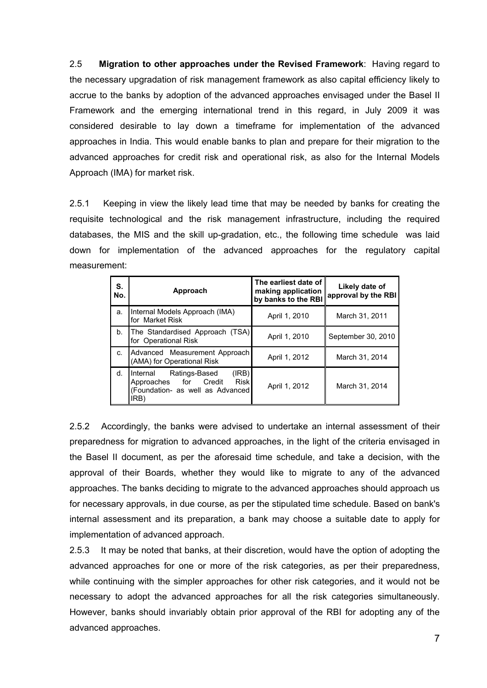2.5 **Migration to other approaches under the Revised Framework**: Having regard to the necessary upgradation of risk management framework as also capital efficiency likely to accrue to the banks by adoption of the advanced approaches envisaged under the Basel II Framework and the emerging international trend in this regard, in July 2009 it was considered desirable to lay down a timeframe for implementation of the advanced approaches in India. This would enable banks to plan and prepare for their migration to the advanced approaches for credit risk and operational risk, as also for the Internal Models Approach (IMA) for market risk.

2.5.1 Keeping in view the likely lead time that may be needed by banks for creating the requisite technological and the risk management infrastructure, including the required databases, the MIS and the skill up-gradation, etc., the following time schedule was laid down for implementation of the advanced approaches for the regulatory capital measurement:

| S.<br>No. | Approach                                                                                                               | The earliest date of<br>making application<br>by banks to the RBI | Likely date of<br>approval by the RBI |
|-----------|------------------------------------------------------------------------------------------------------------------------|-------------------------------------------------------------------|---------------------------------------|
| a.        | Internal Models Approach (IMA)<br>for Market Risk                                                                      | April 1, 2010                                                     | March 31, 2011                        |
| b.        | The Standardised Approach (TSA)<br>for Operational Risk                                                                | April 1, 2010                                                     | September 30, 2010                    |
| C.        | Advanced Measurement Approach<br>(AMA) for Operational Risk                                                            | April 1, 2012                                                     | March 31, 2014                        |
| d.        | (IRB)<br>Ratings-Based<br>Internal<br>Approaches for Credit<br><b>Risk</b><br>(Foundation- as well as Advanced<br>IRB) | April 1, 2012                                                     | March 31, 2014                        |

2.5.2 Accordingly, the banks were advised to undertake an internal assessment of their preparedness for migration to advanced approaches, in the light of the criteria envisaged in the Basel II document, as per the aforesaid time schedule, and take a decision, with the approval of their Boards, whether they would like to migrate to any of the advanced approaches. The banks deciding to migrate to the advanced approaches should approach us for necessary approvals, in due course, as per the stipulated time schedule. Based on bank's internal assessment and its preparation, a bank may choose a suitable date to apply for implementation of advanced approach.

2.5.3 It may be noted that banks, at their discretion, would have the option of adopting the advanced approaches for one or more of the risk categories, as per their preparedness, while continuing with the simpler approaches for other risk categories, and it would not be necessary to adopt the advanced approaches for all the risk categories simultaneously. However, banks should invariably obtain prior approval of the RBI for adopting any of the advanced approaches.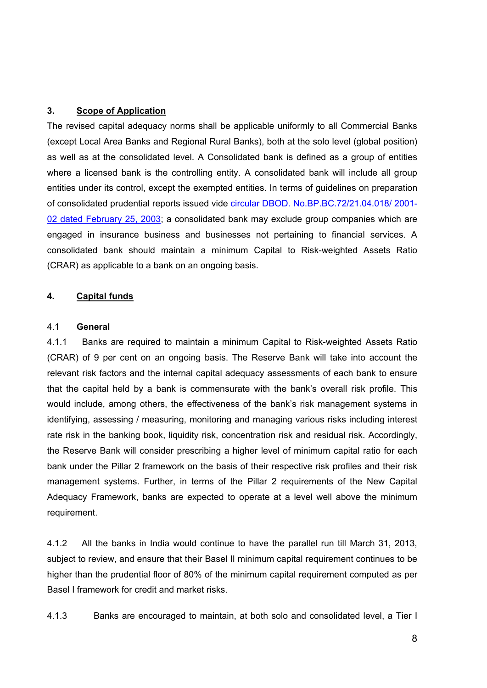### **3. Scope of Application**

The revised capital adequacy norms shall be applicable uniformly to all Commercial Banks (except Local Area Banks and Regional Rural Banks), both at the solo level (global position) as well as at the consolidated level. A Consolidated bank is defined as a group of entities where a licensed bank is the controlling entity. A consolidated bank will include all group entities under its control, except the exempted entities. In terms of guidelines on preparation of consolidated prudential reports issued vide [circular DBOD. No.BP.BC.72/21.04.018/ 2001-](http://www.rbi.org.in/scripts/NotificationUser.aspx?Id=1071&Mode=0) [02 dated February 25, 2003;](http://www.rbi.org.in/scripts/NotificationUser.aspx?Id=1071&Mode=0) a consolidated bank may exclude group companies which are engaged in insurance business and businesses not pertaining to financial services. A consolidated bank should maintain a minimum Capital to Risk-weighted Assets Ratio (CRAR) as applicable to a bank on an ongoing basis.

#### **4. Capital funds**

### 4.1 **General**

4.1.1 Banks are required to maintain a minimum Capital to Risk-weighted Assets Ratio (CRAR) of 9 per cent on an ongoing basis. The Reserve Bank will take into account the relevant risk factors and the internal capital adequacy assessments of each bank to ensure that the capital held by a bank is commensurate with the bank's overall risk profile. This would include, among others, the effectiveness of the bank's risk management systems in identifying, assessing / measuring, monitoring and managing various risks including interest rate risk in the banking book, liquidity risk, concentration risk and residual risk. Accordingly, the Reserve Bank will consider prescribing a higher level of minimum capital ratio for each bank under the Pillar 2 framework on the basis of their respective risk profiles and their risk management systems. Further, in terms of the Pillar 2 requirements of the New Capital Adequacy Framework, banks are expected to operate at a level well above the minimum requirement.

4.1.2 All the banks in India would continue to have the parallel run till March 31, 2013, subject to review, and ensure that their Basel II minimum capital requirement continues to be higher than the prudential floor of 80% of the minimum capital requirement computed as per Basel I framework for credit and market risks.

4.1.3 Banks are encouraged to maintain, at both solo and consolidated level, a Tier I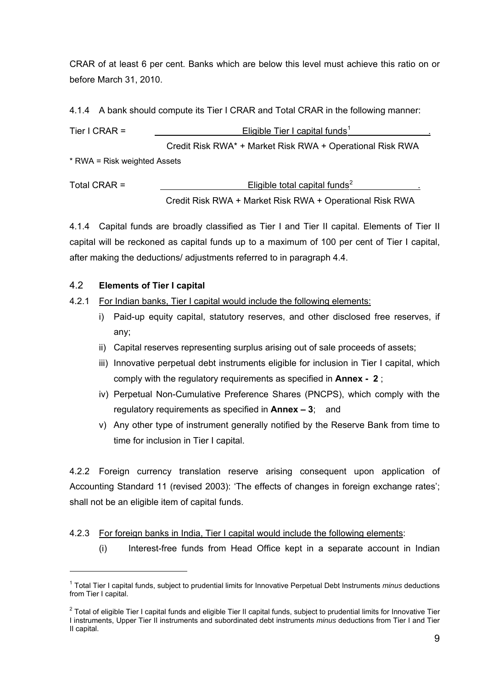CRAR of at least 6 per cent. Banks which are below this level must achieve this ratio on or before March 31, 2010.

4.1.4 A bank should compute its Tier I CRAR and Total CRAR in the following manner:

| Tier I CRAR $=$              | Eligible Tier I capital funds <sup>1</sup>                |
|------------------------------|-----------------------------------------------------------|
|                              | Credit Risk RWA* + Market Risk RWA + Operational Risk RWA |
| * RWA = Risk weighted Assets |                                                           |
| Total CRAR $=$               | Eligible total capital funds <sup>2</sup>                 |

Credit Risk RWA + Market Risk RWA + Operational Risk RWA

4.1.4 Capital funds are broadly classified as Tier I and Tier II capital. Elements of Tier II capital will be reckoned as capital funds up to a maximum of 100 per cent of Tier I capital, after making the deductions/ adjustments referred to in paragraph [4.4.](#page-12-0)

# 4.2 **Elements of Tier I capital**

1

# 4.2.1 For Indian banks, Tier I capital would include the following elements:

- i) Paid-up equity capital, statutory reserves, and other disclosed free reserves, if any;
- ii) Capital reserves representing surplus arising out of sale proceeds of assets;
- iii) Innovative perpetual debt instruments eligible for inclusion in Tier I capital, which comply with the regulatory requirements as specified in **[Annex -](#page-134-0) 2** ;
- iv) Perpetual Non-Cumulative Preference Shares (PNCPS), which comply with the regulatory requirements as specified in **Annex – 3**; and
- v) Any other type of instrument generally notified by the Reserve Bank from time to time for inclusion in Tier I capital.

4.2.2 Foreign currency translation reserve arising consequent upon application of Accounting Standard 11 (revised 2003): 'The effects of changes in foreign exchange rates'; shall not be an eligible item of capital funds.

# 4.2.3 For foreign banks in India, Tier I capital would include the following elements:

(i) Interest-free funds from Head Office kept in a separate account in Indian

<span id="page-8-0"></span><sup>1</sup> Total Tier I capital funds, subject to prudential limits for Innovative Perpetual Debt Instruments *minus* deductions from Tier I capital.

<span id="page-8-1"></span> $^2$  Total of eligible Tier I capital funds and eligible Tier II capital funds, subject to prudential limits for Innovative Tier I instruments, Upper Tier II instruments and subordinated debt instruments *minus* deductions from Tier I and Tier II capital.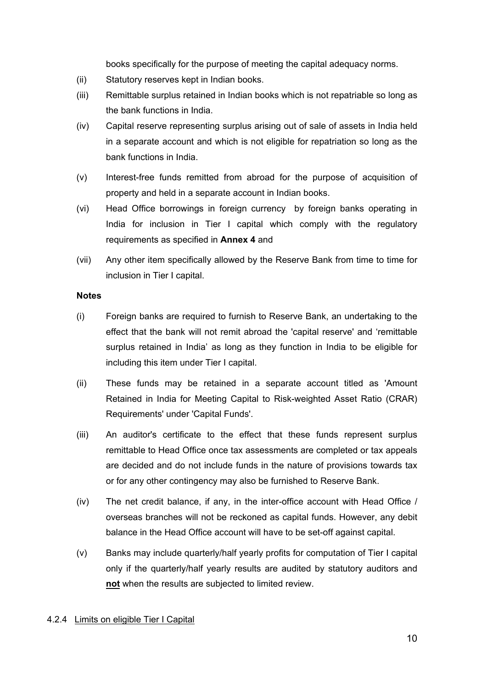books specifically for the purpose of meeting the capital adequacy norms.

- (ii) Statutory reserves kept in Indian books.
- (iii) Remittable surplus retained in Indian books which is not repatriable so long as the bank functions in India.
- (iv) Capital reserve representing surplus arising out of sale of assets in India held in a separate account and which is not eligible for repatriation so long as the bank functions in India.
- (v) Interest-free funds remitted from abroad for the purpose of acquisition of property and held in a separate account in Indian books.
- (vi) Head Office borrowings in foreign currency by foreign banks operating in India for inclusion in Tier I capital which comply with the regulatory requirements as specified in **Annex 4** and
- (vii) Any other item specifically allowed by the Reserve Bank from time to time for inclusion in Tier I capital.

### **Notes**

- (i) Foreign banks are required to furnish to Reserve Bank, an undertaking to the effect that the bank will not remit abroad the 'capital reserve' and 'remittable surplus retained in India' as long as they function in India to be eligible for including this item under Tier I capital.
- (ii) These funds may be retained in a separate account titled as 'Amount Retained in India for Meeting Capital to Risk-weighted Asset Ratio (CRAR) Requirements' under 'Capital Funds'.
- (iii) An auditor's certificate to the effect that these funds represent surplus remittable to Head Office once tax assessments are completed or tax appeals are decided and do not include funds in the nature of provisions towards tax or for any other contingency may also be furnished to Reserve Bank.
- (iv) The net credit balance, if any, in the inter-office account with Head Office / overseas branches will not be reckoned as capital funds. However, any debit balance in the Head Office account will have to be set-off against capital.
- (v) Banks may include quarterly/half yearly profits for computation of Tier I capital only if the quarterly/half yearly results are audited by statutory auditors and **not** when the results are subjected to limited review.

# 4.2.4 Limits on eligible Tier I Capital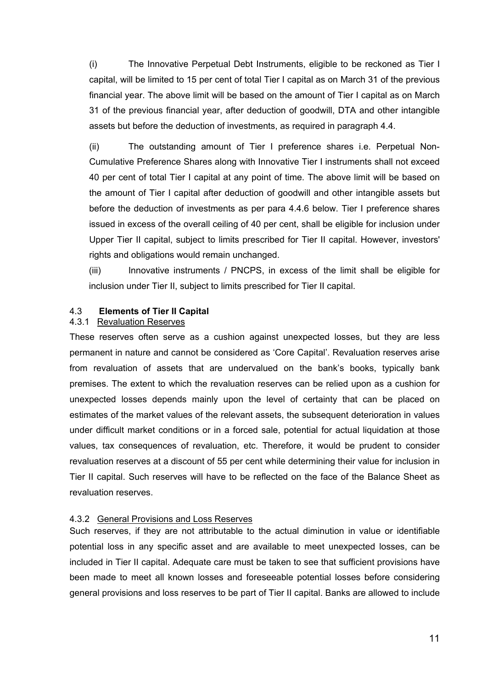(i) The Innovative Perpetual Debt Instruments, eligible to be reckoned as Tier I capital, will be limited to 15 per cent of total Tier I capital as on March 31 of the previous financial year. The above limit will be based on the amount of Tier I capital as on March 31 of the previous financial year, after deduction of goodwill, DTA and other intangible assets but before the deduction of investments, as required in paragraph [4.4.](#page-12-0)

(ii) The outstanding amount of Tier I preference shares i.e. Perpetual Non-Cumulative Preference Shares along with Innovative Tier I instruments shall not exceed 40 per cent of total Tier I capital at any point of time. The above limit will be based on the amount of Tier I capital after deduction of goodwill and other intangible assets but before the deduction of investments as per para 4.4.6 below. Tier I preference shares issued in excess of the overall ceiling of 40 per cent, shall be eligible for inclusion under Upper Tier II capital, subject to limits prescribed for Tier II capital. However, investors' rights and obligations would remain unchanged.

(iii) Innovative instruments / PNCPS, in excess of the limit shall be eligible for inclusion under Tier II, subject to limits prescribed for Tier II capital.

## 4.3 **Elements of Tier II Capital**

### 4.3.1 Revaluation Reserves

These reserves often serve as a cushion against unexpected losses, but they are less permanent in nature and cannot be considered as 'Core Capital'. Revaluation reserves arise from revaluation of assets that are undervalued on the bank's books, typically bank premises. The extent to which the revaluation reserves can be relied upon as a cushion for unexpected losses depends mainly upon the level of certainty that can be placed on estimates of the market values of the relevant assets, the subsequent deterioration in values under difficult market conditions or in a forced sale, potential for actual liquidation at those values, tax consequences of revaluation, etc. Therefore, it would be prudent to consider revaluation reserves at a discount of 55 per cent while determining their value for inclusion in Tier II capital. Such reserves will have to be reflected on the face of the Balance Sheet as revaluation reserves.

### 4.3.2 General Provisions and Loss Reserves

Such reserves, if they are not attributable to the actual diminution in value or identifiable potential loss in any specific asset and are available to meet unexpected losses, can be included in Tier II capital. Adequate care must be taken to see that sufficient provisions have been made to meet all known losses and foreseeable potential losses before considering general provisions and loss reserves to be part of Tier II capital. Banks are allowed to include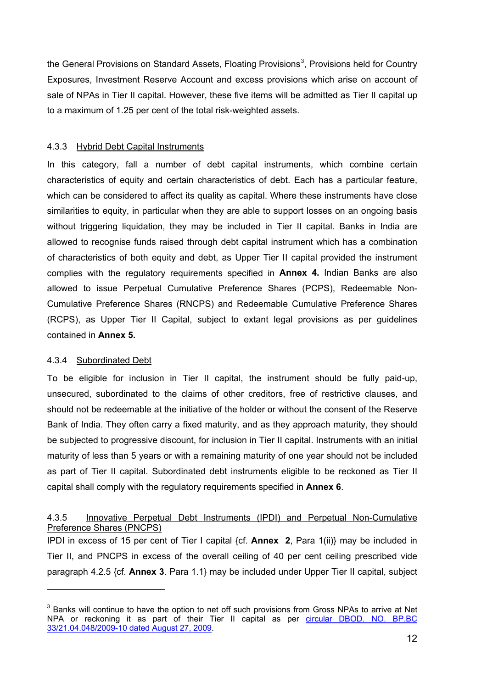the General Provisions on Standard Assets, Floating Provisions<sup>[3](#page-11-0)</sup>, Provisions held for Country Exposures, Investment Reserve Account and excess provisions which arise on account of sale of NPAs in Tier II capital. However, these five items will be admitted as Tier II capital up to a maximum of 1.25 per cent of the total risk-weighted assets.

## 4.3.3 Hybrid Debt Capital Instruments

In this category, fall a number of debt capital instruments, which combine certain characteristics of equity and certain characteristics of debt. Each has a particular feature, which can be considered to affect its quality as capital. Where these instruments have close similarities to equity, in particular when they are able to support losses on an ongoing basis without triggering liquidation, they may be included in Tier II capital. Banks in India are allowed to recognise funds raised through debt capital instrument which has a combination of characteristics of both equity and debt, as Upper Tier II capital provided the instrument complies with the regulatory requirements specified in **Annex 4.** Indian Banks are also allowed to issue Perpetual Cumulative Preference Shares (PCPS), Redeemable Non-Cumulative Preference Shares (RNCPS) and Redeemable Cumulative Preference Shares (RCPS), as Upper Tier II Capital, subject to extant legal provisions as per guidelines contained in **Annex 5.**

### 4.3.4 Subordinated Debt

l

To be eligible for inclusion in Tier II capital, the instrument should be fully paid-up, unsecured, subordinated to the claims of other creditors, free of restrictive clauses, and should not be redeemable at the initiative of the holder or without the consent of the Reserve Bank of India. They often carry a fixed maturity, and as they approach maturity, they should be subjected to progressive discount, for inclusion in Tier II capital. Instruments with an initial maturity of less than 5 years or with a remaining maturity of one year should not be included as part of Tier II capital. Subordinated debt instruments eligible to be reckoned as Tier II capital shall comply with the regulatory requirements specified in **Annex 6**.

### 4.3.5 Innovative Perpetual Debt Instruments (IPDI) and Perpetual Non-Cumulative Preference Shares (PNCPS)

IPDI in excess of 15 per cent of Tier I capital {cf. **Annex 2**, Para 1(ii)} may be included in Tier II, and PNCPS in excess of the overall ceiling of 40 per cent ceiling prescribed vide paragraph 4.2.5 {cf. **Annex 3**. Para 1.1} may be included under Upper Tier II capital, subject

<span id="page-11-0"></span> $3$  Banks will continue to have the option to net off such provisions from Gross NPAs to arrive at Net NPA or reckoning it as part of their Tier II capital as per circular DBOD. NO. BP.BC 33/21.04.048/2009-10 dated August 27, 2009.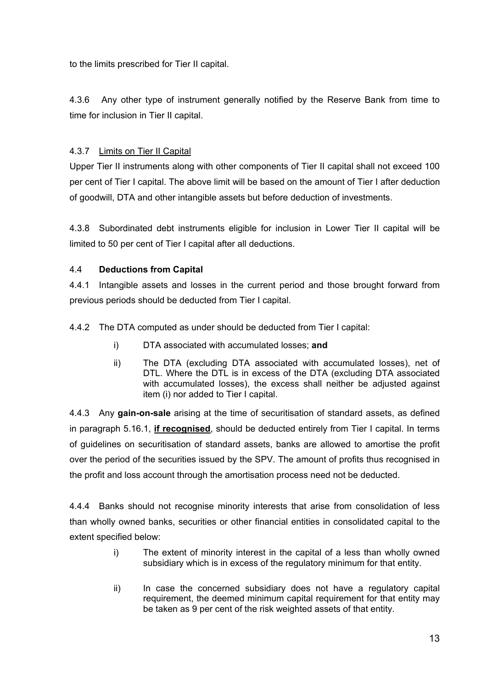<span id="page-12-0"></span>to the limits prescribed for Tier II capital.

4.3.6 Any other type of instrument generally notified by the Reserve Bank from time to time for inclusion in Tier II capital.

# 4.3.7 Limits on Tier II Capital

Upper Tier II instruments along with other components of Tier II capital shall not exceed 100 per cent of Tier I capital. The above limit will be based on the amount of Tier I after deduction of goodwill, DTA and other intangible assets but before deduction of investments.

4.3.8 Subordinated debt instruments eligible for inclusion in Lower Tier II capital will be limited to 50 per cent of Tier I capital after all deductions.

# 4.4 **Deductions from Capital**

4.4.1 Intangible assets and losses in the current period and those brought forward from previous periods should be deducted from Tier I capital.

4.4.2 The DTA computed as under should be deducted from Tier I capital:

- i) DTA associated with accumulated losses; **and**
- ii) The DTA (excluding DTA associated with accumulated losses), net of DTL. Where the DTL is in excess of the DTA (excluding DTA associated with accumulated losses), the excess shall neither be adjusted against item (i) nor added to Tier I capital.

4.4.3 Any **gain-on-sale** arising at the time of securitisation of standard assets, as defined in paragraph [5.16.1,](#page-32-0) **if recognised**, should be deducted entirely from Tier I capital. In terms of guidelines on securitisation of standard assets, banks are allowed to amortise the profit over the period of the securities issued by the SPV. The amount of profits thus recognised in the profit and loss account through the amortisation process need not be deducted.

4.4.4 Banks should not recognise minority interests that arise from consolidation of less than wholly owned banks, securities or other financial entities in consolidated capital to the extent specified below:

- i) The extent of minority interest in the capital of a less than wholly owned subsidiary which is in excess of the regulatory minimum for that entity.
- ii) In case the concerned subsidiary does not have a regulatory capital requirement, the deemed minimum capital requirement for that entity may be taken as 9 per cent of the risk weighted assets of that entity.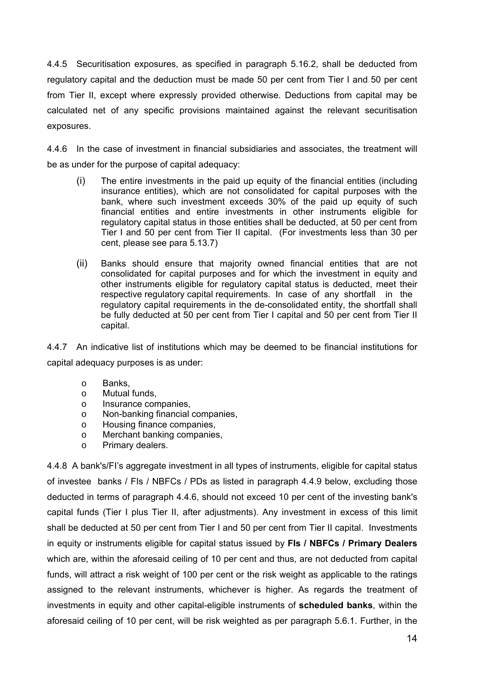4.4.5 Securitisation exposures, as specified in paragraph [5.16.2](#page-34-0), shall be deducted from regulatory capital and the deduction must be made 50 per cent from Tier I and 50 per cent from Tier II, except where expressly provided otherwise. Deductions from capital may be calculated net of any specific provisions maintained against the relevant securitisation exposures.

4.4.6 In the case of investment in financial subsidiaries and associates, the treatment will be as under for the purpose of capital adequacy:

- (i) The entire investments in the paid up equity of the financial entities (including insurance entities), which are not consolidated for capital purposes with the bank, where such investment exceeds 30% of the paid up equity of such financial entities and entire investments in other instruments eligible for regulatory capital status in those entities shall be deducted, at 50 per cent from Tier I and 50 per cent from Tier II capital. (For investments less than 30 per cent, please see para 5.13.7)
- (ii) Banks should ensure that majority owned financial entities that are not consolidated for capital purposes and for which the investment in equity and other instruments eligible for regulatory capital status is deducted, meet their respective regulatory capital requirements. In case of any shortfall in the regulatory capital requirements in the de-consolidated entity, the shortfall shall be fully deducted at 50 per cent from Tier I capital and 50 per cent from Tier II capital.

4.4.7 An indicative list of institutions which may be deemed to be financial institutions for capital adequacy purposes is as under:

- o Banks,
- o Mutual funds,
- o Insurance companies,
- o Non-banking financial companies,
- o Housing finance companies,
- o Merchant banking companies,
- o Primary dealers.

4.4.8 A bank's/FI's aggregate investment in all types of instruments, eligible for capital status of investee banks / FIs / NBFCs / PDs as listed in paragraph 4.4.9 below, excluding those deducted in terms of paragraph 4.4.6, should not exceed 10 per cent of the investing bank's capital funds (Tier I plus Tier II, after adjustments). Any investment in excess of this limit shall be deducted at 50 per cent from Tier I and 50 per cent from Tier II capital. Investments in equity or instruments eligible for capital status issued by **FIs / NBFCs / Primary Dealers** which are, within the aforesaid ceiling of 10 per cent and thus, are not deducted from capital funds, will attract a risk weight of 100 per cent or the risk weight as applicable to the ratings assigned to the relevant instruments, whichever is higher. As regards the treatment of investments in equity and other capital-eligible instruments of **scheduled banks**, within the aforesaid ceiling of 10 per cent, will be risk weighted as per paragraph 5.6.1. Further, in the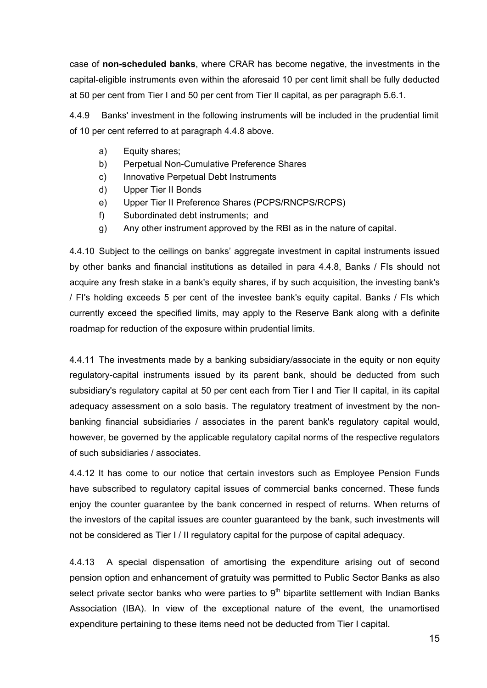case of **non-scheduled banks**, where CRAR has become negative, the investments in the capital-eligible instruments even within the aforesaid 10 per cent limit shall be fully deducted at 50 per cent from Tier I and 50 per cent from Tier II capital, as per paragraph 5.6.1.

4.4.9 Banks' investment in the following instruments will be included in the prudential limit of 10 per cent referred to at paragraph 4.4.8 above.

- a) Equity shares;
- b) Perpetual Non-Cumulative Preference Shares
- c) Innovative Perpetual Debt Instruments
- d) Upper Tier II Bonds
- e) Upper Tier II Preference Shares (PCPS/RNCPS/RCPS)
- f) Subordinated debt instruments; and
- g) Any other instrument approved by the RBI as in the nature of capital.

4.4.10 Subject to the ceilings on banks' aggregate investment in capital instruments issued by other banks and financial institutions as detailed in para 4.4.8, Banks / FIs should not acquire any fresh stake in a bank's equity shares, if by such acquisition, the investing bank's / FI's holding exceeds 5 per cent of the investee bank's equity capital. Banks / FIs which currently exceed the specified limits, may apply to the Reserve Bank along with a definite roadmap for reduction of the exposure within prudential limits.

4.4.11 The investments made by a banking subsidiary/associate in the equity or non equity regulatory-capital instruments issued by its parent bank, should be deducted from such subsidiary's regulatory capital at 50 per cent each from Tier I and Tier II capital, in its capital adequacy assessment on a solo basis. The regulatory treatment of investment by the nonbanking financial subsidiaries / associates in the parent bank's regulatory capital would, however, be governed by the applicable regulatory capital norms of the respective regulators of such subsidiaries / associates.

4.4.12 It has come to our notice that certain investors such as Employee Pension Funds have subscribed to regulatory capital issues of commercial banks concerned. These funds enjoy the counter guarantee by the bank concerned in respect of returns. When returns of the investors of the capital issues are counter guaranteed by the bank, such investments will not be considered as Tier I / II regulatory capital for the purpose of capital adequacy.

4.4.13 A special dispensation of amortising the expenditure arising out of second pension option and enhancement of gratuity was permitted to Public Sector Banks as also select private sector banks who were parties to  $9<sup>th</sup>$  bipartite settlement with Indian Banks Association (IBA). In view of the exceptional nature of the event, the unamortised expenditure pertaining to these items need not be deducted from Tier I capital.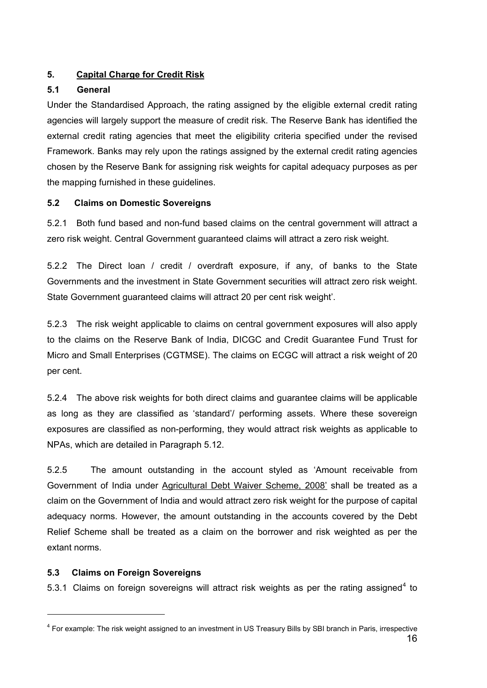# **5. Capital Charge for Credit Risk**

# **5.1 General**

Under the Standardised Approach, the rating assigned by the eligible external credit rating agencies will largely support the measure of credit risk. The Reserve Bank has identified the external credit rating agencies that meet the eligibility criteria specified under the revised Framework. Banks may rely upon the ratings assigned by the external credit rating agencies chosen by the Reserve Bank for assigning risk weights for capital adequacy purposes as per the mapping furnished in these guidelines.

# **5.2 Claims on Domestic Sovereigns**

5.2.1 Both fund based and non-fund based claims on the central government will attract a zero risk weight. Central Government guaranteed claims will attract a zero risk weight.

5.2.2 The Direct loan / credit / overdraft exposure, if any, of banks to the State Governments and the investment in State Government securities will attract zero risk weight. State Government guaranteed claims will attract 20 per cent risk weight'.

5.2.3 The risk weight applicable to claims on central government exposures will also apply to the claims on the Reserve Bank of India, DICGC and Credit Guarantee Fund Trust for Micro and Small Enterprises (CGTMSE). The claims on ECGC will attract a risk weight of 20 per cent.

5.2.4 The above risk weights for both direct claims and guarantee claims will be applicable as long as they are classified as 'standard'/ performing assets. Where these sovereign exposures are classified as non-performing, they would attract risk weights as applicable to NPAs, which are detailed in Paragraph [5.12](#page-23-0).

5.2.5 The amount outstanding in the account styled as 'Amount receivable from Government of India under Agricultural Debt Waiver Scheme, 2008' shall be treated as a claim on the Government of India and would attract zero risk weight for the purpose of capital adequacy norms. However, the amount outstanding in the accounts covered by the Debt Relief Scheme shall be treated as a claim on the borrower and risk weighted as per the extant norms.

# **5.3 Claims on Foreign Sovereigns**

l

5.3.1 Claims on foreign sovereigns will attract risk weights as per the rating assigned<sup>[4](#page-15-0)</sup> to

<span id="page-15-0"></span><sup>&</sup>lt;sup>4</sup> For example: The risk weight assigned to an investment in US Treasury Bills by SBI branch in Paris, irrespective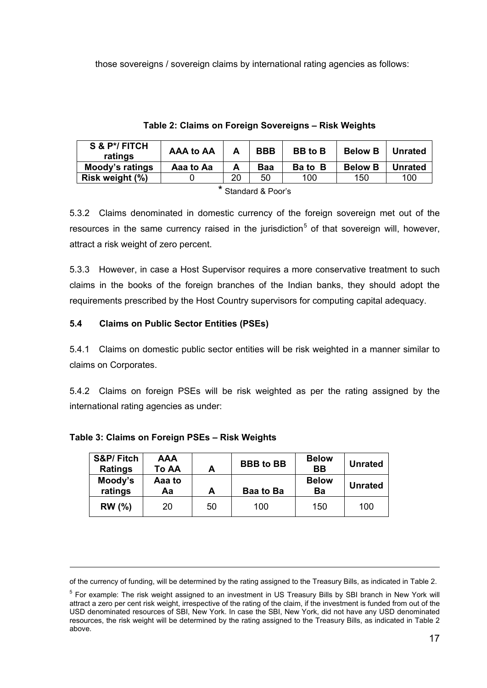those sovereigns / sovereign claims by international rating agencies as follows:

| S & P*/ FITCH<br>ratings | AAA to AA | A  | <b>BBB</b> | <b>BB</b> to B | <b>Below B</b> | <b>Unrated</b> |  |
|--------------------------|-----------|----|------------|----------------|----------------|----------------|--|
| <b>Moody's ratings</b>   | Aaa to Aa | А  | <b>Baa</b> | Ba to B        | <b>Below B</b> | <b>Unrated</b> |  |
| Risk weight (%)          |           | 20 | 50         | 100            | 150            | 100            |  |
|                          |           |    |            |                |                |                |  |

**Table 2: Claims on Foreign Sovereigns – Risk Weights**

\* Standard & Poor's

5.3.2 Claims denominated in domestic currency of the foreign sovereign met out of the resources in the same currency raised in the jurisdiction<sup>[5](#page-16-0)</sup> of that sovereign will, however, attract a risk weight of zero percent.

5.3.3 However, in case a Host Supervisor requires a more conservative treatment to such claims in the books of the foreign branches of the Indian banks, they should adopt the requirements prescribed by the Host Country supervisors for computing capital adequacy.

# **5.4 Claims on Public Sector Entities (PSEs)**

5.4.1 Claims on domestic public sector entities will be risk weighted in a manner similar to claims on Corporates.

5.4.2 Claims on foreign PSEs will be risk weighted as per the rating assigned by the international rating agencies as under:

| Table 3: Claims on Foreign PSEs - Risk Weights |
|------------------------------------------------|
|------------------------------------------------|

1

| S&P/Fitch<br><b>Ratings</b> | AAA<br><b>To AA</b> | А  | <b>BBB</b> to BB | <b>Below</b><br><b>BB</b> | <b>Unrated</b> |
|-----------------------------|---------------------|----|------------------|---------------------------|----------------|
| Moody's<br>ratings          | Aaa to<br>Аa        | A  | <b>Baa to Ba</b> | <b>Below</b><br>Ba        | <b>Unrated</b> |
| <b>RW</b> (%)               | 20                  | 50 | 100              | 150                       | 100            |

of the currency of funding, will be determined by the rating assigned to the Treasury Bills, as indicated in Table 2.

<span id="page-16-0"></span><sup>&</sup>lt;sup>5</sup> For example: The risk weight assigned to an investment in US Treasury Bills by SBI branch in New York will attract a zero per cent risk weight, irrespective of the rating of the claim, if the investment is funded from out of the USD denominated resources of SBI, New York. In case the SBI, New York, did not have any USD denominated resources, the risk weight will be determined by the rating assigned to the Treasury Bills, as indicated in Table 2 above.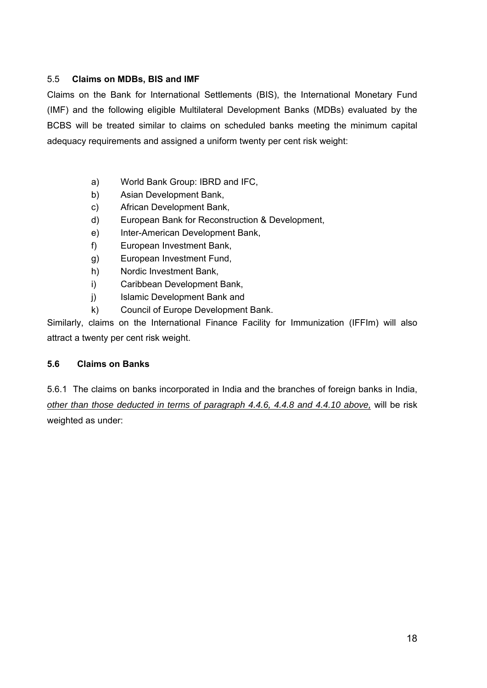# <span id="page-17-0"></span>5.5 **Claims on MDBs, BIS and IMF**

Claims on the Bank for International Settlements (BIS), the International Monetary Fund (IMF) and the following eligible Multilateral Development Banks (MDBs) evaluated by the BCBS will be treated similar to claims on scheduled banks meeting the minimum capital adequacy requirements and assigned a uniform twenty per cent risk weight:

- a) World Bank Group: IBRD and IFC,
- b) Asian Development Bank,
- c) African Development Bank,
- d) European Bank for Reconstruction & Development,
- e) Inter-American Development Bank,
- f) European Investment Bank,
- g) European Investment Fund,
- h) Nordic Investment Bank,
- i) Caribbean Development Bank,
- j) Islamic Development Bank and
- k) Council of Europe Development Bank.

Similarly, claims on the International Finance Facility for Immunization (IFFIm) will also attract a twenty per cent risk weight.

# **5.6 Claims on Banks**

5.6.1 The claims on banks incorporated in India and the branches of foreign banks in India, *other than those deducted in terms of paragraph 4.4.6, 4.4.8 and 4.4.10 above,* will be risk weighted as under: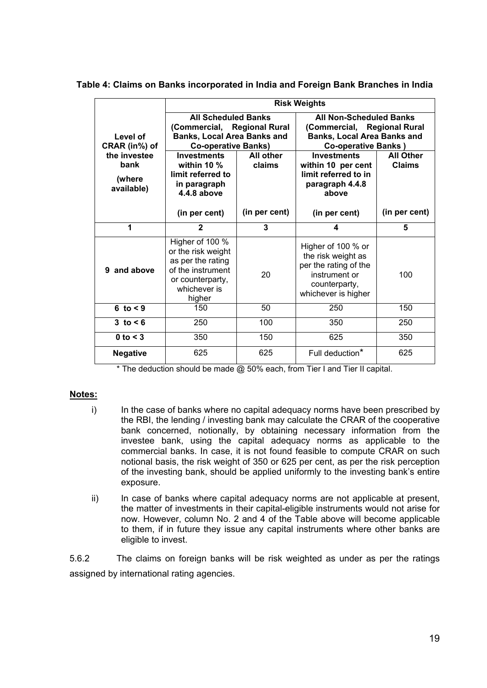|                                              | <b>Risk Weights</b>                                                                                                           |                     |                                                                                                                                   |                                   |  |  |
|----------------------------------------------|-------------------------------------------------------------------------------------------------------------------------------|---------------------|-----------------------------------------------------------------------------------------------------------------------------------|-----------------------------------|--|--|
| Level of<br>CRAR (in%) of                    | <b>All Scheduled Banks</b><br>(Commercial, Regional Rural<br><b>Banks, Local Area Banks and</b><br><b>Co-operative Banks)</b> |                     | <b>All Non-Scheduled Banks</b><br>(Commercial, Regional Rural<br><b>Banks, Local Area Banks and</b><br><b>Co-operative Banks)</b> |                                   |  |  |
| the investee<br>bank<br>(where<br>available) | <b>Investments</b><br>within 10 $\%$<br>limit referred to<br>in paragraph<br>$4.4.8$ above                                    | All other<br>claims | <b>Investments</b><br>within 10 per cent<br>limit referred to in<br>paragraph 4.4.8<br>above                                      | <b>All Other</b><br><b>Claims</b> |  |  |
|                                              | (in per cent)                                                                                                                 | (in per cent)       | (in per cent)                                                                                                                     | (in per cent)                     |  |  |
| 1                                            | $\mathbf{2}$                                                                                                                  | 3                   | 4                                                                                                                                 | 5                                 |  |  |
| 9 and above                                  | Higher of 100 %<br>or the risk weight<br>as per the rating<br>of the instrument<br>or counterparty,<br>whichever is<br>higher | 20                  | Higher of 100 % or<br>the risk weight as<br>per the rating of the<br>instrument or<br>counterparty,<br>whichever is higher        | 100                               |  |  |
| $6 \text{ to } 9$                            | 150                                                                                                                           | 50                  | 250                                                                                                                               | 150                               |  |  |
| 3 to $\leq 6$                                | 250                                                                                                                           | 100                 | 350                                                                                                                               | 250                               |  |  |
| 0 to $<$ 3                                   | 350                                                                                                                           | 150                 | 625                                                                                                                               | 350                               |  |  |
| <b>Negative</b>                              | 625                                                                                                                           | 625                 | Full deduction*                                                                                                                   | 625                               |  |  |

**Table 4: Claims on Banks incorporated in India and Foreign Bank Branches in India** 

\* The deduction should be made @ 50% each, from Tier I and Tier II capital.

### **Notes:**

- i) In the case of banks where no capital adequacy norms have been prescribed by the RBI, the lending / investing bank may calculate the CRAR of the cooperative bank concerned, notionally, by obtaining necessary information from the investee bank, using the capital adequacy norms as applicable to the commercial banks. In case, it is not found feasible to compute CRAR on such notional basis, the risk weight of 350 or 625 per cent, as per the risk perception of the investing bank, should be applied uniformly to the investing bank's entire exposure.
- ii) In case of banks where capital adequacy norms are not applicable at present, the matter of investments in their capital-eligible instruments would not arise for now. However, column No. 2 and 4 of the Table above will become applicable to them, if in future they issue any capital instruments where other banks are eligible to invest.

5.6.2 The claims on foreign banks will be risk weighted as under as per the ratings assigned by international rating agencies.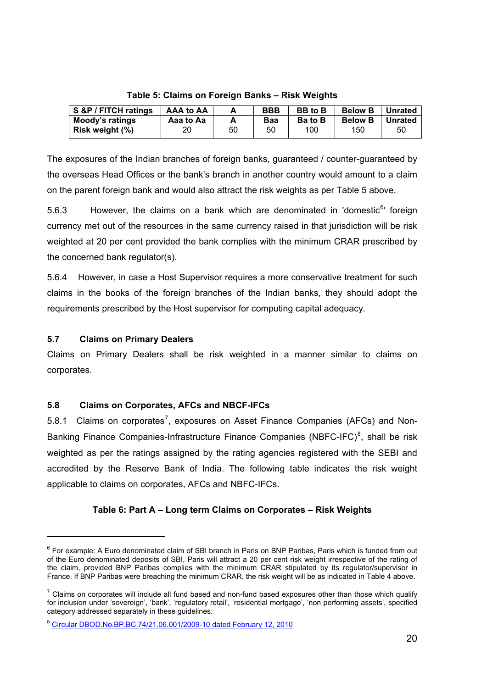| S &P / FITCH ratings   | AAA to AA |    | <b>BBB</b> | <b>BB</b> to <b>B</b> | <b>Below B</b> | <b>Unrated</b> |
|------------------------|-----------|----|------------|-----------------------|----------------|----------------|
| <b>Moody's ratings</b> | Aaa to Aa |    | <b>Baa</b> | <b>Bato B</b>         | <b>Below B</b> | <b>Unrated</b> |
| Risk weight (%)        | 20        | 50 | 50         | 100                   | 150            | 50             |

**Table 5: Claims on Foreign Banks – Risk Weights** 

The exposures of the Indian branches of foreign banks, guaranteed / counter-guaranteed by the overseas Head Offices or the bank's branch in another country would amount to a claim on the parent foreign bank and would also attract the risk weights as per Table 5 above.

5.[6](#page-19-0).3 However, the claims on a bank which are denominated in 'domestic $<sup>6</sup>$ ' foreign</sup> currency met out of the resources in the same currency raised in that jurisdiction will be risk weighted at 20 per cent provided the bank complies with the minimum CRAR prescribed by the concerned bank regulator(s).

5.6.4 However, in case a Host Supervisor requires a more conservative treatment for such claims in the books of the foreign branches of the Indian banks, they should adopt the requirements prescribed by the Host supervisor for computing capital adequacy.

# **5.7 Claims on Primary Dealers**

l

Claims on Primary Dealers shall be risk weighted in a manner similar to claims on corporates.

# **5.8 Claims on Corporates, AFCs and NBCF-IFCs**

5.8.1 Claims on corporates<sup>[7](#page-19-1)</sup>, exposures on Asset Finance Companies (AFCs) and Non-Banking Finance Companies-Infrastructure Finance Companies (NBFC-IFC) $^8$  $^8$ , shall be risk weighted as per the ratings assigned by the rating agencies registered with the SEBI and accredited by the Reserve Bank of India. The following table indicates the risk weight applicable to claims on corporates, AFCs and NBFC-IFCs.

# **Table 6: Part A – Long term Claims on Corporates – Risk Weights**

<span id="page-19-0"></span><sup>&</sup>lt;sup>6</sup> For example: A Euro denominated claim of SBI branch in Paris on BNP Paribas, Paris which is funded from out of the Euro denominated deposits of SBI, Paris will attract a 20 per cent risk weight irrespective of the rating of the claim, provided BNP Paribas complies with the minimum CRAR stipulated by its regulator/supervisor in France. If BNP Paribas were breaching the minimum CRAR, the risk weight will be as indicated in Table 4 above.

<span id="page-19-1"></span> $<sup>7</sup>$  Claims on corporates will include all fund based and non-fund based exposures other than those which qualify</sup> for inclusion under 'sovereign', 'bank', 'regulatory retail', 'residential mortgage', 'non performing assets', specified category addressed separately in these guidelines.

<span id="page-19-2"></span><sup>8</sup> Circular DBOD.No.BP.BC.74/21.06.001/2009-10 dated February 12, 2010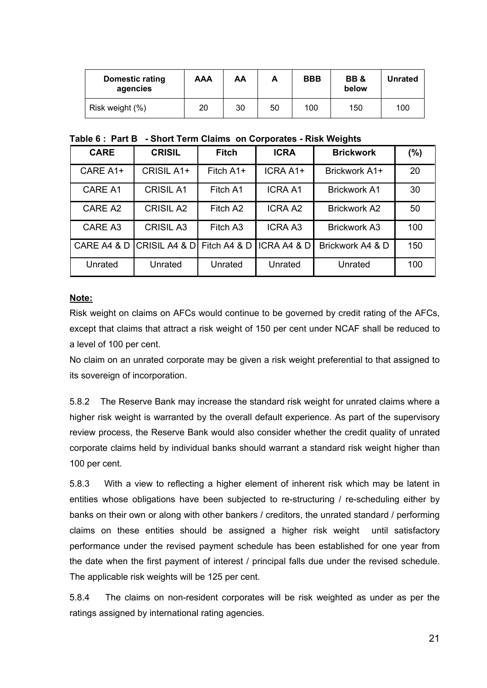| Domestic rating<br>agencies | AAA | AΑ | A  | <b>BBB</b> | <b>BB&amp;</b><br>below | <b>Unrated</b> |
|-----------------------------|-----|----|----|------------|-------------------------|----------------|
| Risk weight (%)             | 20  | 30 | 50 | 100        | 150                     | 100            |

|  |  |  | Table 6: Part B - Short Term Claims on Corporates - Risk Weights |  |  |
|--|--|--|------------------------------------------------------------------|--|--|
|--|--|--|------------------------------------------------------------------|--|--|

| <b>CARE</b> | <b>CRISIL</b>              | <b>Fitch</b> | <b>ICRA</b>    | <b>Brickwork</b>    | (%) |
|-------------|----------------------------|--------------|----------------|---------------------|-----|
| CARE A1+    | CRISIL A1+                 | Fitch $A1+$  | ICRA A1+       | Brickwork A1+       | 20  |
| CARE A1     | <b>CRISIL A1</b>           | Fitch A1     | <b>ICRA A1</b> | <b>Brickwork A1</b> | 30  |
| CARE A2     | <b>CRISIL A2</b>           | Fitch A2     | <b>ICRA A2</b> | <b>Brickwork A2</b> | 50  |
| CARE A3     | <b>CRISIL A3</b>           | Fitch A3     | <b>ICRA A3</b> | <b>Brickwork A3</b> | 100 |
| CARE A4 & D | CRISIL A4 & D Fitch A4 & D |              | ICRA A4 & D    | Brickwork A4 & D    | 150 |
| Unrated     | Unrated                    | Unrated      | Unrated        | Unrated             | 100 |

## **Note:**

Risk weight on claims on AFCs would continue to be governed by credit rating of the AFCs, except that claims that attract a risk weight of 150 per cent under NCAF shall be reduced to a level of 100 per cent.

No claim on an unrated corporate may be given a risk weight preferential to that assigned to its sovereign of incorporation.

5.8.2 The Reserve Bank may increase the standard risk weight for unrated claims where a higher risk weight is warranted by the overall default experience. As part of the supervisory review process, the Reserve Bank would also consider whether the credit quality of unrated corporate claims held by individual banks should warrant a standard risk weight higher than 100 per cent.

5.8.3 With a view to reflecting a higher element of inherent risk which may be latent in entities whose obligations have been subjected to re-structuring / re-scheduling either by banks on their own or along with other bankers / creditors, the unrated standard / performing claims on these entities should be assigned a higher risk weight until satisfactory performance under the revised payment schedule has been established for one year from the date when the first payment of interest / principal falls due under the revised schedule. The applicable risk weights will be 125 per cent.

5.8.4 The claims on non-resident corporates will be risk weighted as under as per the ratings assigned by international rating agencies.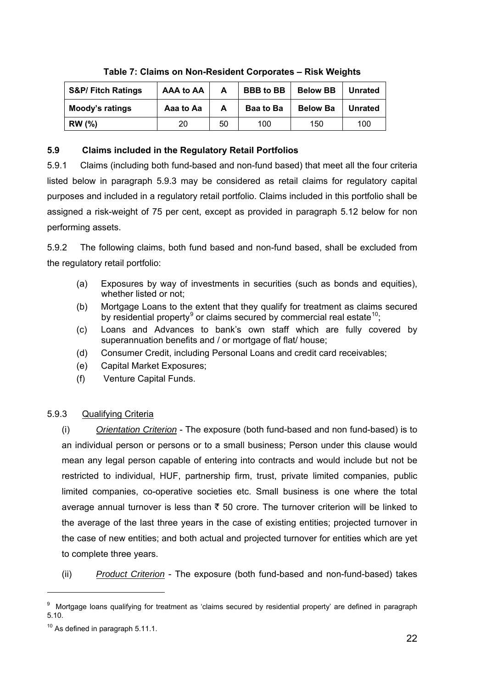| <b>S&amp;P/ Fitch Ratings</b> | AAA to AA | A  | <b>BBB</b> to BB | <b>Below BB</b> | Unrated |
|-------------------------------|-----------|----|------------------|-----------------|---------|
| <b>Moody's ratings</b>        | Aaa to Aa | A  | Baa to Ba        | <b>Below Ba</b> | Unrated |
| <b>RW</b> (%)                 | 20        | 50 | 100              | 150             | 100     |

# **Table 7: Claims on Non-Resident Corporates – Risk Weights**

# **5.9 Claims included in the Regulatory Retail Portfolios**

5.9.1 Claims (including both fund-based and non-fund based) that meet all the four criteria listed below in paragraph 5.9.3 may be considered as retail claims for regulatory capital purposes and included in a regulatory retail portfolio. Claims included in this portfolio shall be assigned a risk-weight of 75 per cent, except as provided in paragraph [5.12](#page-23-0) below for non performing assets.

5.9.2 The following claims, both fund based and non-fund based, shall be excluded from the regulatory retail portfolio:

- (a) Exposures by way of investments in securities (such as bonds and equities), whether listed or not;
- (b) Mortgage Loans to the extent that they qualify for treatment as claims secured by residential property<sup>[9](#page-21-0)</sup> or claims secured by commercial real estate<sup>[10](#page-21-1)</sup>;
- (c) Loans and Advances to bank's own staff which are fully covered by superannuation benefits and / or mortgage of flat/ house;
- (d) Consumer Credit, including Personal Loans and credit card receivables;
- (e) Capital Market Exposures;
- (f) Venture Capital Funds.

# 5.9.3 Qualifying Criteria

(i) *Orientation Criterion* - The exposure (both fund-based and non fund-based) is to an individual person or persons or to a small business; Person under this clause would mean any legal person capable of entering into contracts and would include but not be restricted to individual, HUF, partnership firm, trust, private limited companies, public limited companies, co-operative societies etc. Small business is one where the total average annual turnover is less than  $\bar{\tau}$  50 crore. The turnover criterion will be linked to the average of the last three years in the case of existing entities; projected turnover in the case of new entities; and both actual and projected turnover for entities which are yet to complete three years.

(ii) *Product Criterion* - The exposure (both fund-based and non-fund-based) takes

l

<span id="page-21-0"></span><sup>&</sup>lt;sup>9</sup> Mortgage loans qualifying for treatment as 'claims secured by residential property' are defined in paragraph 5.10.

<span id="page-21-1"></span><sup>&</sup>lt;sup>10</sup> As defined in paragraph 5.11.1.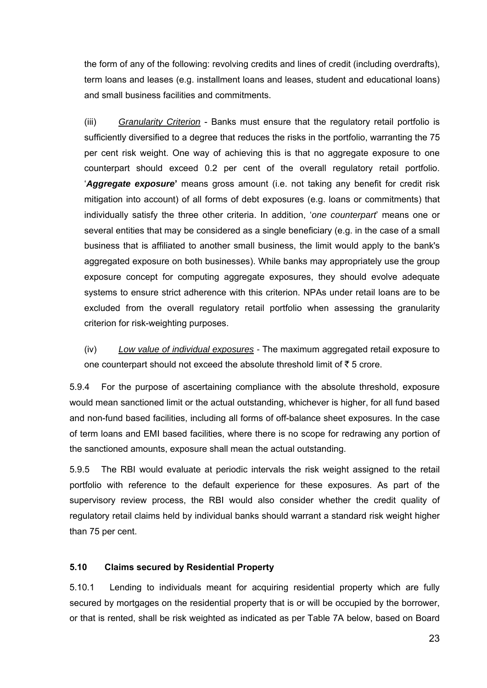the form of any of the following: revolving credits and lines of credit (including overdrafts), term loans and leases (e.g. installment loans and leases, student and educational loans) and small business facilities and commitments.

(iii) *Granularity Criterion* - Banks must ensure that the regulatory retail portfolio is sufficiently diversified to a degree that reduces the risks in the portfolio, warranting the 75 per cent risk weight. One way of achieving this is that no aggregate exposure to one counterpart should exceed 0.2 per cent of the overall regulatory retail portfolio. '*Aggregate exposure***'** means gross amount (i.e. not taking any benefit for credit risk mitigation into account) of all forms of debt exposures (e.g. loans or commitments) that individually satisfy the three other criteria. In addition, '*one counterpart*' means one or several entities that may be considered as a single beneficiary (e.g. in the case of a small business that is affiliated to another small business, the limit would apply to the bank's aggregated exposure on both businesses). While banks may appropriately use the group exposure concept for computing aggregate exposures, they should evolve adequate systems to ensure strict adherence with this criterion. NPAs under retail loans are to be excluded from the overall regulatory retail portfolio when assessing the granularity criterion for risk-weighting purposes.

(iv) *Low value of individual exposures -* The maximum aggregated retail exposure to one counterpart should not exceed the absolute threshold limit of  $\bar{z}$  5 crore.

5.9.4 For the purpose of ascertaining compliance with the absolute threshold, exposure would mean sanctioned limit or the actual outstanding, whichever is higher, for all fund based and non-fund based facilities, including all forms of off-balance sheet exposures. In the case of term loans and EMI based facilities, where there is no scope for redrawing any portion of the sanctioned amounts, exposure shall mean the actual outstanding.

5.9.5 The RBI would evaluate at periodic intervals the risk weight assigned to the retail portfolio with reference to the default experience for these exposures. As part of the supervisory review process, the RBI would also consider whether the credit quality of regulatory retail claims held by individual banks should warrant a standard risk weight higher than 75 per cent.

# **5.10 Claims secured by Residential Property**

5.10.1 Lending to individuals meant for acquiring residential property which are fully secured by mortgages on the residential property that is or will be occupied by the borrower, or that is rented, shall be risk weighted as indicated as per Table 7A below, based on Board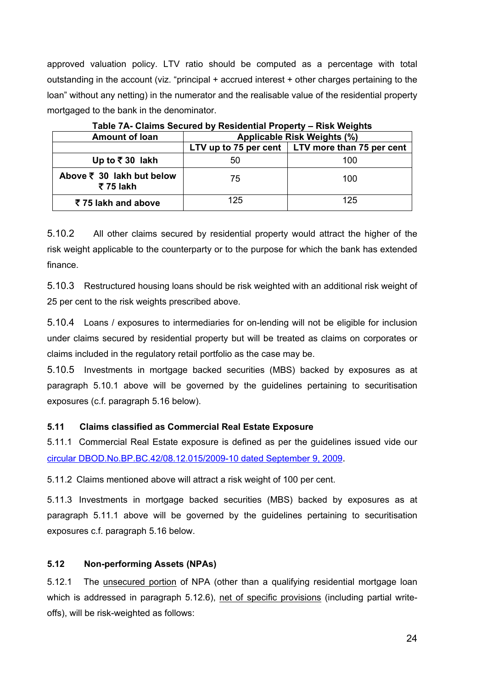<span id="page-23-0"></span>approved valuation policy. LTV ratio should be computed as a percentage with total outstanding in the account (viz. "principal + accrued interest + other charges pertaining to the loan" without any netting) in the numerator and the realisable value of the residential property mortgaged to the bank in the denominator.

| $1.4810$ $1.11$ withing woodlow by inductional individual |                             |                                                         |  |  |
|-----------------------------------------------------------|-----------------------------|---------------------------------------------------------|--|--|
| <b>Amount of loan</b>                                     | Applicable Risk Weights (%) |                                                         |  |  |
|                                                           |                             | LTV up to 75 per cent $\vert$ LTV more than 75 per cent |  |  |
| Up to $\overline{5}$ 30 lakh                              | 50                          | 100                                                     |  |  |
| Above $\overline{\xi}$ 30 lakh but below<br>₹ 75 lakh     | 75                          | 100                                                     |  |  |
| ₹75 lakh and above                                        | 125                         | 125                                                     |  |  |

**Table 7A- Claims Secured by Residential Property – Risk Weights**

5.10.2 All other claims secured by residential property would attract the higher of the risk weight applicable to the counterparty or to the purpose for which the bank has extended finance.

5.10.3 Restructured housing loans should be risk weighted with an additional risk weight of 25 per cent to the risk weights prescribed above.

5.10.4 Loans / exposures to intermediaries for on-lending will not be eligible for inclusion under claims secured by residential property but will be treated as claims on corporates or claims included in the regulatory retail portfolio as the case may be.

5.10.5 Investments in mortgage backed securities (MBS) backed by exposures as at paragraph 5.10.1 above will be governed by the guidelines pertaining to securitisation exposures (c.f. paragraph [5.16](#page-32-0) below).

# **5.11 Claims classified as Commercial Real Estate Exposure**

5.11.1 Commercial Real Estate exposure is defined as per the guidelines issued vide our [circular DBOD.No.BP.BC.42/08.12.015/2009-10 dated September 9, 2009.](http://www.rbi.org.in/scripts/NotificationUser.aspx?Id=5261&Mode=0)

5.11.2 Claims mentioned above will attract a risk weight of 100 per cent.

5.11.3 Investments in mortgage backed securities (MBS) backed by exposures as at paragraph 5.11.1 above will be governed by the guidelines pertaining to securitisation exposures c.f. paragraph [5.16](#page-32-0) below.

# **5.12 Non-performing Assets (NPAs)**

5.12.1 The unsecured portion of NPA (other than a qualifying residential mortgage loan which is addressed in paragraph 5.12.6), net of specific provisions (including partial writeoffs), will be risk-weighted as follows: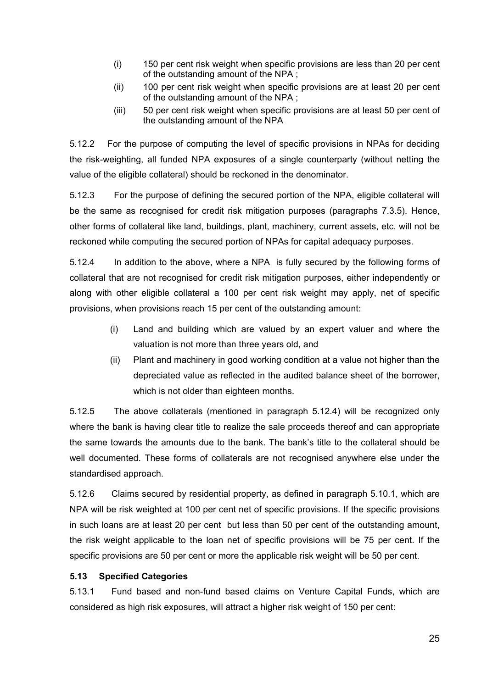- (i) 150 per cent risk weight when specific provisions are less than 20 per cent of the outstanding amount of the NPA ;
- (ii) 100 per cent risk weight when specific provisions are at least 20 per cent of the outstanding amount of the NPA ;
- (iii) 50 per cent risk weight when specific provisions are at least 50 per cent of the outstanding amount of the NPA

5.12.2 For the purpose of computing the level of specific provisions in NPAs for deciding the risk-weighting, all funded NPA exposures of a single counterparty (without netting the value of the eligible collateral) should be reckoned in the denominator.

5.12.3 For the purpose of defining the secured portion of the NPA, eligible collateral will be the same as recognised for credit risk mitigation purposes (paragraphs [7.3.5](#page-51-0)). Hence, other forms of collateral like land, buildings, plant, machinery, current assets, etc. will not be reckoned while computing the secured portion of NPAs for capital adequacy purposes.

5.12.4 In addition to the above, where a NPA is fully secured by the following forms of collateral that are not recognised for credit risk mitigation purposes, either independently or along with other eligible collateral a 100 per cent risk weight may apply, net of specific provisions, when provisions reach 15 per cent of the outstanding amount:

- (i) Land and building which are valued by an expert valuer and where the valuation is not more than three years old, and
- (ii) Plant and machinery in good working condition at a value not higher than the depreciated value as reflected in the audited balance sheet of the borrower, which is not older than eighteen months.

5.12.5 The above collaterals (mentioned in paragraph 5.12.4) will be recognized only where the bank is having clear title to realize the sale proceeds thereof and can appropriate the same towards the amounts due to the bank. The bank's title to the collateral should be well documented. These forms of collaterals are not recognised anywhere else under the standardised approach.

5.12.6 Claims secured by residential property, as defined in paragraph 5.10.1, which are NPA will be risk weighted at 100 per cent net of specific provisions. If the specific provisions in such loans are at least 20 per cent but less than 50 per cent of the outstanding amount, the risk weight applicable to the loan net of specific provisions will be 75 per cent. If the specific provisions are 50 per cent or more the applicable risk weight will be 50 per cent.

# **5.13 Specified Categories**

5.13.1 Fund based and non-fund based claims on Venture Capital Funds, which are considered as high risk exposures, will attract a higher risk weight of 150 per cent: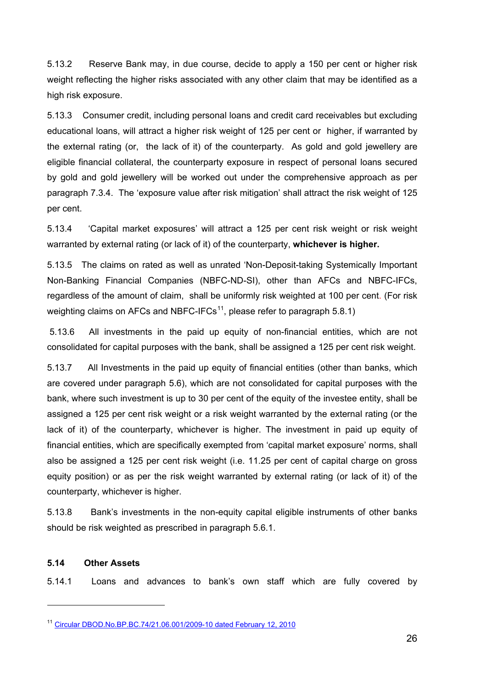5.13.2 Reserve Bank may, in due course, decide to apply a 150 per cent or higher risk weight reflecting the higher risks associated with any other claim that may be identified as a high risk exposure.

5.13.3 Consumer credit, including personal loans and credit card receivables but excluding educational loans, will attract a higher risk weight of 125 per cent or higher, if warranted by the external rating (or, the lack of it) of the counterparty. As gold and gold jewellery are eligible financial collateral, the counterparty exposure in respect of personal loans secured by gold and gold jewellery will be worked out under the comprehensive approach as per paragraph 7.3.4. The 'exposure value after risk mitigation' shall attract the risk weight of 125 per cent.

5.13.4 'Capital market exposures' will attract a 125 per cent risk weight or risk weight warranted by external rating (or lack of it) of the counterparty, **whichever is higher.** 

5.13.5 The claims on rated as well as unrated 'Non-Deposit-taking Systemically Important Non-Banking Financial Companies (NBFC-ND-SI), other than AFCs and NBFC-IFCs, regardless of the amount of claim, shall be uniformly risk weighted at 100 per cent. (For risk weighting claims on AFCs and NBFC-IFCs<sup>[11](#page-25-0)</sup>, please refer to paragraph 5.8.1)

 5.13.6 All investments in the paid up equity of non-financial entities, which are not consolidated for capital purposes with the bank, shall be assigned a 125 per cent risk weight.

5.13.7 All Investments in the paid up equity of financial entities (other than banks, which are covered under paragraph 5.6), which are not consolidated for capital purposes with the bank, where such investment is up to 30 per cent of the equity of the investee entity, shall be assigned a 125 per cent risk weight or a risk weight warranted by the external rating (or the lack of it) of the counterparty, whichever is higher. The investment in paid up equity of financial entities, which are specifically exempted from 'capital market exposure' norms, shall also be assigned a 125 per cent risk weight (i.e. 11.25 per cent of capital charge on gross equity position) or as per the risk weight warranted by external rating (or lack of it) of the counterparty, whichever is higher.

5.13.8 Bank's investments in the non-equity capital eligible instruments of other banks should be risk weighted as prescribed in paragraph 5.6.1.

### **5.14 Other Assets**

l

5.14.1 Loans and advances to bank's own staff which are fully covered by

<span id="page-25-0"></span><sup>11</sup> Circular DBOD.No.BP.BC.74/21.06.001/2009-10 dated February 12, 2010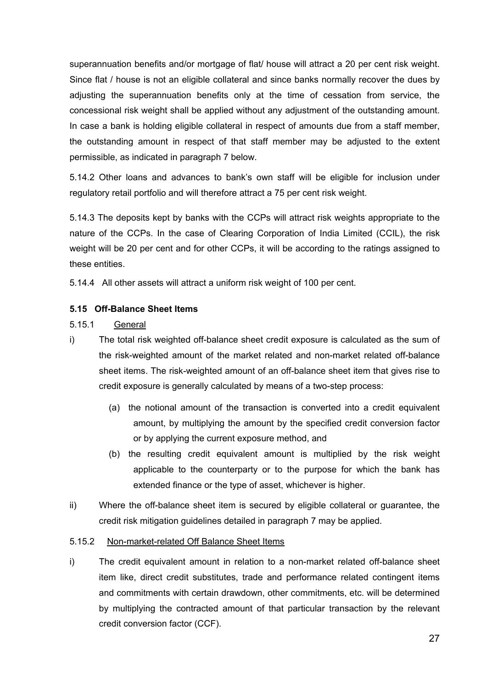superannuation benefits and/or mortgage of flat/ house will attract a 20 per cent risk weight. Since flat / house is not an eligible collateral and since banks normally recover the dues by adjusting the superannuation benefits only at the time of cessation from service, the concessional risk weight shall be applied without any adjustment of the outstanding amount. In case a bank is holding eligible collateral in respect of amounts due from a staff member, the outstanding amount in respect of that staff member may be adjusted to the extent permissible, as indicated in paragraph 7 below.

5.14.2 Other loans and advances to bank's own staff will be eligible for inclusion under regulatory retail portfolio and will therefore attract a 75 per cent risk weight.

5.14.3 The deposits kept by banks with the CCPs will attract risk weights appropriate to the nature of the CCPs. In the case of Clearing Corporation of India Limited (CCIL), the risk weight will be 20 per cent and for other CCPs, it will be according to the ratings assigned to these entities.

5.14.4 All other assets will attract a uniform risk weight of 100 per cent.

# **5.15 Off-Balance Sheet Items**

## 5.15.1 General

- i) The total risk weighted off-balance sheet credit exposure is calculated as the sum of the risk-weighted amount of the market related and non-market related off-balance sheet items. The risk-weighted amount of an off-balance sheet item that gives rise to credit exposure is generally calculated by means of a two-step process:
	- (a) the notional amount of the transaction is converted into a credit equivalent amount, by multiplying the amount by the specified credit conversion factor or by applying the current exposure method, and
	- (b) the resulting credit equivalent amount is multiplied by the risk weight applicable to the counterparty or to the purpose for which the bank has extended finance or the type of asset, whichever is higher.
- ii) Where the off-balance sheet item is secured by eligible collateral or guarantee, the credit risk mitigation guidelines detailed in paragraph 7 may be applied.

### 5.15.2 Non-market-related Off Balance Sheet Items

i) The credit equivalent amount in relation to a non-market related off-balance sheet item like, direct credit substitutes, trade and performance related contingent items and commitments with certain drawdown, other commitments, etc. will be determined by multiplying the contracted amount of that particular transaction by the relevant credit conversion factor (CCF).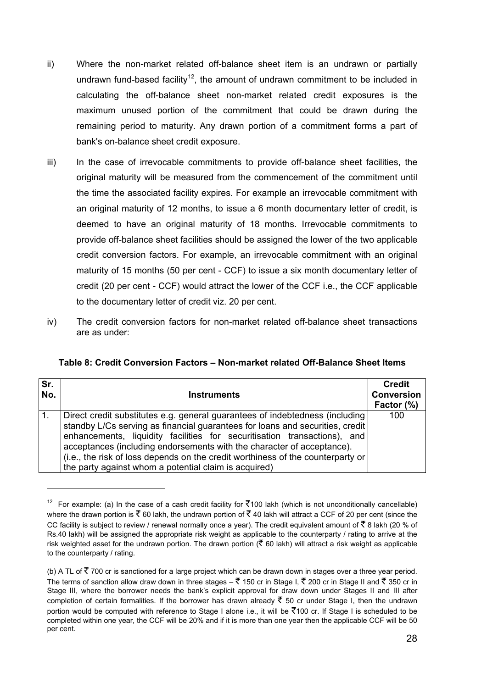- ii) Where the non-market related off-balance sheet item is an undrawn or partially undrawn fund-based facility<sup>[12](#page-27-0)</sup>, the amount of undrawn commitment to be included in calculating the off-balance sheet non-market related credit exposures is the maximum unused portion of the commitment that could be drawn during the remaining period to maturity. Any drawn portion of a commitment forms a part of bank's on-balance sheet credit exposure.
- iii) In the case of irrevocable commitments to provide off-balance sheet facilities, the original maturity will be measured from the commencement of the commitment until the time the associated facility expires. For example an irrevocable commitment with an original maturity of 12 months, to issue a 6 month documentary letter of credit, is deemed to have an original maturity of 18 months. Irrevocable commitments to provide off-balance sheet facilities should be assigned the lower of the two applicable credit conversion factors. For example, an irrevocable commitment with an original maturity of 15 months (50 per cent - CCF) to issue a six month documentary letter of credit (20 per cent - CCF) would attract the lower of the CCF i.e., the CCF applicable to the documentary letter of credit viz. 20 per cent.
- iv) The credit conversion factors for non-market related off-balance sheet transactions are as under:

| Sr.<br>No. | <b>Instruments</b>                                                                                                                                                                                                                                                                                                                                                                                                                                               | <b>Credit</b><br><b>Conversion</b><br>Factor (%) |
|------------|------------------------------------------------------------------------------------------------------------------------------------------------------------------------------------------------------------------------------------------------------------------------------------------------------------------------------------------------------------------------------------------------------------------------------------------------------------------|--------------------------------------------------|
| 1.         | Direct credit substitutes e.g. general guarantees of indebtedness (including)<br>standby L/Cs serving as financial guarantees for loans and securities, credit<br>enhancements, liquidity facilities for securitisation transactions), and<br>acceptances (including endorsements with the character of acceptance).<br>(i.e., the risk of loss depends on the credit worthiness of the counterparty or<br>the party against whom a potential claim is acquired) | 100                                              |

|  | Table 8: Credit Conversion Factors – Non-market related Off-Balance Sheet Items |  |
|--|---------------------------------------------------------------------------------|--|
|--|---------------------------------------------------------------------------------|--|

l

<span id="page-27-0"></span><sup>&</sup>lt;sup>12</sup> For example: (a) In the case of a cash credit facility for  $\bar{c}$ 100 lakh (which is not unconditionally cancellable) where the drawn portion is  $\bar{\mathfrak{F}}$  60 lakh, the undrawn portion of  $\bar{\mathfrak{F}}$  40 lakh will attract a CCF of 20 per cent (since the CC facility is subject to review / renewal normally once a year). The credit equivalent amount of  $\bar{f}$  8 lakh (20 % of Rs.40 lakh) will be assigned the appropriate risk weight as applicable to the counterparty / rating to arrive at the risk weighted asset for the undrawn portion. The drawn portion ( $\bar{\zeta}$  60 lakh) will attract a risk weight as applicable to the counterparty / rating.

<sup>(</sup>b) A TL of  $\bar{\zeta}$  700 cr is sanctioned for a large project which can be drawn down in stages over a three year period. The terms of sanction allow draw down in three stages  $-\xi$  150 cr in Stage I,  $\xi$  200 cr in Stage II and  $\xi$  350 cr in Stage III, where the borrower needs the bank's explicit approval for draw down under Stages II and III after completion of certain formalities. If the borrower has drawn already  $\bar{\xi}$  50 cr under Stage I, then the undrawn portion would be computed with reference to Stage I alone i.e., it will be ₹100 cr. If Stage I is scheduled to be completed within one year, the CCF will be 20% and if it is more than one year then the applicable CCF will be 50 per cent.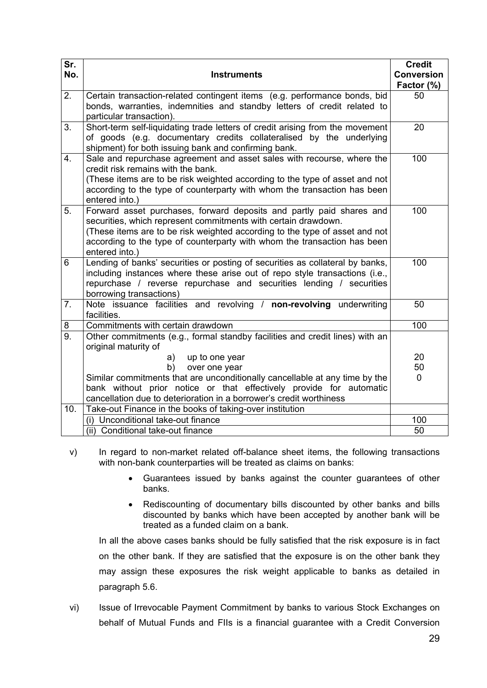| Sr.<br>No.       | <b>Instruments</b>                                                                                                                                                                                                                                                                                                  | <b>Credit</b><br><b>Conversion</b><br>Factor (%) |
|------------------|---------------------------------------------------------------------------------------------------------------------------------------------------------------------------------------------------------------------------------------------------------------------------------------------------------------------|--------------------------------------------------|
| 2.               | Certain transaction-related contingent items (e.g. performance bonds, bid<br>bonds, warranties, indemnities and standby letters of credit related to<br>particular transaction).                                                                                                                                    | 50                                               |
| 3.               | Short-term self-liquidating trade letters of credit arising from the movement<br>of goods (e.g. documentary credits collateralised by the underlying<br>shipment) for both issuing bank and confirming bank.                                                                                                        | 20                                               |
| 4.               | Sale and repurchase agreement and asset sales with recourse, where the<br>credit risk remains with the bank.<br>(These items are to be risk weighted according to the type of asset and not<br>according to the type of counterparty with whom the transaction has been<br>entered into.)                           | 100                                              |
| 5.               | Forward asset purchases, forward deposits and partly paid shares and<br>securities, which represent commitments with certain drawdown.<br>(These items are to be risk weighted according to the type of asset and not<br>according to the type of counterparty with whom the transaction has been<br>entered into.) | 100                                              |
| 6                | Lending of banks' securities or posting of securities as collateral by banks,<br>including instances where these arise out of repo style transactions (i.e.,<br>repurchase / reverse repurchase and securities lending / securities<br>borrowing transactions)                                                      | 100                                              |
| 7.               | Note issuance facilities and revolving / non-revolving underwriting<br>facilities.                                                                                                                                                                                                                                  | 50                                               |
| 8                | Commitments with certain drawdown                                                                                                                                                                                                                                                                                   | 100                                              |
| $\overline{9}$ . | Other commitments (e.g., formal standby facilities and credit lines) with an<br>original maturity of                                                                                                                                                                                                                |                                                  |
|                  | up to one year<br>a)                                                                                                                                                                                                                                                                                                | 20                                               |
|                  | b)<br>over one year                                                                                                                                                                                                                                                                                                 | 50                                               |
|                  | Similar commitments that are unconditionally cancellable at any time by the                                                                                                                                                                                                                                         | $\mathbf{0}$                                     |
|                  | bank without prior notice or that effectively provide for automatic                                                                                                                                                                                                                                                 |                                                  |
|                  | cancellation due to deterioration in a borrower's credit worthiness                                                                                                                                                                                                                                                 |                                                  |
| 10.              | Take-out Finance in the books of taking-over institution                                                                                                                                                                                                                                                            |                                                  |
|                  | (i) Unconditional take-out finance                                                                                                                                                                                                                                                                                  | 100                                              |
|                  | (ii) Conditional take-out finance                                                                                                                                                                                                                                                                                   | 50                                               |

- v) In regard to non-market related off-balance sheet items, the following transactions with non-bank counterparties will be treated as claims on banks:
	- Guarantees issued by banks against the counter guarantees of other banks.
	- Rediscounting of documentary bills discounted by other banks and bills discounted by banks which have been accepted by another bank will be treated as a funded claim on a bank.

In all the above cases banks should be fully satisfied that the risk exposure is in fact on the other bank. If they are satisfied that the exposure is on the other bank they may assign these exposures the risk weight applicable to banks as detailed in paragraph [5.6.](#page-17-0)

vi) Issue of Irrevocable Payment Commitment by banks to various Stock Exchanges on behalf of Mutual Funds and FIIs is a financial guarantee with a Credit Conversion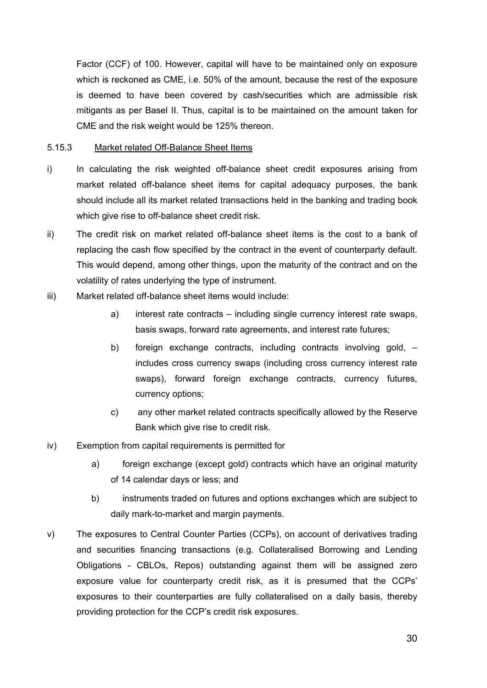Factor (CCF) of 100. However, capital will have to be maintained only on exposure which is reckoned as CME, i.e. 50% of the amount, because the rest of the exposure is deemed to have been covered by cash/securities which are admissible risk mitigants as per Basel II. Thus, capital is to be maintained on the amount taken for CME and the risk weight would be 125% thereon.

#### 5.15.3 Market related Off-Balance Sheet Items

- i) In calculating the risk weighted off-balance sheet credit exposures arising from market related off-balance sheet items for capital adequacy purposes, the bank should include all its market related transactions held in the banking and trading book which give rise to off-balance sheet credit risk.
- ii) The credit risk on market related off-balance sheet items is the cost to a bank of replacing the cash flow specified by the contract in the event of counterparty default. This would depend, among other things, upon the maturity of the contract and on the volatility of rates underlying the type of instrument.
- iii) Market related off-balance sheet items would include:
	- a) interest rate contracts including single currency interest rate swaps, basis swaps, forward rate agreements, and interest rate futures;
	- b) foreign exchange contracts, including contracts involving gold, includes cross currency swaps (including cross currency interest rate swaps), forward foreign exchange contracts, currency futures, currency options;
	- c) any other market related contracts specifically allowed by the Reserve Bank which give rise to credit risk.
- iv) Exemption from capital requirements is permitted for
	- a) foreign exchange (except gold) contracts which have an original maturity of 14 calendar days or less; and
	- b) instruments traded on futures and options exchanges which are subject to daily mark-to-market and margin payments.
- v) The exposures to Central Counter Parties (CCPs), on account of derivatives trading and securities financing transactions (e.g. Collateralised Borrowing and Lending Obligations - CBLOs, Repos) outstanding against them will be assigned zero exposure value for counterparty credit risk, as it is presumed that the CCPs' exposures to their counterparties are fully collateralised on a daily basis, thereby providing protection for the CCP's credit risk exposures.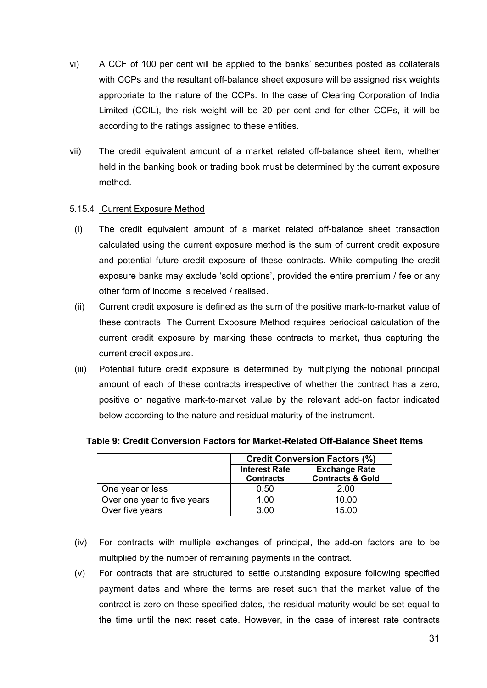- vi) A CCF of 100 per cent will be applied to the banks' securities posted as collaterals with CCPs and the resultant off-balance sheet exposure will be assigned risk weights appropriate to the nature of the CCPs. In the case of Clearing Corporation of India Limited (CCIL), the risk weight will be 20 per cent and for other CCPs, it will be according to the ratings assigned to these entities.
- vii) The credit equivalent amount of a market related off-balance sheet item, whether held in the banking book or trading book must be determined by the current exposure method.

## 5.15.4 Current Exposure Method

- (i) The credit equivalent amount of a market related off-balance sheet transaction calculated using the current exposure method is the sum of current credit exposure and potential future credit exposure of these contracts. While computing the credit exposure banks may exclude 'sold options', provided the entire premium / fee or any other form of income is received / realised.
- (ii) Current credit exposure is defined as the sum of the positive mark-to-market value of these contracts. The Current Exposure Method requires periodical calculation of the current credit exposure by marking these contracts to market**,** thus capturing the current credit exposure.
- (iii) Potential future credit exposure is determined by multiplying the notional principal amount of each of these contracts irrespective of whether the contract has a zero, positive or negative mark-to-market value by the relevant add-on factor indicated below according to the nature and residual maturity of the instrument.

|                             | <b>Credit Conversion Factors (%)</b>     |                                                     |  |
|-----------------------------|------------------------------------------|-----------------------------------------------------|--|
|                             | <b>Interest Rate</b><br><b>Contracts</b> | <b>Exchange Rate</b><br><b>Contracts &amp; Gold</b> |  |
| One year or less            | 0.50                                     | 2.00                                                |  |
| Over one year to five years | 1.00                                     | 10.00                                               |  |
| Over five years             | 3.00                                     | 15.00                                               |  |

### **Table 9: Credit Conversion Factors for Market-Related Off-Balance Sheet Items**

- (iv) For contracts with multiple exchanges of principal, the add-on factors are to be multiplied by the number of remaining payments in the contract.
- (v) For contracts that are structured to settle outstanding exposure following specified payment dates and where the terms are reset such that the market value of the contract is zero on these specified dates, the residual maturity would be set equal to the time until the next reset date. However, in the case of interest rate contracts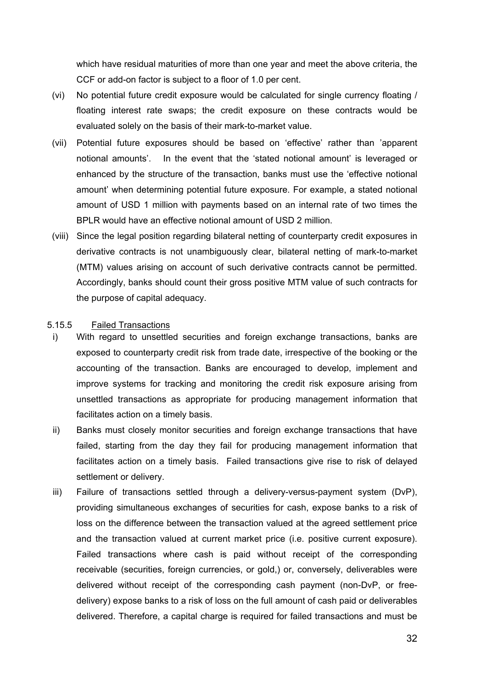which have residual maturities of more than one year and meet the above criteria, the CCF or add-on factor is subject to a floor of 1.0 per cent.

- (vi) No potential future credit exposure would be calculated for single currency floating / floating interest rate swaps; the credit exposure on these contracts would be evaluated solely on the basis of their mark-to-market value.
- (vii) Potential future exposures should be based on 'effective' rather than 'apparent notional amounts'. In the event that the 'stated notional amount' is leveraged or enhanced by the structure of the transaction, banks must use the 'effective notional amount' when determining potential future exposure. For example, a stated notional amount of USD 1 million with payments based on an internal rate of two times the BPLR would have an effective notional amount of USD 2 million.
- (viii) Since the legal position regarding bilateral netting of counterparty credit exposures in derivative contracts is not unambiguously clear, bilateral netting of mark-to-market (MTM) values arising on account of such derivative contracts cannot be permitted. Accordingly, banks should count their gross positive MTM value of such contracts for the purpose of capital adequacy.

#### 5.15.5 Failed Transactions

- i) With regard to unsettled securities and foreign exchange transactions, banks are exposed to counterparty credit risk from trade date, irrespective of the booking or the accounting of the transaction. Banks are encouraged to develop, implement and improve systems for tracking and monitoring the credit risk exposure arising from unsettled transactions as appropriate for producing management information that facilitates action on a timely basis.
- ii) Banks must closely monitor securities and foreign exchange transactions that have failed, starting from the day they fail for producing management information that facilitates action on a timely basis. Failed transactions give rise to risk of delayed settlement or delivery.
- iii) Failure of transactions settled through a delivery-versus-payment system (DvP), providing simultaneous exchanges of securities for cash, expose banks to a risk of loss on the difference between the transaction valued at the agreed settlement price and the transaction valued at current market price (i.e. positive current exposure). Failed transactions where cash is paid without receipt of the corresponding receivable (securities, foreign currencies, or gold,) or, conversely, deliverables were delivered without receipt of the corresponding cash payment (non-DvP, or freedelivery) expose banks to a risk of loss on the full amount of cash paid or deliverables delivered. Therefore, a capital charge is required for failed transactions and must be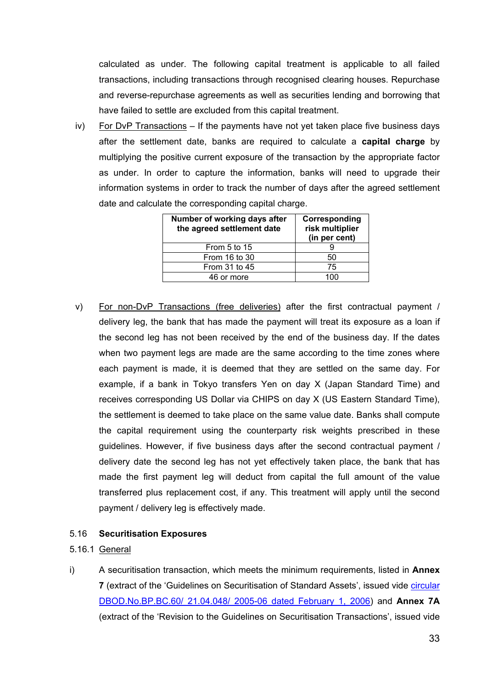<span id="page-32-0"></span>calculated as under. The following capital treatment is applicable to all failed transactions, including transactions through recognised clearing houses. Repurchase and reverse-repurchase agreements as well as securities lending and borrowing that have failed to settle are excluded from this capital treatment.

iv) For DvP Transactions – If the payments have not yet taken place five business days after the settlement date, banks are required to calculate a **capital charge** by multiplying the positive current exposure of the transaction by the appropriate factor as under. In order to capture the information, banks will need to upgrade their information systems in order to track the number of days after the agreed settlement date and calculate the corresponding capital charge.

| Number of working days after<br>the agreed settlement date | Corresponding<br>risk multiplier<br>(in per cent) |
|------------------------------------------------------------|---------------------------------------------------|
| From 5 to 15                                               |                                                   |
| From 16 to 30                                              | 50                                                |
| From 31 to 45                                              | 75                                                |
| 46 or more                                                 | 100                                               |

v) For non-DvP Transactions (free deliveries) after the first contractual payment / delivery leg, the bank that has made the payment will treat its exposure as a loan if the second leg has not been received by the end of the business day. If the dates when two payment legs are made are the same according to the time zones where each payment is made, it is deemed that they are settled on the same day. For example, if a bank in Tokyo transfers Yen on day X (Japan Standard Time) and receives corresponding US Dollar via CHIPS on day X (US Eastern Standard Time), the settlement is deemed to take place on the same value date. Banks shall compute the capital requirement using the counterparty risk weights prescribed in these guidelines. However, if five business days after the second contractual payment / delivery date the second leg has not yet effectively taken place, the bank that has made the first payment leg will deduct from capital the full amount of the value transferred plus replacement cost, if any. This treatment will apply until the second payment / delivery leg is effectively made.

### 5.16 **Securitisation Exposures**

## 5.16.1 General

i) A securitisation transaction, which meets the minimum requirements, listed in **Annex 7** (extract of the 'Guidelines on Securitisation of Standard Assets', issued vide [circular](http://www.rbi.org.in/scripts/NotificationUser.aspx?Id=2723&Mode=0)  [DBOD.No.BP.BC.60/ 21.04.048/ 2005-06 dated February 1, 2006\)](http://www.rbi.org.in/scripts/NotificationUser.aspx?Id=2723&Mode=0) and **Annex 7A** (extract of the 'Revision to the Guidelines on Securitisation Transactions', issued vide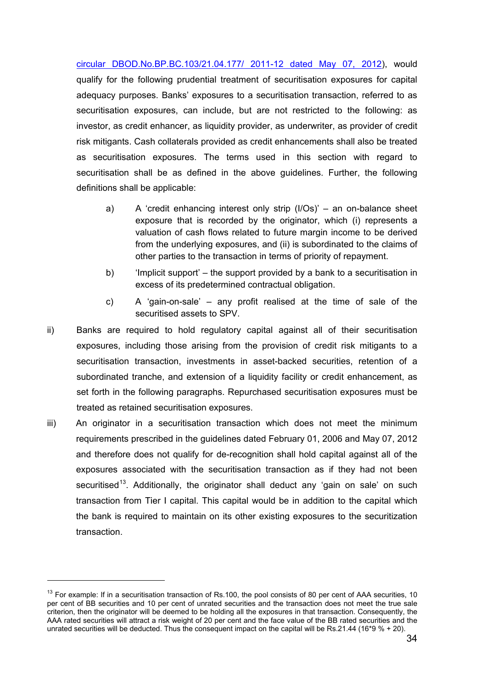[circular DBOD.No.BP.BC.103/21.04.177/ 2011-12 dated May 07, 2012\)](http://www.rbi.org.in/scripts/NotificationUser.aspx?Id=7184&Mode=0), would qualify for the following prudential treatment of securitisation exposures for capital adequacy purposes. Banks' exposures to a securitisation transaction, referred to as securitisation exposures, can include, but are not restricted to the following: as investor, as credit enhancer, as liquidity provider, as underwriter, as provider of credit risk mitigants. Cash collaterals provided as credit enhancements shall also be treated as securitisation exposures. The terms used in this section with regard to securitisation shall be as defined in the above guidelines. Further, the following definitions shall be applicable:

- a) A 'credit enhancing interest only strip (I/Os)' an on-balance sheet exposure that is recorded by the originator, which (i) represents a valuation of cash flows related to future margin income to be derived from the underlying exposures, and (ii) is subordinated to the claims of other parties to the transaction in terms of priority of repayment.
- b) 'Implicit support' the support provided by a bank to a securitisation in excess of its predetermined contractual obligation.
- c) A 'gain-on-sale' any profit realised at the time of sale of the securitised assets to SPV.
- ii) Banks are required to hold regulatory capital against all of their securitisation exposures, including those arising from the provision of credit risk mitigants to a securitisation transaction, investments in asset-backed securities, retention of a subordinated tranche, and extension of a liquidity facility or credit enhancement, as set forth in the following paragraphs. Repurchased securitisation exposures must be treated as retained securitisation exposures.
- iii) An originator in a securitisation transaction which does not meet the minimum requirements prescribed in the guidelines dated February 01, 2006 and May 07, 2012 and therefore does not qualify for de-recognition shall hold capital against all of the exposures associated with the securitisation transaction as if they had not been securitised<sup>[1](#page-33-0)3</sup>. Additionally, the originator shall deduct any 'gain on sale' on such transaction from Tier I capital. This capital would be in addition to the capital which the bank is required to maintain on its other existing exposures to the securitization transaction.

l

<span id="page-33-0"></span> $13$  For example: If in a securitisation transaction of Rs.100, the pool consists of 80 per cent of AAA securities, 10 per cent of BB securities and 10 per cent of unrated securities and the transaction does not meet the true sale criterion, then the originator will be deemed to be holding all the exposures in that transaction. Consequently, the AAA rated securities will attract a risk weight of 20 per cent and the face value of the BB rated securities and the unrated securities will be deducted. Thus the consequent impact on the capital will be Rs.21.44 (16\*9 % + 20).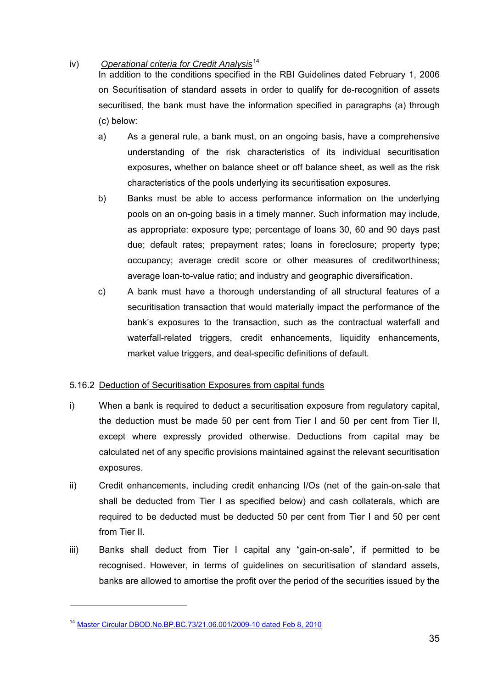# <span id="page-34-0"></span>iv) Operational criteria for Credit Analysis<sup>[1](#page-34-1)4</sup>

In addition to the conditions specified in the RBI Guidelines dated February 1, 2006 on Securitisation of standard assets in order to qualify for de-recognition of assets securitised, the bank must have the information specified in paragraphs (a) through (c) below:

- a) As a general rule, a bank must, on an ongoing basis, have a comprehensive understanding of the risk characteristics of its individual securitisation exposures, whether on balance sheet or off balance sheet, as well as the risk characteristics of the pools underlying its securitisation exposures.
- b) Banks must be able to access performance information on the underlying pools on an on-going basis in a timely manner. Such information may include, as appropriate: exposure type; percentage of loans 30, 60 and 90 days past due; default rates; prepayment rates; loans in foreclosure; property type; occupancy; average credit score or other measures of creditworthiness; average loan-to-value ratio; and industry and geographic diversification.
- c) A bank must have a thorough understanding of all structural features of a securitisation transaction that would materially impact the performance of the bank's exposures to the transaction, such as the contractual waterfall and waterfall-related triggers, credit enhancements, liquidity enhancements, market value triggers, and deal-specific definitions of default.

# 5.16.2 Deduction of Securitisation Exposures from capital funds

- i) When a bank is required to deduct a securitisation exposure from regulatory capital, the deduction must be made 50 per cent from Tier I and 50 per cent from Tier II, except where expressly provided otherwise. Deductions from capital may be calculated net of any specific provisions maintained against the relevant securitisation exposures.
- ii) Credit enhancements, including credit enhancing I/Os (net of the gain-on-sale that shall be deducted from Tier I as specified below) and cash collaterals, which are required to be deducted must be deducted 50 per cent from Tier I and 50 per cent from Tier II.
- iii) Banks shall deduct from Tier I capital any "gain-on-sale", if permitted to be recognised. However, in terms of guidelines on securitisation of standard assets, banks are allowed to amortise the profit over the period of the securities issued by the

1

<span id="page-34-1"></span><sup>14</sup> Master Circular DBOD.No.BP.BC.73/21.06.001/2009-10 dated Feb 8, 2010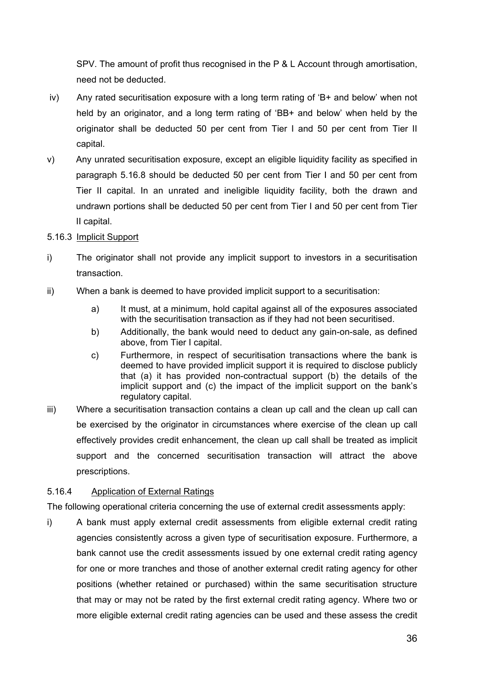SPV. The amount of profit thus recognised in the P & L Account through amortisation, need not be deducted.

- iv) Any rated securitisation exposure with a long term rating of 'B+ and below' when not held by an originator, and a long term rating of 'BB+ and below' when held by the originator shall be deducted 50 per cent from Tier I and 50 per cent from Tier II capital.
- v) Any unrated securitisation exposure, except an eligible liquidity facility as specified in paragraph [5.16.8](#page-39-0) should be deducted 50 per cent from Tier I and 50 per cent from Tier II capital. In an unrated and ineligible liquidity facility, both the drawn and undrawn portions shall be deducted 50 per cent from Tier I and 50 per cent from Tier II capital.
- 5.16.3 Implicit Support
- i) The originator shall not provide any implicit support to investors in a securitisation transaction.
- ii) When a bank is deemed to have provided implicit support to a securitisation:
	- a) It must, at a minimum, hold capital against all of the exposures associated with the securitisation transaction as if they had not been securitised.
	- b) Additionally, the bank would need to deduct any gain-on-sale, as defined above, from Tier I capital.
	- c) Furthermore, in respect of securitisation transactions where the bank is deemed to have provided implicit support it is required to disclose publicly that (a) it has provided non-contractual support (b) the details of the implicit support and (c) the impact of the implicit support on the bank's regulatory capital.
- iii) Where a securitisation transaction contains a clean up call and the clean up call can be exercised by the originator in circumstances where exercise of the clean up call effectively provides credit enhancement, the clean up call shall be treated as implicit support and the concerned securitisation transaction will attract the above prescriptions.

# 5.16.4 Application of External Ratings

The following operational criteria concerning the use of external credit assessments apply:

i) A bank must apply external credit assessments from eligible external credit rating agencies consistently across a given type of securitisation exposure. Furthermore, a bank cannot use the credit assessments issued by one external credit rating agency for one or more tranches and those of another external credit rating agency for other positions (whether retained or purchased) within the same securitisation structure that may or may not be rated by the first external credit rating agency. Where two or more eligible external credit rating agencies can be used and these assess the credit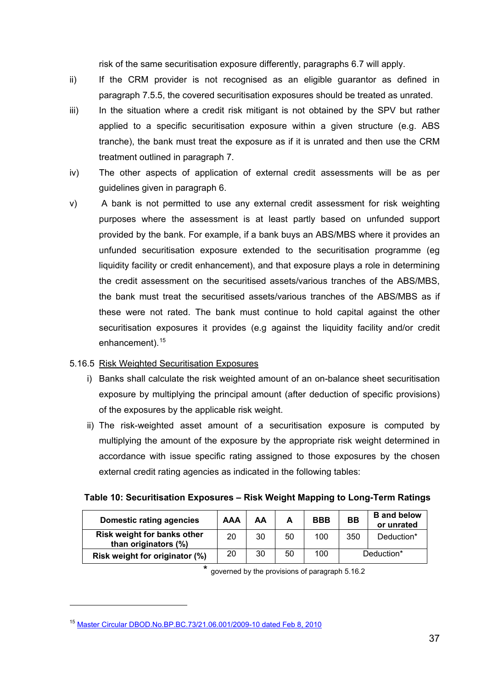risk of the same securitisation exposure differently, paragraphs 6.7 will apply.

- ii) If the CRM provider is not recognised as an eligible guarantor as defined in paragraph 7.5.5, the covered securitisation exposures should be treated as unrated.
- iii) In the situation where a credit risk mitigant is not obtained by the SPV but rather applied to a specific securitisation exposure within a given structure (e.g. ABS tranche), the bank must treat the exposure as if it is unrated and then use the CRM treatment outlined in paragraph [7](#page-48-0).
- iv) The other aspects of application of external credit assessments will be as per guidelines given in paragraph [6.](#page-42-0)
- v) A bank is not permitted to use any external credit assessment for risk weighting purposes where the assessment is at least partly based on unfunded support provided by the bank. For example, if a bank buys an ABS/MBS where it provides an unfunded securitisation exposure extended to the securitisation programme (eg liquidity facility or credit enhancement), and that exposure plays a role in determining the credit assessment on the securitised assets/various tranches of the ABS/MBS, the bank must treat the securitised assets/various tranches of the ABS/MBS as if these were not rated. The bank must continue to hold capital against the other securitisation exposures it provides (e.g against the liquidity facility and/or credit enhancement).<sup>[15](#page-36-0)</sup>

# 5.16.5 Risk Weighted Securitisation Exposures

- i) Banks shall calculate the risk weighted amount of an on-balance sheet securitisation exposure by multiplying the principal amount (after deduction of specific provisions) of the exposures by the applicable risk weight.
- ii) The risk-weighted asset amount of a securitisation exposure is computed by multiplying the amount of the exposure by the appropriate risk weight determined in accordance with issue specific rating assigned to those exposures by the chosen external credit rating agencies as indicated in the following tables:

# **Table 10: Securitisation Exposures – Risk Weight Mapping to Long-Term Ratings**

| Domestic rating agencies                            | AAA | AA |    | <b>BBB</b> | <b>BB</b> | <b>B</b> and below<br>or unrated |
|-----------------------------------------------------|-----|----|----|------------|-----------|----------------------------------|
| Risk weight for banks other<br>than originators (%) | 20  | 30 | 50 | 100        | 350       | Deduction*                       |
| Risk weight for originator (%)                      | 20  | 30 | 50 | 100        |           | Deduction*                       |

\* governed by the provisions of paragraph [5.16.2](#page-34-0)

1

<span id="page-36-0"></span><sup>15</sup> Master Circular DBOD.No.BP.BC.73/21.06.001/2009-10 dated Feb 8, 2010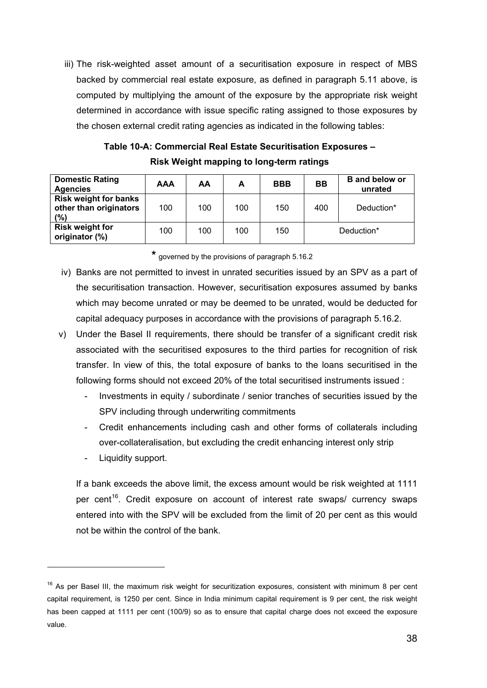iii) The risk-weighted asset amount of a securitisation exposure in respect of MBS backed by commercial real estate exposure, as defined in paragraph 5.11 above, is computed by multiplying the amount of the exposure by the appropriate risk weight determined in accordance with issue specific rating assigned to those exposures by the chosen external credit rating agencies as indicated in the following tables:

**Table 10-A: Commercial Real Estate Securitisation Exposures – Risk Weight mapping to long-term ratings** 

| <b>Domestic Rating</b><br><b>Agencies</b>                     | <b>AAA</b> | AA  | A   | <b>BBB</b> | <b>BB</b>  | <b>B</b> and below or<br>unrated |
|---------------------------------------------------------------|------------|-----|-----|------------|------------|----------------------------------|
| <b>Risk weight for banks</b><br>other than originators<br>(%) | 100        | 100 | 100 | 150        | 400        | Deduction*                       |
| <b>Risk weight for</b><br>originator (%)                      | 100        | 100 | 100 | 150        | Deduction* |                                  |

**\*** governed by the provisions of paragraph [5.16.2](#page-34-0)

- iv) Banks are not permitted to invest in unrated securities issued by an SPV as a part of the securitisation transaction. However, securitisation exposures assumed by banks which may become unrated or may be deemed to be unrated, would be deducted for capital adequacy purposes in accordance with the provisions of paragraph [5.16.2.](#page-34-0)
- v) Under the Basel II requirements, there should be transfer of a significant credit risk associated with the securitised exposures to the third parties for recognition of risk transfer. In view of this, the total exposure of banks to the loans securitised in the following forms should not exceed 20% of the total securitised instruments issued :
	- Investments in equity / subordinate / senior tranches of securities issued by the SPV including through underwriting commitments
	- Credit enhancements including cash and other forms of collaterals including over-collateralisation, but excluding the credit enhancing interest only strip
	- Liquidity support.

l

If a bank exceeds the above limit, the excess amount would be risk weighted at 1111 per cent<sup>[16](#page-37-0)</sup>. Credit exposure on account of interest rate swaps/ currency swaps entered into with the SPV will be excluded from the limit of 20 per cent as this would not be within the control of the bank.

<span id="page-37-0"></span> $16$  As per Basel III, the maximum risk weight for securitization exposures, consistent with minimum 8 per cent capital requirement, is 1250 per cent. Since in India minimum capital requirement is 9 per cent, the risk weight has been capped at 1111 per cent (100/9) so as to ensure that capital charge does not exceed the exposure value.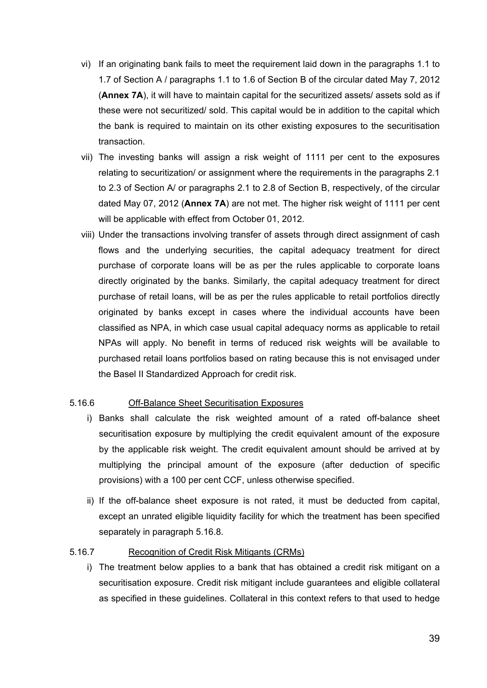- vi) If an originating bank fails to meet the requirement laid down in the paragraphs 1.1 to 1.7 of Section A / paragraphs 1.1 to 1.6 of Section B of the circular dated May 7, 2012 (**Annex 7A**), it will have to maintain capital for the securitized assets/ assets sold as if these were not securitized/ sold. This capital would be in addition to the capital which the bank is required to maintain on its other existing exposures to the securitisation transaction.
- vii) The investing banks will assign a risk weight of 1111 per cent to the exposures relating to securitization/ or assignment where the requirements in the paragraphs 2.1 to 2.3 of Section A/ or paragraphs 2.1 to 2.8 of Section B, respectively, of the circular dated May 07, 2012 (**Annex 7A**) are not met. The higher risk weight of 1111 per cent will be applicable with effect from October 01, 2012.
- viii) Under the transactions involving transfer of assets through direct assignment of cash flows and the underlying securities, the capital adequacy treatment for direct purchase of corporate loans will be as per the rules applicable to corporate loans directly originated by the banks. Similarly, the capital adequacy treatment for direct purchase of retail loans, will be as per the rules applicable to retail portfolios directly originated by banks except in cases where the individual accounts have been classified as NPA, in which case usual capital adequacy norms as applicable to retail NPAs will apply. No benefit in terms of reduced risk weights will be available to purchased retail loans portfolios based on rating because this is not envisaged under the Basel II Standardized Approach for credit risk.

### 5.16.6 Off-Balance Sheet Securitisation Exposures

- i) Banks shall calculate the risk weighted amount of a rated off-balance sheet securitisation exposure by multiplying the credit equivalent amount of the exposure by the applicable risk weight. The credit equivalent amount should be arrived at by multiplying the principal amount of the exposure (after deduction of specific provisions) with a 100 per cent CCF, unless otherwise specified.
- ii) If the off-balance sheet exposure is not rated, it must be deducted from capital, except an unrated eligible liquidity facility for which the treatment has been specified separately in paragraph 5.16.8.

### 5.16.7 Recognition of Credit Risk Mitigants (CRMs)

i) The treatment below applies to a bank that has obtained a credit risk mitigant on a securitisation exposure. Credit risk mitigant include guarantees and eligible collateral as specified in these guidelines. Collateral in this context refers to that used to hedge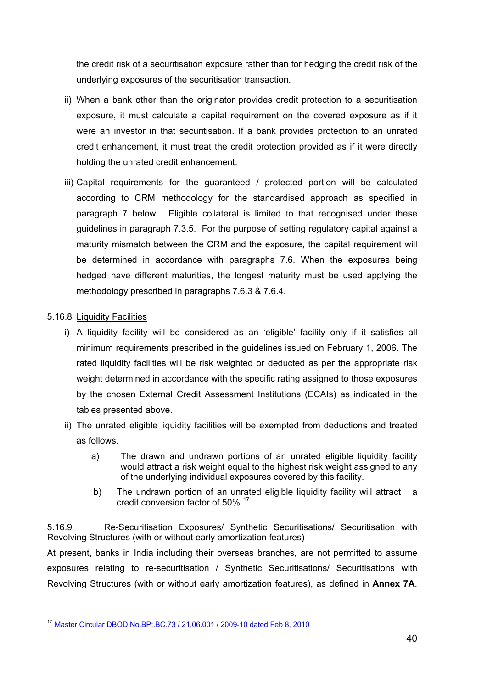the credit risk of a securitisation exposure rather than for hedging the credit risk of the underlying exposures of the securitisation transaction.

- ii) When a bank other than the originator provides credit protection to a securitisation exposure, it must calculate a capital requirement on the covered exposure as if it were an investor in that securitisation. If a bank provides protection to an unrated credit enhancement, it must treat the credit protection provided as if it were directly holding the unrated credit enhancement.
- iii) Capital requirements for the guaranteed / protected portion will be calculated according to CRM methodology for the standardised approach as specified in paragraph [7](#page-48-0) below. Eligible collateral is limited to that recognised under these guidelines in paragraph [7.3.5.](#page-51-0) For the purpose of setting regulatory capital against a maturity mismatch between the CRM and the exposure, the capital requirement will be determined in accordance with paragraphs [7.6](#page-60-0). When the exposures being hedged have different maturities, the longest maturity must be used applying the methodology prescribed in paragraphs [7.6.3 & 7.6.4](#page-60-0).

### 5.16.8 Liquidity Facilities

l

- i) A liquidity facility will be considered as an 'eligible' facility only if it satisfies all minimum requirements prescribed in the guidelines issued on February 1, 2006. The rated liquidity facilities will be risk weighted or deducted as per the appropriate risk weight determined in accordance with the specific rating assigned to those exposures by the chosen External Credit Assessment Institutions (ECAIs) as indicated in the tables presented above.
- ii) The unrated eligible liquidity facilities will be exempted from deductions and treated as follows.
	- a) The drawn and undrawn portions of an unrated eligible liquidity facility would attract a risk weight equal to the highest risk weight assigned to any of the underlying individual exposures covered by this facility.
	- b) The undrawn portion of an unrated eligible liquidity facility will attract a credit conversion factor of 50%.[1](#page-39-0)7

5.16.9 Re-Securitisation Exposures/ Synthetic Securitisations/ Securitisation with Revolving Structures (with or without early amortization features) At present, banks in India including their overseas branches, are not permitted to assume exposures relating to re-securitisation / Synthetic Securitisations/ Securitisations with Revolving Structures (with or without early amortization features), as defined in **Annex 7A**.

<span id="page-39-0"></span><sup>17</sup> Master Circular DBOD,No.BP:.BC.73 / 21.06.001 / 2009-10 dated Feb 8, 2010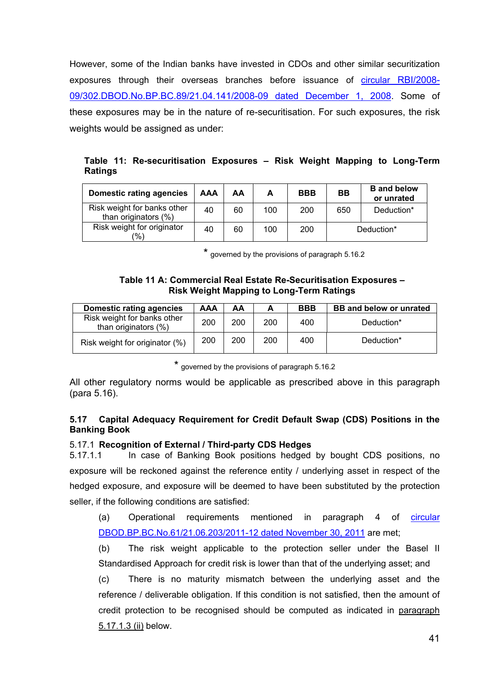However, some of the Indian banks have invested in CDOs and other similar securitization exposures through their overseas branches before issuance of [circular RBI/2008-](http://www.rbi.org.in/scripts/NotificationUser.aspx?Id=4676&Mode=0) [09/302.DBOD.No.BP.BC.89/21.04.141/2008-09 dated December 1, 2008](http://www.rbi.org.in/scripts/NotificationUser.aspx?Id=4676&Mode=0). Some of these exposures may be in the nature of re-securitisation. For such exposures, the risk weights would be assigned as under:

**Table 11: Re-securitisation Exposures – Risk Weight Mapping to Long-Term Ratings** 

| <b>Domestic rating agencies</b>                     | <b>AAA</b> | AA | A   | <b>BBB</b> | <b>BB</b> | <b>B</b> and below<br>or unrated |
|-----------------------------------------------------|------------|----|-----|------------|-----------|----------------------------------|
| Risk weight for banks other<br>than originators (%) | 40         | 60 | 100 | 200        | 650       | Deduction*                       |
| Risk weight for originator<br>$\frac{1}{2}$         | 40         | 60 | 100 | 200        |           | Deduction*                       |

governed by the provisions of paragraph 5.16.2

#### **Table 11 A: Commercial Real Estate Re-Securitisation Exposures – Risk Weight Mapping to Long-Term Ratings**

| <b>Domestic rating agencies</b>                     | AAA | AA  |     | <b>BBB</b> | <b>BB</b> and below or unrated |
|-----------------------------------------------------|-----|-----|-----|------------|--------------------------------|
| Risk weight for banks other<br>than originators (%) | 200 | 200 | 200 | 400        | Deduction*                     |
| Risk weight for originator (%)                      | 200 | 200 | 200 | 400        | Deduction*                     |

\* governed by the provisions of paragraph [5.16.2](#page-34-0) 

All other regulatory norms would be applicable as prescribed above in this paragraph (para 5.16).

# **5.17 Capital Adequacy Requirement for Credit Default Swap (CDS) Positions in the Banking Book**

# 5.17.1 **Recognition of External / Third-party CDS Hedges**

5.17.1.1 In case of Banking Book positions hedged by bought CDS positions, no exposure will be reckoned against the reference entity / underlying asset in respect of the hedged exposure, and exposure will be deemed to have been substituted by the protection seller, if the following conditions are satisfied:

(a) Operational requirements mentioned in paragraph 4 of [circular](http://www.rbi.org.in/scripts/NotificationUser.aspx?Id=6852&Mode=0)  [DBOD.BP.BC.No.61/21.06.203/2011-12 dated November 30, 2011](http://www.rbi.org.in/scripts/NotificationUser.aspx?Id=6852&Mode=0) are met;

(b) The risk weight applicable to the protection seller under the Basel II Standardised Approach for credit risk is lower than that of the underlying asset; and

(c) There is no maturity mismatch between the underlying asset and the reference / deliverable obligation. If this condition is not satisfied, then the amount of credit protection to be recognised should be computed as indicated in [paragraph](http://10.24.1.98/kmt/GetDocument.asp?PageRef=regulator/rbi/dbod/rbi6130-11-2011.htm#p5.1.3.2)  [5.17.1.3 \(ii\)](http://10.24.1.98/kmt/GetDocument.asp?PageRef=regulator/rbi/dbod/rbi6130-11-2011.htm#p5.1.3.2) below.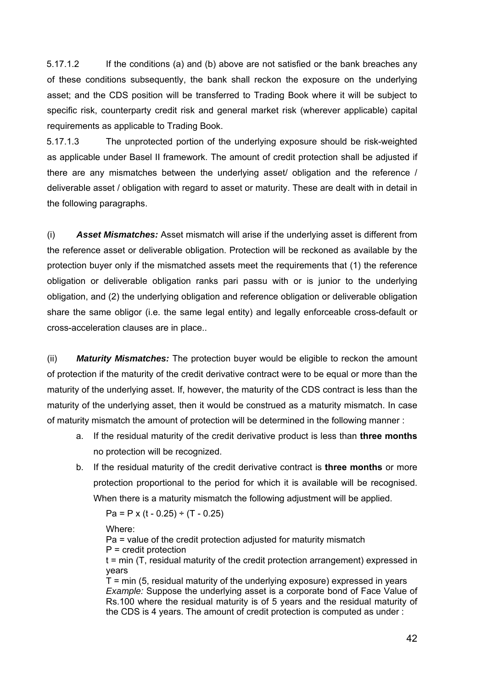5.17.1.2 If the conditions (a) and (b) above are not satisfied or the bank breaches any of these conditions subsequently, the bank shall reckon the exposure on the underlying asset; and the CDS position will be transferred to Trading Book where it will be subject to specific risk, counterparty credit risk and general market risk (wherever applicable) capital requirements as applicable to Trading Book.

5.17.1.3 The unprotected portion of the underlying exposure should be risk-weighted as applicable under Basel II framework. The amount of credit protection shall be adjusted if there are any mismatches between the underlying asset/ obligation and the reference / deliverable asset / obligation with regard to asset or maturity. These are dealt with in detail in the following paragraphs.

(i) *Asset Mismatches:* Asset mismatch will arise if the underlying asset is different from the reference asset or deliverable obligation. Protection will be reckoned as available by the protection buyer only if the mismatched assets meet the requirements that (1) the reference obligation or deliverable obligation ranks pari passu with or is junior to the underlying obligation, and (2) the underlying obligation and reference obligation or deliverable obligation share the same obligor (i.e. the same legal entity) and legally enforceable cross-default or cross-acceleration clauses are in place..

(ii) *Maturity Mismatches:* The protection buyer would be eligible to reckon the amount of protection if the maturity of the credit derivative contract were to be equal or more than the maturity of the underlying asset. If, however, the maturity of the CDS contract is less than the maturity of the underlying asset, then it would be construed as a maturity mismatch. In case of maturity mismatch the amount of protection will be determined in the following manner :

- a. If the residual maturity of the credit derivative product is less than **three months** no protection will be recognized.
- b. If the residual maturity of the credit derivative contract is **three months** or more protection proportional to the period for which it is available will be recognised. When there is a maturity mismatch the following adjustment will be applied.

 $Pa = P x (t - 0.25) \div (T - 0.25)$ 

Where:

Pa = value of the credit protection adjusted for maturity mismatch P = credit protection

t = min (T, residual maturity of the credit protection arrangement) expressed in years

 $T = min (5, residual maturity of the underlying exposure) expressed in years$ *Example:* Suppose the underlying asset is a corporate bond of Face Value of Rs.100 where the residual maturity is of 5 years and the residual maturity of the CDS is 4 years. The amount of credit protection is computed as under :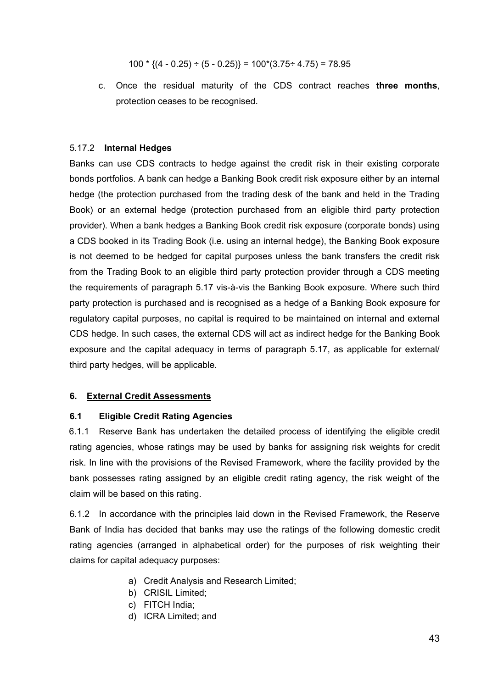$$
100 * \{(4 - 0.25) ÷ (5 - 0.25)\} = 100 * (3.75 ÷ 4.75) = 78.95
$$

<span id="page-42-0"></span>c. Once the residual maturity of the CDS contract reaches **three months**, protection ceases to be recognised.

#### 5.17.2 **Internal Hedges**

Banks can use CDS contracts to hedge against the credit risk in their existing corporate bonds portfolios. A bank can hedge a Banking Book credit risk exposure either by an internal hedge (the protection purchased from the trading desk of the bank and held in the Trading Book) or an external hedge (protection purchased from an eligible third party protection provider). When a bank hedges a Banking Book credit risk exposure (corporate bonds) using a CDS booked in its Trading Book (i.e. using an internal hedge), the Banking Book exposure is not deemed to be hedged for capital purposes unless the bank transfers the credit risk from the Trading Book to an eligible third party protection provider through a CDS meeting the requirements of paragraph 5.17 vis-à-vis the Banking Book exposure. Where such third party protection is purchased and is recognised as a hedge of a Banking Book exposure for regulatory capital purposes, no capital is required to be maintained on internal and external CDS hedge. In such cases, the external CDS will act as indirect hedge for the Banking Book exposure and the capital adequacy in terms of paragraph 5.17, as applicable for external/ third party hedges, will be applicable.

### **6. External Credit Assessments**

### **6.1 Eligible Credit Rating Agencies**

6.1.1 Reserve Bank has undertaken the detailed process of identifying the eligible credit rating agencies, whose ratings may be used by banks for assigning risk weights for credit risk. In line with the provisions of the Revised Framework, where the facility provided by the bank possesses rating assigned by an eligible credit rating agency, the risk weight of the claim will be based on this rating.

6.1.2 In accordance with the principles laid down in the Revised Framework, the Reserve Bank of India has decided that banks may use the ratings of the following domestic credit rating agencies (arranged in alphabetical order) for the purposes of risk weighting their claims for capital adequacy purposes:

- a) Credit Analysis and Research Limited;
- b) CRISIL Limited;
- c) FITCH India;
- d) ICRA Limited; and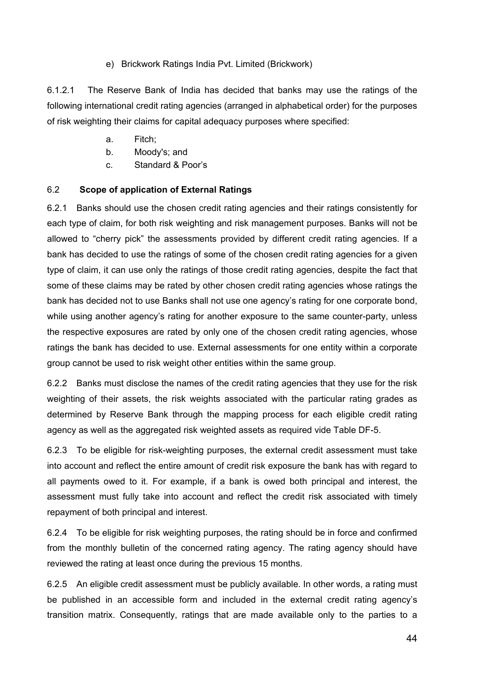# e) Brickwork Ratings India Pvt. Limited (Brickwork)

6.1.2.1 The Reserve Bank of India has decided that banks may use the ratings of the following international credit rating agencies (arranged in alphabetical order) for the purposes of risk weighting their claims for capital adequacy purposes where specified:

- a. Fitch;
- b. Moody's; and
- c. Standard & Poor's

### 6.2 **Scope of application of External Ratings**

6.2.1 Banks should use the chosen credit rating agencies and their ratings consistently for each type of claim, for both risk weighting and risk management purposes. Banks will not be allowed to "cherry pick" the assessments provided by different credit rating agencies. If a bank has decided to use the ratings of some of the chosen credit rating agencies for a given type of claim, it can use only the ratings of those credit rating agencies, despite the fact that some of these claims may be rated by other chosen credit rating agencies whose ratings the bank has decided not to use Banks shall not use one agency's rating for one corporate bond, while using another agency's rating for another exposure to the same counter-party, unless the respective exposures are rated by only one of the chosen credit rating agencies, whose ratings the bank has decided to use. External assessments for one entity within a corporate group cannot be used to risk weight other entities within the same group.

6.2.2 Banks must disclose the names of the credit rating agencies that they use for the risk weighting of their assets, the risk weights associated with the particular rating grades as determined by Reserve Bank through the mapping process for each eligible credit rating agency as well as the aggregated risk weighted assets as required vide [Table DF-5.](#page-130-0)

6.2.3 To be eligible for risk-weighting purposes, the external credit assessment must take into account and reflect the entire amount of credit risk exposure the bank has with regard to all payments owed to it. For example, if a bank is owed both principal and interest, the assessment must fully take into account and reflect the credit risk associated with timely repayment of both principal and interest.

6.2.4 To be eligible for risk weighting purposes, the rating should be in force and confirmed from the monthly bulletin of the concerned rating agency. The rating agency should have reviewed the rating at least once during the previous 15 months.

6.2.5 An eligible credit assessment must be publicly available. In other words, a rating must be published in an accessible form and included in the external credit rating agency's transition matrix. Consequently, ratings that are made available only to the parties to a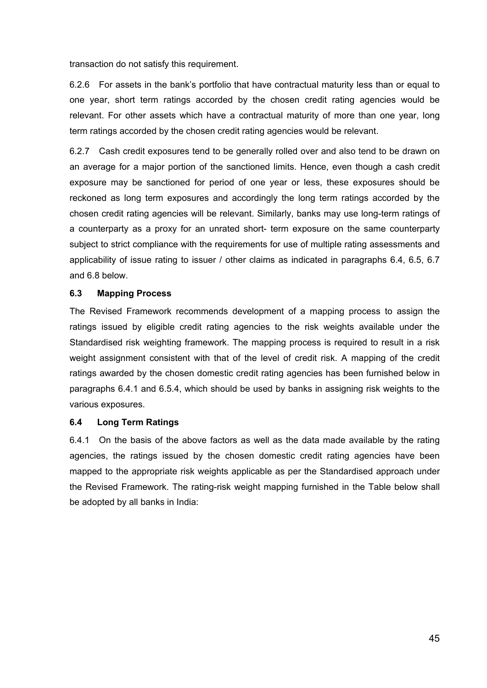transaction do not satisfy this requirement.

6.2.6 For assets in the bank's portfolio that have contractual maturity less than or equal to one year, short term ratings accorded by the chosen credit rating agencies would be relevant. For other assets which have a contractual maturity of more than one year, long term ratings accorded by the chosen credit rating agencies would be relevant.

6.2.7 Cash credit exposures tend to be generally rolled over and also tend to be drawn on an average for a major portion of the sanctioned limits. Hence, even though a cash credit exposure may be sanctioned for period of one year or less, these exposures should be reckoned as long term exposures and accordingly the long term ratings accorded by the chosen credit rating agencies will be relevant. Similarly, banks may use long-term ratings of a counterparty as a proxy for an unrated short- term exposure on the same counterparty subject to strict compliance with the requirements for use of multiple rating assessments and applicability of issue rating to issuer / other claims as indicated in paragraphs 6.4, 6.5, 6.7 and 6.8 below.

### **6.3 Mapping Process**

The Revised Framework recommends development of a mapping process to assign the ratings issued by eligible credit rating agencies to the risk weights available under the Standardised risk weighting framework. The mapping process is required to result in a risk weight assignment consistent with that of the level of credit risk. A mapping of the credit ratings awarded by the chosen domestic credit rating agencies has been furnished below in paragraphs 6.4.1 and 6.5.4, which should be used by banks in assigning risk weights to the various exposures.

### **6.4 Long Term Ratings**

6.4.1 On the basis of the above factors as well as the data made available by the rating agencies, the ratings issued by the chosen domestic credit rating agencies have been mapped to the appropriate risk weights applicable as per the Standardised approach under the Revised Framework. The rating-risk weight mapping furnished in the Table below shall be adopted by all banks in India: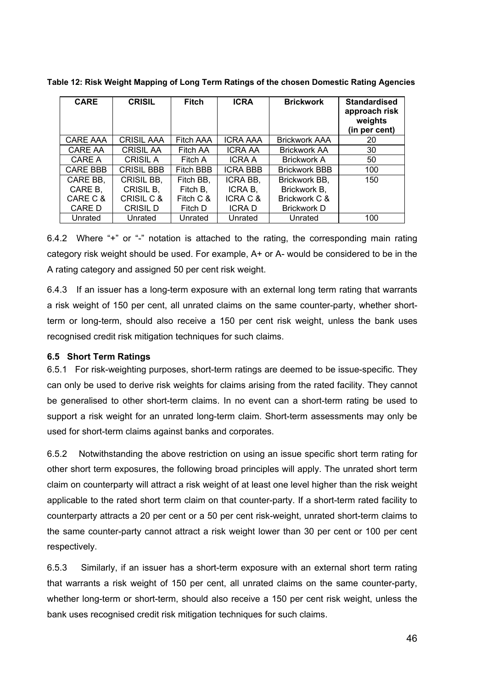| <b>CARE</b>     | <b>CRISIL</b>     | <b>Fitch</b> | <b>ICRA</b>     | <b>Brickwork</b>     | <b>Standardised</b><br>approach risk<br>weights<br>(in per cent) |
|-----------------|-------------------|--------------|-----------------|----------------------|------------------------------------------------------------------|
| CARE AAA        | <b>CRISIL AAA</b> | Fitch AAA    | <b>ICRA AAA</b> | <b>Brickwork AAA</b> | 20                                                               |
| CARE AA         | <b>CRISIL AA</b>  | Fitch AA     | <b>ICRA AA</b>  | <b>Brickwork AA</b>  | 30                                                               |
| CARE A          | <b>CRISIL A</b>   | Fitch A      | <b>ICRA A</b>   | <b>Brickwork A</b>   | 50                                                               |
| <b>CARE BBB</b> | <b>CRISIL BBB</b> | Fitch BBB    | <b>ICRA BBB</b> | <b>Brickwork BBB</b> | 100                                                              |
| CARE BB,        | CRISIL BB,        | Fitch BB,    | ICRA BB,        | Brickwork BB,        | 150                                                              |
| CARE B,         | CRISIL B,         | Fitch B,     | ICRA B,         | Brickwork B,         |                                                                  |
| CARE C &        | CRISIL C &        | Fitch C &    | ICRA C &        | Brickwork C &        |                                                                  |
| CARE D          | <b>CRISIL D</b>   | Fitch D      | <b>ICRAD</b>    | <b>Brickwork D</b>   |                                                                  |
| Unrated         | Unrated           | Unrated      | Unrated         | Unrated              | 100                                                              |

**Table 12: Risk Weight Mapping of Long Term Ratings of the chosen Domestic Rating Agencies** 

6.4.2 Where "+" or "-" notation is attached to the rating, the corresponding main rating category risk weight should be used. For example, A+ or A- would be considered to be in the A rating category and assigned 50 per cent risk weight.

6.4.3 If an issuer has a long-term exposure with an external long term rating that warrants a risk weight of 150 per cent, all unrated claims on the same counter-party, whether shortterm or long-term, should also receive a 150 per cent risk weight, unless the bank uses recognised credit risk mitigation techniques for such claims.

# **6.5 Short Term Ratings**

6.5.1 For risk-weighting purposes, short-term ratings are deemed to be issue-specific. They can only be used to derive risk weights for claims arising from the rated facility. They cannot be generalised to other short-term claims. In no event can a short-term rating be used to support a risk weight for an unrated long-term claim. Short-term assessments may only be used for short-term claims against banks and corporates.

6.5.2 Notwithstanding the above restriction on using an issue specific short term rating for other short term exposures, the following broad principles will apply. The unrated short term claim on counterparty will attract a risk weight of at least one level higher than the risk weight applicable to the rated short term claim on that counter-party. If a short-term rated facility to counterparty attracts a 20 per cent or a 50 per cent risk-weight, unrated short-term claims to the same counter-party cannot attract a risk weight lower than 30 per cent or 100 per cent respectively.

6.5.3 Similarly, if an issuer has a short-term exposure with an external short term rating that warrants a risk weight of 150 per cent, all unrated claims on the same counter-party, whether long-term or short-term, should also receive a 150 per cent risk weight, unless the bank uses recognised credit risk mitigation techniques for such claims.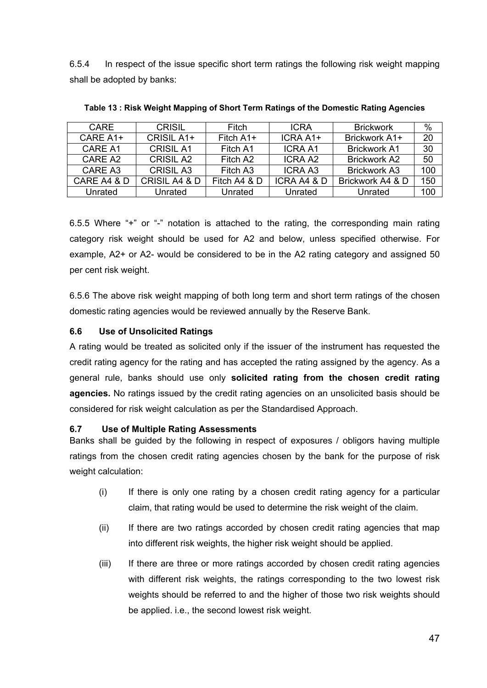6.5.4 In respect of the issue specific short term ratings the following risk weight mapping shall be adopted by banks:

| CARE        | <b>CRISIL</b>            | Fitch        | <b>ICRA</b>    | <b>Brickwork</b>    | $\%$ |
|-------------|--------------------------|--------------|----------------|---------------------|------|
| CARE A1+    | CRISIL A1+               | Fitch $A1+$  | ICRA A1+       | Brickwork A1+       | 20   |
| CARE A1     | <b>CRISIL A1</b>         | Fitch A1     | <b>ICRA A1</b> | <b>Brickwork A1</b> | 30   |
| CARE A2     | <b>CRISIL A2</b>         | Fitch A2     | ICRA A2        | <b>Brickwork A2</b> | 50   |
| CARE A3     | <b>CRISIL A3</b>         | Fitch A3     | <b>ICRA A3</b> | <b>Brickwork A3</b> | 100  |
| CARE A4 & D | <b>CRISIL A4 &amp; D</b> | Fitch A4 & D | ICRA A4 & D    | Brickwork A4 & D    | 150  |
| Unrated     | Unrated                  | Unrated      | Unrated        | Unrated             | 100  |

**Table 13 : Risk Weight Mapping of Short Term Ratings of the Domestic Rating Agencies** 

6.5.5 Where "+" or "-" notation is attached to the rating, the corresponding main rating category risk weight should be used for A2 and below, unless specified otherwise. For example, A2+ or A2- would be considered to be in the A2 rating category and assigned 50 per cent risk weight.

6.5.6 The above risk weight mapping of both long term and short term ratings of the chosen domestic rating agencies would be reviewed annually by the Reserve Bank.

# **6.6 Use of Unsolicited Ratings**

A rating would be treated as solicited only if the issuer of the instrument has requested the credit rating agency for the rating and has accepted the rating assigned by the agency. As a general rule, banks should use only **solicited rating from the chosen credit rating agencies.** No ratings issued by the credit rating agencies on an unsolicited basis should be considered for risk weight calculation as per the Standardised Approach.

# **6.7 Use of Multiple Rating Assessments**

Banks shall be guided by the following in respect of exposures / obligors having multiple ratings from the chosen credit rating agencies chosen by the bank for the purpose of risk weight calculation:

- (i) If there is only one rating by a chosen credit rating agency for a particular claim, that rating would be used to determine the risk weight of the claim.
- (ii) If there are two ratings accorded by chosen credit rating agencies that map into different risk weights, the higher risk weight should be applied.
- (iii) If there are three or more ratings accorded by chosen credit rating agencies with different risk weights, the ratings corresponding to the two lowest risk weights should be referred to and the higher of those two risk weights should be applied. i.e., the second lowest risk weight.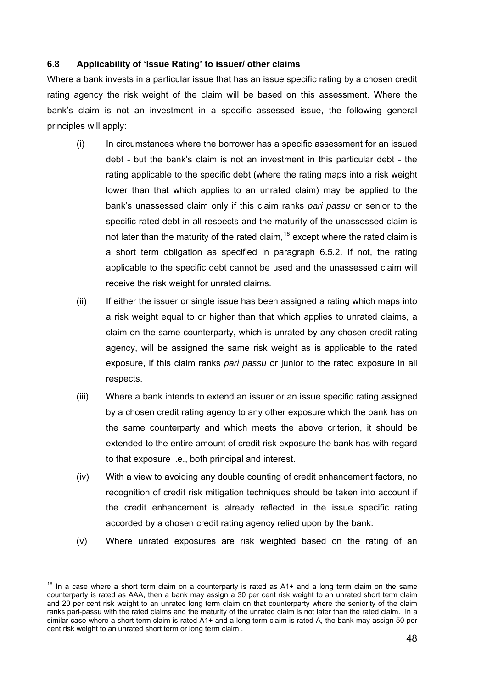### **6.8 Applicability of 'Issue Rating' to issuer/ other claims**

Where a bank invests in a particular issue that has an issue specific rating by a chosen credit rating agency the risk weight of the claim will be based on this assessment. Where the bank's claim is not an investment in a specific assessed issue, the following general principles will apply:

- (i) In circumstances where the borrower has a specific assessment for an issued debt - but the bank's claim is not an investment in this particular debt - the rating applicable to the specific debt (where the rating maps into a risk weight lower than that which applies to an unrated claim) may be applied to the bank's unassessed claim only if this claim ranks *pari passu* or senior to the specific rated debt in all respects and the maturity of the unassessed claim is not later than the maturity of the rated claim,  $18$  except where the rated claim is a short term obligation as specified in paragraph 6.5.2. If not, the rating applicable to the specific debt cannot be used and the unassessed claim will receive the risk weight for unrated claims.
- (ii) If either the issuer or single issue has been assigned a rating which maps into a risk weight equal to or higher than that which applies to unrated claims, a claim on the same counterparty, which is unrated by any chosen credit rating agency, will be assigned the same risk weight as is applicable to the rated exposure, if this claim ranks *pari passu* or junior to the rated exposure in all respects.
- (iii) Where a bank intends to extend an issuer or an issue specific rating assigned by a chosen credit rating agency to any other exposure which the bank has on the same counterparty and which meets the above criterion, it should be extended to the entire amount of credit risk exposure the bank has with regard to that exposure i.e., both principal and interest.
- (iv) With a view to avoiding any double counting of credit enhancement factors, no recognition of credit risk mitigation techniques should be taken into account if the credit enhancement is already reflected in the issue specific rating accorded by a chosen credit rating agency relied upon by the bank.
- (v) Where unrated exposures are risk weighted based on the rating of an

l

<span id="page-47-0"></span> $18$  In a case where a short term claim on a counterparty is rated as A1+ and a long term claim on the same counterparty is rated as AAA, then a bank may assign a 30 per cent risk weight to an unrated short term claim and 20 per cent risk weight to an unrated long term claim on that counterparty where the seniority of the claim ranks pari-passu with the rated claims and the maturity of the unrated claim is not later than the rated claim. In a similar case where a short term claim is rated A1+ and a long term claim is rated A, the bank may assign 50 per cent risk weight to an unrated short term or long term claim .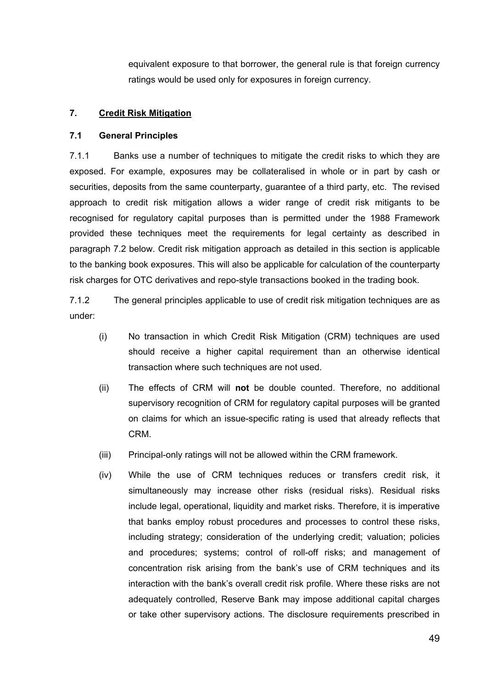equivalent exposure to that borrower, the general rule is that foreign currency ratings would be used only for exposures in foreign currency.

# <span id="page-48-0"></span>**7. Credit Risk Mitigation**

### **7.1 General Principles**

7.1.1 Banks use a number of techniques to mitigate the credit risks to which they are exposed. For example, exposures may be collateralised in whole or in part by cash or securities, deposits from the same counterparty, guarantee of a third party, etc. The revised approach to credit risk mitigation allows a wider range of credit risk mitigants to be recognised for regulatory capital purposes than is permitted under the 1988 Framework provided these techniques meet the requirements for legal certainty as described in paragraph [7.2](#page-49-0) below. Credit risk mitigation approach as detailed in this section is applicable to the banking book exposures. This will also be applicable for calculation of the counterparty risk charges for OTC derivatives and repo-style transactions booked in the trading book.

7.1.2 The general principles applicable to use of credit risk mitigation techniques are as under:

- (i) No transaction in which Credit Risk Mitigation (CRM) techniques are used should receive a higher capital requirement than an otherwise identical transaction where such techniques are not used.
- (ii) The effects of CRM will **not** be double counted. Therefore, no additional supervisory recognition of CRM for regulatory capital purposes will be granted on claims for which an issue-specific rating is used that already reflects that CRM.
- (iii) Principal-only ratings will not be allowed within the CRM framework.
- (iv) While the use of CRM techniques reduces or transfers credit risk, it simultaneously may increase other risks (residual risks). Residual risks include legal, operational, liquidity and market risks. Therefore, it is imperative that banks employ robust procedures and processes to control these risks, including strategy; consideration of the underlying credit; valuation; policies and procedures; systems; control of roll-off risks; and management of concentration risk arising from the bank's use of CRM techniques and its interaction with the bank's overall credit risk profile. Where these risks are not adequately controlled, Reserve Bank may impose additional capital charges or take other supervisory actions. The disclosure requirements prescribed in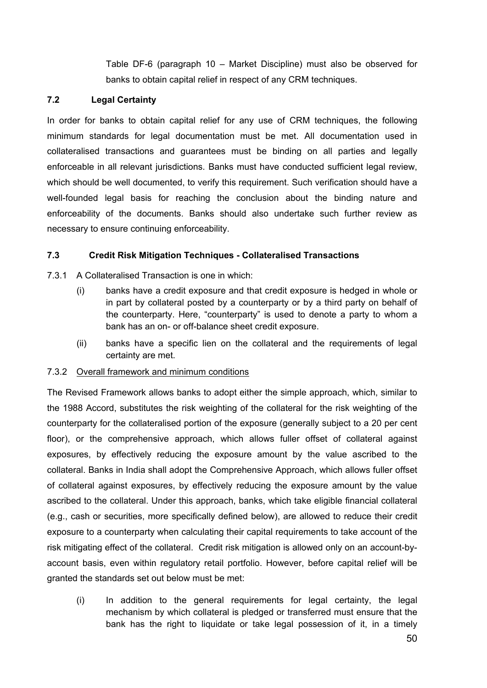[Table DF-6](#page-131-0) (paragraph 10 – Market Discipline) must also be observed for banks to obtain capital relief in respect of any CRM techniques.

## <span id="page-49-0"></span>**7.2 Legal Certainty**

In order for banks to obtain capital relief for any use of CRM techniques, the following minimum standards for legal documentation must be met. All documentation used in collateralised transactions and guarantees must be binding on all parties and legally enforceable in all relevant jurisdictions. Banks must have conducted sufficient legal review, which should be well documented, to verify this requirement. Such verification should have a well-founded legal basis for reaching the conclusion about the binding nature and enforceability of the documents. Banks should also undertake such further review as necessary to ensure continuing enforceability.

### **7.3 Credit Risk Mitigation Techniques - Collateralised Transactions**

7.3.1 A Collateralised Transaction is one in which:

- (i) banks have a credit exposure and that credit exposure is hedged in whole or in part by collateral posted by a counterparty or by a third party on behalf of the counterparty. Here, "counterparty" is used to denote a party to whom a bank has an on- or off-balance sheet credit exposure.
- (ii) banks have a specific lien on the collateral and the requirements of legal certainty are met.

### 7.3.2 Overall framework and minimum conditions

The Revised Framework allows banks to adopt either the simple approach, which, similar to the 1988 Accord, substitutes the risk weighting of the collateral for the risk weighting of the counterparty for the collateralised portion of the exposure (generally subject to a 20 per cent floor), or the comprehensive approach, which allows fuller offset of collateral against exposures, by effectively reducing the exposure amount by the value ascribed to the collateral. Banks in India shall adopt the Comprehensive Approach, which allows fuller offset of collateral against exposures, by effectively reducing the exposure amount by the value ascribed to the collateral. Under this approach, banks, which take eligible financial collateral (e.g., cash or securities, more specifically defined below), are allowed to reduce their credit exposure to a counterparty when calculating their capital requirements to take account of the risk mitigating effect of the collateral. Credit risk mitigation is allowed only on an account-byaccount basis, even within regulatory retail portfolio. However, before capital relief will be granted the standards set out below must be met:

(i) In addition to the general requirements for legal certainty, the legal mechanism by which collateral is pledged or transferred must ensure that the bank has the right to liquidate or take legal possession of it, in a timely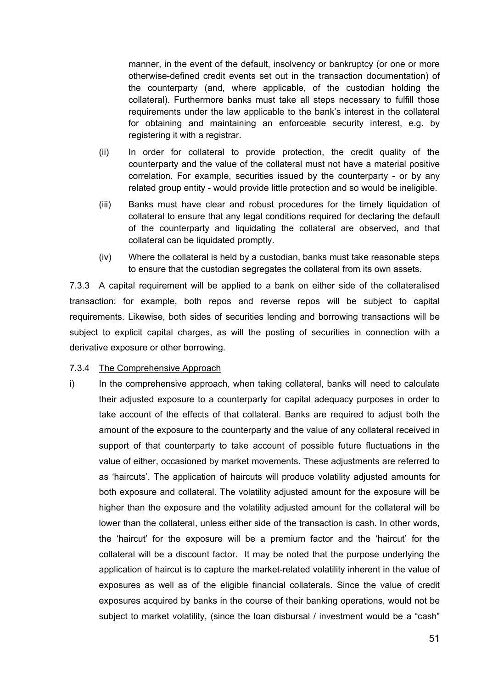manner, in the event of the default, insolvency or bankruptcy (or one or more otherwise-defined credit events set out in the transaction documentation) of the counterparty (and, where applicable, of the custodian holding the collateral). Furthermore banks must take all steps necessary to fulfill those requirements under the law applicable to the bank's interest in the collateral for obtaining and maintaining an enforceable security interest, e.g. by registering it with a registrar.

- (ii) In order for collateral to provide protection, the credit quality of the counterparty and the value of the collateral must not have a material positive correlation. For example, securities issued by the counterparty - or by any related group entity - would provide little protection and so would be ineligible.
- (iii) Banks must have clear and robust procedures for the timely liquidation of collateral to ensure that any legal conditions required for declaring the default of the counterparty and liquidating the collateral are observed, and that collateral can be liquidated promptly.
- (iv) Where the collateral is held by a custodian, banks must take reasonable steps to ensure that the custodian segregates the collateral from its own assets.

7.3.3 A capital requirement will be applied to a bank on either side of the collateralised transaction: for example, both repos and reverse repos will be subject to capital requirements. Likewise, both sides of securities lending and borrowing transactions will be subject to explicit capital charges, as will the posting of securities in connection with a derivative exposure or other borrowing.

### 7.3.4 The Comprehensive Approach

i) In the comprehensive approach, when taking collateral, banks will need to calculate their adjusted exposure to a counterparty for capital adequacy purposes in order to take account of the effects of that collateral. Banks are required to adjust both the amount of the exposure to the counterparty and the value of any collateral received in support of that counterparty to take account of possible future fluctuations in the value of either, occasioned by market movements. These adjustments are referred to as 'haircuts'. The application of haircuts will produce volatility adjusted amounts for both exposure and collateral. The volatility adjusted amount for the exposure will be higher than the exposure and the volatility adjusted amount for the collateral will be lower than the collateral, unless either side of the transaction is cash. In other words, the 'haircut' for the exposure will be a premium factor and the 'haircut' for the collateral will be a discount factor. It may be noted that the purpose underlying the application of haircut is to capture the market-related volatility inherent in the value of exposures as well as of the eligible financial collaterals. Since the value of credit exposures acquired by banks in the course of their banking operations, would not be subject to market volatility, (since the loan disbursal / investment would be a "cash"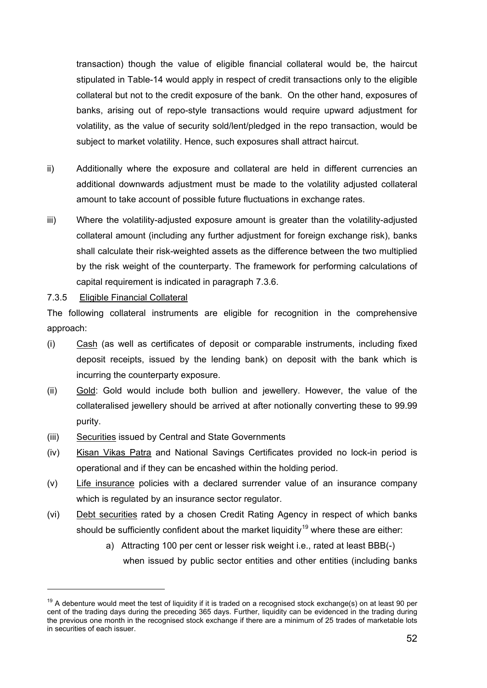<span id="page-51-0"></span>transaction) though the value of eligible financial collateral would be, the haircut stipulated in Table-14 would apply in respect of credit transactions only to the eligible collateral but not to the credit exposure of the bank. On the other hand, exposures of banks, arising out of repo-style transactions would require upward adjustment for volatility, as the value of security sold/lent/pledged in the repo transaction, would be subject to market volatility. Hence, such exposures shall attract haircut.

- ii) Additionally where the exposure and collateral are held in different currencies an additional downwards adjustment must be made to the volatility adjusted collateral amount to take account of possible future fluctuations in exchange rates.
- iii) Where the volatility-adjusted exposure amount is greater than the volatility-adjusted collateral amount (including any further adjustment for foreign exchange risk), banks shall calculate their risk-weighted assets as the difference between the two multiplied by the risk weight of the counterparty. The framework for performing calculations of capital requirement is indicated in paragraph [7.3.6.](#page-52-0)

### 7.3.5 Eligible Financial Collateral

l

The following collateral instruments are eligible for recognition in the comprehensive approach:

- (i) Cash (as well as certificates of deposit or comparable instruments, including fixed deposit receipts, issued by the lending bank) on deposit with the bank which is incurring the counterparty exposure.
- (ii) Gold: Gold would include both bullion and jewellery. However, the value of the collateralised jewellery should be arrived at after notionally converting these to 99.99 purity.
- (iii) Securities issued by Central and State Governments
- (iv) Kisan Vikas Patra and National Savings Certificates provided no lock-in period is operational and if they can be encashed within the holding period.
- (v) Life insurance policies with a declared surrender value of an insurance company which is regulated by an insurance sector regulator.
- (vi) Debt securities rated by a chosen Credit Rating Agency in respect of which banks should be sufficiently confident about the market liquidity<sup>[1](#page-51-1)9</sup> where these are either:
	- a) Attracting 100 per cent or lesser risk weight i.e., rated at least BBB(-) when issued by public sector entities and other entities (including banks

<span id="page-51-1"></span> $19$  A debenture would meet the test of liquidity if it is traded on a recognised stock exchange(s) on at least 90 per cent of the trading days during the preceding 365 days. Further, liquidity can be evidenced in the trading during the previous one month in the recognised stock exchange if there are a minimum of 25 trades of marketable lots in securities of each issuer.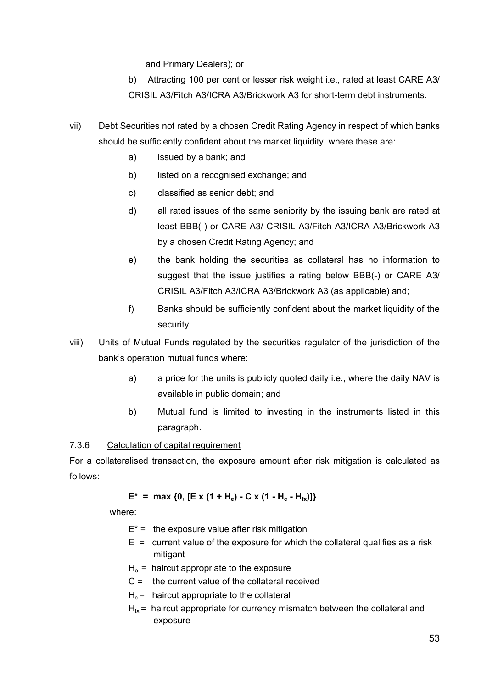and Primary Dealers); or

- b) Attracting 100 per cent or lesser risk weight i.e., rated at least CARE A3/ CRISIL A3/Fitch A3/ICRA A3/Brickwork A3 for short-term debt instruments.
- <span id="page-52-0"></span>vii) Debt Securities not rated by a chosen Credit Rating Agency in respect of which banks should be sufficiently confident about the market liquidity where these are:
	- a) issued by a bank; and
	- b) listed on a recognised exchange; and
	- c) classified as senior debt; and
	- d) all rated issues of the same seniority by the issuing bank are rated at least BBB(-) or CARE A3/ CRISIL A3/Fitch A3/ICRA A3/Brickwork A3 by a chosen Credit Rating Agency; and
	- e) the bank holding the securities as collateral has no information to suggest that the issue justifies a rating below BBB(-) or CARE A3/ CRISIL A3/Fitch A3/ICRA A3/Brickwork A3 (as applicable) and;
	- f) Banks should be sufficiently confident about the market liquidity of the security.
- viii) Units of Mutual Funds regulated by the securities regulator of the jurisdiction of the bank's operation mutual funds where:
	- a) a price for the units is publicly quoted daily i.e., where the daily NAV is available in public domain; and
	- b) Mutual fund is limited to investing in the instruments listed in this paragraph.

# 7.3.6 Calculation of capital requirement

For a collateralised transaction, the exposure amount after risk mitigation is calculated as follows:

# $E^*$  = max {0, [E x (1 + H<sub>e</sub>) - C x (1 - H<sub>c</sub> - H<sub>fx</sub>)]}

where:

- $E^*$  = the exposure value after risk mitigation
- $E =$  current value of the exposure for which the collateral qualifies as a risk mitigant
- $H<sub>e</sub>$  = haircut appropriate to the exposure
- $C =$  the current value of the collateral received
- $H<sub>c</sub>$  = haircut appropriate to the collateral
- $H_{fx}$  = haircut appropriate for currency mismatch between the collateral and exposure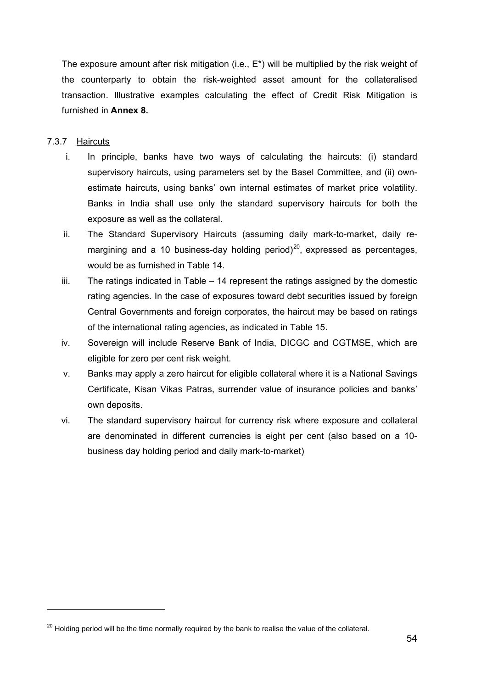The exposure amount after risk mitigation (i.e., E\*) will be multiplied by the risk weight of the counterparty to obtain the risk-weighted asset amount for the collateralised transaction. Illustrative examples calculating the effect of Credit Risk Mitigation is furnished in **Annex 8.** 

### 7.3.7 Haircuts

l

- i. In principle, banks have two ways of calculating the haircuts: (i) standard supervisory haircuts, using parameters set by the Basel Committee, and (ii) ownestimate haircuts, using banks' own internal estimates of market price volatility. Banks in India shall use only the standard supervisory haircuts for both the exposure as well as the collateral.
- ii. The Standard Supervisory Haircuts (assuming daily mark-to-market, daily re-margining and a 10 business-day holding period)<sup>[20](#page-53-0)</sup>, expressed as percentages, would be as furnished in Table 14.
- iii. The ratings indicated in Table 14 represent the ratings assigned by the domestic rating agencies. In the case of exposures toward debt securities issued by foreign Central Governments and foreign corporates, the haircut may be based on ratings of the international rating agencies, as indicated in Table 15.
- iv. Sovereign will include Reserve Bank of India, DICGC and CGTMSE, which are eligible for zero per cent risk weight.
- v. Banks may apply a zero haircut for eligible collateral where it is a National Savings Certificate, Kisan Vikas Patras, surrender value of insurance policies and banks' own deposits.
- vi. The standard supervisory haircut for currency risk where exposure and collateral are denominated in different currencies is eight per cent (also based on a 10 business day holding period and daily mark-to-market)

<span id="page-53-0"></span> $20$  Holding period will be the time normally required by the bank to realise the value of the collateral.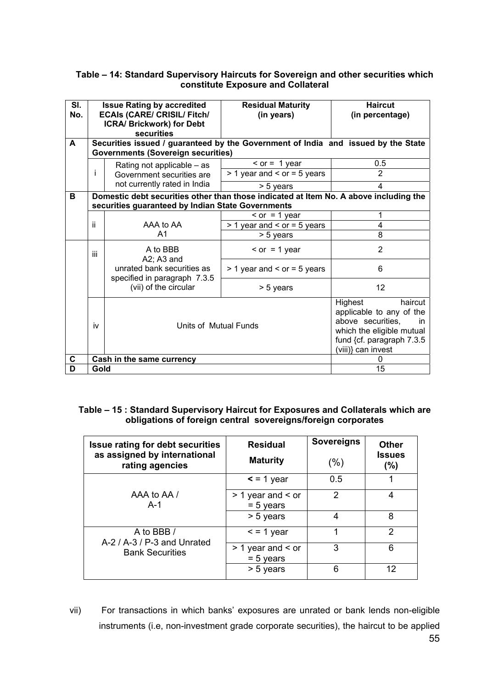#### **Table – 14: Standard Supervisory Haircuts for Sovereign and other securities which constitute Exposure and Collateral**

| SI.<br>No. |                                                                                       | <b>Issue Rating by accredited</b><br><b>ECAIs (CARE/ CRISIL/ Fitch/</b><br><b>ICRA/ Brickwork) for Debt</b> | <b>Residual Maturity</b><br>(in years) | <b>Haircut</b><br>(in percentage)                                                                                                                          |  |  |
|------------|---------------------------------------------------------------------------------------|-------------------------------------------------------------------------------------------------------------|----------------------------------------|------------------------------------------------------------------------------------------------------------------------------------------------------------|--|--|
|            |                                                                                       | securities                                                                                                  |                                        |                                                                                                                                                            |  |  |
| A          |                                                                                       | Securities issued / guaranteed by the Government of India and issued by the State                           |                                        |                                                                                                                                                            |  |  |
|            |                                                                                       | <b>Governments (Sovereign securities)</b>                                                                   |                                        |                                                                                                                                                            |  |  |
|            |                                                                                       | Rating not applicable - as                                                                                  | $\le$ or = 1 year                      | 0.5                                                                                                                                                        |  |  |
|            | j.                                                                                    | Government securities are                                                                                   | $> 1$ year and $<$ or = 5 years        | $\mathfrak{p}$                                                                                                                                             |  |  |
|            |                                                                                       | not currently rated in India                                                                                | $> 5$ years                            | 4                                                                                                                                                          |  |  |
| B          | Domestic debt securities other than those indicated at Item No. A above including the |                                                                                                             |                                        |                                                                                                                                                            |  |  |
|            | securities guaranteed by Indian State Governments                                     |                                                                                                             |                                        |                                                                                                                                                            |  |  |
|            |                                                                                       |                                                                                                             | $\epsilon$ or = 1 year                 | 1                                                                                                                                                          |  |  |
|            | ii.                                                                                   | AAA to AA                                                                                                   | $> 1$ year and $<$ or = 5 years        | 4                                                                                                                                                          |  |  |
|            |                                                                                       | A1                                                                                                          | > 5 years                              | $\overline{8}$                                                                                                                                             |  |  |
|            | iii                                                                                   | A to BBB<br>$A2$ ; A3 and                                                                                   | $<$ or = 1 year                        | $\overline{2}$                                                                                                                                             |  |  |
|            |                                                                                       | unrated bank securities as<br>specified in paragraph 7.3.5                                                  | $>$ 1 year and $<$ or = 5 years        | 6                                                                                                                                                          |  |  |
|            |                                                                                       | (vii) of the circular                                                                                       | > 5 years                              | $12 \overline{ }$                                                                                                                                          |  |  |
|            | iv                                                                                    | Units of Mutual Funds                                                                                       |                                        | Highest<br>haircut<br>applicable to any of the<br>above securities,<br>in.<br>which the eligible mutual<br>fund {cf. paragraph 7.3.5<br>(viii)} can invest |  |  |
| C          |                                                                                       | Cash in the same currency                                                                                   |                                        | 0                                                                                                                                                          |  |  |
| D          | Gold                                                                                  |                                                                                                             | 15                                     |                                                                                                                                                            |  |  |

### **Table – 15 : Standard Supervisory Haircut for Exposures and Collaterals which are obligations of foreign central sovereigns/foreign corporates**

| <b>Issue rating for debt securities</b><br>as assigned by international<br>rating agencies | <b>Residual</b><br><b>Maturity</b>   | <b>Sovereigns</b><br>(%) | <b>Other</b><br><b>Issues</b><br>(%) |
|--------------------------------------------------------------------------------------------|--------------------------------------|--------------------------|--------------------------------------|
|                                                                                            | $\leq$ = 1 year                      | 0.5                      |                                      |
| AAA to AA /<br>A-1                                                                         | $> 1$ year and $<$ or<br>$= 5$ years | 2                        | 4                                    |
|                                                                                            | > 5 years                            | 4                        | 8                                    |
| A to BBB /<br>$A-2$ / $A-3$ / $P-3$ and Unrated                                            | $\le$ = 1 year                       | 1                        | 2                                    |
| <b>Bank Securities</b>                                                                     | $> 1$ year and $<$ or<br>$= 5$ years | 3                        | 6                                    |
|                                                                                            | > 5 years                            | 6                        | 12                                   |

vii) For transactions in which banks' exposures are unrated or bank lends non-eligible instruments (i.e, non-investment grade corporate securities), the haircut to be applied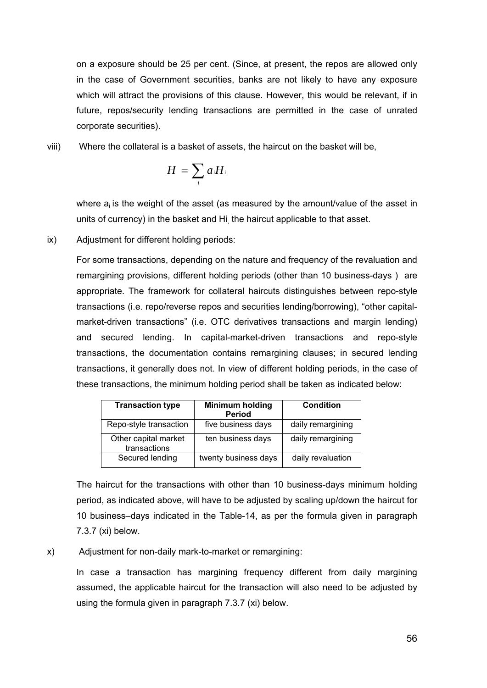on a exposure should be 25 per cent. (Since, at present, the repos are allowed only in the case of Government securities, banks are not likely to have any exposure which will attract the provisions of this clause. However, this would be relevant, if in future, repos/security lending transactions are permitted in the case of unrated corporate securities).

viii) Where the collateral is a basket of assets, the haircut on the basket will be,

$$
H=\sum_i a_i H_i
$$

where a<sub>i</sub> is the weight of the asset (as measured by the amount/value of the asset in units of currency) in the basket and Hi, the haircut applicable to that asset.

ix) Adjustment for different holding periods:

For some transactions, depending on the nature and frequency of the revaluation and remargining provisions, different holding periods (other than 10 business-days ) are appropriate. The framework for collateral haircuts distinguishes between repo-style transactions (i.e. repo/reverse repos and securities lending/borrowing), "other capitalmarket-driven transactions" (i.e. OTC derivatives transactions and margin lending) and secured lending. In capital-market-driven transactions and repo-style transactions, the documentation contains remargining clauses; in secured lending transactions, it generally does not. In view of different holding periods, in the case of these transactions, the minimum holding period shall be taken as indicated below:

| <b>Transaction type</b>              | <b>Minimum holding</b><br><b>Period</b> | <b>Condition</b>  |
|--------------------------------------|-----------------------------------------|-------------------|
| Repo-style transaction               | five business days                      | daily remargining |
| Other capital market<br>transactions | ten business days                       | daily remargining |
| Secured lending                      | twenty business days                    | daily revaluation |

The haircut for the transactions with other than 10 business-days minimum holding period, as indicated above, will have to be adjusted by scaling up/down the haircut for 10 business–days indicated in the Table-14, as per the formula given in paragraph 7.3.7 (xi) below.

x) Adjustment for non-daily mark-to-market or remargining:

In case a transaction has margining frequency different from daily margining assumed, the applicable haircut for the transaction will also need to be adjusted by using the formula given in paragraph 7.3.7 (xi) below.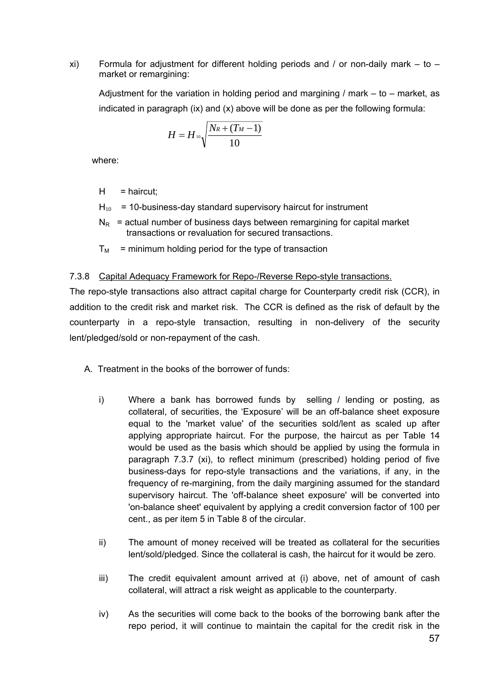xi) Formula for adjustment for different holding periods and / or non-daily mark  $-$  to  $$ market or remargining:

Adjustment for the variation in holding period and margining  $/$  mark – to – market, as indicated in paragraph (ix) and (x) above will be done as per the following formula:

$$
H = H_{10} \sqrt{\frac{N_R + (T_M - 1)}{10}}
$$

where:

- $H =$  haircut;
- $H_{10}$  = 10-business-day standard supervisory haircut for instrument
- $N_R$  = actual number of business days between remargining for capital market transactions or revaluation for secured transactions.
- $T_M$  = minimum holding period for the type of transaction

### 7.3.8 Capital Adequacy Framework for Repo-/Reverse Repo-style transactions.

The repo-style transactions also attract capital charge for Counterparty credit risk (CCR), in addition to the credit risk and market risk. The CCR is defined as the risk of default by the counterparty in a repo-style transaction, resulting in non-delivery of the security lent/pledged/sold or non-repayment of the cash.

- A. Treatment in the books of the borrower of funds:
	- i) Where a bank has borrowed funds by selling / lending or posting, as collateral, of securities, the 'Exposure' will be an off-balance sheet exposure equal to the 'market value' of the securities sold/lent as scaled up after applying appropriate haircut. For the purpose, the haircut as per Table 14 would be used as the basis which should be applied by using the formula in paragraph 7.3.7 (xi), to reflect minimum (prescribed) holding period of five business-days for repo-style transactions and the variations, if any, in the frequency of re-margining, from the daily margining assumed for the standard supervisory haircut. The 'off-balance sheet exposure' will be converted into 'on-balance sheet' equivalent by applying a credit conversion factor of 100 per cent., as per item 5 in Table 8 of the circular.
	- ii) The amount of money received will be treated as collateral for the securities lent/sold/pledged. Since the collateral is cash, the haircut for it would be zero.
	- iii) The credit equivalent amount arrived at (i) above, net of amount of cash collateral, will attract a risk weight as applicable to the counterparty.
	- iv) As the securities will come back to the books of the borrowing bank after the repo period, it will continue to maintain the capital for the credit risk in the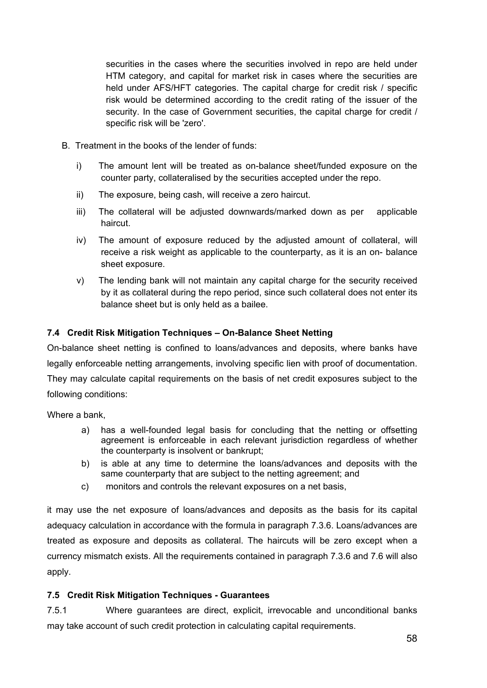securities in the cases where the securities involved in repo are held under HTM category, and capital for market risk in cases where the securities are held under AFS/HFT categories. The capital charge for credit risk / specific risk would be determined according to the credit rating of the issuer of the security. In the case of Government securities, the capital charge for credit / specific risk will be 'zero'.

- B. Treatment in the books of the lender of funds:
	- i) The amount lent will be treated as on-balance sheet/funded exposure on the counter party, collateralised by the securities accepted under the repo.
	- ii) The exposure, being cash, will receive a zero haircut.
	- iii) The collateral will be adjusted downwards/marked down as per applicable haircut.
	- iv) The amount of exposure reduced by the adjusted amount of collateral, will receive a risk weight as applicable to the counterparty, as it is an on- balance sheet exposure.
	- v) The lending bank will not maintain any capital charge for the security received by it as collateral during the repo period, since such collateral does not enter its balance sheet but is only held as a bailee.

# **7.4 Credit Risk Mitigation Techniques – On-Balance Sheet Netting**

On-balance sheet netting is confined to loans/advances and deposits, where banks have legally enforceable netting arrangements, involving specific lien with proof of documentation. They may calculate capital requirements on the basis of net credit exposures subject to the following conditions:

Where a bank,

- a) has a well-founded legal basis for concluding that the netting or offsetting agreement is enforceable in each relevant jurisdiction regardless of whether the counterparty is insolvent or bankrupt;
- b) is able at any time to determine the loans/advances and deposits with the same counterparty that are subject to the netting agreement; and
- c) monitors and controls the relevant exposures on a net basis,

it may use the net exposure of loans/advances and deposits as the basis for its capital adequacy calculation in accordance with the formula in paragraph 7.3.6. Loans/advances are treated as exposure and deposits as collateral. The haircuts will be zero except when a currency mismatch exists. All the requirements contained in paragraph [7.3.6](#page-52-0) and [7.6](#page-60-0) will also apply.

# **7.5 Credit Risk Mitigation Techniques - Guarantees**

7.5.1 Where guarantees are direct, explicit, irrevocable and unconditional banks may take account of such credit protection in calculating capital requirements.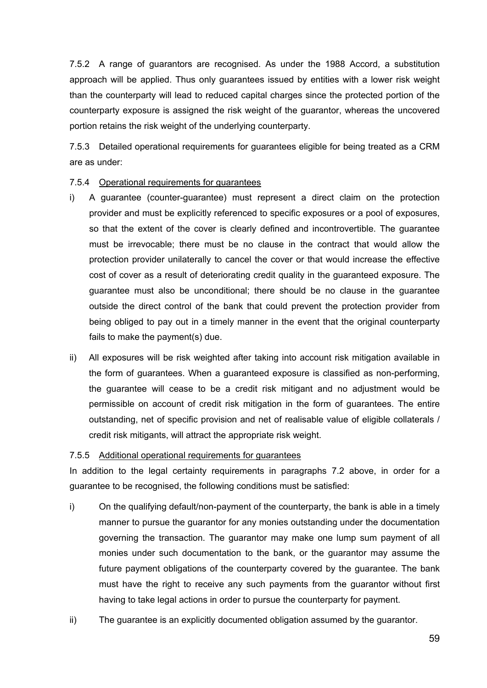7.5.2 A range of guarantors are recognised. As under the 1988 Accord, a substitution approach will be applied. Thus only guarantees issued by entities with a lower risk weight than the counterparty will lead to reduced capital charges since the protected portion of the counterparty exposure is assigned the risk weight of the guarantor, whereas the uncovered portion retains the risk weight of the underlying counterparty.

7.5.3 Detailed operational requirements for guarantees eligible for being treated as a CRM are as under:

### 7.5.4 Operational requirements for guarantees

- i) A guarantee (counter-guarantee) must represent a direct claim on the protection provider and must be explicitly referenced to specific exposures or a pool of exposures, so that the extent of the cover is clearly defined and incontrovertible. The guarantee must be irrevocable; there must be no clause in the contract that would allow the protection provider unilaterally to cancel the cover or that would increase the effective cost of cover as a result of deteriorating credit quality in the guaranteed exposure. The guarantee must also be unconditional; there should be no clause in the guarantee outside the direct control of the bank that could prevent the protection provider from being obliged to pay out in a timely manner in the event that the original counterparty fails to make the payment(s) due.
- ii) All exposures will be risk weighted after taking into account risk mitigation available in the form of guarantees. When a guaranteed exposure is classified as non-performing, the guarantee will cease to be a credit risk mitigant and no adjustment would be permissible on account of credit risk mitigation in the form of guarantees. The entire outstanding, net of specific provision and net of realisable value of eligible collaterals / credit risk mitigants, will attract the appropriate risk weight.

### 7.5.5 Additional operational requirements for guarantees

In addition to the legal certainty requirements in paragraphs [7.2](#page-49-0) above, in order for a guarantee to be recognised, the following conditions must be satisfied:

- i) On the qualifying default/non-payment of the counterparty, the bank is able in a timely manner to pursue the guarantor for any monies outstanding under the documentation governing the transaction. The guarantor may make one lump sum payment of all monies under such documentation to the bank, or the guarantor may assume the future payment obligations of the counterparty covered by the guarantee. The bank must have the right to receive any such payments from the guarantor without first having to take legal actions in order to pursue the counterparty for payment.
- ii) The guarantee is an explicitly documented obligation assumed by the guarantor.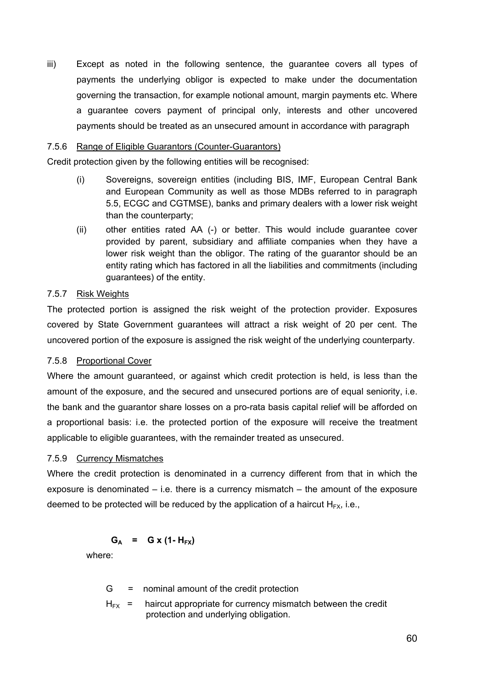iii) Except as noted in the following sentence, the guarantee covers all types of payments the underlying obligor is expected to make under the documentation governing the transaction, for example notional amount, margin payments etc. Where a guarantee covers payment of principal only, interests and other uncovered payments should be treated as an unsecured amount in accordance with paragraph

### 7.5.6 Range of Eligible Guarantors (Counter-Guarantors)

Credit protection given by the following entities will be recognised:

- (i) Sovereigns, sovereign entities (including BIS, IMF, European Central Bank and European Community as well as those MDBs referred to in paragraph 5.5, ECGC and CGTMSE), banks and primary dealers with a lower risk weight than the counterparty;
- (ii) other entities rated AA (-) or better. This would include guarantee cover provided by parent, subsidiary and affiliate companies when they have a lower risk weight than the obligor. The rating of the guarantor should be an entity rating which has factored in all the liabilities and commitments (including guarantees) of the entity.

### 7.5.7 Risk Weights

The protected portion is assigned the risk weight of the protection provider. Exposures covered by State Government guarantees will attract a risk weight of 20 per cent. The uncovered portion of the exposure is assigned the risk weight of the underlying counterparty.

### 7.5.8 Proportional Cover

Where the amount guaranteed, or against which credit protection is held, is less than the amount of the exposure, and the secured and unsecured portions are of equal seniority, i.e. the bank and the guarantor share losses on a pro-rata basis capital relief will be afforded on a proportional basis: i.e. the protected portion of the exposure will receive the treatment applicable to eligible guarantees, with the remainder treated as unsecured.

### 7.5.9 Currency Mismatches

Where the credit protection is denominated in a currency different from that in which the exposure is denominated – i.e. there is a currency mismatch – the amount of the exposure deemed to be protected will be reduced by the application of a haircut  $H_{FX}$ , i.e.,

# $G_A = G \times (1 - H_{FX})$

where:

- G = nominal amount of the credit protection
- $H_{FX}$  = haircut appropriate for currency mismatch between the credit protection and underlying obligation.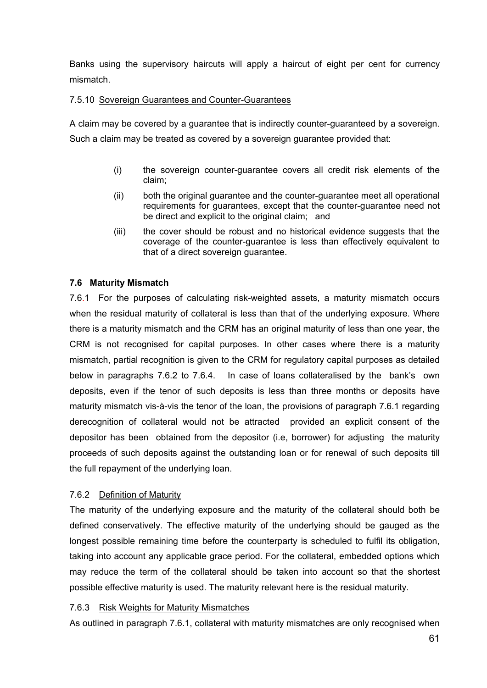<span id="page-60-0"></span>Banks using the supervisory haircuts will apply a haircut of eight per cent for currency mismatch.

## 7.5.10 Sovereign Guarantees and Counter-Guarantees

A claim may be covered by a guarantee that is indirectly counter-guaranteed by a sovereign. Such a claim may be treated as covered by a sovereign guarantee provided that:

- (i) the sovereign counter-guarantee covers all credit risk elements of the claim;
- (ii) both the original guarantee and the counter-guarantee meet all operational requirements for guarantees, except that the counter-guarantee need not be direct and explicit to the original claim; and
- (iii) the cover should be robust and no historical evidence suggests that the coverage of the counter-guarantee is less than effectively equivalent to that of a direct sovereign guarantee.

# **7.6 Maturity Mismatch**

7.6.1 For the purposes of calculating risk-weighted assets, a maturity mismatch occurs when the residual maturity of collateral is less than that of the underlying exposure. Where there is a maturity mismatch and the CRM has an original maturity of less than one year, the CRM is not recognised for capital purposes. In other cases where there is a maturity mismatch, partial recognition is given to the CRM for regulatory capital purposes as detailed below in paragraphs 7.6.2 to 7.6.4. In case of loans collateralised by the bank's own deposits, even if the tenor of such deposits is less than three months or deposits have maturity mismatch vis-à-vis the tenor of the loan, the provisions of paragraph 7.6.1 regarding derecognition of collateral would not be attracted provided an explicit consent of the depositor has been obtained from the depositor (i.e, borrower) for adjusting the maturity proceeds of such deposits against the outstanding loan or for renewal of such deposits till the full repayment of the underlying loan.

# 7.6.2 Definition of Maturity

The maturity of the underlying exposure and the maturity of the collateral should both be defined conservatively. The effective maturity of the underlying should be gauged as the longest possible remaining time before the counterparty is scheduled to fulfil its obligation, taking into account any applicable grace period. For the collateral, embedded options which may reduce the term of the collateral should be taken into account so that the shortest possible effective maturity is used. The maturity relevant here is the residual maturity.

# 7.6.3 Risk Weights for Maturity Mismatches

As outlined in paragraph 7.6.1, collateral with maturity mismatches are only recognised when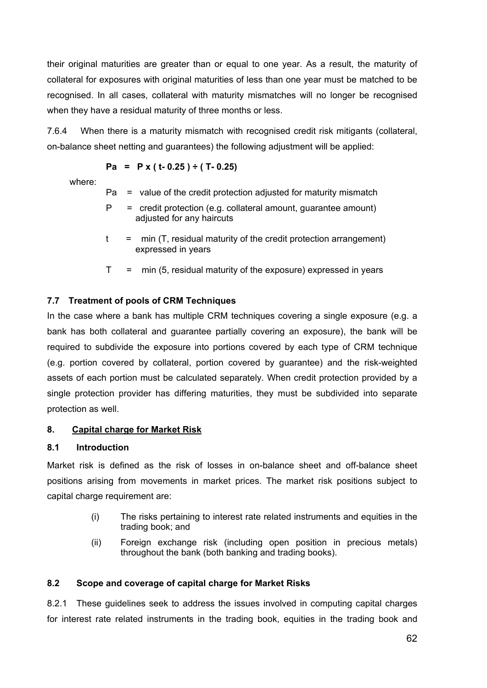their original maturities are greater than or equal to one year. As a result, the maturity of collateral for exposures with original maturities of less than one year must be matched to be recognised. In all cases, collateral with maturity mismatches will no longer be recognised when they have a residual maturity of three months or less.

7.6.4 When there is a maturity mismatch with recognised credit risk mitigants (collateral, on-balance sheet netting and guarantees) the following adjustment will be applied:

$$
Pa = Px (t - 0.25) \div (T - 0.25)
$$

where:

- $Pa = value of the credit protection adjusted for maturity mismatch$
- $P =$  credit protection (e.g. collateral amount, guarantee amount) adjusted for any haircuts
- $t = min (T, residual maturity of the credit protection arrangement)$ expressed in years
- $T = min(5, residual maturity of the exposure) expressed in years$

### **7.7 Treatment of pools of CRM Techniques**

In the case where a bank has multiple CRM techniques covering a single exposure (e.g. a bank has both collateral and guarantee partially covering an exposure), the bank will be required to subdivide the exposure into portions covered by each type of CRM technique (e.g. portion covered by collateral, portion covered by guarantee) and the risk-weighted assets of each portion must be calculated separately. When credit protection provided by a single protection provider has differing maturities, they must be subdivided into separate protection as well.

### **8. Capital charge for Market Risk**

### **8.1 Introduction**

Market risk is defined as the risk of losses in on-balance sheet and off-balance sheet positions arising from movements in market prices. The market risk positions subject to capital charge requirement are:

- (i) The risks pertaining to interest rate related instruments and equities in the trading book; and
- (ii) Foreign exchange risk (including open position in precious metals) throughout the bank (both banking and trading books).

# **8.2 Scope and coverage of capital charge for Market Risks**

8.2.1These guidelines seek to address the issues involved in computing capital charges for interest rate related instruments in the trading book, equities in the trading book and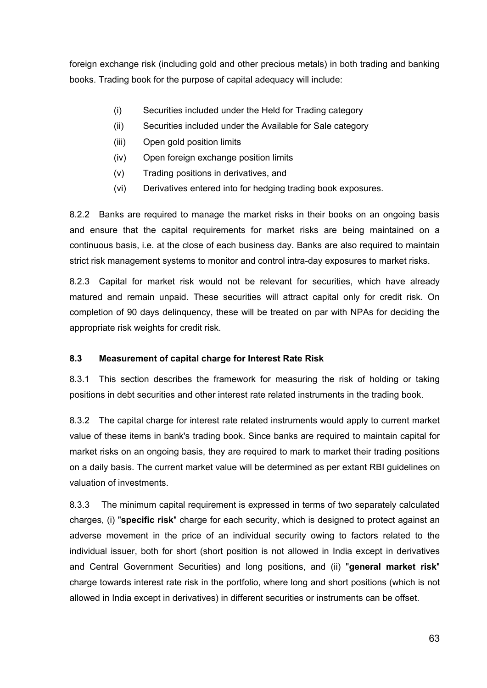foreign exchange risk (including gold and other precious metals) in both trading and banking books. Trading book for the purpose of capital adequacy will include:

- (i) Securities included under the Held for Trading category
- (ii) Securities included under the Available for Sale category
- (iii) Open gold position limits
- (iv) Open foreign exchange position limits
- (v) Trading positions in derivatives, and
- (vi) Derivatives entered into for hedging trading book exposures.

8.2.2 Banks are required to manage the market risks in their books on an ongoing basis and ensure that the capital requirements for market risks are being maintained on a continuous basis, i.e. at the close of each business day. Banks are also required to maintain strict risk management systems to monitor and control intra-day exposures to market risks.

8.2.3 Capital for market risk would not be relevant for securities, which have already matured and remain unpaid. These securities will attract capital only for credit risk. On completion of 90 days delinquency, these will be treated on par with NPAs for deciding the appropriate risk weights for credit risk.

# **8.3 Measurement of capital charge for Interest Rate Risk**

8.3.1 This section describes the framework for measuring the risk of holding or taking positions in debt securities and other interest rate related instruments in the trading book.

8.3.2 The capital charge for interest rate related instruments would apply to current market value of these items in bank's trading book. Since banks are required to maintain capital for market risks on an ongoing basis, they are required to mark to market their trading positions on a daily basis. The current market value will be determined as per extant RBI guidelines on valuation of investments.

8.3.3 The minimum capital requirement is expressed in terms of two separately calculated charges, (i) "**specific risk**" charge for each security, which is designed to protect against an adverse movement in the price of an individual security owing to factors related to the individual issuer, both for short (short position is not allowed in India except in derivatives and Central Government Securities) and long positions, and (ii) "**general market risk**" charge towards interest rate risk in the portfolio, where long and short positions (which is not allowed in India except in derivatives) in different securities or instruments can be offset.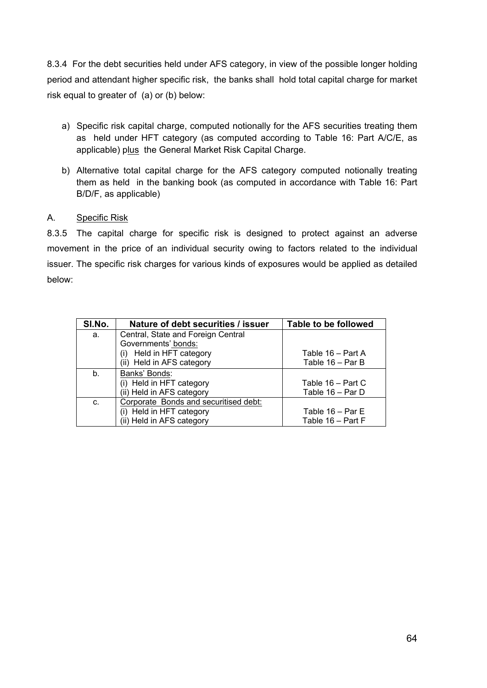8.3.4 For the debt securities held under AFS category, in view of the possible longer holding period and attendant higher specific risk, the banks shall hold total capital charge for market risk equal to greater of (a) or (b) below:

- a) Specific risk capital charge, computed notionally for the AFS securities treating them as held under HFT category (as computed according to Table 16: Part A/C/E, as applicable) plus the General Market Risk Capital Charge.
- b) Alternative total capital charge for the AFS category computed notionally treating them as held in the banking book (as computed in accordance with Table 16: Part B/D/F, as applicable)

# A. Specific Risk

8.3.5 The capital charge for specific risk is designed to protect against an adverse movement in the price of an individual security owing to factors related to the individual issuer. The specific risk charges for various kinds of exposures would be applied as detailed below:

| SI.No. | Nature of debt securities / issuer    | Table to be followed |
|--------|---------------------------------------|----------------------|
| a.     | Central, State and Foreign Central    |                      |
|        | Governments' bonds:                   |                      |
|        | Held in HFT category<br>(i)           | Table 16 – Part A    |
|        | (ii) Held in AFS category             | Table 16 - Par B     |
| b.     | Banks' Bonds:                         |                      |
|        | (i) Held in HFT category              | Table 16 - Part C    |
|        | (ii) Held in AFS category             | Table 16 - Par D     |
| C.     | Corporate Bonds and securitised debt: |                      |
|        | (i) Held in HFT category              | Table $16 - ParE$    |
|        | (ii) Held in AFS category             | Table 16 – Part F    |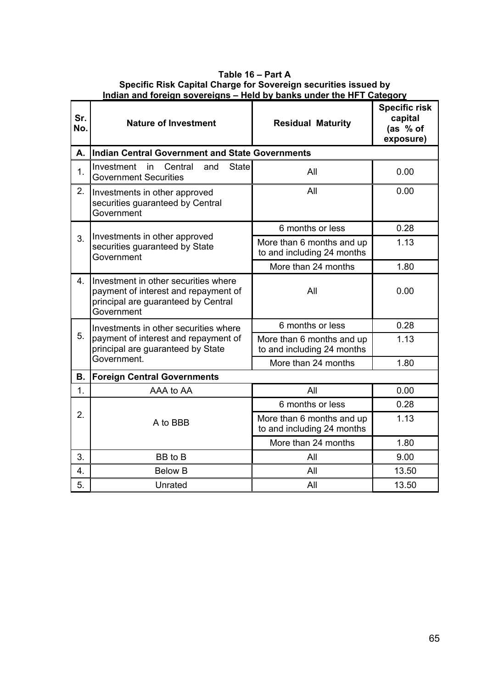#### **Table 16 – Part A Specific Risk Capital Charge for Sovereign securities issued by Indian and foreign sovereigns – Held by banks under the HFT Category**

| Sr.<br>No.       | <b>Nature of Investment</b>                                                                                                       | <b>Residual Maturity</b>                                | <b>Specific risk</b><br>capital<br>(as $%$ of<br>exposure) |
|------------------|-----------------------------------------------------------------------------------------------------------------------------------|---------------------------------------------------------|------------------------------------------------------------|
| А.               | <b>Indian Central Government and State Governments</b>                                                                            |                                                         |                                                            |
| $\overline{1}$ . | Investment<br>Central<br>State<br>and<br>in.<br><b>Government Securities</b>                                                      | All                                                     | 0.00                                                       |
| 2.               | Investments in other approved<br>securities guaranteed by Central<br>Government                                                   | All                                                     | 0.00                                                       |
|                  |                                                                                                                                   | 6 months or less                                        | 0.28                                                       |
| 3.               | Investments in other approved<br>securities guaranteed by State<br>Government                                                     | More than 6 months and up<br>to and including 24 months | 1.13                                                       |
|                  |                                                                                                                                   | More than 24 months                                     | 1.80                                                       |
| 4.               | Investment in other securities where<br>payment of interest and repayment of<br>principal are guaranteed by Central<br>Government | All                                                     | 0.00                                                       |
|                  | Investments in other securities where                                                                                             | 6 months or less                                        |                                                            |
| 5.               | payment of interest and repayment of<br>principal are guaranteed by State                                                         | More than 6 months and up<br>to and including 24 months | 1.13                                                       |
|                  | Government.                                                                                                                       | More than 24 months                                     | 1.80                                                       |
| В.               | <b>Foreign Central Governments</b>                                                                                                |                                                         |                                                            |
| 1 <sub>1</sub>   | AAA to AA                                                                                                                         | All                                                     | 0.00                                                       |
|                  |                                                                                                                                   | 6 months or less                                        | 0.28                                                       |
| 2.               | A to BBB                                                                                                                          | More than 6 months and up<br>to and including 24 months | 1.13                                                       |
|                  |                                                                                                                                   | More than 24 months                                     | 1.80                                                       |
| 3.               | BB to B                                                                                                                           | All                                                     | 9.00                                                       |
| 4.               | <b>Below B</b>                                                                                                                    | All                                                     | 13.50                                                      |
| 5.               | Unrated                                                                                                                           | All                                                     | 13.50                                                      |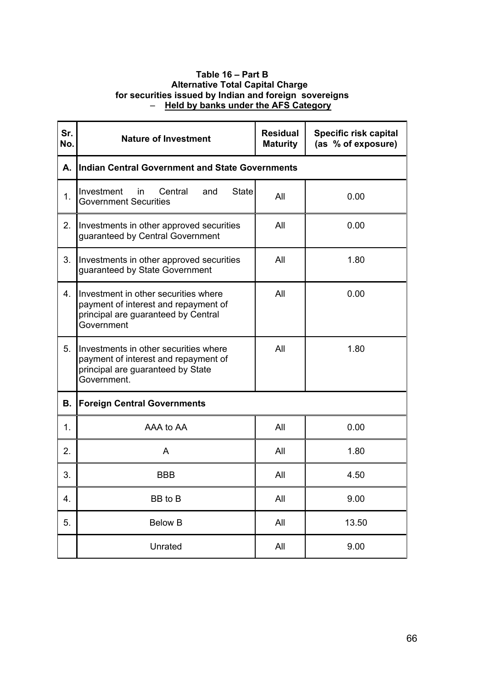#### **Table 16 – Part B Alternative Total Capital Charge for securities issued by Indian and foreign sovereigns**  – **Held by banks under the AFS Category**

| Sr.<br>No. | <b>Nature of Investment</b>                                                                                                       | <b>Residual</b><br><b>Maturity</b> | <b>Specific risk capital</b><br>(as % of exposure) |  |  |  |  |  |
|------------|-----------------------------------------------------------------------------------------------------------------------------------|------------------------------------|----------------------------------------------------|--|--|--|--|--|
| А.         | Indian Central Government and State Governments                                                                                   |                                    |                                                    |  |  |  |  |  |
| 1.         | Central<br>State<br>Investment<br>in<br>and<br><b>Government Securities</b>                                                       | All                                | 0.00                                               |  |  |  |  |  |
| 2.         | Investments in other approved securities<br>guaranteed by Central Government                                                      | All                                | 0.00                                               |  |  |  |  |  |
| 3.         | Investments in other approved securities<br>guaranteed by State Government                                                        | All                                | 1.80                                               |  |  |  |  |  |
| 4.         | Investment in other securities where<br>payment of interest and repayment of<br>principal are guaranteed by Central<br>Government | All                                | 0.00                                               |  |  |  |  |  |
| 5.         | Investments in other securities where<br>payment of interest and repayment of<br>principal are guaranteed by State<br>Government. | All                                | 1.80                                               |  |  |  |  |  |
| В.         | <b>Foreign Central Governments</b>                                                                                                |                                    |                                                    |  |  |  |  |  |
| 1.         | AAA to AA                                                                                                                         | All                                | 0.00                                               |  |  |  |  |  |
| 2.         | A                                                                                                                                 | All                                | 1.80                                               |  |  |  |  |  |
| 3.         | <b>BBB</b>                                                                                                                        | All                                | 4.50                                               |  |  |  |  |  |
| 4.         | BB to B                                                                                                                           | All                                | 9.00                                               |  |  |  |  |  |
| 5.         | <b>Below B</b>                                                                                                                    | All                                | 13.50                                              |  |  |  |  |  |
|            | Unrated                                                                                                                           | All                                | 9.00                                               |  |  |  |  |  |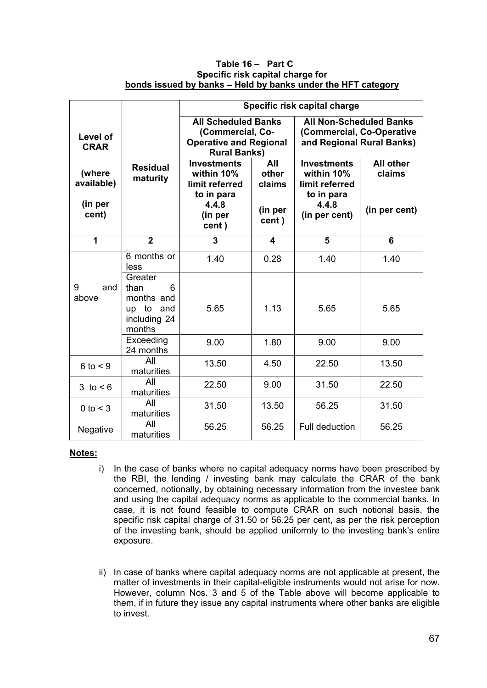|                                                     |                                                                           | Specific risk capital charge                                                                           |                        |                                                                                          |                            |
|-----------------------------------------------------|---------------------------------------------------------------------------|--------------------------------------------------------------------------------------------------------|------------------------|------------------------------------------------------------------------------------------|----------------------------|
| Level of<br><b>CRAR</b>                             |                                                                           | <b>All Scheduled Banks</b><br>(Commercial, Co-<br><b>Operative and Regional</b><br><b>Rural Banks)</b> |                        | <b>All Non-Scheduled Banks</b><br>(Commercial, Co-Operative<br>and Regional Rural Banks) |                            |
| <b>Residual</b><br>(where<br>maturity<br>available) |                                                                           | <b>Investments</b><br>within 10%<br>limit referred<br>to in para                                       | All<br>other<br>claims | <b>Investments</b><br>within 10%<br>limit referred<br>to in para                         | <b>All other</b><br>claims |
| (in per<br>cent)                                    |                                                                           | 4.4.8<br>(in per<br>cent)                                                                              | (in per<br>cent)       | 4.4.8<br>(in per cent)                                                                   | (in per cent)              |
| 1                                                   | $\overline{2}$                                                            | 3                                                                                                      | 4                      | 5                                                                                        | 6                          |
| 9<br>and<br>above                                   | 6 months or<br>less                                                       | 1.40                                                                                                   | 0.28                   | 1.40                                                                                     | 1.40                       |
|                                                     | Greater<br>than<br>6<br>months and<br>up to and<br>including 24<br>months | 5.65                                                                                                   | 1.13                   | 5.65                                                                                     | 5.65                       |
|                                                     | Exceeding<br>24 months                                                    | 9.00                                                                                                   | 1.80                   | 9.00                                                                                     | 9.00                       |
| $6$ to $\leq 9$                                     | All<br>maturities                                                         | 13.50                                                                                                  | 4.50                   | 22.50                                                                                    | 13.50                      |
| 3 to < 6                                            | All<br>maturities                                                         | 22.50                                                                                                  | 9.00                   | 31.50                                                                                    | 22.50                      |
| 0 to $<$ 3                                          | All<br>maturities                                                         | 31.50                                                                                                  | 13.50                  | 56.25                                                                                    | 31.50                      |
| Negative                                            | All<br>maturities                                                         | 56.25                                                                                                  | 56.25                  | <b>Full deduction</b>                                                                    | 56.25                      |

### **Table 16 – Part C Specific risk capital charge for bonds issued by banks – Held by banks under the HFT category**

# **Notes:**

- i) In the case of banks where no capital adequacy norms have been prescribed by the RBI, the lending / investing bank may calculate the CRAR of the bank concerned, notionally, by obtaining necessary information from the investee bank and using the capital adequacy norms as applicable to the commercial banks. In case, it is not found feasible to compute CRAR on such notional basis, the specific risk capital charge of 31.50 or 56.25 per cent, as per the risk perception of the investing bank, should be applied uniformly to the investing bank's entire exposure.
- ii) In case of banks where capital adequacy norms are not applicable at present, the matter of investments in their capital-eligible instruments would not arise for now. However, column Nos. 3 and 5 of the Table above will become applicable to them, if in future they issue any capital instruments where other banks are eligible to invest.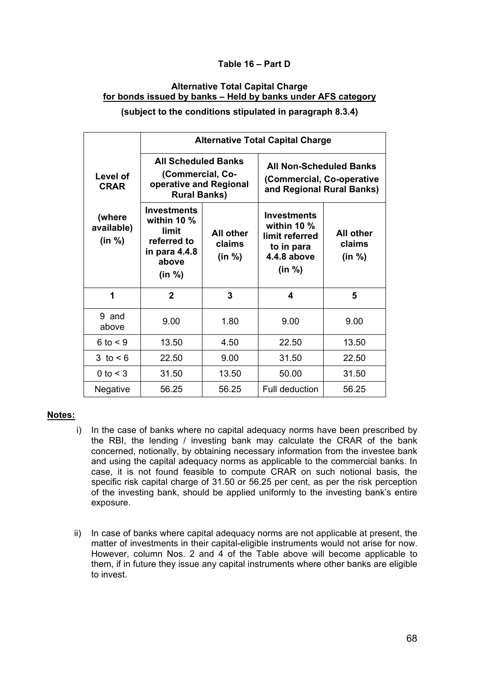### **Table 16 – Part D**

### **Alternative Total Capital Charge for bonds issued by banks – Held by banks under AFS category**

### **(subject to the conditions stipulated in paragraph 8.3.4)**

|                                | <b>Alternative Total Capital Charge</b>                                                         |                               |                                                                                                                               |       |
|--------------------------------|-------------------------------------------------------------------------------------------------|-------------------------------|-------------------------------------------------------------------------------------------------------------------------------|-------|
| Level of<br><b>CRAR</b>        | <b>All Scheduled Banks</b><br>(Commercial, Co-<br>operative and Regional<br><b>Rural Banks)</b> |                               | <b>All Non-Scheduled Banks</b><br>(Commercial, Co-operative<br>and Regional Rural Banks)                                      |       |
| (where<br>available)<br>(in %) | <b>Investments</b><br>within 10 $%$<br>limit<br>referred to<br>in para 4.4.8<br>above<br>(in %) | All other<br>claims<br>(in %) | <b>Investments</b><br>within 10 $%$<br>All other<br>limit referred<br>claims<br>to in para<br>4.4.8 above<br>(in %)<br>(in %) |       |
| 1                              | $\overline{2}$                                                                                  | 3                             | 4                                                                                                                             | 5     |
| 9 and<br>above                 | 9.00                                                                                            | 1.80                          | 9.00                                                                                                                          | 9.00  |
| 6 to $\leq 9$                  | 13.50                                                                                           | 4.50                          | 22.50                                                                                                                         | 13.50 |
| 3 to $< 6$                     | 22.50                                                                                           | 9.00                          | 31.50                                                                                                                         | 22.50 |
| 0 to $<$ 3                     | 31.50                                                                                           | 13.50                         | 50.00                                                                                                                         | 31.50 |
| Negative                       | 56.25                                                                                           | 56.25                         | <b>Full deduction</b>                                                                                                         | 56.25 |

### **Notes:**

- i) In the case of banks where no capital adequacy norms have been prescribed by the RBI, the lending / investing bank may calculate the CRAR of the bank concerned, notionally, by obtaining necessary information from the investee bank and using the capital adequacy norms as applicable to the commercial banks. In case, it is not found feasible to compute CRAR on such notional basis, the specific risk capital charge of 31.50 or 56.25 per cent, as per the risk perception of the investing bank, should be applied uniformly to the investing bank's entire exposure.
- ii) In case of banks where capital adequacy norms are not applicable at present, the matter of investments in their capital-eligible instruments would not arise for now. However, column Nos. 2 and 4 of the Table above will become applicable to them, if in future they issue any capital instruments where other banks are eligible to invest.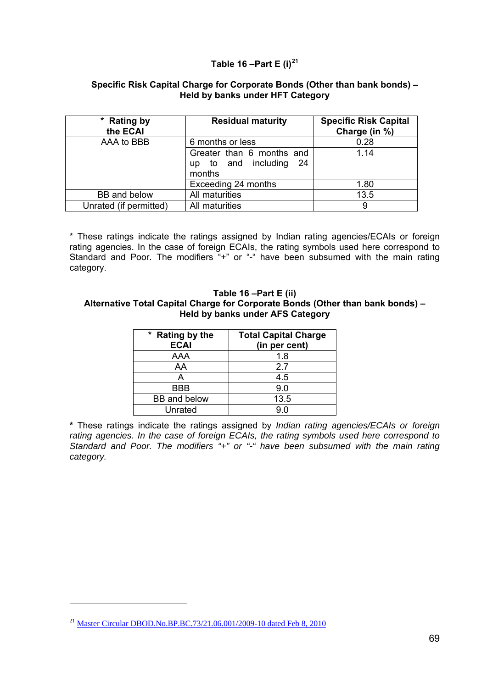# **Table 16 –Part E (i)[21](#page-68-0)**

### **Specific Risk Capital Charge for Corporate Bonds (Other than bank bonds) – Held by banks under HFT Category**

| * Rating by            | <b>Residual maturity</b>  | <b>Specific Risk Capital</b> |
|------------------------|---------------------------|------------------------------|
| the ECAI               |                           | Charge (in %)                |
| AAA to BBB             | 6 months or less          | 0.28                         |
|                        | Greater than 6 months and | 1.14                         |
|                        | up to and including 24    |                              |
|                        | months                    |                              |
|                        | Exceeding 24 months       | 1.80                         |
| BB and below           | All maturities            | 13.5                         |
| Unrated (if permitted) | All maturities            | 9                            |

\* These ratings indicate the ratings assigned by Indian rating agencies/ECAIs or foreign rating agencies. In the case of foreign ECAIs, the rating symbols used here correspond to Standard and Poor. The modifiers "+" or "-" have been subsumed with the main rating category.

#### **Table 16 –Part E (ii) Alternative Total Capital Charge for Corporate Bonds (Other than bank bonds) – Held by banks under AFS Category**

| * Rating by the<br><b>ECAI</b> | <b>Total Capital Charge</b><br>(in per cent) |
|--------------------------------|----------------------------------------------|
| AAA                            | 1.8                                          |
| AA                             | 27                                           |
|                                | 4.5                                          |
| <b>BBB</b>                     | 9.0                                          |
| <b>BB</b> and below            | 13.5                                         |
| Unrated                        |                                              |

**\*** These ratings indicate the ratings assigned by *Indian rating agencies/ECAIs or foreign*  rating agencies. In the case of foreign ECAIs, the rating symbols used here correspond to *Standard and Poor. The modifiers "+" or "-" have been subsumed with the main rating category.* 

1

<span id="page-68-0"></span><sup>21</sup> Master Circular DBOD.No.BP.BC.73/21.06.001/2009-10 dated Feb 8, 2010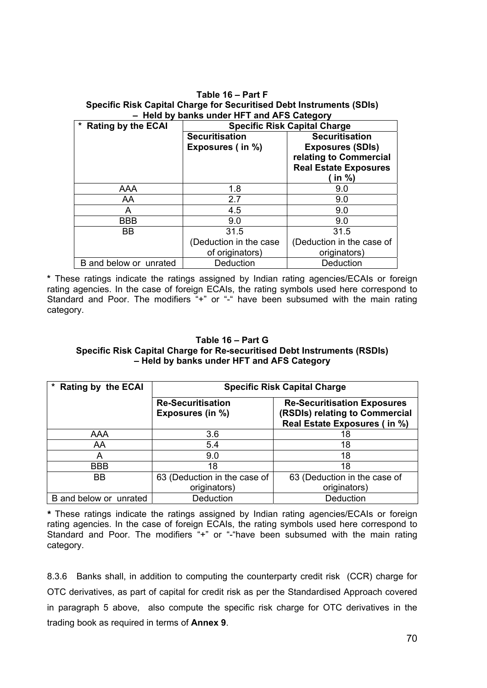| Table 16 – Part F                                                    |
|----------------------------------------------------------------------|
| Specific Risk Capital Charge for Securitised Debt Instruments (SDIs) |
| - Held by banks under HFT and AFS Category                           |

| * Rating by the ECAI                      | <b>Specific Risk Capital Charge</b> |                                                                            |  |
|-------------------------------------------|-------------------------------------|----------------------------------------------------------------------------|--|
| <b>Securitisation</b><br>Exposures (in %) |                                     | <b>Securitisation</b><br><b>Exposures (SDIs)</b><br>relating to Commercial |  |
|                                           |                                     | <b>Real Estate Exposures</b><br>( in %)                                    |  |
| AAA                                       | 1.8                                 | 9.0                                                                        |  |
| AA                                        | 2.7                                 | 9.0                                                                        |  |
| A                                         | 4.5                                 | 9.0                                                                        |  |
| <b>BBB</b>                                | 9.0                                 | 9.0                                                                        |  |
| BB                                        | 31.5                                | 31.5                                                                       |  |
|                                           | (Deduction in the case)             | (Deduction in the case of                                                  |  |
|                                           | of originators)                     | originators)                                                               |  |
| B and below or unrated                    | Deduction                           | Deduction                                                                  |  |

**\*** These ratings indicate the ratings assigned by Indian rating agencies/ECAIs or foreign rating agencies. In the case of foreign ECAIs, the rating symbols used here correspond to Standard and Poor. The modifiers "+" or "-" have been subsumed with the main rating category.

#### **Table 16 – Part G Specific Risk Capital Charge for Re-securitised Debt Instruments (RSDIs) – Held by banks under HFT and AFS Category**

| $\star$<br><b>Rating by the ECAI</b> | <b>Specific Risk Capital Charge</b>          |                                                                                                      |  |  |
|--------------------------------------|----------------------------------------------|------------------------------------------------------------------------------------------------------|--|--|
|                                      | <b>Re-Securitisation</b><br>Exposures (in %) | <b>Re-Securitisation Exposures</b><br>(RSDIs) relating to Commercial<br>Real Estate Exposures (in %) |  |  |
| AAA                                  | 3.6                                          | 18                                                                                                   |  |  |
| AA                                   | 5.4                                          | 18                                                                                                   |  |  |
| А                                    | 9.0                                          | 18                                                                                                   |  |  |
| <b>BBB</b>                           | 18                                           | 18                                                                                                   |  |  |
| BB                                   | 63 (Deduction in the case of                 | 63 (Deduction in the case of                                                                         |  |  |
|                                      | originators)                                 | originators)                                                                                         |  |  |
| B and below or unrated               | Deduction                                    | Deduction                                                                                            |  |  |

*\** These ratings indicate the ratings assigned by Indian rating agencies/ECAIs or foreign rating agencies. In the case of foreign ECAIs, the rating symbols used here correspond to Standard and Poor. The modifiers "+" or "-"have been subsumed with the main rating category.

8.3.6 Banks shall, in addition to computing the counterparty credit risk (CCR) charge for OTC derivatives, as part of capital for credit risk as per the Standardised Approach covered in paragraph 5 above, also compute the specific risk charge for OTC derivatives in the trading book as required in terms of **Annex 9**.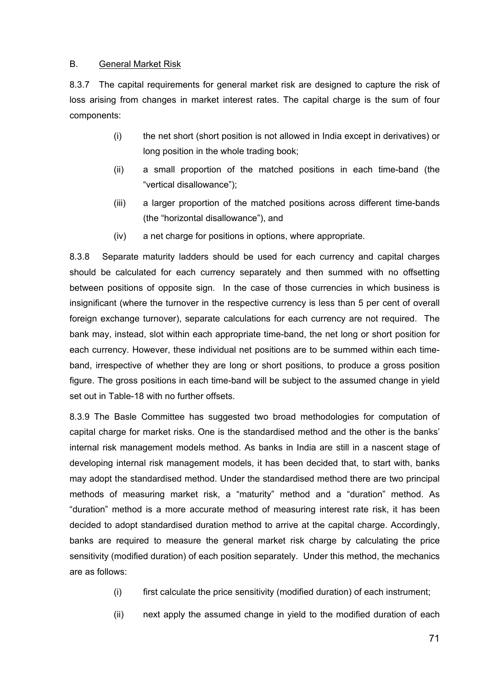### B. General Market Risk

8.3.7 The capital requirements for general market risk are designed to capture the risk of loss arising from changes in market interest rates. The capital charge is the sum of four components:

- (i) the net short (short position is not allowed in India except in derivatives) or long position in the whole trading book;
- (ii) a small proportion of the matched positions in each time-band (the "vertical disallowance");
- (iii) a larger proportion of the matched positions across different time-bands (the "horizontal disallowance"), and
- (iv) a net charge for positions in options, where appropriate.

8.3.8 Separate maturity ladders should be used for each currency and capital charges should be calculated for each currency separately and then summed with no offsetting between positions of opposite sign. In the case of those currencies in which business is insignificant (where the turnover in the respective currency is less than 5 per cent of overall foreign exchange turnover), separate calculations for each currency are not required. The bank may, instead, slot within each appropriate time-band, the net long or short position for each currency. However, these individual net positions are to be summed within each timeband, irrespective of whether they are long or short positions, to produce a gross position figure. The gross positions in each time-band will be subject to the assumed change in yield set out in Table-18 with no further offsets.

8.3.9 The Basle Committee has suggested two broad methodologies for computation of capital charge for market risks. One is the standardised method and the other is the banks' internal risk management models method. As banks in India are still in a nascent stage of developing internal risk management models, it has been decided that, to start with, banks may adopt the standardised method. Under the standardised method there are two principal methods of measuring market risk, a "maturity" method and a "duration" method. As "duration" method is a more accurate method of measuring interest rate risk, it has been decided to adopt standardised duration method to arrive at the capital charge. Accordingly, banks are required to measure the general market risk charge by calculating the price sensitivity (modified duration) of each position separately. Under this method, the mechanics are as follows:

- (i) first calculate the price sensitivity (modified duration) of each instrument;
- (ii) next apply the assumed change in yield to the modified duration of each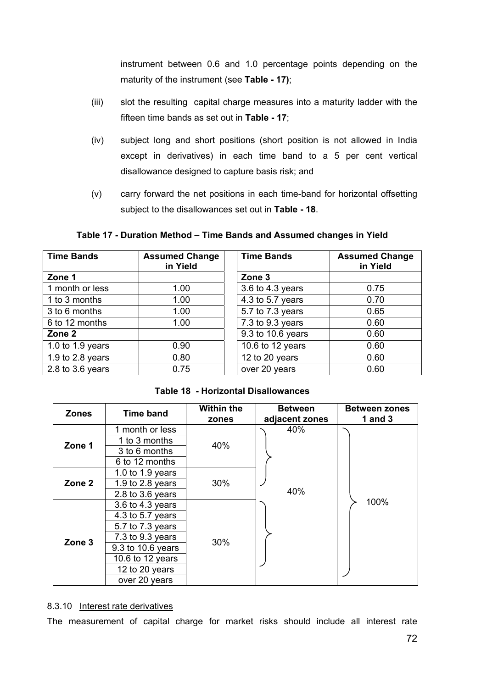instrument between 0.6 and 1.0 percentage points depending on the maturity of the instrument (see **Table - 17)**;

- (iii) slot the resulting capital charge measures into a maturity ladder with the fifteen time bands as set out in **Table - 17**;
- (iv) subject long and short positions (short position is not allowed in India except in derivatives) in each time band to a 5 per cent vertical disallowance designed to capture basis risk; and
- (v) carry forward the net positions in each time-band for horizontal offsetting subject to the disallowances set out in **Table - 18**.

| <b>Time Bands</b> | <b>Assumed Change</b><br>in Yield | <b>Time Bands</b> | <b>Assumed Change</b><br>in Yield |
|-------------------|-----------------------------------|-------------------|-----------------------------------|
| Zone 1            |                                   | Zone 3            |                                   |
| 1 month or less   | 1.00                              | 3.6 to 4.3 years  | 0.75                              |
| 1 to 3 months     | 1.00                              | 4.3 to 5.7 years  | 0.70                              |
| 3 to 6 months     | 1.00                              | 5.7 to 7.3 years  | 0.65                              |
| 6 to 12 months    | 1.00                              | 7.3 to 9.3 years  | 0.60                              |
| Zone 2            |                                   | 9.3 to 10.6 years | 0.60                              |
| 1.0 to 1.9 years  | 0.90                              | 10.6 to 12 years  | 0.60                              |
| 1.9 to 2.8 years  | 0.80                              | 12 to 20 years    | 0.60                              |
| 2.8 to 3.6 years  | 0.75                              | over 20 years     | 0.60                              |

**Table 17 - Duration Method – Time Bands and Assumed changes in Yield** 

### **Table 18 - Horizontal Disallowances**

| <b>Zones</b> | <b>Time band</b>   | <b>Within the</b><br>zones | <b>Between</b><br>adjacent zones | <b>Between zones</b><br>1 and $3$ |
|--------------|--------------------|----------------------------|----------------------------------|-----------------------------------|
|              | 1 month or less    |                            | 40%                              |                                   |
| Zone 1       | 1 to 3 months      | 40%                        |                                  |                                   |
|              | 3 to 6 months      |                            |                                  |                                   |
|              | 6 to 12 months     |                            |                                  |                                   |
|              | 1.0 to 1.9 years   |                            |                                  |                                   |
| Zone 2       | 1.9 to 2.8 years   | 30%                        | 40%                              |                                   |
|              | 2.8 to 3.6 years   |                            |                                  |                                   |
|              | 3.6 to 4.3 years   |                            |                                  | 100%                              |
|              | 4.3 to 5.7 years   |                            |                                  |                                   |
| Zone 3       | 5.7 to 7.3 years   |                            |                                  |                                   |
|              | 7.3 to $9.3$ years | 30%                        |                                  |                                   |
|              | 9.3 to 10.6 years  |                            |                                  |                                   |
|              | 10.6 to 12 years   |                            |                                  |                                   |
|              | 12 to 20 years     |                            |                                  |                                   |
|              | over 20 years      |                            |                                  |                                   |

# 8.3.10 Interest rate derivatives

The measurement of capital charge for market risks should include all interest rate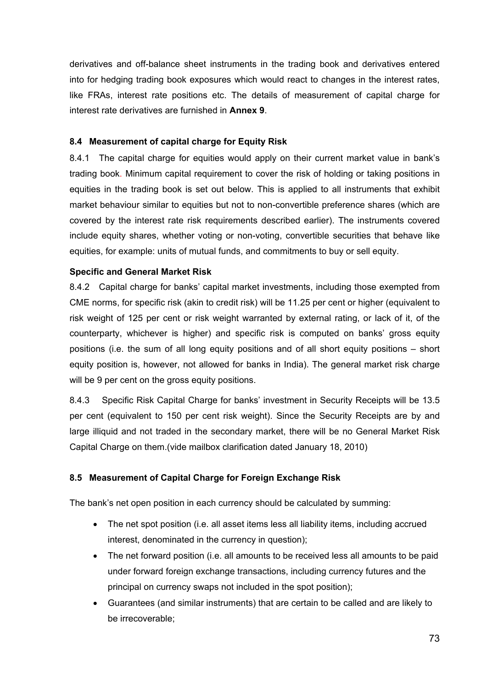derivatives and off-balance sheet instruments in the trading book and derivatives entered into for hedging trading book exposures which would react to changes in the interest rates, like FRAs, interest rate positions etc. The details of measurement of capital charge for interest rate derivatives are furnished in **Annex 9**.

## **8.4 Measurement of capital charge for Equity Risk**

8.4.1 The capital charge for equities would apply on their current market value in bank's trading book. Minimum capital requirement to cover the risk of holding or taking positions in equities in the trading book is set out below. This is applied to all instruments that exhibit market behaviour similar to equities but not to non-convertible preference shares (which are covered by the interest rate risk requirements described earlier). The instruments covered include equity shares, whether voting or non-voting, convertible securities that behave like equities, for example: units of mutual funds, and commitments to buy or sell equity.

## **Specific and General Market Risk**

8.4.2 Capital charge for banks' capital market investments, including those exempted from CME norms, for specific risk (akin to credit risk) will be 11.25 per cent or higher (equivalent to risk weight of 125 per cent or risk weight warranted by external rating, or lack of it, of the counterparty, whichever is higher) and specific risk is computed on banks' gross equity positions (i.e. the sum of all long equity positions and of all short equity positions – short equity position is, however, not allowed for banks in India). The general market risk charge will be 9 per cent on the gross equity positions.

8.4.3 Specific Risk Capital Charge for banks' investment in Security Receipts will be 13.5 per cent (equivalent to 150 per cent risk weight). Since the Security Receipts are by and large illiquid and not traded in the secondary market, there will be no General Market Risk Capital Charge on them.(vide mailbox clarification dated January 18, 2010)

## **8.5 Measurement of Capital Charge for Foreign Exchange Risk**

The bank's net open position in each currency should be calculated by summing:

- The net spot position (i.e. all asset items less all liability items, including accrued interest, denominated in the currency in question);
- The net forward position (i.e. all amounts to be received less all amounts to be paid under forward foreign exchange transactions, including currency futures and the principal on currency swaps not included in the spot position);
- Guarantees (and similar instruments) that are certain to be called and are likely to be irrecoverable;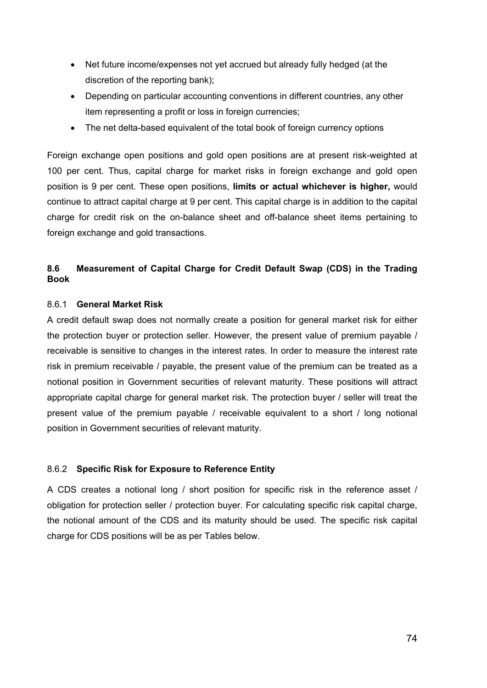- Net future income/expenses not yet accrued but already fully hedged (at the discretion of the reporting bank);
- Depending on particular accounting conventions in different countries, any other item representing a profit or loss in foreign currencies;
- The net delta-based equivalent of the total book of foreign currency options

Foreign exchange open positions and gold open positions are at present risk-weighted at 100 per cent. Thus, capital charge for market risks in foreign exchange and gold open position is 9 per cent. These open positions, **limits or actual whichever is higher,** would continue to attract capital charge at 9 per cent. This capital charge is in addition to the capital charge for credit risk on the on-balance sheet and off-balance sheet items pertaining to foreign exchange and gold transactions.

# **8.6 Measurement of Capital Charge for Credit Default Swap (CDS) in the Trading Book**

## 8.6.1 **General Market Risk**

A credit default swap does not normally create a position for general market risk for either the protection buyer or protection seller. However, the present value of premium payable / receivable is sensitive to changes in the interest rates. In order to measure the interest rate risk in premium receivable / payable, the present value of the premium can be treated as a notional position in Government securities of relevant maturity. These positions will attract appropriate capital charge for general market risk. The protection buyer / seller will treat the present value of the premium payable / receivable equivalent to a short / long notional position in Government securities of relevant maturity.

## 8.6.2 **Specific Risk for Exposure to Reference Entity**

A CDS creates a notional long / short position for specific risk in the reference asset / obligation for protection seller / protection buyer. For calculating specific risk capital charge, the notional amount of the CDS and its maturity should be used. The specific risk capital charge for CDS positions will be as per [Tables](http://10.24.1.98/kmt/GetDocument.asp?PageRef=regulator/rbi/dbod/rbi6130-11-2011.htm#tab1) below.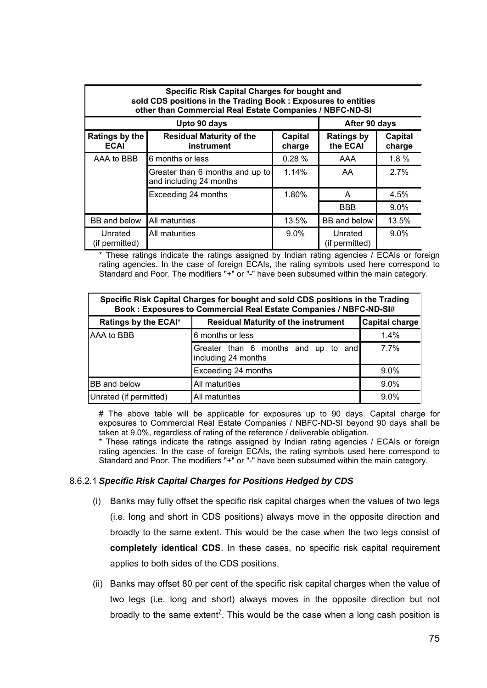| Specific Risk Capital Charges for bought and<br>sold CDS positions in the Trading Book: Exposures to entities<br>other than Commercial Real Estate Companies / NBFC-ND-SI |                                                            |                   |                                                    |         |  |  |
|---------------------------------------------------------------------------------------------------------------------------------------------------------------------------|------------------------------------------------------------|-------------------|----------------------------------------------------|---------|--|--|
|                                                                                                                                                                           | Upto 90 days                                               | After 90 days     |                                                    |         |  |  |
| <b>Ratings by the</b><br><b>ECAI</b>                                                                                                                                      | <b>Residual Maturity of the</b><br>instrument              | Capital<br>charge | Capital<br><b>Ratings by</b><br>the ECAI<br>charge |         |  |  |
| AAA to BBB                                                                                                                                                                | 6 months or less                                           | 0.28%             | AAA                                                | 1.8%    |  |  |
|                                                                                                                                                                           | Greater than 6 months and up to<br>and including 24 months | 1.14%             | AA                                                 | 2.7%    |  |  |
|                                                                                                                                                                           | 1.80%<br>Exceeding 24 months                               |                   | A                                                  | 4.5%    |  |  |
|                                                                                                                                                                           |                                                            |                   | <b>BBB</b>                                         | $9.0\%$ |  |  |
| BB and below                                                                                                                                                              | <b>All maturities</b>                                      | 13.5%             | BB and below                                       | 13.5%   |  |  |
| Unrated<br>(if permitted)                                                                                                                                                 | All maturities                                             | $9.0\%$           | Unrated<br>(if permitted)                          | $9.0\%$ |  |  |

\* These ratings indicate the ratings assigned by Indian rating agencies / ECAIs or foreign rating agencies. In the case of foreign ECAIs, the rating symbols used here correspond to Standard and Poor. The modifiers "+" or "-" have been subsumed within the main category.

| Specific Risk Capital Charges for bought and sold CDS positions in the Trading<br>Book: Exposures to Commercial Real Estate Companies / NBFC-ND-SI# |                                                            |         |  |  |  |
|-----------------------------------------------------------------------------------------------------------------------------------------------------|------------------------------------------------------------|---------|--|--|--|
| Ratings by the ECAI*                                                                                                                                | <b>Capital charge</b>                                      |         |  |  |  |
| AAA to BBB                                                                                                                                          | 6 months or less                                           | 1.4%    |  |  |  |
|                                                                                                                                                     | Greater than 6 months and up to and<br>including 24 months | 7.7%    |  |  |  |
|                                                                                                                                                     | Exceeding 24 months                                        | $9.0\%$ |  |  |  |
| BB and below                                                                                                                                        | All maturities                                             | 9.0%    |  |  |  |
| Unrated (if permitted)                                                                                                                              | All maturities                                             | $9.0\%$ |  |  |  |

# The above table will be applicable for exposures up to 90 days. Capital charge for exposures to Commercial Real Estate Companies / NBFC-ND-SI beyond 90 days shall be taken at 9.0%, regardless of rating of the reference / deliverable obligation.

\* These ratings indicate the ratings assigned by Indian rating agencies / ECAIs or foreign rating agencies. In the case of foreign ECAIs, the rating symbols used here correspond to Standard and Poor. The modifiers "+" or "-" have been subsumed within the main category.

### 8.6.2.1 *Specific Risk Capital Charges for Positions Hedged by CDS*

- (i) Banks may fully offset the specific risk capital charges when the values of two legs (i.e. long and short in CDS positions) always move in the opposite direction and broadly to the same extent. This would be the case when the two legs consist of **completely identical CDS**. In these cases, no specific risk capital requirement applies to both sides of the CDS positions.
- (ii) Banks may offset 80 per cent of the specific risk capital charges when the value of two legs (i.e. long and short) always moves in the opposite direction but not broadly to the same extent<sup> $Z$ </sup>. This would be the case when a long cash position is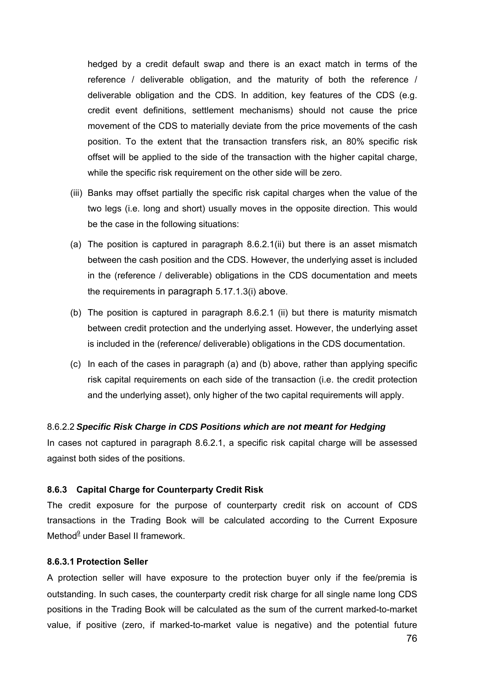hedged by a credit default swap and there is an exact match in terms of the reference / deliverable obligation, and the maturity of both the reference / deliverable obligation and the CDS. In addition, key features of the CDS (e.g. credit event definitions, settlement mechanisms) should not cause the price movement of the CDS to materially deviate from the price movements of the cash position. To the extent that the transaction transfers risk, an 80% specific risk offset will be applied to the side of the transaction with the higher capital charge, while the specific risk requirement on the other side will be zero.

- (iii) Banks may offset partially the specific risk capital charges when the value of the two legs (i.e. long and short) usually moves in the opposite direction. This would be the case in the following situations:
- (a) The position is captured in [paragraph 8.6.2.1\(ii\)](http://10.24.1.98/kmt/GetDocument.asp?PageRef=regulator/rbi/dbod/rbi6130-11-2011.htm#p6.2.1.2) but there is an asset mismatch between the cash position and the CDS. However, the underlying asset is included in the (reference / deliverable) obligations in the CDS documentation and meets the requirements in paragraph 5.17.1.3(i) above.
- (b) The position is captured in paragraph 8.6.2.1 (ii) but there is maturity mismatch between credit protection and the underlying asset. However, the underlying asset is included in the (reference/ deliverable) obligations in the CDS documentation.
- (c) In each of the cases in paragraph (a) and (b) above, rather than applying specific risk capital requirements on each side of the transaction (i.e. the credit protection and the underlying asset), only higher of the two capital requirements will apply.

### 8.6.2.2 *Specific Risk Charge in CDS Positions which are not meant for Hedging*

In cases not captured in [paragraph 8.6.2.1,](http://10.24.1.98/kmt/GetDocument.asp?PageRef=regulator/rbi/dbod/rbi6130-11-2011.htm#p6.2.1) a specific risk capital charge will be assessed against both sides of the positions.

### **8.6.3 Capital Charge for Counterparty Credit Risk**

The credit exposure for the purpose of counterparty credit risk on account of CDS transactions in the Trading Book will be calculated according to the Current Exposure Method<sup>[9](http://10.24.1.98/kmt/GetDocument.asp?PageRef=regulator/rbi/dbod/rbi6130-11-2011.htm#9)</sup> under Basel II framework.

#### **8.6.3.1 Protection Seller**

A protection seller will have exposure to the protection buyer only if the fee/premia is outstanding. In such cases, the counterparty credit risk charge for all single name long CDS positions in the Trading Book will be calculated as the sum of the current marked-to-market value, if positive (zero, if marked-to-market value is negative) and the potential future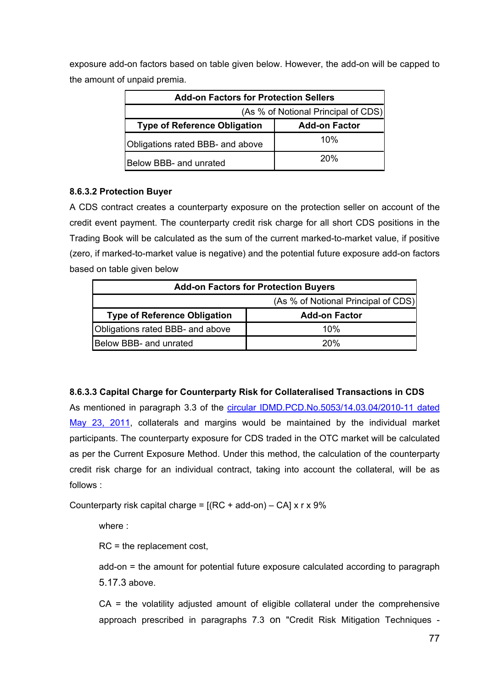exposure add-on factors based on table given below. However, the add-on will be capped to the amount of unpaid premia.

| <b>Add-on Factors for Protection Sellers</b> |                      |  |  |
|----------------------------------------------|----------------------|--|--|
| (As % of Notional Principal of CDS)          |                      |  |  |
| <b>Type of Reference Obligation</b>          | <b>Add-on Factor</b> |  |  |
| Obligations rated BBB- and above             | 10%                  |  |  |
| Below BBB- and unrated                       | <b>20%</b>           |  |  |

## **8.6.3.2 Protection Buyer**

A CDS contract creates a counterparty exposure on the protection seller on account of the credit event payment. The counterparty credit risk charge for all short CDS positions in the Trading Book will be calculated as the sum of the current marked-to-market value, if positive (zero, if marked-to-market value is negative) and the potential future exposure add-on factors based on table given below

| <b>Add-on Factors for Protection Buyers</b> |                      |  |  |
|---------------------------------------------|----------------------|--|--|
| (As % of Notional Principal of CDS)         |                      |  |  |
| <b>Type of Reference Obligation</b>         | <b>Add-on Factor</b> |  |  |
| Obligations rated BBB- and above            | 10%                  |  |  |
| Below BBB- and unrated                      | 20%                  |  |  |

# **8.6.3.3 Capital Charge for Counterparty Risk for Collateralised Transactions in CDS**

As mentioned in [paragraph 3.3](http://10.24.1.98/kmt/GetDocument.asp?PageRef=regulator/rbi/idmc/rbi505323-05-2011.htm#3.3) of the [circular IDMD.PCD.No.5053/14.03.04/2010-11 dated](http://rbi.org.in/scripts/NotificationUser.aspx?Id=6432&Mode=0)  [May 23, 2011](http://rbi.org.in/scripts/NotificationUser.aspx?Id=6432&Mode=0), collaterals and margins would be maintained by the individual market participants. The counterparty exposure for CDS traded in the OTC market will be calculated as per the Current Exposure Method. Under this method, the calculation of the counterparty credit risk charge for an individual contract, taking into account the collateral, will be as follows :

Counterparty risk capital charge =  $[(RC + add-on) - CA] \times r \times 9\%$ 

where :

RC = the replacement cost,

add-on = the amount for potential future exposure calculated according to [paragraph](http://10.24.1.98/kmt/GetDocument.asp?PageRef=regulator/rbi/dbod/rbi6130-11-2011.htm#p7)  [5.17.3](http://10.24.1.98/kmt/GetDocument.asp?PageRef=regulator/rbi/dbod/rbi6130-11-2011.htm#p7) above.

CA = the volatility adjusted amount of eligible collateral under the comprehensive approach prescribed in [paragraphs 7.3](http://10.24.1.98/kmt/GetDocument.asp?PageRef=regulator/rbi/dbod/rbi1101-07-2011_p2.htm#7.3) on "Credit Risk Mitigation Techniques -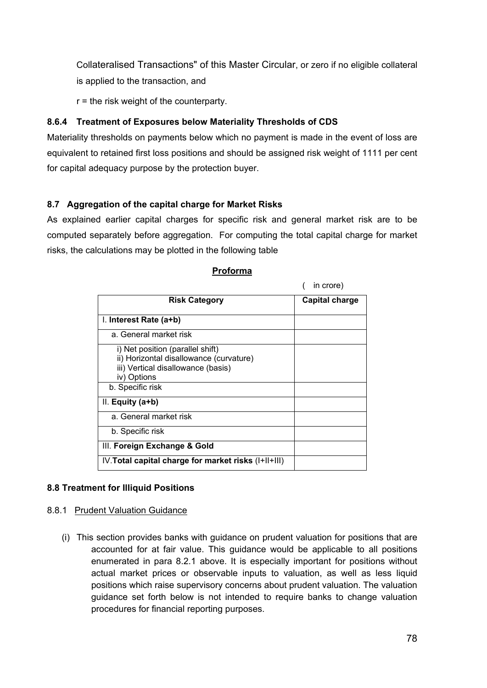Collateralised Transactions" of this Master Circular, or zero if no eligible collateral is applied to the transaction, and

r = the risk weight of the counterparty.

## **8.6.4 Treatment of Exposures below Materiality Thresholds of CDS**

Materiality thresholds on payments below which no payment is made in the event of loss are equivalent to retained first loss positions and should be assigned risk weight of 1111 per cent for capital adequacy purpose by the protection buyer.

## **8.7 Aggregation of the capital charge for Market Risks**

As explained earlier capital charges for specific risk and general market risk are to be computed separately before aggregation. For computing the total capital charge for market risks, the calculations may be plotted in the following table

|                                                      | $III$ GIOIE)          |
|------------------------------------------------------|-----------------------|
| <b>Risk Category</b>                                 | <b>Capital charge</b> |
| I. Interest Rate (a+b)                               |                       |
| a. General market risk                               |                       |
| i) Net position (parallel shift)                     |                       |
| ii) Horizontal disallowance (curvature)              |                       |
| iii) Vertical disallowance (basis)                   |                       |
| iv) Options                                          |                       |
| b. Specific risk                                     |                       |
| $II.$ Equity $(a+b)$                                 |                       |
| a. General market risk                               |                       |
| b. Specific risk                                     |                       |
| III. Foreign Exchange & Gold                         |                       |
| IV. Total capital charge for market risks (I+II+III) |                       |

## **Proforma**

 $($  in crore)

### **8.8 Treatment for Illiquid Positions**

## 8.8.1 Prudent Valuation Guidance

(i) This section provides banks with guidance on prudent valuation for positions that are accounted for at fair value. This guidance would be applicable to all positions enumerated in para 8.2.1 above. It is especially important for positions without actual market prices or observable inputs to valuation, as well as less liquid positions which raise supervisory concerns about prudent valuation. The valuation guidance set forth below is not intended to require banks to change valuation procedures for financial reporting purposes.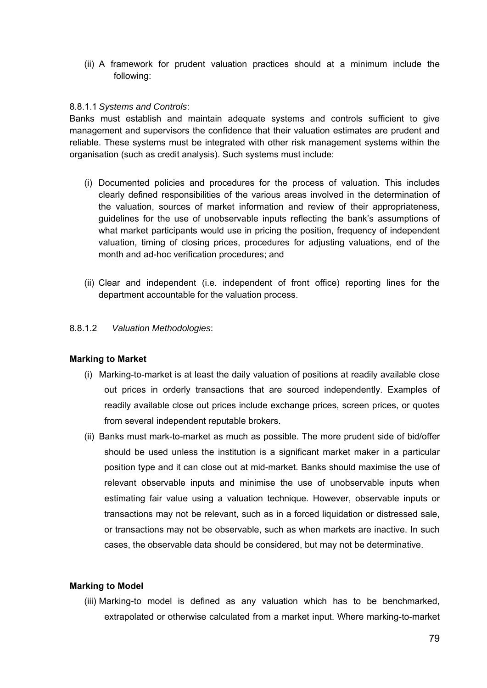(ii) A framework for prudent valuation practices should at a minimum include the following:

### 8.8.1.1 *Systems and Controls*:

Banks must establish and maintain adequate systems and controls sufficient to give management and supervisors the confidence that their valuation estimates are prudent and reliable. These systems must be integrated with other risk management systems within the organisation (such as credit analysis). Such systems must include:

- (i) Documented policies and procedures for the process of valuation. This includes clearly defined responsibilities of the various areas involved in the determination of the valuation, sources of market information and review of their appropriateness, guidelines for the use of unobservable inputs reflecting the bank's assumptions of what market participants would use in pricing the position, frequency of independent valuation, timing of closing prices, procedures for adjusting valuations, end of the month and ad-hoc verification procedures; and
- (ii) Clear and independent (i.e. independent of front office) reporting lines for the department accountable for the valuation process.

### 8.8.1.2 *Valuation Methodologies*:

### **Marking to Market**

- (i) Marking-to-market is at least the daily valuation of positions at readily available close out prices in orderly transactions that are sourced independently. Examples of readily available close out prices include exchange prices, screen prices, or quotes from several independent reputable brokers.
- (ii) Banks must mark-to-market as much as possible. The more prudent side of bid/offer should be used unless the institution is a significant market maker in a particular position type and it can close out at mid-market. Banks should maximise the use of relevant observable inputs and minimise the use of unobservable inputs when estimating fair value using a valuation technique. However, observable inputs or transactions may not be relevant, such as in a forced liquidation or distressed sale, or transactions may not be observable, such as when markets are inactive. In such cases, the observable data should be considered, but may not be determinative.

### **Marking to Model**

(iii) Marking-to model is defined as any valuation which has to be benchmarked, extrapolated or otherwise calculated from a market input. Where marking-to-market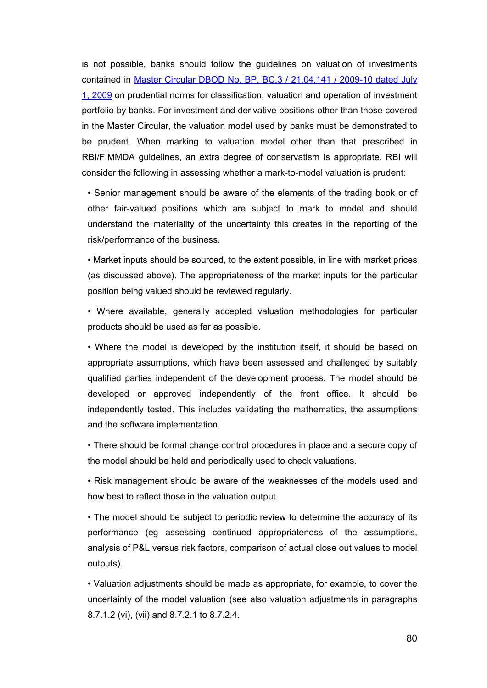is not possible, banks should follow the guidelines on valuation of investments contained in [Master Circular DBOD No. BP. BC.3 / 21.04.141 / 2009-10 dated July](http://www.rbi.org.in/scripts/BS_ViewMasCirculardetails.aspx?id=5061)  [1, 2009](http://www.rbi.org.in/scripts/BS_ViewMasCirculardetails.aspx?id=5061) on prudential norms for classification, valuation and operation of investment portfolio by banks. For investment and derivative positions other than those covered in the Master Circular, the valuation model used by banks must be demonstrated to be prudent. When marking to valuation model other than that prescribed in RBI/FIMMDA guidelines, an extra degree of conservatism is appropriate. RBI will consider the following in assessing whether a mark-to-model valuation is prudent:

• Senior management should be aware of the elements of the trading book or of other fair-valued positions which are subject to mark to model and should understand the materiality of the uncertainty this creates in the reporting of the risk/performance of the business.

• Market inputs should be sourced, to the extent possible, in line with market prices (as discussed above). The appropriateness of the market inputs for the particular position being valued should be reviewed regularly.

• Where available, generally accepted valuation methodologies for particular products should be used as far as possible.

• Where the model is developed by the institution itself, it should be based on appropriate assumptions, which have been assessed and challenged by suitably qualified parties independent of the development process. The model should be developed or approved independently of the front office. It should be independently tested. This includes validating the mathematics, the assumptions and the software implementation.

• There should be formal change control procedures in place and a secure copy of the model should be held and periodically used to check valuations.

• Risk management should be aware of the weaknesses of the models used and how best to reflect those in the valuation output.

• The model should be subject to periodic review to determine the accuracy of its performance (eg assessing continued appropriateness of the assumptions, analysis of P&L versus risk factors, comparison of actual close out values to model outputs).

• Valuation adjustments should be made as appropriate, for example, to cover the uncertainty of the model valuation (see also valuation adjustments in paragraphs 8.7.1.2 (vi), (vii) and 8.7.2.1 to 8.7.2.4.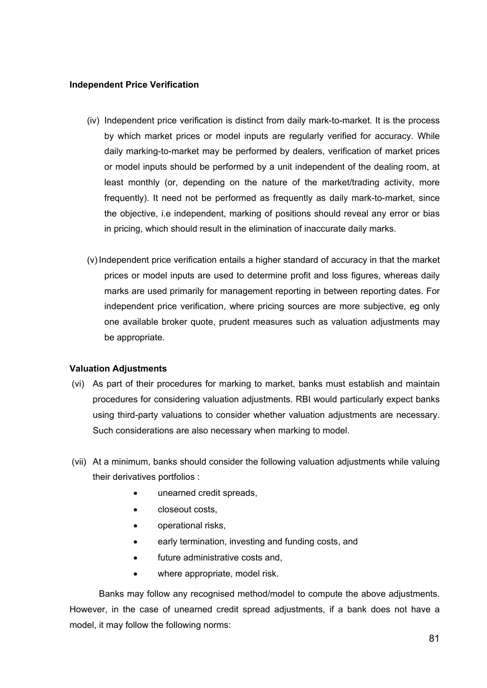## **Independent Price Verification**

- (iv) Independent price verification is distinct from daily mark-to-market. It is the process by which market prices or model inputs are regularly verified for accuracy. While daily marking-to-market may be performed by dealers, verification of market prices or model inputs should be performed by a unit independent of the dealing room, at least monthly (or, depending on the nature of the market/trading activity, more frequently). It need not be performed as frequently as daily mark-to-market, since the objective, i.e independent, marking of positions should reveal any error or bias in pricing, which should result in the elimination of inaccurate daily marks.
- (v) Independent price verification entails a higher standard of accuracy in that the market prices or model inputs are used to determine profit and loss figures, whereas daily marks are used primarily for management reporting in between reporting dates. For independent price verification, where pricing sources are more subjective, eg only one available broker quote, prudent measures such as valuation adjustments may be appropriate.

### **Valuation Adjustments**

- (vi) As part of their procedures for marking to market, banks must establish and maintain procedures for considering valuation adjustments. RBI would particularly expect banks using third-party valuations to consider whether valuation adjustments are necessary. Such considerations are also necessary when marking to model.
- (vii) At a minimum, banks should consider the following valuation adjustments while valuing their derivatives portfolios :
	- unearned credit spreads,
	- closeout costs,
	- operational risks,
	- early termination, investing and funding costs, and
	- future administrative costs and,
	- where appropriate, model risk.

Banks may follow any recognised method/model to compute the above adjustments. However, in the case of unearned credit spread adjustments, if a bank does not have a model, it may follow the following norms: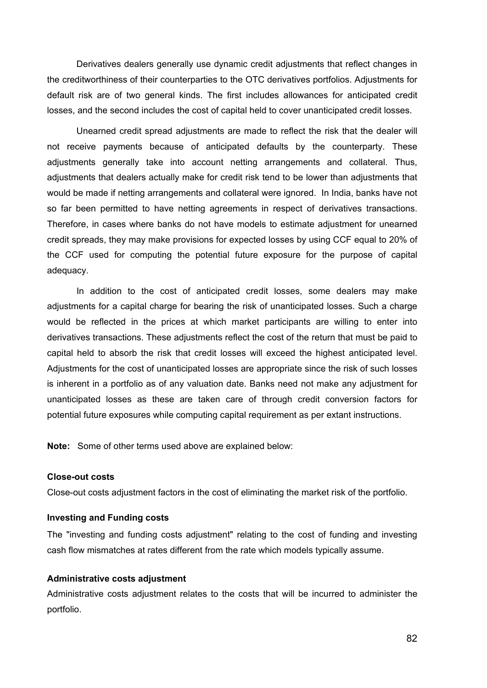Derivatives dealers generally use dynamic credit adjustments that reflect changes in the creditworthiness of their counterparties to the OTC derivatives portfolios. Adjustments for default risk are of two general kinds. The first includes allowances for anticipated credit losses, and the second includes the cost of capital held to cover unanticipated credit losses.

 Unearned credit spread adjustments are made to reflect the risk that the dealer will not receive payments because of anticipated defaults by the counterparty. These adjustments generally take into account netting arrangements and collateral. Thus, adjustments that dealers actually make for credit risk tend to be lower than adjustments that would be made if netting arrangements and collateral were ignored. In India, banks have not so far been permitted to have netting agreements in respect of derivatives transactions. Therefore, in cases where banks do not have models to estimate adjustment for unearned credit spreads, they may make provisions for expected losses by using CCF equal to 20% of the CCF used for computing the potential future exposure for the purpose of capital adequacy.

 In addition to the cost of anticipated credit losses, some dealers may make adjustments for a capital charge for bearing the risk of unanticipated losses. Such a charge would be reflected in the prices at which market participants are willing to enter into derivatives transactions. These adjustments reflect the cost of the return that must be paid to capital held to absorb the risk that credit losses will exceed the highest anticipated level. Adjustments for the cost of unanticipated losses are appropriate since the risk of such losses is inherent in a portfolio as of any valuation date. Banks need not make any adjustment for unanticipated losses as these are taken care of through credit conversion factors for potential future exposures while computing capital requirement as per extant instructions.

**Note:** Some of other terms used above are explained below:

#### **Close-out costs**

Close-out costs adjustment factors in the cost of eliminating the market risk of the portfolio.

#### **Investing and Funding costs**

The "investing and funding costs adjustment" relating to the cost of funding and investing cash flow mismatches at rates different from the rate which models typically assume.

#### **Administrative costs adjustment**

Administrative costs adjustment relates to the costs that will be incurred to administer the portfolio.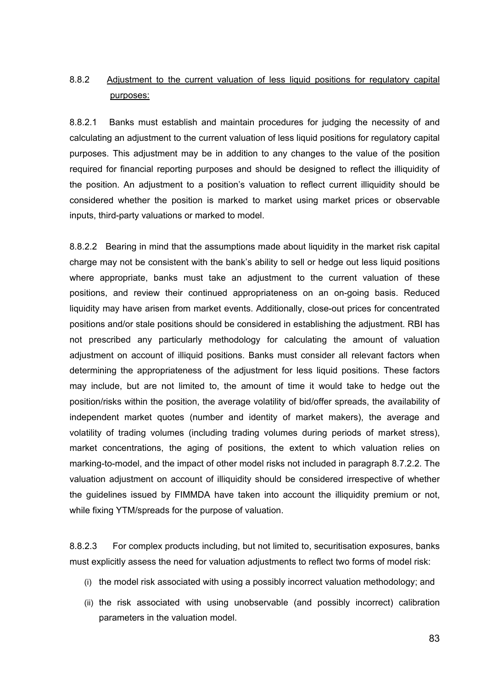# 8.8.2 Adjustment to the current valuation of less liquid positions for regulatory capital purposes:

8.8.2.1 Banks must establish and maintain procedures for judging the necessity of and calculating an adjustment to the current valuation of less liquid positions for regulatory capital purposes. This adjustment may be in addition to any changes to the value of the position required for financial reporting purposes and should be designed to reflect the illiquidity of the position. An adjustment to a position's valuation to reflect current illiquidity should be considered whether the position is marked to market using market prices or observable inputs, third-party valuations or marked to model.

8.8.2.2 Bearing in mind that the assumptions made about liquidity in the market risk capital charge may not be consistent with the bank's ability to sell or hedge out less liquid positions where appropriate, banks must take an adjustment to the current valuation of these positions, and review their continued appropriateness on an on-going basis. Reduced liquidity may have arisen from market events. Additionally, close-out prices for concentrated positions and/or stale positions should be considered in establishing the adjustment. RBI has not prescribed any particularly methodology for calculating the amount of valuation adjustment on account of illiquid positions. Banks must consider all relevant factors when determining the appropriateness of the adjustment for less liquid positions. These factors may include, but are not limited to, the amount of time it would take to hedge out the position/risks within the position, the average volatility of bid/offer spreads, the availability of independent market quotes (number and identity of market makers), the average and volatility of trading volumes (including trading volumes during periods of market stress), market concentrations, the aging of positions, the extent to which valuation relies on marking-to-model, and the impact of other model risks not included in paragraph 8.7.2.2. The valuation adjustment on account of illiquidity should be considered irrespective of whether the guidelines issued by FIMMDA have taken into account the illiquidity premium or not, while fixing YTM/spreads for the purpose of valuation.

8.8.2.3 For complex products including, but not limited to, securitisation exposures, banks must explicitly assess the need for valuation adjustments to reflect two forms of model risk:

- (i) the model risk associated with using a possibly incorrect valuation methodology; and
- (ii) the risk associated with using unobservable (and possibly incorrect) calibration parameters in the valuation model.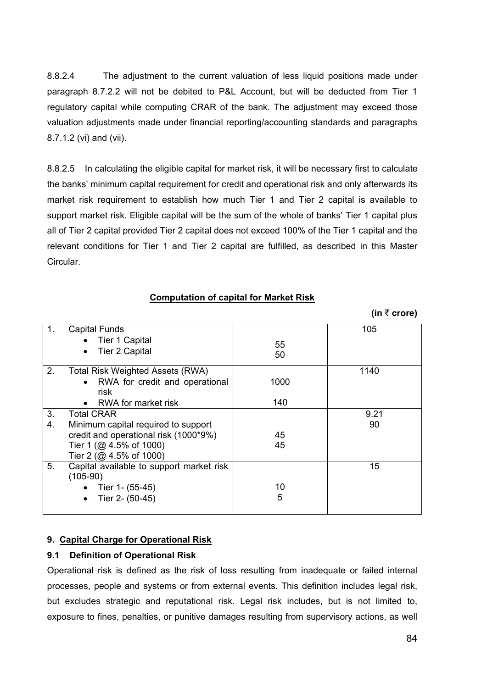8.8.2.4 The adjustment to the current valuation of less liquid positions made under paragraph 8.7.2.2 will not be debited to P&L Account, but will be deducted from Tier 1 regulatory capital while computing CRAR of the bank. The adjustment may exceed those valuation adjustments made under financial reporting/accounting standards and paragraphs 8.7.1.2 (vi) and (vii).

8.8.2.5 In calculating the eligible capital for market risk, it will be necessary first to calculate the banks' minimum capital requirement for credit and operational risk and only afterwards its market risk requirement to establish how much Tier 1 and Tier 2 capital is available to support market risk. Eligible capital will be the sum of the whole of banks' Tier 1 capital plus all of Tier 2 capital provided Tier 2 capital does not exceed 100% of the Tier 1 capital and the relevant conditions for Tier 1 and Tier 2 capital are fulfilled, as described in this Master Circular.

**Computation of capital for Market Risk**

**(in** ` **crore)** 

| 1. | <b>Capital Funds</b>                        |      | 105  |
|----|---------------------------------------------|------|------|
|    | Tier 1 Capital                              | 55   |      |
|    | <b>Tier 2 Capital</b><br>$\bullet$          | 50   |      |
|    |                                             |      |      |
| 2. | Total Risk Weighted Assets (RWA)            |      | 1140 |
|    | RWA for credit and operational<br>$\bullet$ | 1000 |      |
|    | risk                                        |      |      |
|    | RWA for market risk<br>$\bullet$            | 140  |      |
| 3. | <b>Total CRAR</b>                           |      | 9.21 |
| 4. | Minimum capital required to support         |      | 90   |
|    | credit and operational risk (1000*9%)       | 45   |      |
|    | Tier 1 (@ 4.5% of 1000)                     | 45   |      |
|    | Tier 2 (@ 4.5% of 1000)                     |      |      |
| 5. | Capital available to support market risk    |      | 15   |
|    | $(105-90)$                                  |      |      |
|    | Tier 1- (55-45)                             | 10   |      |
|    | Tier 2- (50-45)<br>$\bullet$                | 5    |      |
|    |                                             |      |      |

## **9. Capital Charge for Operational Risk**

### **9.1 Definition of Operational Risk**

Operational risk is defined as the risk of loss resulting from inadequate or failed internal processes, people and systems or from external events. This definition includes legal risk, but excludes strategic and reputational risk. Legal risk includes, but is not limited to, exposure to fines, penalties, or punitive damages resulting from supervisory actions, as well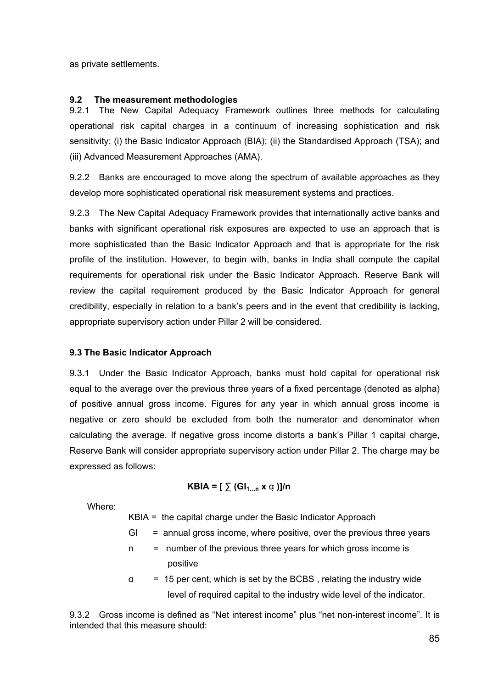as private settlements.

### **9.2 The measurement methodologies**

9.2.1 The New Capital Adequacy Framework outlines three methods for calculating operational risk capital charges in a continuum of increasing sophistication and risk sensitivity: (i) the Basic Indicator Approach (BIA); (ii) the Standardised Approach (TSA); and (iii) Advanced Measurement Approaches (AMA).

9.2.2 Banks are encouraged to move along the spectrum of available approaches as they develop more sophisticated operational risk measurement systems and practices.

9.2.3 The New Capital Adequacy Framework provides that internationally active banks and banks with significant operational risk exposures are expected to use an approach that is more sophisticated than the Basic Indicator Approach and that is appropriate for the risk profile of the institution. However, to begin with, banks in India shall compute the capital requirements for operational risk under the Basic Indicator Approach. Reserve Bank will review the capital requirement produced by the Basic Indicator Approach for general credibility, especially in relation to a bank's peers and in the event that credibility is lacking, appropriate supervisory action under Pillar 2 will be considered.

## **9.3 The Basic Indicator Approach**

9.3.1 Under the Basic Indicator Approach, banks must hold capital for operational risk equal to the average over the previous three years of a fixed percentage (denoted as alpha) of positive annual gross income. Figures for any year in which annual gross income is negative or zero should be excluded from both the numerator and denominator when calculating the average. If negative gross income distorts a bank's Pillar 1 capital charge, Reserve Bank will consider appropriate supervisory action under Pillar 2. The charge may be expressed as follows:

## $KBIA = [\sum(GI_{1...n} \times \alpha)]/n$

Where:

KBIA = the capital charge under the Basic Indicator Approach

- GI = annual gross income, where positive, over the previous three years
- n = number of the previous three years for which gross income is positive
- $\alpha$  = 15 per cent, which is set by the BCBS, relating the industry wide level of required capital to the industry wide level of the indicator.

9.3.2 Gross income is defined as "Net interest income" plus "net non-interest income". It is intended that this measure should: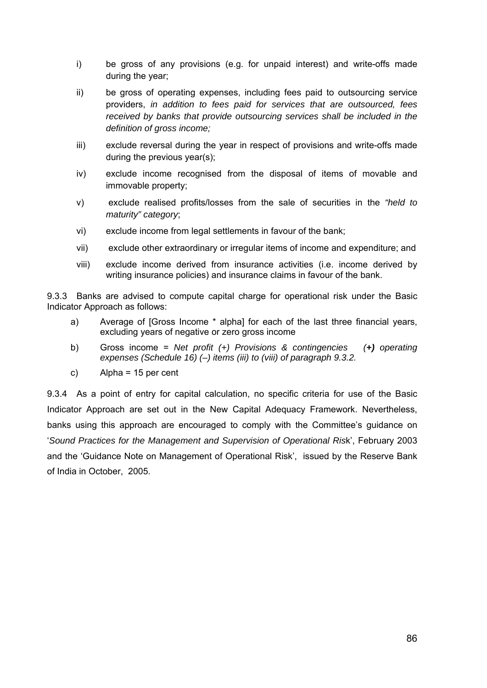- i) be gross of any provisions (e.g. for unpaid interest) and write-offs made during the year;
- ii) be gross of operating expenses, including fees paid to outsourcing service providers, *in addition to fees paid for services that are outsourced, fees received by banks that provide outsourcing services shall be included in the definition of gross income;*
- iii) exclude reversal during the year in respect of provisions and write-offs made during the previous year(s);
- iv) exclude income recognised from the disposal of items of movable and immovable property;
- v) exclude realised profits/losses from the sale of securities in the *"held to maturity" category*;
- vi) exclude income from legal settlements in favour of the bank;
- vii) exclude other extraordinary or irregular items of income and expenditure; and
- viii) exclude income derived from insurance activities (i.e. income derived by writing insurance policies) and insurance claims in favour of the bank.

9.3.3 Banks are advised to compute capital charge for operational risk under the Basic Indicator Approach as follows:

- a) Average of [Gross Income \* alpha] for each of the last three financial years, excluding years of negative or zero gross income
- b) Gross income = *Net profit (+) Provisions & contingencies (+) operating expenses (Schedule 16) (–) items (iii) to (viii) of paragraph 9.3.2.*
- c) Alpha = 15 per cent

9.3.4 As a point of entry for capital calculation, no specific criteria for use of the Basic Indicator Approach are set out in the New Capital Adequacy Framework. Nevertheless, banks using this approach are encouraged to comply with the Committee's guidance on '*Sound Practices for the Management and Supervision of Operational Ris*k', February 2003 and the 'Guidance Note on Management of Operational Risk', issued by the Reserve Bank of India in October, 2005.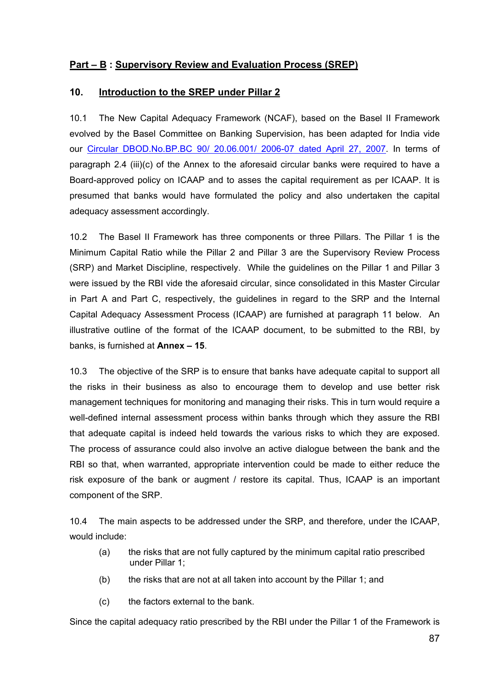# **Part – B : Supervisory Review and Evaluation Process (SREP)**

# **10. Introduction to the SREP under Pillar 2**

10.1 The New Capital Adequacy Framework (NCAF), based on the Basel II Framework evolved by the Basel Committee on Banking Supervision, has been adapted for India vide our [Circular DBOD.No.BP.BC 90/ 20.06.001/ 2006-07 dated April 27, 2007.](http://www.rbi.org.in/scripts/NotificationUser.aspx?Id=3464&Mode=0) In terms of paragraph 2.4 (iii)(c) of the Annex to the aforesaid circular banks were required to have a Board-approved policy on ICAAP and to asses the capital requirement as per ICAAP. It is presumed that banks would have formulated the policy and also undertaken the capital adequacy assessment accordingly.

10.2 The Basel II Framework has three components or three Pillars. The Pillar 1 is the Minimum Capital Ratio while the Pillar 2 and Pillar 3 are the Supervisory Review Process (SRP) and Market Discipline, respectively. While the guidelines on the Pillar 1 and Pillar 3 were issued by the RBI vide the aforesaid circular, since consolidated in this Master Circular in Part A and Part C, respectively, the guidelines in regard to the SRP and the Internal Capital Adequacy Assessment Process (ICAAP) are furnished at paragraph 11 below. An illustrative outline of the format of the ICAAP document, to be submitted to the RBI, by banks, is furnished at **Annex – 15**.

10.3 The objective of the SRP is to ensure that banks have adequate capital to support all the risks in their business as also to encourage them to develop and use better risk management techniques for monitoring and managing their risks. This in turn would require a well-defined internal assessment process within banks through which they assure the RBI that adequate capital is indeed held towards the various risks to which they are exposed. The process of assurance could also involve an active dialogue between the bank and the RBI so that, when warranted, appropriate intervention could be made to either reduce the risk exposure of the bank or augment / restore its capital. Thus, ICAAP is an important component of the SRP.

10.4 The main aspects to be addressed under the SRP, and therefore, under the ICAAP, would include:

- (a) the risks that are not fully captured by the minimum capital ratio prescribed under Pillar 1;
- (b) the risks that are not at all taken into account by the Pillar 1; and
- (c) the factors external to the bank.

Since the capital adequacy ratio prescribed by the RBI under the Pillar 1 of the Framework is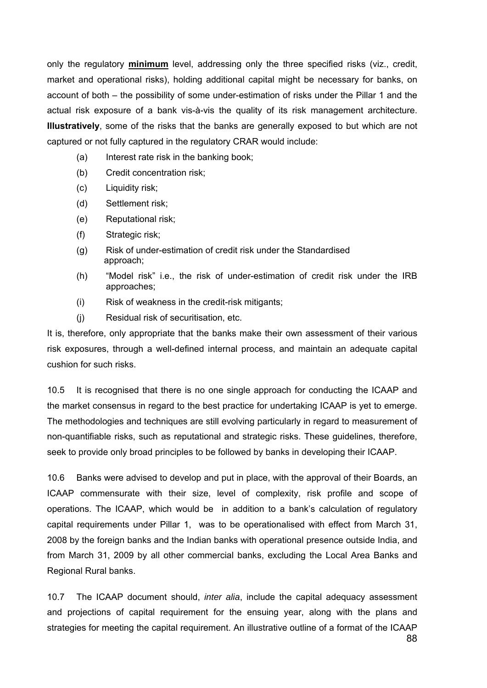only the regulatory **minimum** level, addressing only the three specified risks (viz., credit, market and operational risks), holding additional capital might be necessary for banks, on account of both – the possibility of some under-estimation of risks under the Pillar 1 and the actual risk exposure of a bank vis-à-vis the quality of its risk management architecture. **Illustratively**, some of the risks that the banks are generally exposed to but which are not captured or not fully captured in the regulatory CRAR would include:

- (a) Interest rate risk in the banking book;
- (b) Credit concentration risk;
- (c) Liquidity risk;
- (d) Settlement risk;
- (e) Reputational risk;
- (f) Strategic risk;
- (g) Risk of under-estimation of credit risk under the Standardised approach;
- (h) "Model risk" i.e., the risk of under-estimation of credit risk under the IRB approaches;
- (i) Risk of weakness in the credit-risk mitigants;
- (j) Residual risk of securitisation, etc.

It is, therefore, only appropriate that the banks make their own assessment of their various risk exposures, through a well-defined internal process, and maintain an adequate capital cushion for such risks.

10.5 It is recognised that there is no one single approach for conducting the ICAAP and the market consensus in regard to the best practice for undertaking ICAAP is yet to emerge. The methodologies and techniques are still evolving particularly in regard to measurement of non-quantifiable risks, such as reputational and strategic risks. These guidelines, therefore, seek to provide only broad principles to be followed by banks in developing their ICAAP.

10.6 Banks were advised to develop and put in place, with the approval of their Boards, an ICAAP commensurate with their size, level of complexity, risk profile and scope of operations. The ICAAP, which would be in addition to a bank's calculation of regulatory capital requirements under Pillar 1, was to be operationalised with effect from March 31, 2008 by the foreign banks and the Indian banks with operational presence outside India, and from March 31, 2009 by all other commercial banks, excluding the Local Area Banks and Regional Rural banks.

10.7 The ICAAP document should, *inter alia*, include the capital adequacy assessment and projections of capital requirement for the ensuing year, along with the plans and strategies for meeting the capital requirement. An illustrative outline of a format of the ICAAP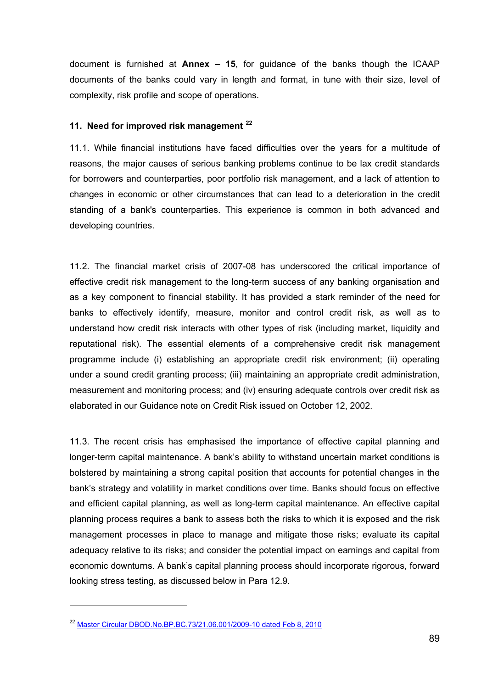document is furnished at **Annex – 15**, for guidance of the banks though the ICAAP documents of the banks could vary in length and format, in tune with their size, level of complexity, risk profile and scope of operations.

### **11. Need for improved risk management [22](#page-88-0)**

11.1. While financial institutions have faced difficulties over the years for a multitude of reasons, the major causes of serious banking problems continue to be lax credit standards for borrowers and counterparties, poor portfolio risk management, and a lack of attention to changes in economic or other circumstances that can lead to a deterioration in the credit standing of a bank's counterparties. This experience is common in both advanced and developing countries.

11.2. The financial market crisis of 2007-08 has underscored the critical importance of effective credit risk management to the long-term success of any banking organisation and as a key component to financial stability. It has provided a stark reminder of the need for banks to effectively identify, measure, monitor and control credit risk, as well as to understand how credit risk interacts with other types of risk (including market, liquidity and reputational risk). The essential elements of a comprehensive credit risk management programme include (i) establishing an appropriate credit risk environment; (ii) operating under a sound credit granting process; (iii) maintaining an appropriate credit administration, measurement and monitoring process; and (iv) ensuring adequate controls over credit risk as elaborated in our Guidance note on Credit Risk issued on October 12, 2002.

11.3. The recent crisis has emphasised the importance of effective capital planning and longer-term capital maintenance. A bank's ability to withstand uncertain market conditions is bolstered by maintaining a strong capital position that accounts for potential changes in the bank's strategy and volatility in market conditions over time. Banks should focus on effective and efficient capital planning, as well as long-term capital maintenance. An effective capital planning process requires a bank to assess both the risks to which it is exposed and the risk management processes in place to manage and mitigate those risks; evaluate its capital adequacy relative to its risks; and consider the potential impact on earnings and capital from economic downturns. A bank's capital planning process should incorporate rigorous, forward looking stress testing, as discussed below in Para 12.9.

1

<span id="page-88-0"></span><sup>22</sup> Master Circular DBOD.No.BP.BC.73/21.06.001/2009-10 dated Feb 8, 2010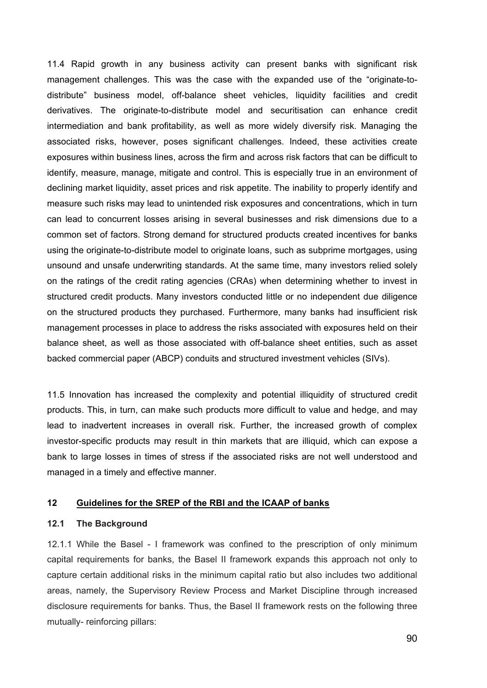11.4 Rapid growth in any business activity can present banks with significant risk management challenges. This was the case with the expanded use of the "originate-todistribute" business model, off-balance sheet vehicles, liquidity facilities and credit derivatives. The originate-to-distribute model and securitisation can enhance credit intermediation and bank profitability, as well as more widely diversify risk. Managing the associated risks, however, poses significant challenges. Indeed, these activities create exposures within business lines, across the firm and across risk factors that can be difficult to identify, measure, manage, mitigate and control. This is especially true in an environment of declining market liquidity, asset prices and risk appetite. The inability to properly identify and measure such risks may lead to unintended risk exposures and concentrations, which in turn can lead to concurrent losses arising in several businesses and risk dimensions due to a common set of factors. Strong demand for structured products created incentives for banks using the originate-to-distribute model to originate loans, such as subprime mortgages, using unsound and unsafe underwriting standards. At the same time, many investors relied solely on the ratings of the credit rating agencies (CRAs) when determining whether to invest in structured credit products. Many investors conducted little or no independent due diligence on the structured products they purchased. Furthermore, many banks had insufficient risk management processes in place to address the risks associated with exposures held on their balance sheet, as well as those associated with off-balance sheet entities, such as asset backed commercial paper (ABCP) conduits and structured investment vehicles (SIVs).

11.5 Innovation has increased the complexity and potential illiquidity of structured credit products. This, in turn, can make such products more difficult to value and hedge, and may lead to inadvertent increases in overall risk. Further, the increased growth of complex investor-specific products may result in thin markets that are illiquid, which can expose a bank to large losses in times of stress if the associated risks are not well understood and managed in a timely and effective manner.

#### **12 Guidelines for the SREP of the RBI and the ICAAP of banks**

#### **12.1 The Background**

12.1.1 While the Basel - I framework was confined to the prescription of only minimum capital requirements for banks, the Basel II framework expands this approach not only to capture certain additional risks in the minimum capital ratio but also includes two additional areas, namely, the Supervisory Review Process and Market Discipline through increased disclosure requirements for banks. Thus, the Basel II framework rests on the following three mutually- reinforcing pillars: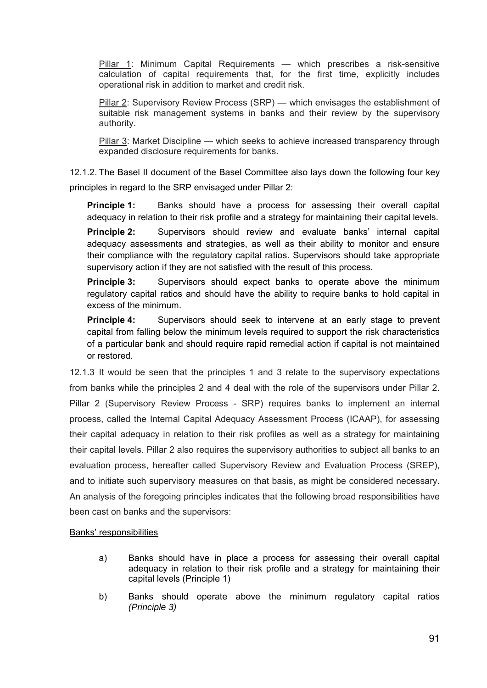Pillar 1: Minimum Capital Requirements — which prescribes a risk-sensitive calculation of capital requirements that, for the first time, explicitly includes operational risk in addition to market and credit risk.

Pillar 2: Supervisory Review Process (SRP) — which envisages the establishment of suitable risk management systems in banks and their review by the supervisory authority.

Pillar 3: Market Discipline — which seeks to achieve increased transparency through expanded disclosure requirements for banks.

12.1.2. The Basel II document of the Basel Committee also lays down the following four key principles in regard to the SRP envisaged under Pillar 2:

**Principle 1:** Banks should have a process for assessing their overall capital adequacy in relation to their risk profile and a strategy for maintaining their capital levels.

**Principle 2:** Supervisors should review and evaluate banks' internal capital adequacy assessments and strategies, as well as their ability to monitor and ensure their compliance with the regulatory capital ratios. Supervisors should take appropriate supervisory action if they are not satisfied with the result of this process.

**Principle 3:** Supervisors should expect banks to operate above the minimum regulatory capital ratios and should have the ability to require banks to hold capital in excess of the minimum.

**Principle 4:** Supervisors should seek to intervene at an early stage to prevent capital from falling below the minimum levels required to support the risk characteristics of a particular bank and should require rapid remedial action if capital is not maintained or restored.

12.1.3 It would be seen that the principles 1 and 3 relate to the supervisory expectations from banks while the principles 2 and 4 deal with the role of the supervisors under Pillar 2. Pillar 2 (Supervisory Review Process - SRP) requires banks to implement an internal process, called the Internal Capital Adequacy Assessment Process (ICAAP), for assessing their capital adequacy in relation to their risk profiles as well as a strategy for maintaining their capital levels. Pillar 2 also requires the supervisory authorities to subject all banks to an evaluation process, hereafter called Supervisory Review and Evaluation Process (SREP), and to initiate such supervisory measures on that basis, as might be considered necessary. An analysis of the foregoing principles indicates that the following broad responsibilities have been cast on banks and the supervisors:

## Banks' responsibilities

- a) Banks should have in place a process for assessing their overall capital adequacy in relation to their risk profile and a strategy for maintaining their capital levels (Principle 1)
- b) Banks should operate above the minimum regulatory capital ratios *(Principle 3)*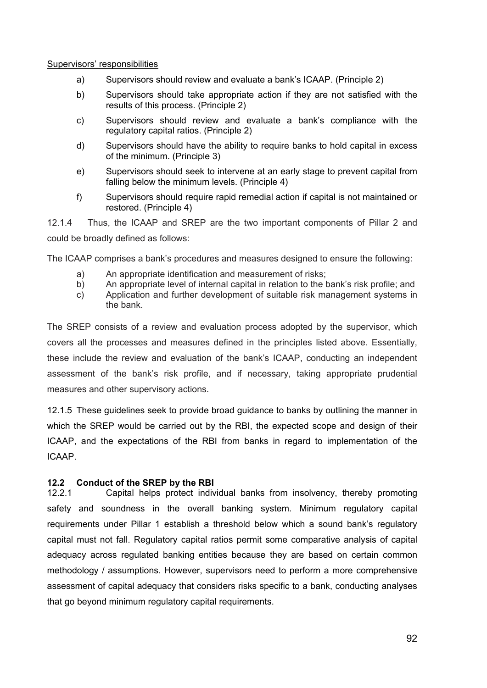#### Supervisors' responsibilities

- a) Supervisors should review and evaluate a bank's ICAAP. (Principle 2)
- b) Supervisors should take appropriate action if they are not satisfied with the results of this process. (Principle 2)
- c) Supervisors should review and evaluate a bank's compliance with the regulatory capital ratios. (Principle 2)
- d) Supervisors should have the ability to require banks to hold capital in excess of the minimum. (Principle 3)
- e) Supervisors should seek to intervene at an early stage to prevent capital from falling below the minimum levels. (Principle 4)
- f) Supervisors should require rapid remedial action if capital is not maintained or restored. (Principle 4)

12.1.4 Thus, the ICAAP and SREP are the two important components of Pillar 2 and could be broadly defined as follows:

The ICAAP comprises a bank's procedures and measures designed to ensure the following:

- a) An appropriate identification and measurement of risks;
- b) An appropriate level of internal capital in relation to the bank's risk profile; and
- c) Application and further development of suitable risk management systems in the bank.

The SREP consists of a review and evaluation process adopted by the supervisor, which covers all the processes and measures defined in the principles listed above. Essentially, these include the review and evaluation of the bank's ICAAP, conducting an independent assessment of the bank's risk profile, and if necessary, taking appropriate prudential measures and other supervisory actions.

12.1.5 These guidelines seek to provide broad guidance to banks by outlining the manner in which the SREP would be carried out by the RBI, the expected scope and design of their ICAAP, and the expectations of the RBI from banks in regard to implementation of the ICAAP.

### **12.2 Conduct of the SREP by the RBI**

12.2.1 Capital helps protect individual banks from insolvency, thereby promoting safety and soundness in the overall banking system. Minimum regulatory capital requirements under Pillar 1 establish a threshold below which a sound bank's regulatory capital must not fall. Regulatory capital ratios permit some comparative analysis of capital adequacy across regulated banking entities because they are based on certain common methodology / assumptions. However, supervisors need to perform a more comprehensive assessment of capital adequacy that considers risks specific to a bank, conducting analyses that go beyond minimum regulatory capital requirements.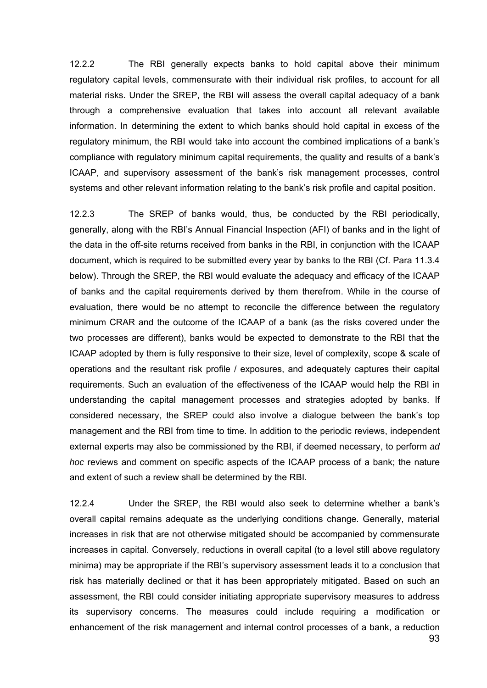12.2.2 The RBI generally expects banks to hold capital above their minimum regulatory capital levels, commensurate with their individual risk profiles, to account for all material risks. Under the SREP, the RBI will assess the overall capital adequacy of a bank through a comprehensive evaluation that takes into account all relevant available information. In determining the extent to which banks should hold capital in excess of the regulatory minimum, the RBI would take into account the combined implications of a bank's compliance with regulatory minimum capital requirements, the quality and results of a bank's ICAAP, and supervisory assessment of the bank's risk management processes, control systems and other relevant information relating to the bank's risk profile and capital position.

12.2.3 The SREP of banks would, thus, be conducted by the RBI periodically, generally, along with the RBI's Annual Financial Inspection (AFI) of banks and in the light of the data in the off-site returns received from banks in the RBI, in conjunction with the ICAAP document, which is required to be submitted every year by banks to the RBI (Cf. Para 11.3.4 below). Through the SREP, the RBI would evaluate the adequacy and efficacy of the ICAAP of banks and the capital requirements derived by them therefrom. While in the course of evaluation, there would be no attempt to reconcile the difference between the regulatory minimum CRAR and the outcome of the ICAAP of a bank (as the risks covered under the two processes are different), banks would be expected to demonstrate to the RBI that the ICAAP adopted by them is fully responsive to their size, level of complexity, scope & scale of operations and the resultant risk profile / exposures, and adequately captures their capital requirements. Such an evaluation of the effectiveness of the ICAAP would help the RBI in understanding the capital management processes and strategies adopted by banks. If considered necessary, the SREP could also involve a dialogue between the bank's top management and the RBI from time to time. In addition to the periodic reviews, independent external experts may also be commissioned by the RBI, if deemed necessary, to perform *ad hoc* reviews and comment on specific aspects of the ICAAP process of a bank; the nature and extent of such a review shall be determined by the RBI.

93 12.2.4 Under the SREP, the RBI would also seek to determine whether a bank's overall capital remains adequate as the underlying conditions change. Generally, material increases in risk that are not otherwise mitigated should be accompanied by commensurate increases in capital. Conversely, reductions in overall capital (to a level still above regulatory minima) may be appropriate if the RBI's supervisory assessment leads it to a conclusion that risk has materially declined or that it has been appropriately mitigated. Based on such an assessment, the RBI could consider initiating appropriate supervisory measures to address its supervisory concerns. The measures could include requiring a modification or enhancement of the risk management and internal control processes of a bank, a reduction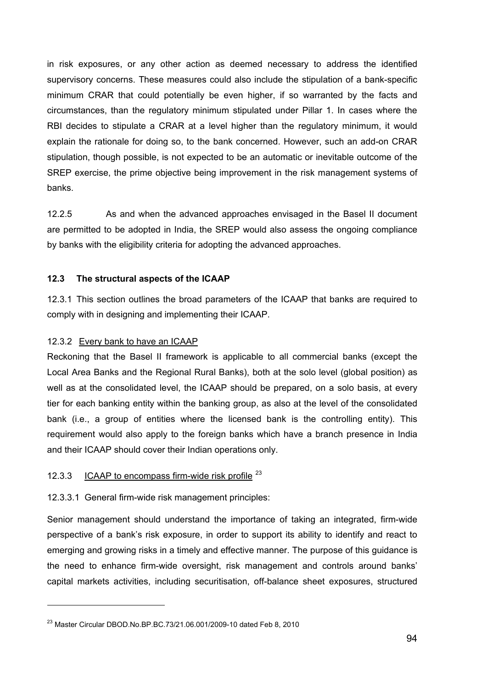in risk exposures, or any other action as deemed necessary to address the identified supervisory concerns. These measures could also include the stipulation of a bank-specific minimum CRAR that could potentially be even higher, if so warranted by the facts and circumstances, than the regulatory minimum stipulated under Pillar 1. In cases where the RBI decides to stipulate a CRAR at a level higher than the regulatory minimum, it would explain the rationale for doing so, to the bank concerned. However, such an add-on CRAR stipulation, though possible, is not expected to be an automatic or inevitable outcome of the SREP exercise, the prime objective being improvement in the risk management systems of banks.

12.2.5 As and when the advanced approaches envisaged in the Basel II document are permitted to be adopted in India, the SREP would also assess the ongoing compliance by banks with the eligibility criteria for adopting the advanced approaches.

## **12.3 The structural aspects of the ICAAP**

12.3.1 This section outlines the broad parameters of the ICAAP that banks are required to comply with in designing and implementing their ICAAP.

### 12.3.2 Every bank to have an ICAAP

l

Reckoning that the Basel II framework is applicable to all commercial banks (except the Local Area Banks and the Regional Rural Banks), both at the solo level (global position) as well as at the consolidated level, the ICAAP should be prepared, on a solo basis, at every tier for each banking entity within the banking group, as also at the level of the consolidated bank (i.e., a group of entities where the licensed bank is the controlling entity). This requirement would also apply to the foreign banks which have a branch presence in India and their ICAAP should cover their Indian operations only.

# 1[2](#page-93-0).3.3 ICAAP to encompass firm-wide risk profile  $^{23}$

## 12.3.3.1 General firm-wide risk management principles:

Senior management should understand the importance of taking an integrated, firm-wide perspective of a bank's risk exposure, in order to support its ability to identify and react to emerging and growing risks in a timely and effective manner. The purpose of this guidance is the need to enhance firm-wide oversight, risk management and controls around banks' capital markets activities, including securitisation, off-balance sheet exposures, structured

<span id="page-93-0"></span><sup>&</sup>lt;sup>23</sup> Master Circular DBOD.No.BP.BC.73/21.06.001/2009-10 dated Feb 8, 2010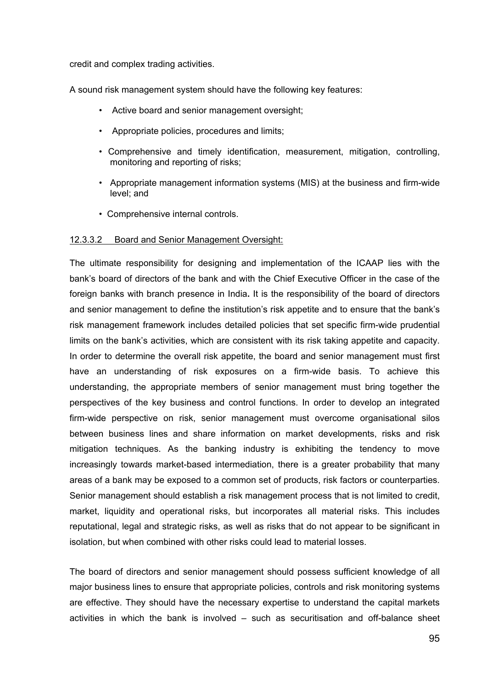credit and complex trading activities.

A sound risk management system should have the following key features:

- Active board and senior management oversight;
- Appropriate policies, procedures and limits;
- Comprehensive and timely identification, measurement, mitigation, controlling, monitoring and reporting of risks;
- Appropriate management information systems (MIS) at the business and firm-wide level; and
- Comprehensive internal controls.

#### 12.3.3.2 Board and Senior Management Oversight:

The ultimate responsibility for designing and implementation of the ICAAP lies with the bank's board of directors of the bank and with the Chief Executive Officer in the case of the foreign banks with branch presence in India**.** It is the responsibility of the board of directors and senior management to define the institution's risk appetite and to ensure that the bank's risk management framework includes detailed policies that set specific firm-wide prudential limits on the bank's activities, which are consistent with its risk taking appetite and capacity. In order to determine the overall risk appetite, the board and senior management must first have an understanding of risk exposures on a firm-wide basis. To achieve this understanding, the appropriate members of senior management must bring together the perspectives of the key business and control functions. In order to develop an integrated firm-wide perspective on risk, senior management must overcome organisational silos between business lines and share information on market developments, risks and risk mitigation techniques. As the banking industry is exhibiting the tendency to move increasingly towards market-based intermediation, there is a greater probability that many areas of a bank may be exposed to a common set of products, risk factors or counterparties. Senior management should establish a risk management process that is not limited to credit, market, liquidity and operational risks, but incorporates all material risks. This includes reputational, legal and strategic risks, as well as risks that do not appear to be significant in isolation, but when combined with other risks could lead to material losses.

The board of directors and senior management should possess sufficient knowledge of all major business lines to ensure that appropriate policies, controls and risk monitoring systems are effective. They should have the necessary expertise to understand the capital markets activities in which the bank is involved – such as securitisation and off-balance sheet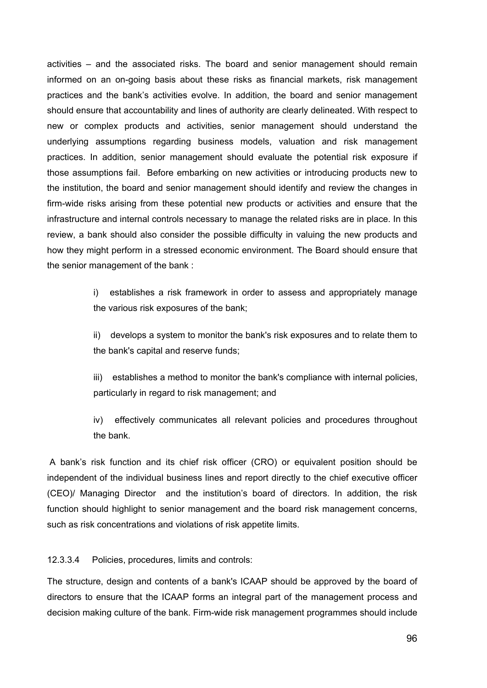activities – and the associated risks. The board and senior management should remain informed on an on-going basis about these risks as financial markets, risk management practices and the bank's activities evolve. In addition, the board and senior management should ensure that accountability and lines of authority are clearly delineated. With respect to new or complex products and activities, senior management should understand the underlying assumptions regarding business models, valuation and risk management practices. In addition, senior management should evaluate the potential risk exposure if those assumptions fail. Before embarking on new activities or introducing products new to the institution, the board and senior management should identify and review the changes in firm-wide risks arising from these potential new products or activities and ensure that the infrastructure and internal controls necessary to manage the related risks are in place. In this review, a bank should also consider the possible difficulty in valuing the new products and how they might perform in a stressed economic environment. The Board should ensure that the senior management of the bank :

> i) establishes a risk framework in order to assess and appropriately manage the various risk exposures of the bank;

> ii) develops a system to monitor the bank's risk exposures and to relate them to the bank's capital and reserve funds;

> iii) establishes a method to monitor the bank's compliance with internal policies, particularly in regard to risk management; and

> iv) effectively communicates all relevant policies and procedures throughout the bank.

 A bank's risk function and its chief risk officer (CRO) or equivalent position should be independent of the individual business lines and report directly to the chief executive officer (CEO)/ Managing Director and the institution's board of directors. In addition, the risk function should highlight to senior management and the board risk management concerns, such as risk concentrations and violations of risk appetite limits.

12.3.3.4 Policies, procedures, limits and controls:

The structure, design and contents of a bank's ICAAP should be approved by the board of directors to ensure that the ICAAP forms an integral part of the management process and decision making culture of the bank. Firm-wide risk management programmes should include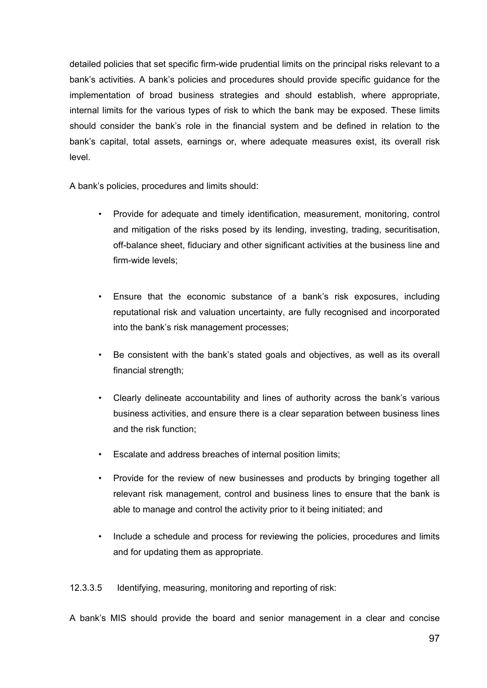detailed policies that set specific firm-wide prudential limits on the principal risks relevant to a bank's activities. A bank's policies and procedures should provide specific guidance for the implementation of broad business strategies and should establish, where appropriate, internal limits for the various types of risk to which the bank may be exposed. These limits should consider the bank's role in the financial system and be defined in relation to the bank's capital, total assets, earnings or, where adequate measures exist, its overall risk level.

A bank's policies, procedures and limits should:

- Provide for adequate and timely identification, measurement, monitoring, control and mitigation of the risks posed by its lending, investing, trading, securitisation, off-balance sheet, fiduciary and other significant activities at the business line and firm-wide levels;
- Ensure that the economic substance of a bank's risk exposures, including reputational risk and valuation uncertainty, are fully recognised and incorporated into the bank's risk management processes;
- Be consistent with the bank's stated goals and objectives, as well as its overall financial strength;
- Clearly delineate accountability and lines of authority across the bank's various business activities, and ensure there is a clear separation between business lines and the risk function;
- Escalate and address breaches of internal position limits;
- Provide for the review of new businesses and products by bringing together all relevant risk management, control and business lines to ensure that the bank is able to manage and control the activity prior to it being initiated; and
- Include a schedule and process for reviewing the policies, procedures and limits and for updating them as appropriate.

12.3.3.5 Identifying, measuring, monitoring and reporting of risk:

A bank's MIS should provide the board and senior management in a clear and concise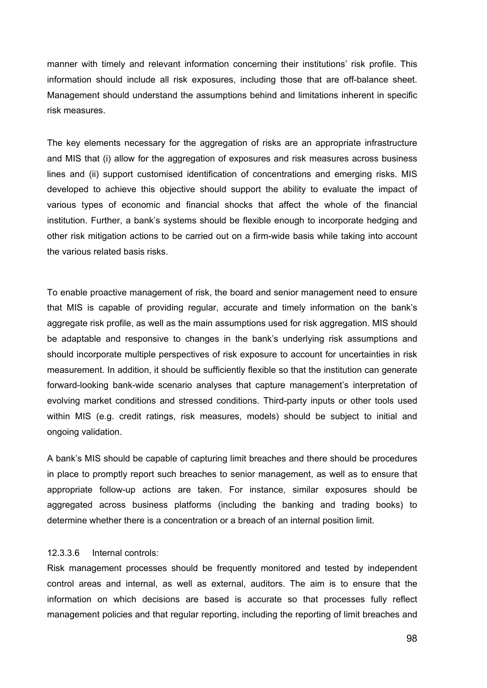manner with timely and relevant information concerning their institutions' risk profile. This information should include all risk exposures, including those that are off-balance sheet. Management should understand the assumptions behind and limitations inherent in specific risk measures.

The key elements necessary for the aggregation of risks are an appropriate infrastructure and MIS that (i) allow for the aggregation of exposures and risk measures across business lines and (ii) support customised identification of concentrations and emerging risks. MIS developed to achieve this objective should support the ability to evaluate the impact of various types of economic and financial shocks that affect the whole of the financial institution. Further, a bank's systems should be flexible enough to incorporate hedging and other risk mitigation actions to be carried out on a firm-wide basis while taking into account the various related basis risks.

To enable proactive management of risk, the board and senior management need to ensure that MIS is capable of providing regular, accurate and timely information on the bank's aggregate risk profile, as well as the main assumptions used for risk aggregation. MIS should be adaptable and responsive to changes in the bank's underlying risk assumptions and should incorporate multiple perspectives of risk exposure to account for uncertainties in risk measurement. In addition, it should be sufficiently flexible so that the institution can generate forward-looking bank-wide scenario analyses that capture management's interpretation of evolving market conditions and stressed conditions. Third-party inputs or other tools used within MIS (e.g. credit ratings, risk measures, models) should be subject to initial and ongoing validation.

A bank's MIS should be capable of capturing limit breaches and there should be procedures in place to promptly report such breaches to senior management, as well as to ensure that appropriate follow-up actions are taken. For instance, similar exposures should be aggregated across business platforms (including the banking and trading books) to determine whether there is a concentration or a breach of an internal position limit.

#### 12.3.3.6 Internal controls:

Risk management processes should be frequently monitored and tested by independent control areas and internal, as well as external, auditors. The aim is to ensure that the information on which decisions are based is accurate so that processes fully reflect management policies and that regular reporting, including the reporting of limit breaches and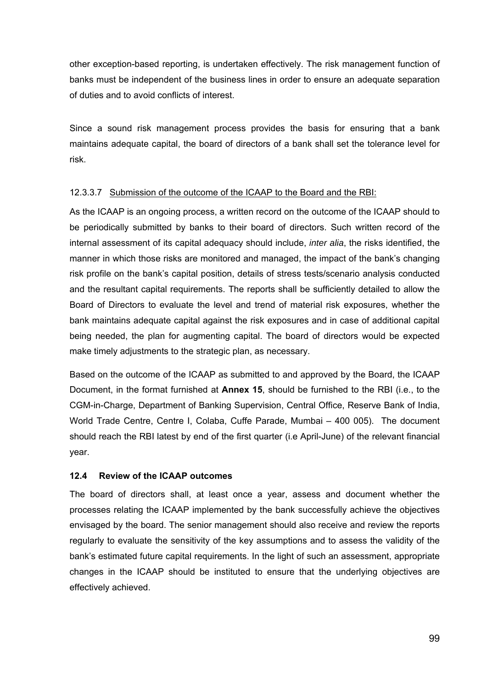other exception-based reporting, is undertaken effectively. The risk management function of banks must be independent of the business lines in order to ensure an adequate separation of duties and to avoid conflicts of interest.

Since a sound risk management process provides the basis for ensuring that a bank maintains adequate capital, the board of directors of a bank shall set the tolerance level for risk.

## 12.3.3.7 Submission of the outcome of the ICAAP to the Board and the RBI:

As the ICAAP is an ongoing process, a written record on the outcome of the ICAAP should to be periodically submitted by banks to their board of directors. Such written record of the internal assessment of its capital adequacy should include, *inter alia*, the risks identified, the manner in which those risks are monitored and managed, the impact of the bank's changing risk profile on the bank's capital position, details of stress tests/scenario analysis conducted and the resultant capital requirements. The reports shall be sufficiently detailed to allow the Board of Directors to evaluate the level and trend of material risk exposures, whether the bank maintains adequate capital against the risk exposures and in case of additional capital being needed, the plan for augmenting capital. The board of directors would be expected make timely adjustments to the strategic plan, as necessary.

Based on the outcome of the ICAAP as submitted to and approved by the Board, the ICAAP Document, in the format furnished at **Annex 15**, should be furnished to the RBI (i.e., to the CGM-in-Charge, Department of Banking Supervision, Central Office, Reserve Bank of India, World Trade Centre, Centre I, Colaba, Cuffe Parade, Mumbai – 400 005). The document should reach the RBI latest by end of the first quarter (i.e April-June) of the relevant financial year.

## **12.4 Review of the ICAAP outcomes**

The board of directors shall, at least once a year, assess and document whether the processes relating the ICAAP implemented by the bank successfully achieve the objectives envisaged by the board. The senior management should also receive and review the reports regularly to evaluate the sensitivity of the key assumptions and to assess the validity of the bank's estimated future capital requirements. In the light of such an assessment, appropriate changes in the ICAAP should be instituted to ensure that the underlying objectives are effectively achieved.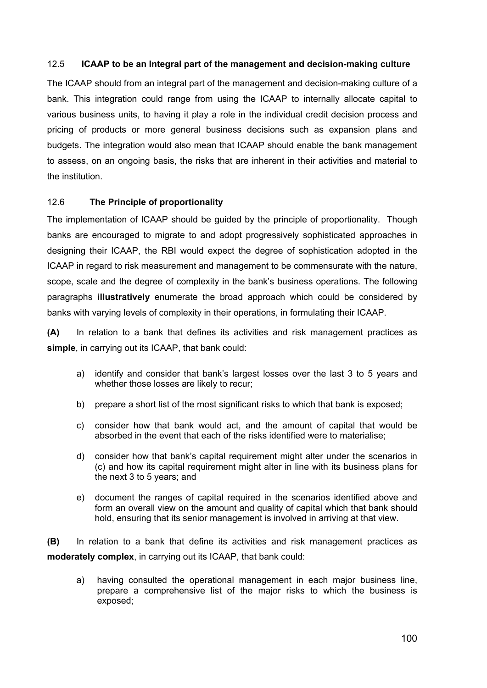### 12.5 **ICAAP to be an Integral part of the management and decision-making culture**

The ICAAP should from an integral part of the management and decision-making culture of a bank. This integration could range from using the ICAAP to internally allocate capital to various business units, to having it play a role in the individual credit decision process and pricing of products or more general business decisions such as expansion plans and budgets. The integration would also mean that ICAAP should enable the bank management to assess, on an ongoing basis, the risks that are inherent in their activities and material to the institution.

## 12.6 **The Principle of proportionality**

The implementation of ICAAP should be guided by the principle of proportionality. Though banks are encouraged to migrate to and adopt progressively sophisticated approaches in designing their ICAAP, the RBI would expect the degree of sophistication adopted in the ICAAP in regard to risk measurement and management to be commensurate with the nature, scope, scale and the degree of complexity in the bank's business operations. The following paragraphs **illustratively** enumerate the broad approach which could be considered by banks with varying levels of complexity in their operations, in formulating their ICAAP.

**(A)** In relation to a bank that defines its activities and risk management practices as **simple**, in carrying out its ICAAP, that bank could:

- a) identify and consider that bank's largest losses over the last 3 to 5 years and whether those losses are likely to recur;
- b) prepare a short list of the most significant risks to which that bank is exposed;
- c) consider how that bank would act, and the amount of capital that would be absorbed in the event that each of the risks identified were to materialise;
- d) consider how that bank's capital requirement might alter under the scenarios in (c) and how its capital requirement might alter in line with its business plans for the next 3 to 5 years; and
- e) document the ranges of capital required in the scenarios identified above and form an overall view on the amount and quality of capital which that bank should hold, ensuring that its senior management is involved in arriving at that view.

**(B)** In relation to a bank that define its activities and risk management practices as **moderately complex**, in carrying out its ICAAP, that bank could:

a) having consulted the operational management in each major business line, prepare a comprehensive list of the major risks to which the business is exposed;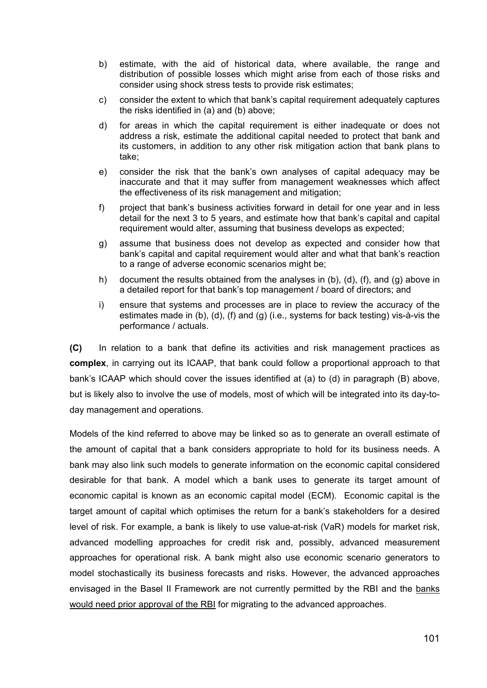- b) estimate, with the aid of historical data, where available, the range and distribution of possible losses which might arise from each of those risks and consider using shock stress tests to provide risk estimates;
- c) consider the extent to which that bank's capital requirement adequately captures the risks identified in (a) and (b) above;
- d) for areas in which the capital requirement is either inadequate or does not address a risk, estimate the additional capital needed to protect that bank and its customers, in addition to any other risk mitigation action that bank plans to take;
- e) consider the risk that the bank's own analyses of capital adequacy may be inaccurate and that it may suffer from management weaknesses which affect the effectiveness of its risk management and mitigation;
- f) project that bank's business activities forward in detail for one year and in less detail for the next 3 to 5 years, and estimate how that bank's capital and capital requirement would alter, assuming that business develops as expected;
- g) assume that business does not develop as expected and consider how that bank's capital and capital requirement would alter and what that bank's reaction to a range of adverse economic scenarios might be;
- h) document the results obtained from the analyses in (b), (d), (f), and (g) above in a detailed report for that bank's top management / board of directors; and
- i) ensure that systems and processes are in place to review the accuracy of the estimates made in (b), (d), (f) and (g) (i.e., systems for back testing) vis-à-vis the performance / actuals.

**(C)** In relation to a bank that define its activities and risk management practices as **complex**, in carrying out its ICAAP, that bank could follow a proportional approach to that bank's ICAAP which should cover the issues identified at (a) to (d) in paragraph (B) above, but is likely also to involve the use of models, most of which will be integrated into its day-today management and operations.

Models of the kind referred to above may be linked so as to generate an overall estimate of the amount of capital that a bank considers appropriate to hold for its business needs. A bank may also link such models to generate information on the economic capital considered desirable for that bank. A model which a bank uses to generate its target amount of economic capital is known as an economic capital model (ECM). Economic capital is the target amount of capital which optimises the return for a bank's stakeholders for a desired level of risk. For example, a bank is likely to use value-at-risk (VaR) models for market risk, advanced modelling approaches for credit risk and, possibly, advanced measurement approaches for operational risk. A bank might also use economic scenario generators to model stochastically its business forecasts and risks. However, the advanced approaches envisaged in the Basel II Framework are not currently permitted by the RBI and the banks would need prior approval of the RBI for migrating to the advanced approaches.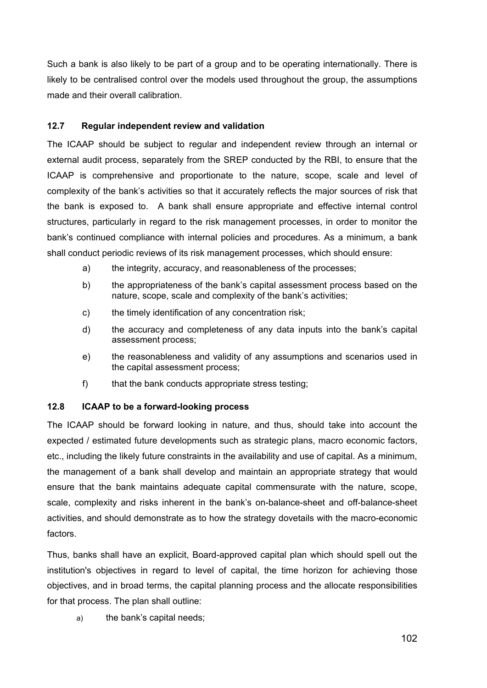Such a bank is also likely to be part of a group and to be operating internationally. There is likely to be centralised control over the models used throughout the group, the assumptions made and their overall calibration.

## **12.7 Regular independent review and validation**

The ICAAP should be subject to regular and independent review through an internal or external audit process, separately from the SREP conducted by the RBI, to ensure that the ICAAP is comprehensive and proportionate to the nature, scope, scale and level of complexity of the bank's activities so that it accurately reflects the major sources of risk that the bank is exposed to. A bank shall ensure appropriate and effective internal control structures, particularly in regard to the risk management processes, in order to monitor the bank's continued compliance with internal policies and procedures. As a minimum, a bank shall conduct periodic reviews of its risk management processes, which should ensure:

- a) the integrity, accuracy, and reasonableness of the processes;
- b) the appropriateness of the bank's capital assessment process based on the nature, scope, scale and complexity of the bank's activities;
- c) the timely identification of any concentration risk;
- d) the accuracy and completeness of any data inputs into the bank's capital assessment process;
- e) the reasonableness and validity of any assumptions and scenarios used in the capital assessment process;
- f) that the bank conducts appropriate stress testing;

## **12.8 ICAAP to be a forward-looking process**

The ICAAP should be forward looking in nature, and thus, should take into account the expected / estimated future developments such as strategic plans, macro economic factors, etc., including the likely future constraints in the availability and use of capital. As a minimum, the management of a bank shall develop and maintain an appropriate strategy that would ensure that the bank maintains adequate capital commensurate with the nature, scope, scale, complexity and risks inherent in the bank's on-balance-sheet and off-balance-sheet activities, and should demonstrate as to how the strategy dovetails with the macro-economic factors.

Thus, banks shall have an explicit, Board-approved capital plan which should spell out the institution's objectives in regard to level of capital, the time horizon for achieving those objectives, and in broad terms, the capital planning process and the allocate responsibilities for that process. The plan shall outline:

a) the bank's capital needs;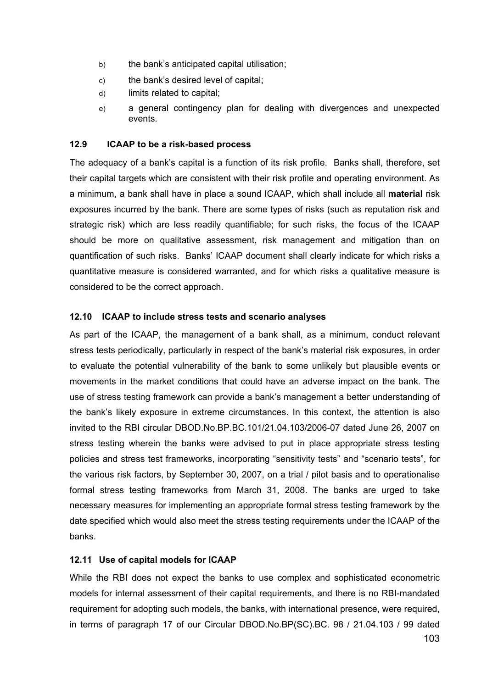- b) the bank's anticipated capital utilisation;
- c) the bank's desired level of capital;
- d) limits related to capital;
- e) a general contingency plan for dealing with divergences and unexpected events.

### **12.9 ICAAP to be a risk-based process**

The adequacy of a bank's capital is a function of its risk profile. Banks shall, therefore, set their capital targets which are consistent with their risk profile and operating environment. As a minimum, a bank shall have in place a sound ICAAP, which shall include all **material** risk exposures incurred by the bank. There are some types of risks (such as reputation risk and strategic risk) which are less readily quantifiable; for such risks, the focus of the ICAAP should be more on qualitative assessment, risk management and mitigation than on quantification of such risks. Banks' ICAAP document shall clearly indicate for which risks a quantitative measure is considered warranted, and for which risks a qualitative measure is considered to be the correct approach.

## **12.10 ICAAP to include stress tests and scenario analyses**

As part of the ICAAP, the management of a bank shall, as a minimum, conduct relevant stress tests periodically, particularly in respect of the bank's material risk exposures, in order to evaluate the potential vulnerability of the bank to some unlikely but plausible events or movements in the market conditions that could have an adverse impact on the bank. The use of stress testing framework can provide a bank's management a better understanding of the bank's likely exposure in extreme circumstances. In this context, the attention is also invited to the RBI circular DBOD.No.BP.BC.101/21.04.103/2006-07 dated June 26, 2007 on stress testing wherein the banks were advised to put in place appropriate stress testing policies and stress test frameworks, incorporating "sensitivity tests" and "scenario tests", for the various risk factors, by September 30, 2007, on a trial / pilot basis and to operationalise formal stress testing frameworks from March 31, 2008. The banks are urged to take necessary measures for implementing an appropriate formal stress testing framework by the date specified which would also meet the stress testing requirements under the ICAAP of the banks.

## **12.11 Use of capital models for ICAAP**

While the RBI does not expect the banks to use complex and sophisticated econometric models for internal assessment of their capital requirements, and there is no RBI-mandated requirement for adopting such models, the banks, with international presence, were required, in terms of paragraph 17 of our Circular DBOD.No.BP(SC).BC. 98 / 21.04.103 / 99 dated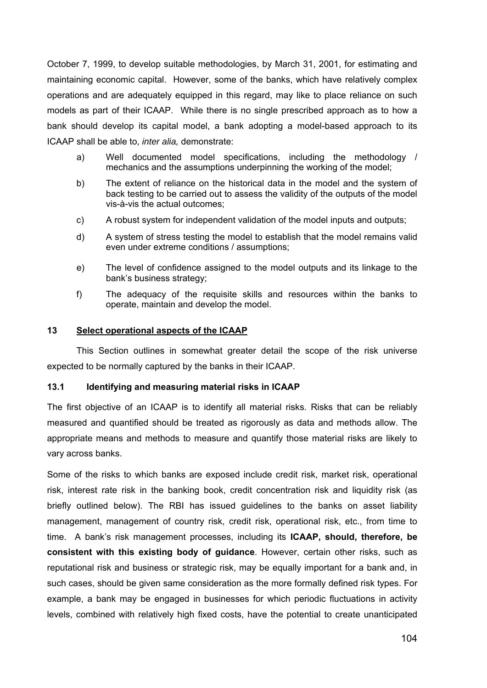October 7, 1999, to develop suitable methodologies, by March 31, 2001, for estimating and maintaining economic capital. However, some of the banks, which have relatively complex operations and are adequately equipped in this regard, may like to place reliance on such models as part of their ICAAP. While there is no single prescribed approach as to how a bank should develop its capital model, a bank adopting a model-based approach to its ICAAP shall be able to, *inter alia,* demonstrate:

- a) Well documented model specifications, including the methodology / mechanics and the assumptions underpinning the working of the model;
- b) The extent of reliance on the historical data in the model and the system of back testing to be carried out to assess the validity of the outputs of the model vis-à-vis the actual outcomes;
- c) A robust system for independent validation of the model inputs and outputs;
- d) A system of stress testing the model to establish that the model remains valid even under extreme conditions / assumptions;
- e) The level of confidence assigned to the model outputs and its linkage to the bank's business strategy;
- f) The adequacy of the requisite skills and resources within the banks to operate, maintain and develop the model.

#### **13 Select operational aspects of the ICAAP**

 This Section outlines in somewhat greater detail the scope of the risk universe expected to be normally captured by the banks in their ICAAP.

### **13.1 Identifying and measuring material risks in ICAAP**

The first objective of an ICAAP is to identify all material risks. Risks that can be reliably measured and quantified should be treated as rigorously as data and methods allow. The appropriate means and methods to measure and quantify those material risks are likely to vary across banks.

Some of the risks to which banks are exposed include credit risk, market risk, operational risk, interest rate risk in the banking book, credit concentration risk and liquidity risk (as briefly outlined below). The RBI has issued guidelines to the banks on asset liability management, management of country risk, credit risk, operational risk, etc., from time to time. A bank's risk management processes, including its **ICAAP, should, therefore, be consistent with this existing body of guidance**. However, certain other risks, such as reputational risk and business or strategic risk, may be equally important for a bank and, in such cases, should be given same consideration as the more formally defined risk types. For example, a bank may be engaged in businesses for which periodic fluctuations in activity levels, combined with relatively high fixed costs, have the potential to create unanticipated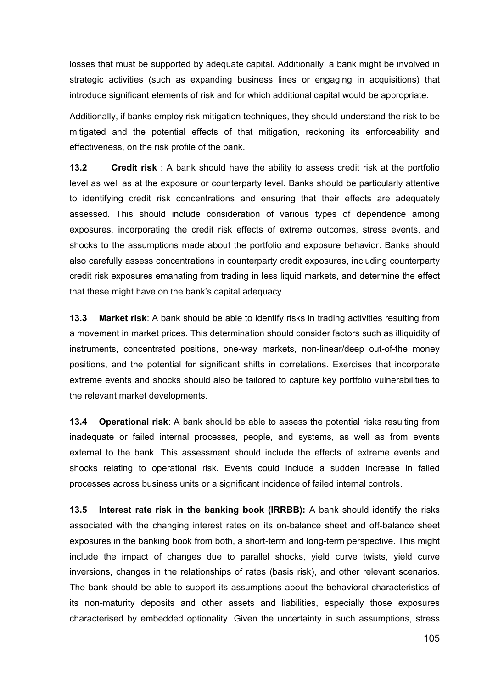losses that must be supported by adequate capital. Additionally, a bank might be involved in strategic activities (such as expanding business lines or engaging in acquisitions) that introduce significant elements of risk and for which additional capital would be appropriate.

Additionally, if banks employ risk mitigation techniques, they should understand the risk to be mitigated and the potential effects of that mitigation, reckoning its enforceability and effectiveness, on the risk profile of the bank.

**13.2 Credit risk** : A bank should have the ability to assess credit risk at the portfolio level as well as at the exposure or counterparty level. Banks should be particularly attentive to identifying credit risk concentrations and ensuring that their effects are adequately assessed. This should include consideration of various types of dependence among exposures, incorporating the credit risk effects of extreme outcomes, stress events, and shocks to the assumptions made about the portfolio and exposure behavior. Banks should also carefully assess concentrations in counterparty credit exposures, including counterparty credit risk exposures emanating from trading in less liquid markets, and determine the effect that these might have on the bank's capital adequacy.

**13.3 Market risk**: A bank should be able to identify risks in trading activities resulting from a movement in market prices. This determination should consider factors such as illiquidity of instruments, concentrated positions, one-way markets, non-linear/deep out-of-the money positions, and the potential for significant shifts in correlations. Exercises that incorporate extreme events and shocks should also be tailored to capture key portfolio vulnerabilities to the relevant market developments.

**13.4 Operational risk**: A bank should be able to assess the potential risks resulting from inadequate or failed internal processes, people, and systems, as well as from events external to the bank. This assessment should include the effects of extreme events and shocks relating to operational risk. Events could include a sudden increase in failed processes across business units or a significant incidence of failed internal controls.

**13.5 Interest rate risk in the banking book (IRRBB):** A bank should identify the risks associated with the changing interest rates on its on-balance sheet and off-balance sheet exposures in the banking book from both, a short-term and long-term perspective. This might include the impact of changes due to parallel shocks, yield curve twists, yield curve inversions, changes in the relationships of rates (basis risk), and other relevant scenarios. The bank should be able to support its assumptions about the behavioral characteristics of its non-maturity deposits and other assets and liabilities, especially those exposures characterised by embedded optionality. Given the uncertainty in such assumptions, stress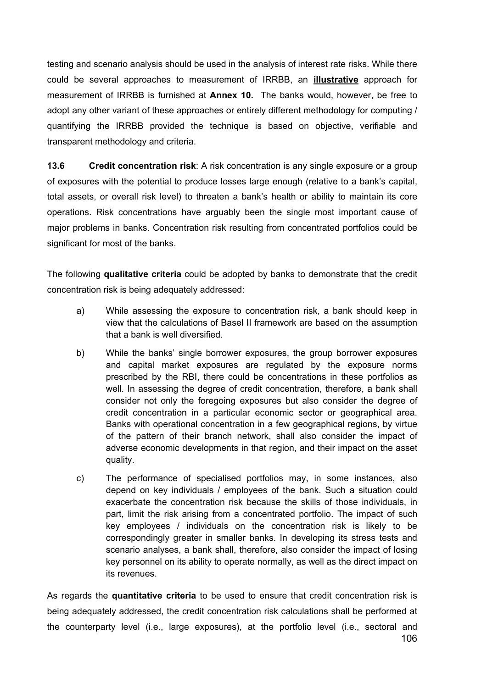testing and scenario analysis should be used in the analysis of interest rate risks. While there could be several approaches to measurement of IRRBB, an **illustrative** approach for measurement of IRRBB is furnished at **Annex 10.** The banks would, however, be free to adopt any other variant of these approaches or entirely different methodology for computing / quantifying the IRRBB provided the technique is based on objective, verifiable and transparent methodology and criteria.

**13.6 Credit concentration risk**: A risk concentration is any single exposure or a group of exposures with the potential to produce losses large enough (relative to a bank's capital, total assets, or overall risk level) to threaten a bank's health or ability to maintain its core operations. Risk concentrations have arguably been the single most important cause of major problems in banks. Concentration risk resulting from concentrated portfolios could be significant for most of the banks.

The following **qualitative criteria** could be adopted by banks to demonstrate that the credit concentration risk is being adequately addressed:

- a) While assessing the exposure to concentration risk, a bank should keep in view that the calculations of Basel II framework are based on the assumption that a bank is well diversified.
- b) While the banks' single borrower exposures, the group borrower exposures and capital market exposures are regulated by the exposure norms prescribed by the RBI, there could be concentrations in these portfolios as well. In assessing the degree of credit concentration, therefore, a bank shall consider not only the foregoing exposures but also consider the degree of credit concentration in a particular economic sector or geographical area. Banks with operational concentration in a few geographical regions, by virtue of the pattern of their branch network, shall also consider the impact of adverse economic developments in that region, and their impact on the asset quality.
- c) The performance of specialised portfolios may, in some instances, also depend on key individuals / employees of the bank. Such a situation could exacerbate the concentration risk because the skills of those individuals, in part, limit the risk arising from a concentrated portfolio. The impact of such key employees / individuals on the concentration risk is likely to be correspondingly greater in smaller banks. In developing its stress tests and scenario analyses, a bank shall, therefore, also consider the impact of losing key personnel on its ability to operate normally, as well as the direct impact on its revenues.

As regards the **quantitative criteria** to be used to ensure that credit concentration risk is being adequately addressed, the credit concentration risk calculations shall be performed at the counterparty level (i.e., large exposures), at the portfolio level (i.e., sectoral and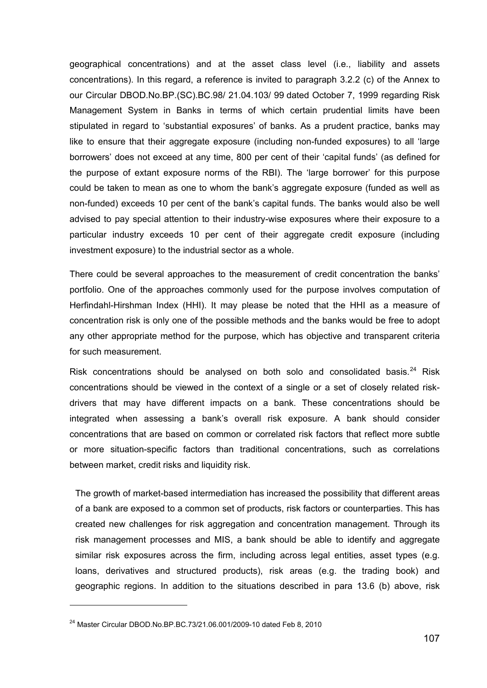geographical concentrations) and at the asset class level (i.e., liability and assets concentrations). In this regard, a reference is invited to paragraph 3.2.2 (c) of the Annex to our Circular DBOD.No.BP.(SC).BC.98/ 21.04.103/ 99 dated October 7, 1999 regarding Risk Management System in Banks in terms of which certain prudential limits have been stipulated in regard to 'substantial exposures' of banks. As a prudent practice, banks may like to ensure that their aggregate exposure (including non-funded exposures) to all 'large borrowers' does not exceed at any time, 800 per cent of their 'capital funds' (as defined for the purpose of extant exposure norms of the RBI). The 'large borrower' for this purpose could be taken to mean as one to whom the bank's aggregate exposure (funded as well as non-funded) exceeds 10 per cent of the bank's capital funds. The banks would also be well advised to pay special attention to their industry-wise exposures where their exposure to a particular industry exceeds 10 per cent of their aggregate credit exposure (including investment exposure) to the industrial sector as a whole.

There could be several approaches to the measurement of credit concentration the banks' portfolio. One of the approaches commonly used for the purpose involves computation of Herfindahl-Hirshman Index (HHI). It may please be noted that the HHI as a measure of concentration risk is only one of the possible methods and the banks would be free to adopt any other appropriate method for the purpose, which has objective and transparent criteria for such measurement.

Risk concentrations should be analysed on both solo and consolidated basis. $^{24}$  $^{24}$  $^{24}$  Risk concentrations should be viewed in the context of a single or a set of closely related riskdrivers that may have different impacts on a bank. These concentrations should be integrated when assessing a bank's overall risk exposure. A bank should consider concentrations that are based on common or correlated risk factors that reflect more subtle or more situation-specific factors than traditional concentrations, such as correlations between market, credit risks and liquidity risk.

The growth of market-based intermediation has increased the possibility that different areas of a bank are exposed to a common set of products, risk factors or counterparties. This has created new challenges for risk aggregation and concentration management. Through its risk management processes and MIS, a bank should be able to identify and aggregate similar risk exposures across the firm, including across legal entities, asset types (e.g. loans, derivatives and structured products), risk areas (e.g. the trading book) and geographic regions. In addition to the situations described in para 13.6 (b) above, risk

1

<span id="page-106-0"></span><sup>&</sup>lt;sup>24</sup> Master Circular DBOD.No.BP.BC.73/21.06.001/2009-10 dated Feb 8, 2010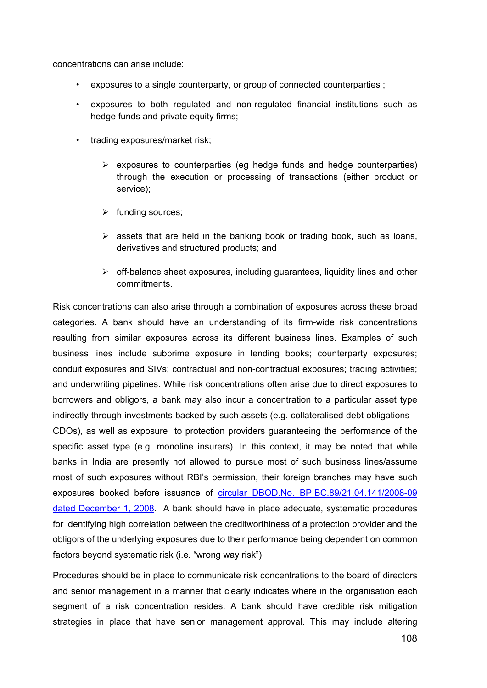concentrations can arise include:

- exposures to a single counterparty, or group of connected counterparties;
- exposures to both regulated and non-regulated financial institutions such as hedge funds and private equity firms;
- trading exposures/market risk;
	- $\triangleright$  exposures to counterparties (eq hedge funds and hedge counterparties) through the execution or processing of transactions (either product or service);
	- $\triangleright$  funding sources;
	- $\triangleright$  assets that are held in the banking book or trading book, such as loans, derivatives and structured products; and
	- $\triangleright$  off-balance sheet exposures, including guarantees, liquidity lines and other commitments.

Risk concentrations can also arise through a combination of exposures across these broad categories. A bank should have an understanding of its firm-wide risk concentrations resulting from similar exposures across its different business lines. Examples of such business lines include subprime exposure in lending books; counterparty exposures; conduit exposures and SIVs; contractual and non-contractual exposures; trading activities; and underwriting pipelines. While risk concentrations often arise due to direct exposures to borrowers and obligors, a bank may also incur a concentration to a particular asset type indirectly through investments backed by such assets (e.g. collateralised debt obligations – CDOs), as well as exposure to protection providers guaranteeing the performance of the specific asset type (e.g. monoline insurers). In this context, it may be noted that while banks in India are presently not allowed to pursue most of such business lines/assume most of such exposures without RBI's permission, their foreign branches may have such exposures booked before issuance of [circular DBOD.No. BP.BC.89/21.04.141/2008-09](http://rbi.org.in/scripts/NotificationUser.aspx?Id=4676&Mode=0)  [dated December 1, 2008.](http://rbi.org.in/scripts/NotificationUser.aspx?Id=4676&Mode=0) A bank should have in place adequate, systematic procedures for identifying high correlation between the creditworthiness of a protection provider and the obligors of the underlying exposures due to their performance being dependent on common factors beyond systematic risk (i.e. "wrong way risk").

Procedures should be in place to communicate risk concentrations to the board of directors and senior management in a manner that clearly indicates where in the organisation each segment of a risk concentration resides. A bank should have credible risk mitigation strategies in place that have senior management approval. This may include altering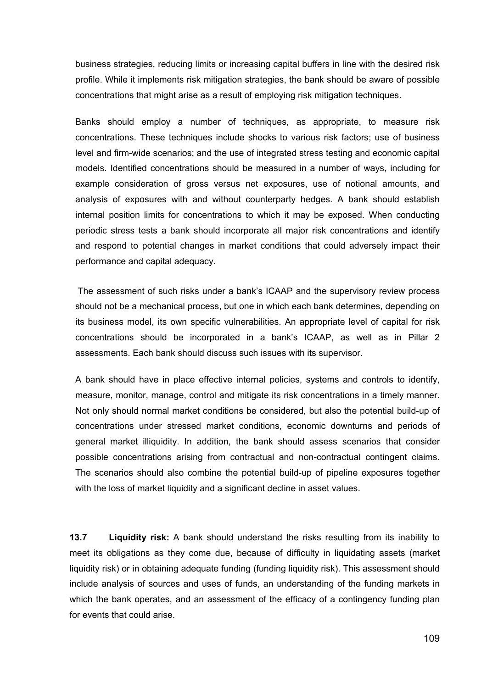business strategies, reducing limits or increasing capital buffers in line with the desired risk profile. While it implements risk mitigation strategies, the bank should be aware of possible concentrations that might arise as a result of employing risk mitigation techniques.

Banks should employ a number of techniques, as appropriate, to measure risk concentrations. These techniques include shocks to various risk factors; use of business level and firm-wide scenarios; and the use of integrated stress testing and economic capital models. Identified concentrations should be measured in a number of ways, including for example consideration of gross versus net exposures, use of notional amounts, and analysis of exposures with and without counterparty hedges. A bank should establish internal position limits for concentrations to which it may be exposed. When conducting periodic stress tests a bank should incorporate all major risk concentrations and identify and respond to potential changes in market conditions that could adversely impact their performance and capital adequacy.

 The assessment of such risks under a bank's ICAAP and the supervisory review process should not be a mechanical process, but one in which each bank determines, depending on its business model, its own specific vulnerabilities. An appropriate level of capital for risk concentrations should be incorporated in a bank's ICAAP, as well as in Pillar 2 assessments. Each bank should discuss such issues with its supervisor.

A bank should have in place effective internal policies, systems and controls to identify, measure, monitor, manage, control and mitigate its risk concentrations in a timely manner. Not only should normal market conditions be considered, but also the potential build-up of concentrations under stressed market conditions, economic downturns and periods of general market illiquidity. In addition, the bank should assess scenarios that consider possible concentrations arising from contractual and non-contractual contingent claims. The scenarios should also combine the potential build-up of pipeline exposures together with the loss of market liquidity and a significant decline in asset values.

**13.7 Liquidity risk:** A bank should understand the risks resulting from its inability to meet its obligations as they come due, because of difficulty in liquidating assets (market liquidity risk) or in obtaining adequate funding (funding liquidity risk). This assessment should include analysis of sources and uses of funds, an understanding of the funding markets in which the bank operates, and an assessment of the efficacy of a contingency funding plan for events that could arise.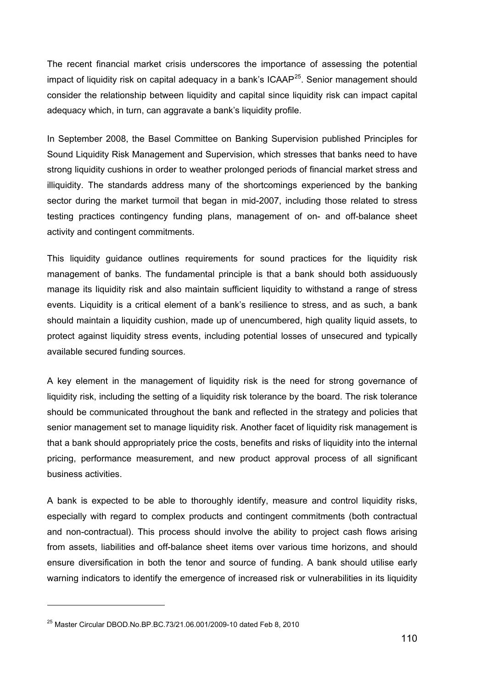The recent financial market crisis underscores the importance of assessing the potential impact of liquidity risk on capital adequacy in a bank's  $ICAAP<sup>25</sup>$  $ICAAP<sup>25</sup>$  $ICAAP<sup>25</sup>$ . Senior management should consider the relationship between liquidity and capital since liquidity risk can impact capital adequacy which, in turn, can aggravate a bank's liquidity profile.

In September 2008, the Basel Committee on Banking Supervision published Principles for Sound Liquidity Risk Management and Supervision, which stresses that banks need to have strong liquidity cushions in order to weather prolonged periods of financial market stress and illiquidity. The standards address many of the shortcomings experienced by the banking sector during the market turmoil that began in mid-2007, including those related to stress testing practices contingency funding plans, management of on- and off-balance sheet activity and contingent commitments.

This liquidity guidance outlines requirements for sound practices for the liquidity risk management of banks. The fundamental principle is that a bank should both assiduously manage its liquidity risk and also maintain sufficient liquidity to withstand a range of stress events. Liquidity is a critical element of a bank's resilience to stress, and as such, a bank should maintain a liquidity cushion, made up of unencumbered, high quality liquid assets, to protect against liquidity stress events, including potential losses of unsecured and typically available secured funding sources.

A key element in the management of liquidity risk is the need for strong governance of liquidity risk, including the setting of a liquidity risk tolerance by the board. The risk tolerance should be communicated throughout the bank and reflected in the strategy and policies that senior management set to manage liquidity risk. Another facet of liquidity risk management is that a bank should appropriately price the costs, benefits and risks of liquidity into the internal pricing, performance measurement, and new product approval process of all significant business activities.

A bank is expected to be able to thoroughly identify, measure and control liquidity risks, especially with regard to complex products and contingent commitments (both contractual and non-contractual). This process should involve the ability to project cash flows arising from assets, liabilities and off-balance sheet items over various time horizons, and should ensure diversification in both the tenor and source of funding. A bank should utilise early warning indicators to identify the emergence of increased risk or vulnerabilities in its liquidity

l

<span id="page-109-0"></span><sup>25</sup> Master Circular DBOD.No.BP.BC.73/21.06.001/2009-10 dated Feb 8, 2010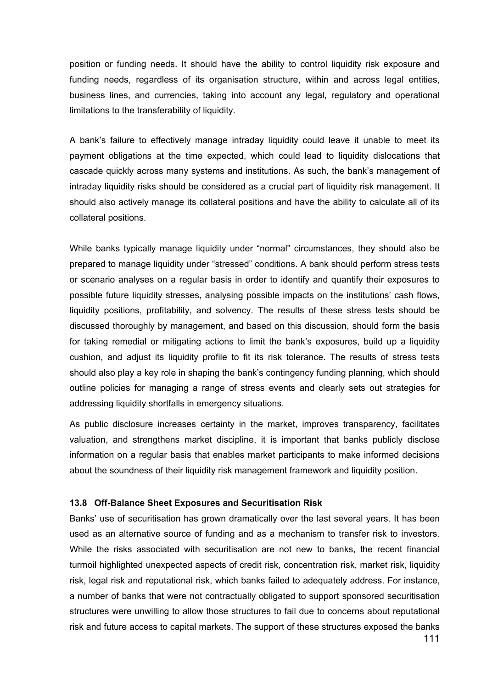position or funding needs. It should have the ability to control liquidity risk exposure and funding needs, regardless of its organisation structure, within and across legal entities, business lines, and currencies, taking into account any legal, regulatory and operational limitations to the transferability of liquidity.

A bank's failure to effectively manage intraday liquidity could leave it unable to meet its payment obligations at the time expected, which could lead to liquidity dislocations that cascade quickly across many systems and institutions. As such, the bank's management of intraday liquidity risks should be considered as a crucial part of liquidity risk management. It should also actively manage its collateral positions and have the ability to calculate all of its collateral positions.

While banks typically manage liquidity under "normal" circumstances, they should also be prepared to manage liquidity under "stressed" conditions. A bank should perform stress tests or scenario analyses on a regular basis in order to identify and quantify their exposures to possible future liquidity stresses, analysing possible impacts on the institutions' cash flows, liquidity positions, profitability, and solvency. The results of these stress tests should be discussed thoroughly by management, and based on this discussion, should form the basis for taking remedial or mitigating actions to limit the bank's exposures, build up a liquidity cushion, and adjust its liquidity profile to fit its risk tolerance. The results of stress tests should also play a key role in shaping the bank's contingency funding planning, which should outline policies for managing a range of stress events and clearly sets out strategies for addressing liquidity shortfalls in emergency situations.

As public disclosure increases certainty in the market, improves transparency, facilitates valuation, and strengthens market discipline, it is important that banks publicly disclose information on a regular basis that enables market participants to make informed decisions about the soundness of their liquidity risk management framework and liquidity position.

## **13.8 Off-Balance Sheet Exposures and Securitisation Risk**

Banks' use of securitisation has grown dramatically over the last several years. It has been used as an alternative source of funding and as a mechanism to transfer risk to investors. While the risks associated with securitisation are not new to banks, the recent financial turmoil highlighted unexpected aspects of credit risk, concentration risk, market risk, liquidity risk, legal risk and reputational risk, which banks failed to adequately address. For instance, a number of banks that were not contractually obligated to support sponsored securitisation structures were unwilling to allow those structures to fail due to concerns about reputational risk and future access to capital markets. The support of these structures exposed the banks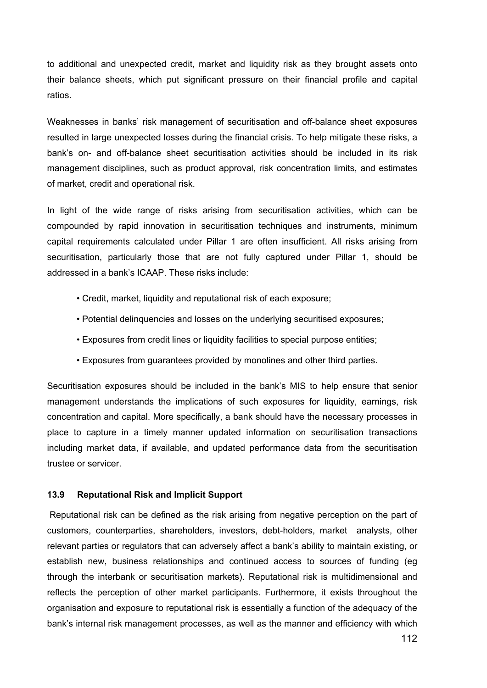to additional and unexpected credit, market and liquidity risk as they brought assets onto their balance sheets, which put significant pressure on their financial profile and capital ratios.

Weaknesses in banks' risk management of securitisation and off-balance sheet exposures resulted in large unexpected losses during the financial crisis. To help mitigate these risks, a bank's on- and off-balance sheet securitisation activities should be included in its risk management disciplines, such as product approval, risk concentration limits, and estimates of market, credit and operational risk.

In light of the wide range of risks arising from securitisation activities, which can be compounded by rapid innovation in securitisation techniques and instruments, minimum capital requirements calculated under Pillar 1 are often insufficient. All risks arising from securitisation, particularly those that are not fully captured under Pillar 1, should be addressed in a bank's ICAAP. These risks include:

- Credit, market, liquidity and reputational risk of each exposure;
- Potential delinquencies and losses on the underlying securitised exposures;
- Exposures from credit lines or liquidity facilities to special purpose entities;
- Exposures from guarantees provided by monolines and other third parties.

Securitisation exposures should be included in the bank's MIS to help ensure that senior management understands the implications of such exposures for liquidity, earnings, risk concentration and capital. More specifically, a bank should have the necessary processes in place to capture in a timely manner updated information on securitisation transactions including market data, if available, and updated performance data from the securitisation trustee or servicer.

## **13.9 Reputational Risk and Implicit Support**

 Reputational risk can be defined as the risk arising from negative perception on the part of customers, counterparties, shareholders, investors, debt-holders, market analysts, other relevant parties or regulators that can adversely affect a bank's ability to maintain existing, or establish new, business relationships and continued access to sources of funding (eg through the interbank or securitisation markets). Reputational risk is multidimensional and reflects the perception of other market participants. Furthermore, it exists throughout the organisation and exposure to reputational risk is essentially a function of the adequacy of the bank's internal risk management processes, as well as the manner and efficiency with which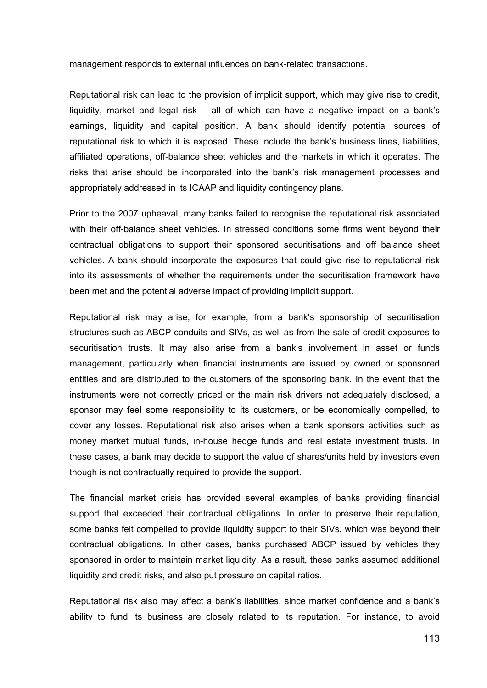management responds to external influences on bank-related transactions.

Reputational risk can lead to the provision of implicit support, which may give rise to credit, liquidity, market and legal risk – all of which can have a negative impact on a bank's earnings, liquidity and capital position. A bank should identify potential sources of reputational risk to which it is exposed. These include the bank's business lines, liabilities, affiliated operations, off-balance sheet vehicles and the markets in which it operates. The risks that arise should be incorporated into the bank's risk management processes and appropriately addressed in its ICAAP and liquidity contingency plans.

Prior to the 2007 upheaval, many banks failed to recognise the reputational risk associated with their off-balance sheet vehicles. In stressed conditions some firms went beyond their contractual obligations to support their sponsored securitisations and off balance sheet vehicles. A bank should incorporate the exposures that could give rise to reputational risk into its assessments of whether the requirements under the securitisation framework have been met and the potential adverse impact of providing implicit support.

Reputational risk may arise, for example, from a bank's sponsorship of securitisation structures such as ABCP conduits and SIVs, as well as from the sale of credit exposures to securitisation trusts. It may also arise from a bank's involvement in asset or funds management, particularly when financial instruments are issued by owned or sponsored entities and are distributed to the customers of the sponsoring bank. In the event that the instruments were not correctly priced or the main risk drivers not adequately disclosed, a sponsor may feel some responsibility to its customers, or be economically compelled, to cover any losses. Reputational risk also arises when a bank sponsors activities such as money market mutual funds, in-house hedge funds and real estate investment trusts. In these cases, a bank may decide to support the value of shares/units held by investors even though is not contractually required to provide the support.

The financial market crisis has provided several examples of banks providing financial support that exceeded their contractual obligations. In order to preserve their reputation, some banks felt compelled to provide liquidity support to their SIVs, which was beyond their contractual obligations. In other cases, banks purchased ABCP issued by vehicles they sponsored in order to maintain market liquidity. As a result, these banks assumed additional liquidity and credit risks, and also put pressure on capital ratios.

Reputational risk also may affect a bank's liabilities, since market confidence and a bank's ability to fund its business are closely related to its reputation. For instance, to avoid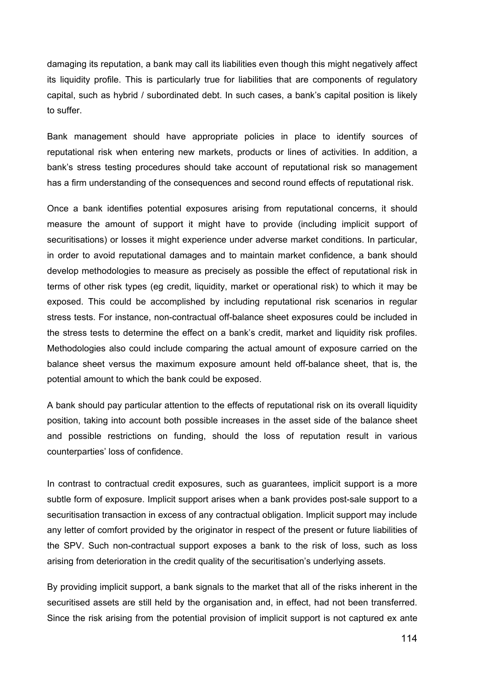damaging its reputation, a bank may call its liabilities even though this might negatively affect its liquidity profile. This is particularly true for liabilities that are components of regulatory capital, such as hybrid / subordinated debt. In such cases, a bank's capital position is likely to suffer.

Bank management should have appropriate policies in place to identify sources of reputational risk when entering new markets, products or lines of activities. In addition, a bank's stress testing procedures should take account of reputational risk so management has a firm understanding of the consequences and second round effects of reputational risk.

Once a bank identifies potential exposures arising from reputational concerns, it should measure the amount of support it might have to provide (including implicit support of securitisations) or losses it might experience under adverse market conditions. In particular, in order to avoid reputational damages and to maintain market confidence, a bank should develop methodologies to measure as precisely as possible the effect of reputational risk in terms of other risk types (eg credit, liquidity, market or operational risk) to which it may be exposed. This could be accomplished by including reputational risk scenarios in regular stress tests. For instance, non-contractual off-balance sheet exposures could be included in the stress tests to determine the effect on a bank's credit, market and liquidity risk profiles. Methodologies also could include comparing the actual amount of exposure carried on the balance sheet versus the maximum exposure amount held off-balance sheet, that is, the potential amount to which the bank could be exposed.

A bank should pay particular attention to the effects of reputational risk on its overall liquidity position, taking into account both possible increases in the asset side of the balance sheet and possible restrictions on funding, should the loss of reputation result in various counterparties' loss of confidence.

In contrast to contractual credit exposures, such as guarantees, implicit support is a more subtle form of exposure. Implicit support arises when a bank provides post-sale support to a securitisation transaction in excess of any contractual obligation. Implicit support may include any letter of comfort provided by the originator in respect of the present or future liabilities of the SPV. Such non-contractual support exposes a bank to the risk of loss, such as loss arising from deterioration in the credit quality of the securitisation's underlying assets.

By providing implicit support, a bank signals to the market that all of the risks inherent in the securitised assets are still held by the organisation and, in effect, had not been transferred. Since the risk arising from the potential provision of implicit support is not captured ex ante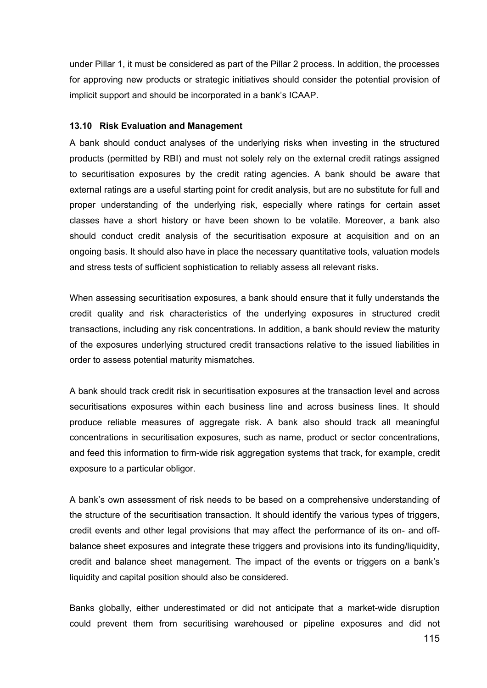under Pillar 1, it must be considered as part of the Pillar 2 process. In addition, the processes for approving new products or strategic initiatives should consider the potential provision of implicit support and should be incorporated in a bank's ICAAP.

#### **13.10 Risk Evaluation and Management**

A bank should conduct analyses of the underlying risks when investing in the structured products (permitted by RBI) and must not solely rely on the external credit ratings assigned to securitisation exposures by the credit rating agencies. A bank should be aware that external ratings are a useful starting point for credit analysis, but are no substitute for full and proper understanding of the underlying risk, especially where ratings for certain asset classes have a short history or have been shown to be volatile. Moreover, a bank also should conduct credit analysis of the securitisation exposure at acquisition and on an ongoing basis. It should also have in place the necessary quantitative tools, valuation models and stress tests of sufficient sophistication to reliably assess all relevant risks.

When assessing securitisation exposures, a bank should ensure that it fully understands the credit quality and risk characteristics of the underlying exposures in structured credit transactions, including any risk concentrations. In addition, a bank should review the maturity of the exposures underlying structured credit transactions relative to the issued liabilities in order to assess potential maturity mismatches.

A bank should track credit risk in securitisation exposures at the transaction level and across securitisations exposures within each business line and across business lines. It should produce reliable measures of aggregate risk. A bank also should track all meaningful concentrations in securitisation exposures, such as name, product or sector concentrations, and feed this information to firm-wide risk aggregation systems that track, for example, credit exposure to a particular obligor.

A bank's own assessment of risk needs to be based on a comprehensive understanding of the structure of the securitisation transaction. It should identify the various types of triggers, credit events and other legal provisions that may affect the performance of its on- and offbalance sheet exposures and integrate these triggers and provisions into its funding/liquidity, credit and balance sheet management. The impact of the events or triggers on a bank's liquidity and capital position should also be considered.

Banks globally, either underestimated or did not anticipate that a market-wide disruption could prevent them from securitising warehoused or pipeline exposures and did not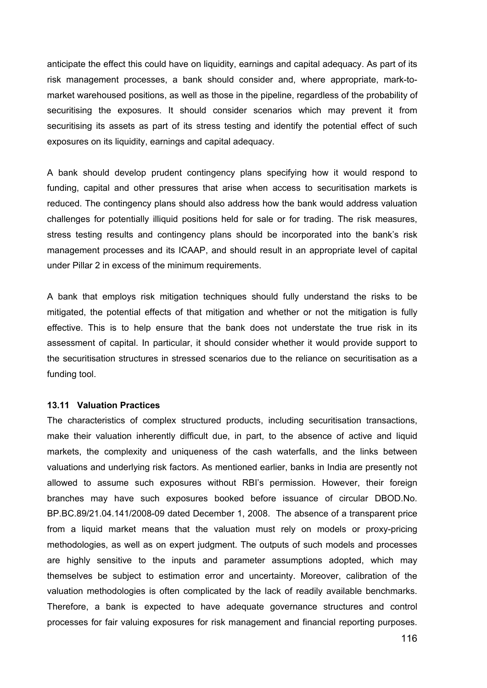anticipate the effect this could have on liquidity, earnings and capital adequacy. As part of its risk management processes, a bank should consider and, where appropriate, mark-tomarket warehoused positions, as well as those in the pipeline, regardless of the probability of securitising the exposures. It should consider scenarios which may prevent it from securitising its assets as part of its stress testing and identify the potential effect of such exposures on its liquidity, earnings and capital adequacy.

A bank should develop prudent contingency plans specifying how it would respond to funding, capital and other pressures that arise when access to securitisation markets is reduced. The contingency plans should also address how the bank would address valuation challenges for potentially illiquid positions held for sale or for trading. The risk measures, stress testing results and contingency plans should be incorporated into the bank's risk management processes and its ICAAP, and should result in an appropriate level of capital under Pillar 2 in excess of the minimum requirements.

A bank that employs risk mitigation techniques should fully understand the risks to be mitigated, the potential effects of that mitigation and whether or not the mitigation is fully effective. This is to help ensure that the bank does not understate the true risk in its assessment of capital. In particular, it should consider whether it would provide support to the securitisation structures in stressed scenarios due to the reliance on securitisation as a funding tool.

#### **13.11 Valuation Practices**

The characteristics of complex structured products, including securitisation transactions, make their valuation inherently difficult due, in part, to the absence of active and liquid markets, the complexity and uniqueness of the cash waterfalls, and the links between valuations and underlying risk factors. As mentioned earlier, banks in India are presently not allowed to assume such exposures without RBI's permission. However, their foreign branches may have such exposures booked before issuance of circular DBOD.No. BP.BC.89/21.04.141/2008-09 dated December 1, 2008. The absence of a transparent price from a liquid market means that the valuation must rely on models or proxy-pricing methodologies, as well as on expert judgment. The outputs of such models and processes are highly sensitive to the inputs and parameter assumptions adopted, which may themselves be subject to estimation error and uncertainty. Moreover, calibration of the valuation methodologies is often complicated by the lack of readily available benchmarks. Therefore, a bank is expected to have adequate governance structures and control processes for fair valuing exposures for risk management and financial reporting purposes.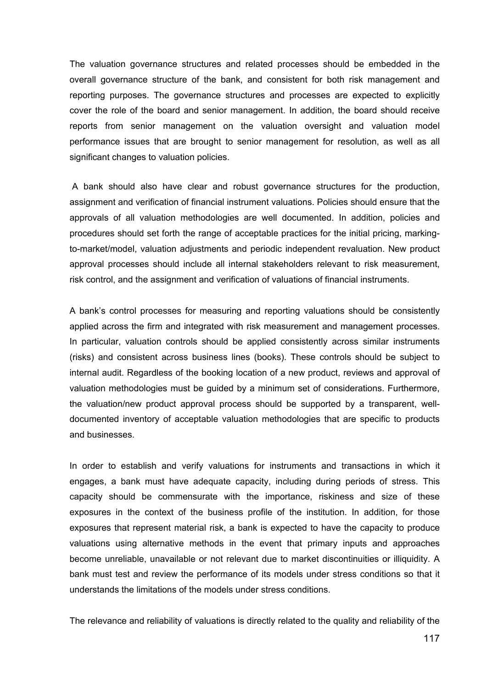The valuation governance structures and related processes should be embedded in the overall governance structure of the bank, and consistent for both risk management and reporting purposes. The governance structures and processes are expected to explicitly cover the role of the board and senior management. In addition, the board should receive reports from senior management on the valuation oversight and valuation model performance issues that are brought to senior management for resolution, as well as all significant changes to valuation policies.

 A bank should also have clear and robust governance structures for the production, assignment and verification of financial instrument valuations. Policies should ensure that the approvals of all valuation methodologies are well documented. In addition, policies and procedures should set forth the range of acceptable practices for the initial pricing, markingto-market/model, valuation adjustments and periodic independent revaluation. New product approval processes should include all internal stakeholders relevant to risk measurement, risk control, and the assignment and verification of valuations of financial instruments.

A bank's control processes for measuring and reporting valuations should be consistently applied across the firm and integrated with risk measurement and management processes. In particular, valuation controls should be applied consistently across similar instruments (risks) and consistent across business lines (books). These controls should be subject to internal audit. Regardless of the booking location of a new product, reviews and approval of valuation methodologies must be guided by a minimum set of considerations. Furthermore, the valuation/new product approval process should be supported by a transparent, welldocumented inventory of acceptable valuation methodologies that are specific to products and businesses.

In order to establish and verify valuations for instruments and transactions in which it engages, a bank must have adequate capacity, including during periods of stress. This capacity should be commensurate with the importance, riskiness and size of these exposures in the context of the business profile of the institution. In addition, for those exposures that represent material risk, a bank is expected to have the capacity to produce valuations using alternative methods in the event that primary inputs and approaches become unreliable, unavailable or not relevant due to market discontinuities or illiquidity. A bank must test and review the performance of its models under stress conditions so that it understands the limitations of the models under stress conditions.

The relevance and reliability of valuations is directly related to the quality and reliability of the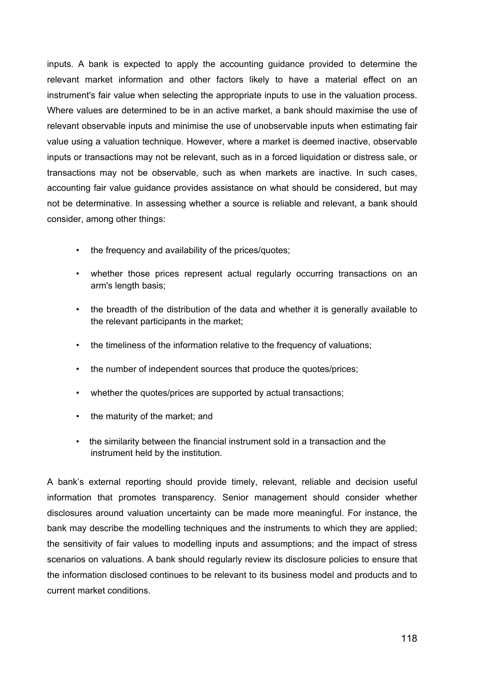inputs. A bank is expected to apply the accounting guidance provided to determine the relevant market information and other factors likely to have a material effect on an instrument's fair value when selecting the appropriate inputs to use in the valuation process. Where values are determined to be in an active market, a bank should maximise the use of relevant observable inputs and minimise the use of unobservable inputs when estimating fair value using a valuation technique. However, where a market is deemed inactive, observable inputs or transactions may not be relevant, such as in a forced liquidation or distress sale, or transactions may not be observable, such as when markets are inactive. In such cases, accounting fair value guidance provides assistance on what should be considered, but may not be determinative. In assessing whether a source is reliable and relevant, a bank should consider, among other things:

- the frequency and availability of the prices/quotes:
- whether those prices represent actual regularly occurring transactions on an arm's length basis;
- the breadth of the distribution of the data and whether it is generally available to the relevant participants in the market;
- the timeliness of the information relative to the frequency of valuations;
- the number of independent sources that produce the quotes/prices;
- whether the quotes/prices are supported by actual transactions;
- the maturity of the market; and
- the similarity between the financial instrument sold in a transaction and the instrument held by the institution.

A bank's external reporting should provide timely, relevant, reliable and decision useful information that promotes transparency. Senior management should consider whether disclosures around valuation uncertainty can be made more meaningful. For instance, the bank may describe the modelling techniques and the instruments to which they are applied; the sensitivity of fair values to modelling inputs and assumptions; and the impact of stress scenarios on valuations. A bank should regularly review its disclosure policies to ensure that the information disclosed continues to be relevant to its business model and products and to current market conditions.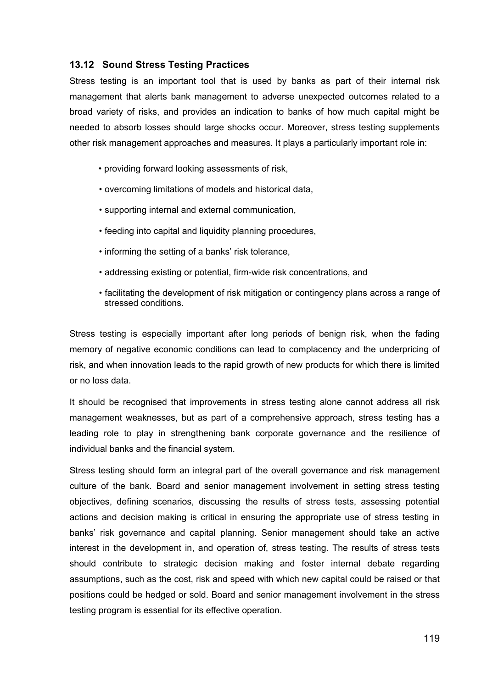# **13.12 Sound Stress Testing Practices**

Stress testing is an important tool that is used by banks as part of their internal risk management that alerts bank management to adverse unexpected outcomes related to a broad variety of risks, and provides an indication to banks of how much capital might be needed to absorb losses should large shocks occur. Moreover, stress testing supplements other risk management approaches and measures. It plays a particularly important role in:

- providing forward looking assessments of risk,
- overcoming limitations of models and historical data,
- supporting internal and external communication,
- feeding into capital and liquidity planning procedures,
- informing the setting of a banks' risk tolerance,
- addressing existing or potential, firm-wide risk concentrations, and
- facilitating the development of risk mitigation or contingency plans across a range of stressed conditions.

Stress testing is especially important after long periods of benign risk, when the fading memory of negative economic conditions can lead to complacency and the underpricing of risk, and when innovation leads to the rapid growth of new products for which there is limited or no loss data.

It should be recognised that improvements in stress testing alone cannot address all risk management weaknesses, but as part of a comprehensive approach, stress testing has a leading role to play in strengthening bank corporate governance and the resilience of individual banks and the financial system.

Stress testing should form an integral part of the overall governance and risk management culture of the bank. Board and senior management involvement in setting stress testing objectives, defining scenarios, discussing the results of stress tests, assessing potential actions and decision making is critical in ensuring the appropriate use of stress testing in banks' risk governance and capital planning. Senior management should take an active interest in the development in, and operation of, stress testing. The results of stress tests should contribute to strategic decision making and foster internal debate regarding assumptions, such as the cost, risk and speed with which new capital could be raised or that positions could be hedged or sold. Board and senior management involvement in the stress testing program is essential for its effective operation.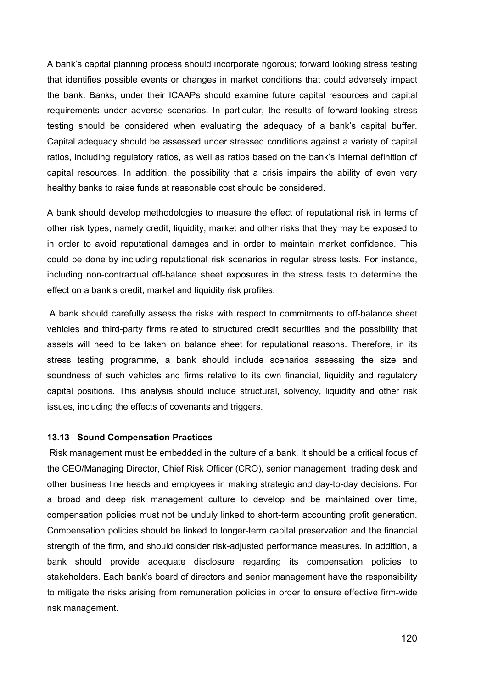A bank's capital planning process should incorporate rigorous; forward looking stress testing that identifies possible events or changes in market conditions that could adversely impact the bank. Banks, under their ICAAPs should examine future capital resources and capital requirements under adverse scenarios. In particular, the results of forward-looking stress testing should be considered when evaluating the adequacy of a bank's capital buffer. Capital adequacy should be assessed under stressed conditions against a variety of capital ratios, including regulatory ratios, as well as ratios based on the bank's internal definition of capital resources. In addition, the possibility that a crisis impairs the ability of even very healthy banks to raise funds at reasonable cost should be considered.

A bank should develop methodologies to measure the effect of reputational risk in terms of other risk types, namely credit, liquidity, market and other risks that they may be exposed to in order to avoid reputational damages and in order to maintain market confidence. This could be done by including reputational risk scenarios in regular stress tests. For instance, including non-contractual off-balance sheet exposures in the stress tests to determine the effect on a bank's credit, market and liquidity risk profiles.

 A bank should carefully assess the risks with respect to commitments to off-balance sheet vehicles and third-party firms related to structured credit securities and the possibility that assets will need to be taken on balance sheet for reputational reasons. Therefore, in its stress testing programme, a bank should include scenarios assessing the size and soundness of such vehicles and firms relative to its own financial, liquidity and regulatory capital positions. This analysis should include structural, solvency, liquidity and other risk issues, including the effects of covenants and triggers.

## **13.13 Sound Compensation Practices**

 Risk management must be embedded in the culture of a bank. It should be a critical focus of the CEO/Managing Director, Chief Risk Officer (CRO), senior management, trading desk and other business line heads and employees in making strategic and day-to-day decisions. For a broad and deep risk management culture to develop and be maintained over time, compensation policies must not be unduly linked to short-term accounting profit generation. Compensation policies should be linked to longer-term capital preservation and the financial strength of the firm, and should consider risk-adjusted performance measures. In addition, a bank should provide adequate disclosure regarding its compensation policies to stakeholders. Each bank's board of directors and senior management have the responsibility to mitigate the risks arising from remuneration policies in order to ensure effective firm-wide risk management.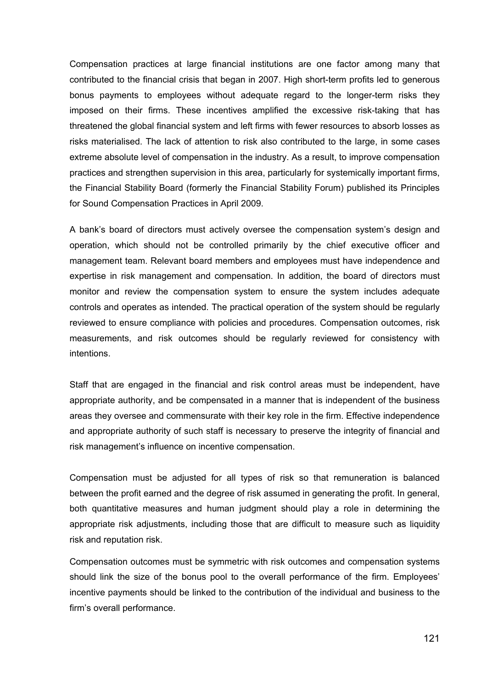Compensation practices at large financial institutions are one factor among many that contributed to the financial crisis that began in 2007. High short-term profits led to generous bonus payments to employees without adequate regard to the longer-term risks they imposed on their firms. These incentives amplified the excessive risk-taking that has threatened the global financial system and left firms with fewer resources to absorb losses as risks materialised. The lack of attention to risk also contributed to the large, in some cases extreme absolute level of compensation in the industry. As a result, to improve compensation practices and strengthen supervision in this area, particularly for systemically important firms, the Financial Stability Board (formerly the Financial Stability Forum) published its Principles for Sound Compensation Practices in April 2009.

A bank's board of directors must actively oversee the compensation system's design and operation, which should not be controlled primarily by the chief executive officer and management team. Relevant board members and employees must have independence and expertise in risk management and compensation. In addition, the board of directors must monitor and review the compensation system to ensure the system includes adequate controls and operates as intended. The practical operation of the system should be regularly reviewed to ensure compliance with policies and procedures. Compensation outcomes, risk measurements, and risk outcomes should be regularly reviewed for consistency with intentions.

Staff that are engaged in the financial and risk control areas must be independent, have appropriate authority, and be compensated in a manner that is independent of the business areas they oversee and commensurate with their key role in the firm. Effective independence and appropriate authority of such staff is necessary to preserve the integrity of financial and risk management's influence on incentive compensation.

Compensation must be adjusted for all types of risk so that remuneration is balanced between the profit earned and the degree of risk assumed in generating the profit. In general, both quantitative measures and human judgment should play a role in determining the appropriate risk adjustments, including those that are difficult to measure such as liquidity risk and reputation risk.

Compensation outcomes must be symmetric with risk outcomes and compensation systems should link the size of the bonus pool to the overall performance of the firm. Employees' incentive payments should be linked to the contribution of the individual and business to the firm's overall performance.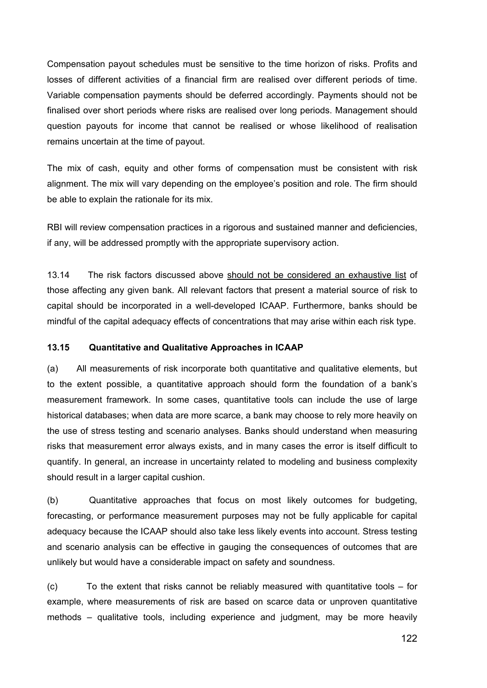Compensation payout schedules must be sensitive to the time horizon of risks. Profits and losses of different activities of a financial firm are realised over different periods of time. Variable compensation payments should be deferred accordingly. Payments should not be finalised over short periods where risks are realised over long periods. Management should question payouts for income that cannot be realised or whose likelihood of realisation remains uncertain at the time of payout.

The mix of cash, equity and other forms of compensation must be consistent with risk alignment. The mix will vary depending on the employee's position and role. The firm should be able to explain the rationale for its mix.

RBI will review compensation practices in a rigorous and sustained manner and deficiencies, if any, will be addressed promptly with the appropriate supervisory action.

13.14 The risk factors discussed above should not be considered an exhaustive list of those affecting any given bank. All relevant factors that present a material source of risk to capital should be incorporated in a well-developed ICAAP. Furthermore, banks should be mindful of the capital adequacy effects of concentrations that may arise within each risk type.

## **13.15 Quantitative and Qualitative Approaches in ICAAP**

(a) All measurements of risk incorporate both quantitative and qualitative elements, but to the extent possible, a quantitative approach should form the foundation of a bank's measurement framework. In some cases, quantitative tools can include the use of large historical databases; when data are more scarce, a bank may choose to rely more heavily on the use of stress testing and scenario analyses. Banks should understand when measuring risks that measurement error always exists, and in many cases the error is itself difficult to quantify. In general, an increase in uncertainty related to modeling and business complexity should result in a larger capital cushion.

(b) Quantitative approaches that focus on most likely outcomes for budgeting, forecasting, or performance measurement purposes may not be fully applicable for capital adequacy because the ICAAP should also take less likely events into account. Stress testing and scenario analysis can be effective in gauging the consequences of outcomes that are unlikely but would have a considerable impact on safety and soundness.

(c) To the extent that risks cannot be reliably measured with quantitative tools – for example, where measurements of risk are based on scarce data or unproven quantitative methods – qualitative tools, including experience and judgment, may be more heavily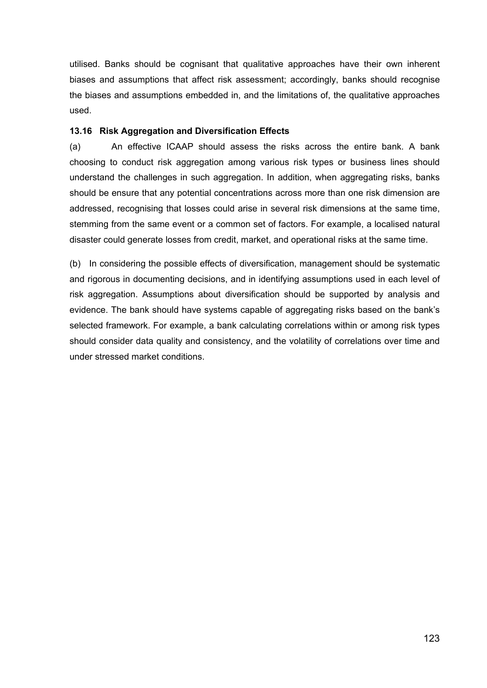utilised. Banks should be cognisant that qualitative approaches have their own inherent biases and assumptions that affect risk assessment; accordingly, banks should recognise the biases and assumptions embedded in, and the limitations of, the qualitative approaches used.

# **13.16 Risk Aggregation and Diversification Effects**

(a) An effective ICAAP should assess the risks across the entire bank. A bank choosing to conduct risk aggregation among various risk types or business lines should understand the challenges in such aggregation. In addition, when aggregating risks, banks should be ensure that any potential concentrations across more than one risk dimension are addressed, recognising that losses could arise in several risk dimensions at the same time, stemming from the same event or a common set of factors. For example, a localised natural disaster could generate losses from credit, market, and operational risks at the same time.

(b) In considering the possible effects of diversification, management should be systematic and rigorous in documenting decisions, and in identifying assumptions used in each level of risk aggregation. Assumptions about diversification should be supported by analysis and evidence. The bank should have systems capable of aggregating risks based on the bank's selected framework. For example, a bank calculating correlations within or among risk types should consider data quality and consistency, and the volatility of correlations over time and under stressed market conditions.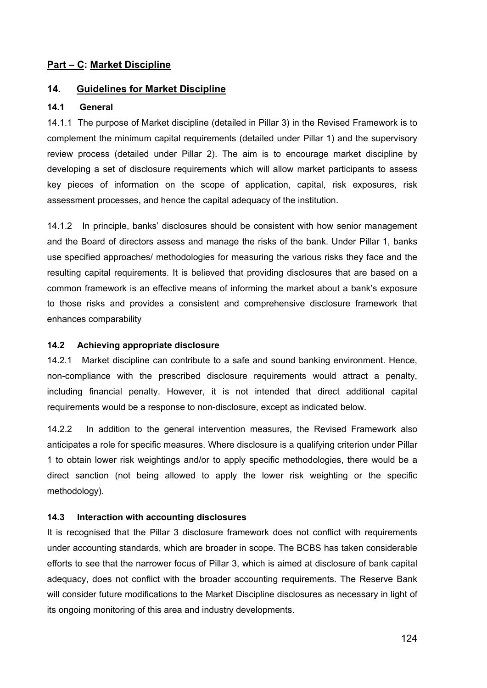# **Part – C: Market Discipline**

## **14. Guidelines for Market Discipline**

## **14.1 General**

14.1.1 The purpose of Market discipline (detailed in Pillar 3) in the Revised Framework is to complement the minimum capital requirements (detailed under Pillar 1) and the supervisory review process (detailed under Pillar 2). The aim is to encourage market discipline by developing a set of disclosure requirements which will allow market participants to assess key pieces of information on the scope of application, capital, risk exposures, risk assessment processes, and hence the capital adequacy of the institution.

14.1.2 In principle, banks' disclosures should be consistent with how senior management and the Board of directors assess and manage the risks of the bank. Under Pillar 1, banks use specified approaches/ methodologies for measuring the various risks they face and the resulting capital requirements. It is believed that providing disclosures that are based on a common framework is an effective means of informing the market about a bank's exposure to those risks and provides a consistent and comprehensive disclosure framework that enhances comparability

## **14.2 Achieving appropriate disclosure**

14.2.1 Market discipline can contribute to a safe and sound banking environment. Hence, non-compliance with the prescribed disclosure requirements would attract a penalty, including financial penalty. However, it is not intended that direct additional capital requirements would be a response to non-disclosure, except as indicated below.

14.2.2 In addition to the general intervention measures, the Revised Framework also anticipates a role for specific measures. Where disclosure is a qualifying criterion under Pillar 1 to obtain lower risk weightings and/or to apply specific methodologies, there would be a direct sanction (not being allowed to apply the lower risk weighting or the specific methodology).

## **14.3 Interaction with accounting disclosures**

It is recognised that the Pillar 3 disclosure framework does not conflict with requirements under accounting standards, which are broader in scope. The BCBS has taken considerable efforts to see that the narrower focus of Pillar 3, which is aimed at disclosure of bank capital adequacy, does not conflict with the broader accounting requirements. The Reserve Bank will consider future modifications to the Market Discipline disclosures as necessary in light of its ongoing monitoring of this area and industry developments.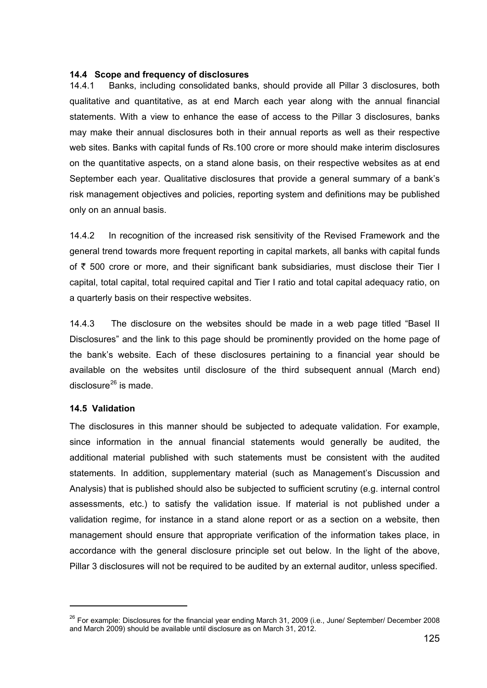#### **14.4 Scope and frequency of disclosures**

14.4.1 Banks, including consolidated banks, should provide all Pillar 3 disclosures, both qualitative and quantitative, as at end March each year along with the annual financial statements. With a view to enhance the ease of access to the Pillar 3 disclosures, banks may make their annual disclosures both in their annual reports as well as their respective web sites. Banks with capital funds of Rs.100 crore or more should make interim disclosures on the quantitative aspects, on a stand alone basis, on their respective websites as at end September each year. Qualitative disclosures that provide a general summary of a bank's risk management objectives and policies, reporting system and definitions may be published only on an annual basis.

14.4.2 In recognition of the increased risk sensitivity of the Revised Framework and the general trend towards more frequent reporting in capital markets, all banks with capital funds of  $\bar{\tau}$  500 crore or more, and their significant bank subsidiaries, must disclose their Tier I capital, total capital, total required capital and Tier I ratio and total capital adequacy ratio, on a quarterly basis on their respective websites.

14.4.3 The disclosure on the websites should be made in a web page titled "Basel II Disclosures" and the link to this page should be prominently provided on the home page of the bank's website. Each of these disclosures pertaining to a financial year should be available on the websites until disclosure of the third subsequent annual (March end) disclosure<sup>[2](#page-124-0)6</sup> is made.

#### **14.5 Validation**

1

The disclosures in this manner should be subjected to adequate validation. For example, since information in the annual financial statements would generally be audited, the additional material published with such statements must be consistent with the audited statements. In addition, supplementary material (such as Management's Discussion and Analysis) that is published should also be subjected to sufficient scrutiny (e.g. internal control assessments, etc.) to satisfy the validation issue. If material is not published under a validation regime, for instance in a stand alone report or as a section on a website, then management should ensure that appropriate verification of the information takes place, in accordance with the general disclosure principle set out below. In the light of the above, Pillar 3 disclosures will not be required to be audited by an external auditor, unless specified.

<span id="page-124-0"></span><sup>&</sup>lt;sup>26</sup> For example: Disclosures for the financial year ending March 31, 2009 (i.e., June/ September/ December 2008 and March 2009) should be available until disclosure as on March 31, 2012.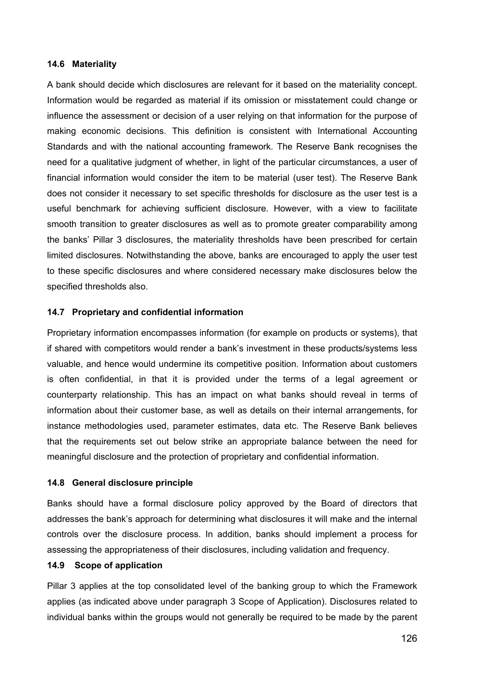#### **14.6 Materiality**

A bank should decide which disclosures are relevant for it based on the materiality concept. Information would be regarded as material if its omission or misstatement could change or influence the assessment or decision of a user relying on that information for the purpose of making economic decisions. This definition is consistent with International Accounting Standards and with the national accounting framework. The Reserve Bank recognises the need for a qualitative judgment of whether, in light of the particular circumstances, a user of financial information would consider the item to be material (user test). The Reserve Bank does not consider it necessary to set specific thresholds for disclosure as the user test is a useful benchmark for achieving sufficient disclosure. However, with a view to facilitate smooth transition to greater disclosures as well as to promote greater comparability among the banks' Pillar 3 disclosures, the materiality thresholds have been prescribed for certain limited disclosures. Notwithstanding the above, banks are encouraged to apply the user test to these specific disclosures and where considered necessary make disclosures below the specified thresholds also.

#### **14.7 Proprietary and confidential information**

Proprietary information encompasses information (for example on products or systems), that if shared with competitors would render a bank's investment in these products/systems less valuable, and hence would undermine its competitive position. Information about customers is often confidential, in that it is provided under the terms of a legal agreement or counterparty relationship. This has an impact on what banks should reveal in terms of information about their customer base, as well as details on their internal arrangements, for instance methodologies used, parameter estimates, data etc. The Reserve Bank believes that the requirements set out below strike an appropriate balance between the need for meaningful disclosure and the protection of proprietary and confidential information.

#### **14.8 General disclosure principle**

Banks should have a formal disclosure policy approved by the Board of directors that addresses the bank's approach for determining what disclosures it will make and the internal controls over the disclosure process. In addition, banks should implement a process for assessing the appropriateness of their disclosures, including validation and frequency.

## **14.9 Scope of application**

Pillar 3 applies at the top consolidated level of the banking group to which the Framework applies (as indicated above under [paragraph 3](#page-7-0) Scope of Application). Disclosures related to individual banks within the groups would not generally be required to be made by the parent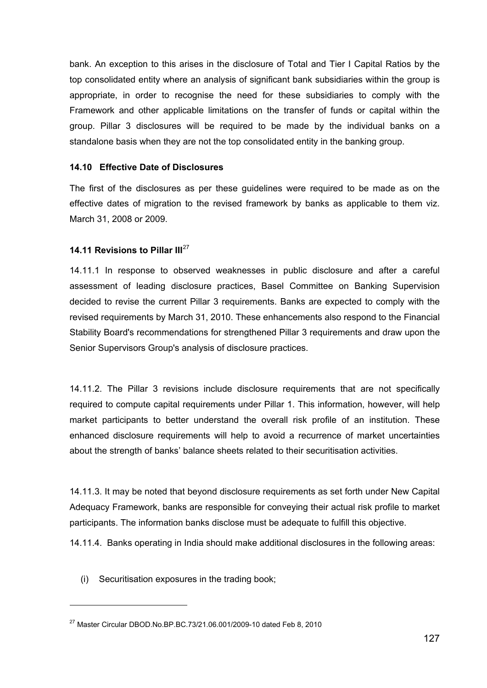bank. An exception to this arises in the disclosure of Total and Tier I Capital Ratios by the top consolidated entity where an analysis of significant bank subsidiaries within the group is appropriate, in order to recognise the need for these subsidiaries to comply with the Framework and other applicable limitations on the transfer of funds or capital within the group. Pillar 3 disclosures will be required to be made by the individual banks on a standalone basis when they are not the top consolidated entity in the banking group.

## **14.10 Effective Date of Disclosures**

The first of the disclosures as per these guidelines were required to be made as on the effective dates of migration to the revised framework by banks as applicable to them viz. March 31, 2008 or 2009.

# **14.11 Revisions to Pillar III**[27](#page-126-0)

14.11.1 In response to observed weaknesses in public disclosure and after a careful assessment of leading disclosure practices, Basel Committee on Banking Supervision decided to revise the current Pillar 3 requirements. Banks are expected to comply with the revised requirements by March 31, 2010. These enhancements also respond to the Financial Stability Board's recommendations for strengthened Pillar 3 requirements and draw upon the Senior Supervisors Group's analysis of disclosure practices.

14.11.2. The Pillar 3 revisions include disclosure requirements that are not specifically required to compute capital requirements under Pillar 1. This information, however, will help market participants to better understand the overall risk profile of an institution. These enhanced disclosure requirements will help to avoid a recurrence of market uncertainties about the strength of banks' balance sheets related to their securitisation activities.

14.11.3. It may be noted that beyond disclosure requirements as set forth under New Capital Adequacy Framework, banks are responsible for conveying their actual risk profile to market participants. The information banks disclose must be adequate to fulfill this objective.

14.11.4. Banks operating in India should make additional disclosures in the following areas:

(i) Securitisation exposures in the trading book;

1

<span id="page-126-0"></span><sup>27</sup> Master Circular DBOD.No.BP.BC.73/21.06.001/2009-10 dated Feb 8, 2010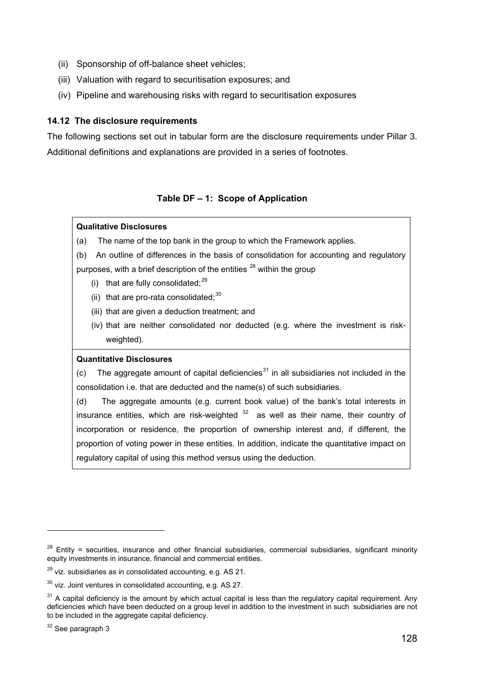- (ii) Sponsorship of off-balance sheet vehicles;
- (iii) Valuation with regard to securitisation exposures; and
- (iv) Pipeline and warehousing risks with regard to securitisation exposures

#### **14.12 The disclosure requirements**

The following sections set out in tabular form are the disclosure requirements under Pillar 3. Additional definitions and explanations are provided in a series of footnotes.

#### **Table DF – 1: Scope of Application**

#### **Qualitative Disclosures**

(a) The name of the top bank in the group to which the Framework applies.

(b) An outline of differences in the basis of consolidation for accounting and regulatory purposes, with a brief description of the entities  $^{28}$  $^{28}$  $^{28}$  within the group

- (i) that are fully consolidated: $^{29}$  $^{29}$  $^{29}$
- (ii) that are pro-rata consolidated; $30$  $30$
- (iii) that are given a deduction treatment; and
- (iv) that are neither consolidated nor deducted (e.g. where the investment is riskweighted).

#### **Quantitative Disclosures**

(c) The aggregate amount of capital deficiencies<sup>[3](#page-127-3)1</sup> in all subsidiaries not included in the consolidation i.e. that are deducted and the name(s) of such subsidiaries.

(d) The aggregate amounts (e.g. current book value) of the bank's total interests in insurance entities, which are risk-weighted  $32$  $32$  as well as their name, their country of incorporation or residence, the proportion of ownership interest and, if different, the proportion of voting power in these entities. In addition, indicate the quantitative impact on regulatory capital of using this method versus using the deduction.

l

<span id="page-127-0"></span> $28$  Entity = securities, insurance and other financial subsidiaries, commercial subsidiaries, significant minority equity investments in insurance, financial and commercial entities.

<span id="page-127-1"></span> $29$  viz. subsidiaries as in consolidated accounting, e.g. AS 21.

<span id="page-127-2"></span> $30$  viz. Joint ventures in consolidated accounting, e.g. AS 27.

<span id="page-127-3"></span> $31$  A capital deficiency is the amount by which actual capital is less than the regulatory capital requirement. Any deficiencies which have been deducted on a group level in addition to the investment in such subsidiaries are not to be included in the aggregate capital deficiency.

<span id="page-127-4"></span><sup>&</sup>lt;sup>32</sup> See paragraph 3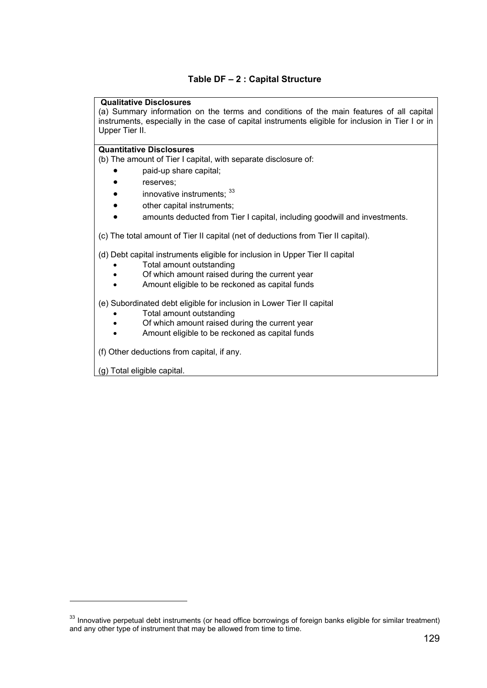## **Table DF – 2 : Capital Structure**

#### **Qualitative Disclosures**

(a) Summary information on the terms and conditions of the main features of all capital instruments, especially in the case of capital instruments eligible for inclusion in Tier I or in Upper Tier II.

#### **Quantitative Disclosures**

(b) The amount of Tier I capital, with separate disclosure of:

- paid-up share capital;
- reserves;
- $\bullet$  innovative instruments;  $33$
- other capital instruments;
- amounts deducted from Tier I capital, including goodwill and investments.

(c) The total amount of Tier II capital (net of deductions from Tier II capital).

(d) Debt capital instruments eligible for inclusion in Upper Tier II capital

- Total amount outstanding
- Of which amount raised during the current year
- Amount eligible to be reckoned as capital funds

#### (e) Subordinated debt eligible for inclusion in Lower Tier II capital

- Total amount outstanding
- Of which amount raised during the current year
- Amount eligible to be reckoned as capital funds

(f) Other deductions from capital, if any.

(g) Total eligible capital.

1

<span id="page-128-0"></span><sup>&</sup>lt;sup>33</sup> Innovative perpetual debt instruments (or head office borrowings of foreign banks eligible for similar treatment) and any other type of instrument that may be allowed from time to time.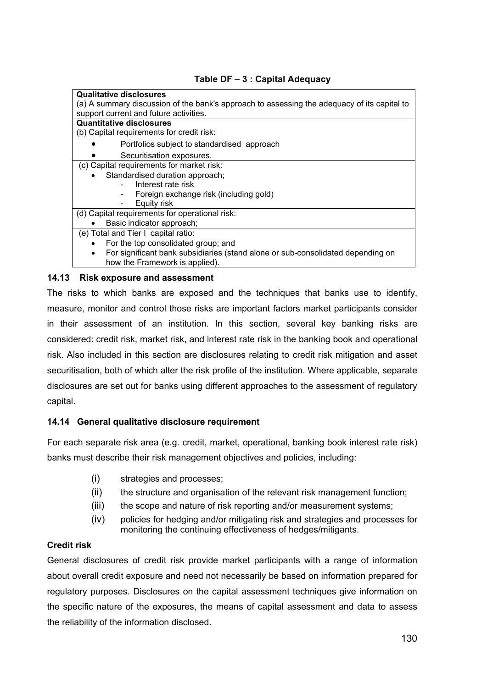| <b>Qualitative disclosures</b>                                                              |
|---------------------------------------------------------------------------------------------|
| (a) A summary discussion of the bank's approach to assessing the adequacy of its capital to |
| support current and future activities.                                                      |
| <b>Quantitative disclosures</b>                                                             |
| (b) Capital requirements for credit risk:                                                   |
| Portfolios subject to standardised approach                                                 |
| Securitisation exposures.                                                                   |
| (c) Capital requirements for market risk:                                                   |
| Standardised duration approach;                                                             |
| Interest rate risk                                                                          |
| Foreign exchange risk (including gold)                                                      |
| Equity risk                                                                                 |
| (d) Capital requirements for operational risk:                                              |
| Basic indicator approach;                                                                   |
| (e) Total and Tier I capital ratio:                                                         |
| For the top consolidated group; and                                                         |
| For significant bank subsidiaries (stand alone or sub-consolidated depending on             |
| how the Framework is applied).                                                              |
|                                                                                             |

## **14.13 Risk exposure and assessment**

The risks to which banks are exposed and the techniques that banks use to identify, measure, monitor and control those risks are important factors market participants consider in their assessment of an institution. In this section, several key banking risks are considered: credit risk, market risk, and interest rate risk in the banking book and operational risk. Also included in this section are disclosures relating to credit risk mitigation and asset securitisation, both of which alter the risk profile of the institution. Where applicable, separate disclosures are set out for banks using different approaches to the assessment of regulatory capital.

# **14.14 General qualitative disclosure requirement**

For each separate risk area (e.g. credit, market, operational, banking book interest rate risk) banks must describe their risk management objectives and policies, including:

- (i) strategies and processes;
- (ii) the structure and organisation of the relevant risk management function;
- (iii) the scope and nature of risk reporting and/or measurement systems;
- (iv) policies for hedging and/or mitigating risk and strategies and processes for monitoring the continuing effectiveness of hedges/mitigants.

## **Credit risk**

General disclosures of credit risk provide market participants with a range of information about overall credit exposure and need not necessarily be based on information prepared for regulatory purposes. Disclosures on the capital assessment techniques give information on the specific nature of the exposures, the means of capital assessment and data to assess the reliability of the information disclosed.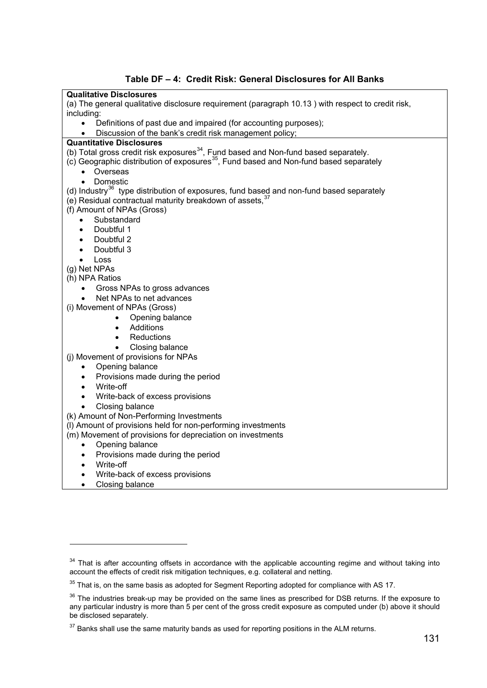| Table DF – 4: Credit Risk: General Disclosures for All Banks |
|--------------------------------------------------------------|
|                                                              |

**Qualitative Disclosures** 

(a) The general qualitative disclosure requirement (paragraph 10.13 ) with respect to credit risk, including:

- Definitions of past due and impaired (for accounting purposes);
- Discussion of the bank's credit risk management policy;

## **Quantitative Disclosures**

(b) Total gross credit risk exposures<sup>[3](#page-130-0)4</sup>, Fund based and Non-fund based separately.

- $(c)$  Geographic distribution of exposures<sup>[35](#page-130-1)</sup>, Fund based and Non-fund based separately
	- Overseas
	- Domestic

(d) Industry<sup>[3](#page-130-2)6</sup> type distribution of exposures, fund based and non-fund based separately

(e) Residual contractual maturity breakdown of assets,  $37$ 

- (f) Amount of NPAs (Gross)
	- Substandard
	- Doubtful 1
	- Doubtful 2
	- Doubtful 3
	- Loss
- (g) Net NPAs
- (h) NPA Ratios
	- Gross NPAs to gross advances
	- Net NPAs to net advances
- (i) Movement of NPAs (Gross)
	- **Opening balance**
	- **Additions**
	- **Reductions**
	- Closing balance
- (j) Movement of provisions for NPAs
	- Opening balance
	- Provisions made during the period
	- Write-off
	- Write-back of excess provisions
	- Closing balance
- (k) Amount of Non-Performing Investments
- (l) Amount of provisions held for non-performing investments
- (m) Movement of provisions for depreciation on investments
	- Opening balance
	- Provisions made during the period
	- Write-off

1

- Write-back of excess provisions
- Closing balance

<span id="page-130-0"></span><sup>&</sup>lt;sup>34</sup> That is after accounting offsets in accordance with the applicable accounting regime and without taking into account the effects of credit risk mitigation techniques, e.g. collateral and netting.

<span id="page-130-1"></span> $35$  That is, on the same basis as adopted for Segment Reporting adopted for compliance with AS 17.

<span id="page-130-2"></span><sup>&</sup>lt;sup>36</sup> The industries break-up may be provided on the same lines as prescribed for DSB returns. If the exposure to any particular industry is more than 5 per cent of the gross credit exposure as computed under (b) above it should be disclosed separately.

<span id="page-130-3"></span> $37$  Banks shall use the same maturity bands as used for reporting positions in the ALM returns.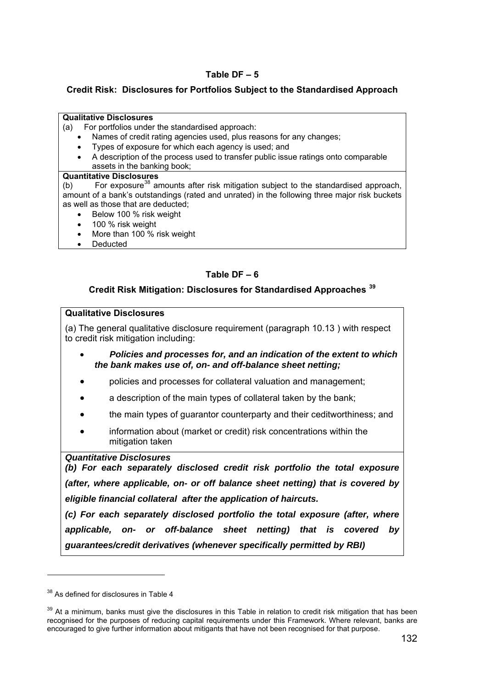## **Table DF – 5**

## **Credit Risk: Disclosures for Portfolios Subject to the Standardised Approach**

#### **Qualitative Disclosures**

(a) For portfolios under the standardised approach:

- Names of credit rating agencies used, plus reasons for any changes;
- Types of exposure for which each agency is used; and
- A description of the process used to transfer public issue ratings onto comparable assets in the banking book;

#### **Quantitative Disclosures**

(b) For exposure<sup>[3](#page-131-0)8</sup> amounts after risk mitigation subject to the standardised approach, amount of a bank's outstandings (rated and unrated) in the following three major risk buckets as well as those that are deducted;

- Below 100 % risk weight
- 100 % risk weight
- More than 100 % risk weight
- **Deducted**

## **Table DF – 6**

## **Credit Risk Mitigation: Disclosures for Standardised Approaches [3](#page-131-1)9**

## **Qualitative Disclosures**

(a) The general qualitative disclosure requirement (paragraph 10.13 ) with respect to credit risk mitigation including:

- • *Policies and processes for, and an indication of the extent to which the bank makes use of, on- and off-balance sheet netting;*
- policies and processes for collateral valuation and management;
- a description of the main types of collateral taken by the bank;
- the main types of guarantor counterparty and their ceditworthiness; and
- information about (market or credit) risk concentrations within the mitigation taken

#### *Quantitative Disclosures*

*(b) For each separately disclosed credit risk portfolio the total exposure (after, where applicable, on- or off balance sheet netting) that is covered by eligible financial collateral after the application of haircuts.* 

*(c) For each separately disclosed portfolio the total exposure (after, where applicable, on- or off-balance sheet netting) that is covered by guarantees/credit derivatives (whenever specifically permitted by RBI)* 

l

<span id="page-131-0"></span><sup>&</sup>lt;sup>38</sup> As defined for disclosures in Table 4

<span id="page-131-1"></span><sup>&</sup>lt;sup>39</sup> At a minimum, banks must give the disclosures in this Table in relation to credit risk mitigation that has been recognised for the purposes of reducing capital requirements under this Framework. Where relevant, banks are encouraged to give further information about mitigants that have not been recognised for that purpose.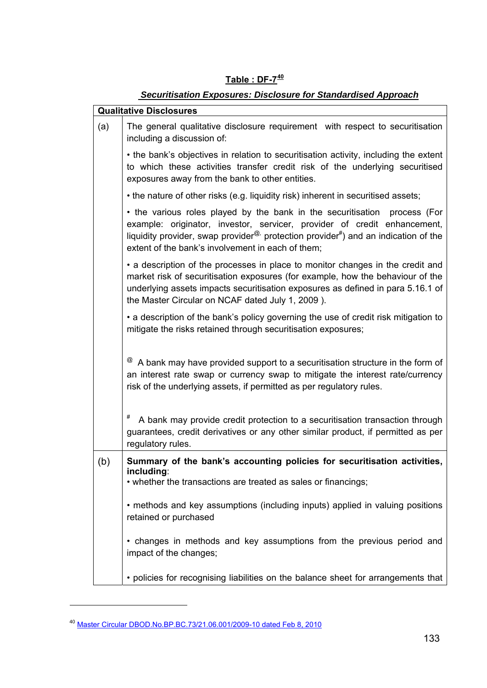# **Table : DF-7[4](#page-132-0)0**

# *Securitisation Exposures: Disclosure for Standardised Approach*

|     | <b>Qualitative Disclosures</b>                                                                                                                                                                                                                                                                                           |
|-----|--------------------------------------------------------------------------------------------------------------------------------------------------------------------------------------------------------------------------------------------------------------------------------------------------------------------------|
| (a) | The general qualitative disclosure requirement with respect to securitisation<br>including a discussion of:                                                                                                                                                                                                              |
|     | • the bank's objectives in relation to securitisation activity, including the extent<br>to which these activities transfer credit risk of the underlying securitised<br>exposures away from the bank to other entities.                                                                                                  |
|     | • the nature of other risks (e.g. liquidity risk) inherent in securitised assets;                                                                                                                                                                                                                                        |
|     | • the various roles played by the bank in the securitisation process (For<br>example: originator, investor, servicer, provider of credit enhancement,<br>liquidity provider, swap provider <sup>@</sup> protection provider <sup>#</sup> ) and an indication of the<br>extent of the bank's involvement in each of them; |
|     | • a description of the processes in place to monitor changes in the credit and<br>market risk of securitisation exposures (for example, how the behaviour of the<br>underlying assets impacts securitisation exposures as defined in para 5.16.1 of<br>the Master Circular on NCAF dated July 1, 2009).                  |
|     | • a description of the bank's policy governing the use of credit risk mitigation to<br>mitigate the risks retained through securitisation exposures;                                                                                                                                                                     |
|     | <sup>@</sup> A bank may have provided support to a securitisation structure in the form of<br>an interest rate swap or currency swap to mitigate the interest rate/currency<br>risk of the underlying assets, if permitted as per regulatory rules.                                                                      |
|     | #<br>A bank may provide credit protection to a securitisation transaction through<br>guarantees, credit derivatives or any other similar product, if permitted as per<br>regulatory rules.                                                                                                                               |
| (b) | Summary of the bank's accounting policies for securitisation activities,<br>including:<br>• whether the transactions are treated as sales or financings;                                                                                                                                                                 |
|     | • methods and key assumptions (including inputs) applied in valuing positions<br>retained or purchased                                                                                                                                                                                                                   |
|     | • changes in methods and key assumptions from the previous period and<br>impact of the changes;                                                                                                                                                                                                                          |
|     | • policies for recognising liabilities on the balance sheet for arrangements that                                                                                                                                                                                                                                        |

<span id="page-132-0"></span><sup>40</sup> Master Circular DBOD.No.BP.BC.73/21.06.001/2009-10 dated Feb 8, 2010

1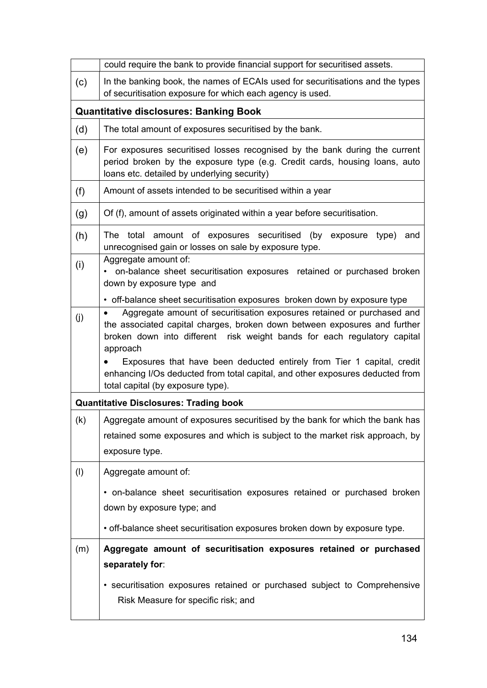|     | could require the bank to provide financial support for securitised assets.                                                                                                                                                                                                                                                                                                                                                                 |
|-----|---------------------------------------------------------------------------------------------------------------------------------------------------------------------------------------------------------------------------------------------------------------------------------------------------------------------------------------------------------------------------------------------------------------------------------------------|
| (c) | In the banking book, the names of ECAIs used for securitisations and the types<br>of securitisation exposure for which each agency is used.                                                                                                                                                                                                                                                                                                 |
|     | <b>Quantitative disclosures: Banking Book</b>                                                                                                                                                                                                                                                                                                                                                                                               |
| (d) | The total amount of exposures securitised by the bank.                                                                                                                                                                                                                                                                                                                                                                                      |
| (e) | For exposures securitised losses recognised by the bank during the current<br>period broken by the exposure type (e.g. Credit cards, housing loans, auto<br>loans etc. detailed by underlying security)                                                                                                                                                                                                                                     |
| (f) | Amount of assets intended to be securitised within a year                                                                                                                                                                                                                                                                                                                                                                                   |
| (g) | Of (f), amount of assets originated within a year before securitisation.                                                                                                                                                                                                                                                                                                                                                                    |
| (h) | The total amount of exposures securitised (by exposure<br>type)<br>and<br>unrecognised gain or losses on sale by exposure type.                                                                                                                                                                                                                                                                                                             |
| (i) | Aggregate amount of:<br>• on-balance sheet securitisation exposures retained or purchased broken<br>down by exposure type and                                                                                                                                                                                                                                                                                                               |
|     | • off-balance sheet securitisation exposures broken down by exposure type                                                                                                                                                                                                                                                                                                                                                                   |
| (j) | Aggregate amount of securitisation exposures retained or purchased and<br>the associated capital charges, broken down between exposures and further<br>broken down into different risk weight bands for each regulatory capital<br>approach<br>Exposures that have been deducted entirely from Tier 1 capital, credit<br>enhancing I/Os deducted from total capital, and other exposures deducted from<br>total capital (by exposure type). |
|     | <b>Quantitative Disclosures: Trading book</b>                                                                                                                                                                                                                                                                                                                                                                                               |
| (k) | Aggregate amount of exposures securitised by the bank for which the bank has<br>retained some exposures and which is subject to the market risk approach, by<br>exposure type.                                                                                                                                                                                                                                                              |
| (1) | Aggregate amount of:                                                                                                                                                                                                                                                                                                                                                                                                                        |
|     | • on-balance sheet securitisation exposures retained or purchased broken<br>down by exposure type; and                                                                                                                                                                                                                                                                                                                                      |
|     | . off-balance sheet securitisation exposures broken down by exposure type.                                                                                                                                                                                                                                                                                                                                                                  |
| (m) | Aggregate amount of securitisation exposures retained or purchased<br>separately for:                                                                                                                                                                                                                                                                                                                                                       |
|     | • securitisation exposures retained or purchased subject to Comprehensive<br>Risk Measure for specific risk; and                                                                                                                                                                                                                                                                                                                            |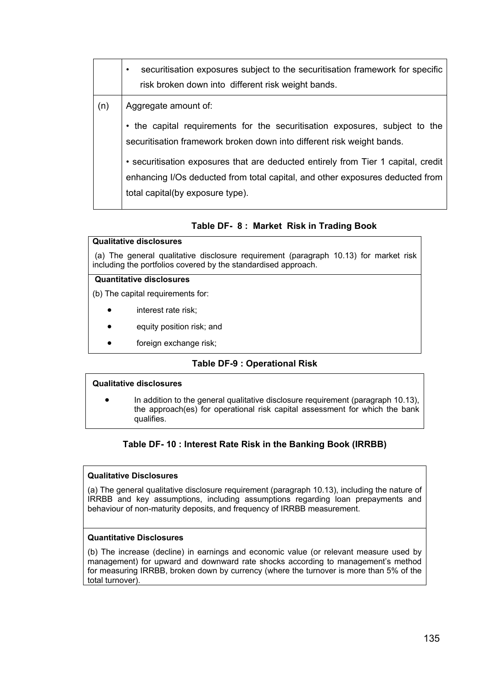|     | securitisation exposures subject to the securitisation framework for specific<br>$\bullet$<br>risk broken down into different risk weight bands.      |
|-----|-------------------------------------------------------------------------------------------------------------------------------------------------------|
| (n) | Aggregate amount of:                                                                                                                                  |
|     | • the capital requirements for the securitisation exposures, subject to the<br>securitisation framework broken down into different risk weight bands. |
|     | • securitisation exposures that are deducted entirely from Tier 1 capital, credit                                                                     |
|     | enhancing I/Os deducted from total capital, and other exposures deducted from<br>total capital(by exposure type).                                     |
|     |                                                                                                                                                       |

**Table DF- 8 : Market Risk in Trading Book** 

#### **Qualitative disclosures**

 (a) The general qualitative disclosure requirement (paragraph 10.13) for market risk including the portfolios covered by the standardised approach.

#### **Quantitative disclosures**

(b) The capital requirements for:

- interest rate risk:
- equity position risk; and
- foreign exchange risk;

## **Table DF-9 : Operational Risk**

## **Qualitative disclosures**

• In addition to the general qualitative disclosure requirement (paragraph 10.13), the approach(es) for operational risk capital assessment for which the bank qualifies.

## **Table DF- 10 : Interest Rate Risk in the Banking Book (IRRBB)**

#### **Qualitative Disclosures**

(a) The general qualitative disclosure requirement (paragraph 10.13), including the nature of IRRBB and key assumptions, including assumptions regarding loan prepayments and behaviour of non-maturity deposits, and frequency of IRRBB measurement.

#### **Quantitative Disclosures**

(b) The increase (decline) in earnings and economic value (or relevant measure used by management) for upward and downward rate shocks according to management's method for measuring IRRBB, broken down by currency (where the turnover is more than 5% of the total turnover).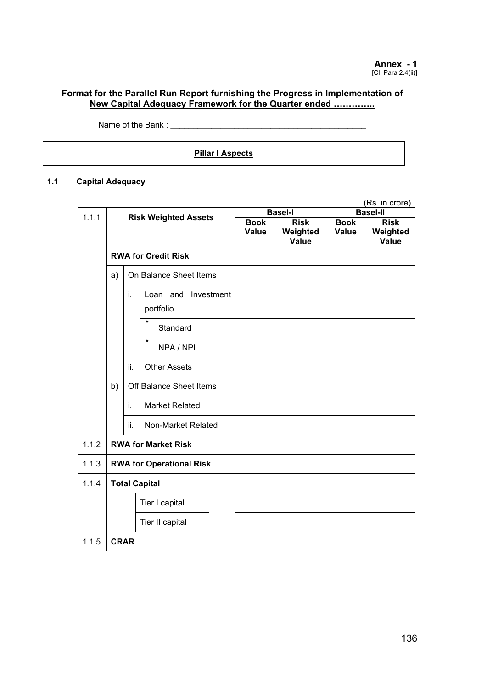#### **Format for the Parallel Run Report furnishing the Progress in Implementation of New Capital Adequacy Framework for the Quarter ended …………..**

Name of the Bank : \_\_\_\_\_\_\_\_\_\_\_\_\_\_\_\_\_\_\_\_\_\_\_\_\_\_\_\_\_\_\_\_\_\_\_\_\_\_\_\_\_\_\_

**Pillar I Aspects**

#### **1.1 Capital Adequacy**

|       |                                           |                         |         |                       |  |                      |                                         |                      | (Rs. in crore)                          |  |  |  |  |
|-------|-------------------------------------------|-------------------------|---------|-----------------------|--|----------------------|-----------------------------------------|----------------------|-----------------------------------------|--|--|--|--|
| 1.1.1 | <b>Risk Weighted Assets</b>               |                         |         |                       |  |                      | <b>Basel-I</b>                          | <b>Basel-II</b>      |                                         |  |  |  |  |
|       |                                           |                         |         |                       |  | <b>Book</b><br>Value | <b>Risk</b><br>Weighted<br><b>Value</b> | <b>Book</b><br>Value | <b>Risk</b><br>Weighted<br><b>Value</b> |  |  |  |  |
|       | <b>RWA for Credit Risk</b>                |                         |         |                       |  |                      |                                         |                      |                                         |  |  |  |  |
|       | On Balance Sheet Items<br>a)              |                         |         |                       |  |                      |                                         |                      |                                         |  |  |  |  |
|       | i.<br>Investment<br>Loan and<br>portfolio |                         |         |                       |  |                      |                                         |                      |                                         |  |  |  |  |
|       |                                           |                         | $\star$ | Standard              |  |                      |                                         |                      |                                         |  |  |  |  |
|       |                                           |                         |         |                       |  |                      | $\star$                                 | NPA / NPI            |                                         |  |  |  |  |
|       |                                           | ii.                     |         | <b>Other Assets</b>   |  |                      |                                         |                      |                                         |  |  |  |  |
|       | b)                                        | Off Balance Sheet Items |         |                       |  |                      |                                         |                      |                                         |  |  |  |  |
|       |                                           | i.                      |         | <b>Market Related</b> |  |                      |                                         |                      |                                         |  |  |  |  |
|       |                                           | ii.                     |         | Non-Market Related    |  |                      |                                         |                      |                                         |  |  |  |  |
| 1.1.2 | <b>RWA for Market Risk</b>                |                         |         |                       |  |                      |                                         |                      |                                         |  |  |  |  |
| 1.1.3 | <b>RWA for Operational Risk</b>           |                         |         |                       |  |                      |                                         |                      |                                         |  |  |  |  |
| 1.1.4 | <b>Total Capital</b>                      |                         |         |                       |  |                      |                                         |                      |                                         |  |  |  |  |
|       |                                           | Tier I capital          |         |                       |  |                      |                                         |                      |                                         |  |  |  |  |
|       | Tier II capital                           |                         |         |                       |  |                      |                                         |                      |                                         |  |  |  |  |
| 1.1.5 |                                           | <b>CRAR</b>             |         |                       |  |                      |                                         |                      |                                         |  |  |  |  |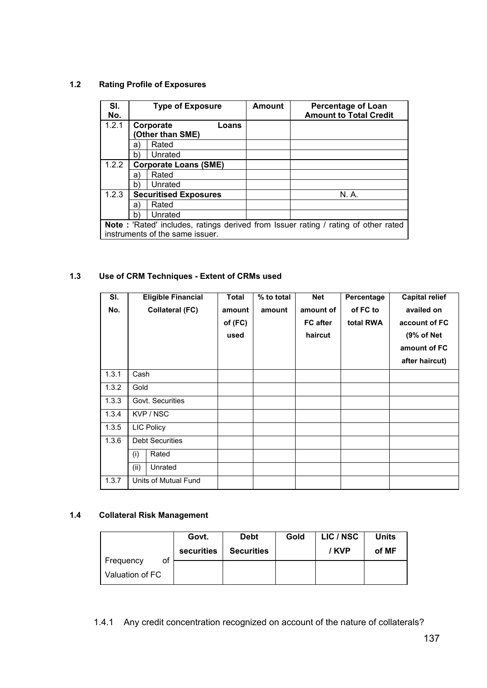## **1.2 Rating Profile of Exposures**

| SI.<br>No. | <b>Type of Exposure</b> |                                 |  | <b>Amount</b> | <b>Percentage of Loan</b><br><b>Amount to Total Credit</b>                         |
|------------|-------------------------|---------------------------------|--|---------------|------------------------------------------------------------------------------------|
| 1.2.1      | Corporate<br>Loans      |                                 |  |               |                                                                                    |
|            |                         | <b>Other than SME)</b>          |  |               |                                                                                    |
|            | a                       | Rated                           |  |               |                                                                                    |
|            | b'                      | Unrated                         |  |               |                                                                                    |
| 1.2.2      |                         | <b>Corporate Loans (SME)</b>    |  |               |                                                                                    |
|            | a                       | Rated                           |  |               |                                                                                    |
|            | b'                      | Unrated                         |  |               |                                                                                    |
| 1.2.3      |                         | <b>Securitised Exposures</b>    |  |               | N. A.                                                                              |
|            | a                       | Rated                           |  |               |                                                                                    |
|            | b'                      | Unrated                         |  |               |                                                                                    |
|            |                         |                                 |  |               | Note: 'Rated' includes, ratings derived from Issuer rating / rating of other rated |
|            |                         | instruments of the same issuer. |  |               |                                                                                    |

# **1.3 Use of CRM Techniques - Extent of CRMs used**

| SI.   | <b>Eligible Financial</b> | <b>Total</b> | % to total | <b>Net</b>      | Percentage | <b>Capital relief</b> |
|-------|---------------------------|--------------|------------|-----------------|------------|-----------------------|
| No.   | <b>Collateral (FC)</b>    | amount       | amount     | amount of       | of FC to   | availed on            |
|       |                           | of $(FC)$    |            | <b>FC</b> after | total RWA  | account of FC         |
|       |                           | used         |            | haircut         |            | (9% of Net)           |
|       |                           |              |            |                 |            | amount of FC          |
|       |                           |              |            |                 |            | after haircut)        |
| 1.3.1 | Cash                      |              |            |                 |            |                       |
| 1.3.2 | Gold                      |              |            |                 |            |                       |
| 1.3.3 | Govt. Securities          |              |            |                 |            |                       |
| 1.3.4 | KVP / NSC                 |              |            |                 |            |                       |
| 1.3.5 | LIC Policy                |              |            |                 |            |                       |
| 1.3.6 | <b>Debt Securities</b>    |              |            |                 |            |                       |
|       | (i)<br>Rated              |              |            |                 |            |                       |
|       | (ii)<br>Unrated           |              |            |                 |            |                       |
| 1.3.7 | Units of Mutual Fund      |              |            |                 |            |                       |

# **1.4 Collateral Risk Management**

|                 | Govt.      | <b>Debt</b>       | Gold | LIC / NSC | <b>Units</b> |
|-----------------|------------|-------------------|------|-----------|--------------|
|                 | securities | <b>Securities</b> |      | / KVP     | of MF        |
| of<br>Frequency |            |                   |      |           |              |
| Valuation of FC |            |                   |      |           |              |

1.4.1 Any credit concentration recognized on account of the nature of collaterals?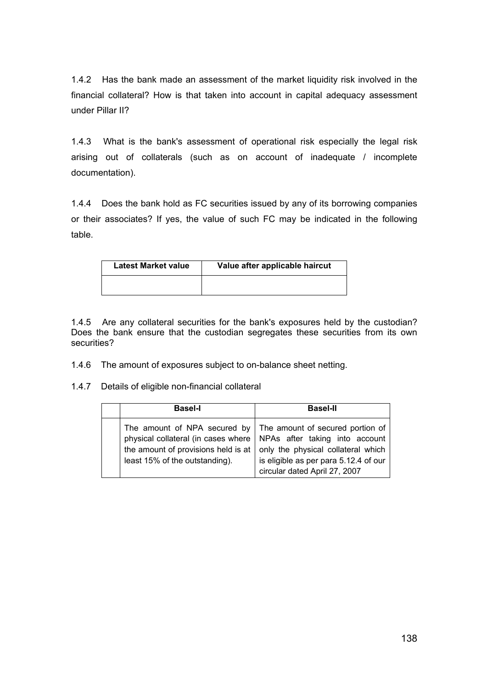1.4.2 Has the bank made an assessment of the market liquidity risk involved in the financial collateral? How is that taken into account in capital adequacy assessment under Pillar II?

1.4.3 What is the bank's assessment of operational risk especially the legal risk arising out of collaterals (such as on account of inadequate / incomplete documentation).

1.4.4 Does the bank hold as FC securities issued by any of its borrowing companies or their associates? If yes, the value of such FC may be indicated in the following table.

| <b>Latest Market value</b> | Value after applicable haircut |
|----------------------------|--------------------------------|
|                            |                                |

1.4.5 Are any collateral securities for the bank's exposures held by the custodian? Does the bank ensure that the custodian segregates these securities from its own securities?

1.4.6 The amount of exposures subject to on-balance sheet netting.

1.4.7 Details of eligible non-financial collateral

| <b>Basel-I</b>                                                                                                                                                                        | <b>Basel-II</b>                                                                                                                                |
|---------------------------------------------------------------------------------------------------------------------------------------------------------------------------------------|------------------------------------------------------------------------------------------------------------------------------------------------|
| The amount of NPA secured by $\vert$ The amount of secured portion of<br>physical collateral (in cases where<br>the amount of provisions held is at<br>least 15% of the outstanding). | NPAs after taking into account<br>only the physical collateral which<br>is eligible as per para 5.12.4 of our<br>circular dated April 27, 2007 |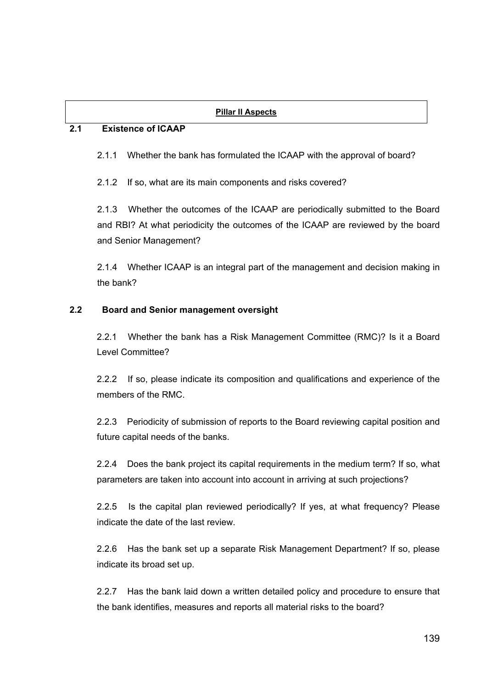## **2.1 Existence of ICAAP**

2.1.1 Whether the bank has formulated the ICAAP with the approval of board?

2.1.2 If so, what are its main components and risks covered?

2.1.3 Whether the outcomes of the ICAAP are periodically submitted to the Board and RBI? At what periodicity the outcomes of the ICAAP are reviewed by the board and Senior Management?

2.1.4 Whether ICAAP is an integral part of the management and decision making in the bank?

# **2.2 Board and Senior management oversight**

2.2.1 Whether the bank has a Risk Management Committee (RMC)? Is it a Board Level Committee?

2.2.2 If so, please indicate its composition and qualifications and experience of the members of the RMC.

2.2.3 Periodicity of submission of reports to the Board reviewing capital position and future capital needs of the banks.

2.2.4 Does the bank project its capital requirements in the medium term? If so, what parameters are taken into account into account in arriving at such projections?

2.2.5 Is the capital plan reviewed periodically? If yes, at what frequency? Please indicate the date of the last review.

2.2.6 Has the bank set up a separate Risk Management Department? If so, please indicate its broad set up.

2.2.7 Has the bank laid down a written detailed policy and procedure to ensure that the bank identifies, measures and reports all material risks to the board?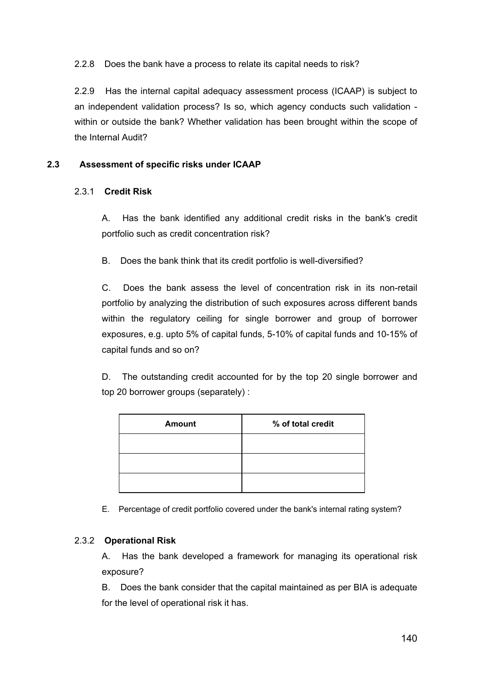2.2.8 Does the bank have a process to relate its capital needs to risk?

2.2.9 Has the internal capital adequacy assessment process (ICAAP) is subject to an independent validation process? Is so, which agency conducts such validation within or outside the bank? Whether validation has been brought within the scope of the Internal Audit?

# **2.3 Assessment of specific risks under ICAAP**

## 2.3.1 **Credit Risk**

A. Has the bank identified any additional credit risks in the bank's credit portfolio such as credit concentration risk?

B. Does the bank think that its credit portfolio is well-diversified?

C. Does the bank assess the level of concentration risk in its non-retail portfolio by analyzing the distribution of such exposures across different bands within the regulatory ceiling for single borrower and group of borrower exposures, e.g. upto 5% of capital funds, 5-10% of capital funds and 10-15% of capital funds and so on?

D. The outstanding credit accounted for by the top 20 single borrower and top 20 borrower groups (separately) :

| <b>Amount</b> | % of total credit |  |  |
|---------------|-------------------|--|--|
|               |                   |  |  |
|               |                   |  |  |
|               |                   |  |  |

E. Percentage of credit portfolio covered under the bank's internal rating system?

# 2.3.2 **Operational Risk**

A. Has the bank developed a framework for managing its operational risk exposure?

B. Does the bank consider that the capital maintained as per BIA is adequate for the level of operational risk it has.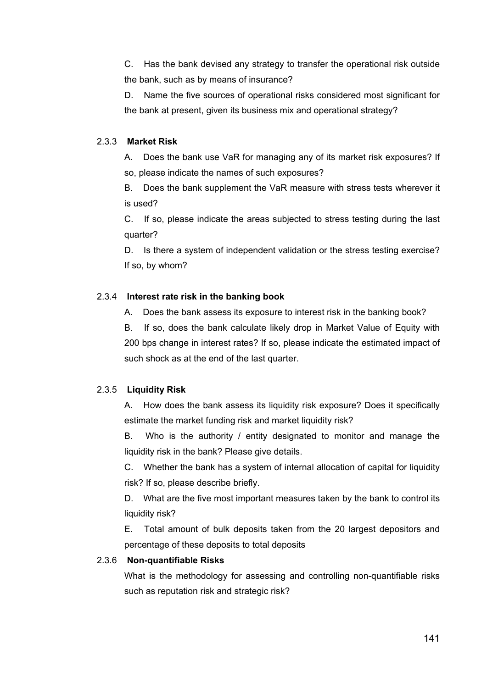C. Has the bank devised any strategy to transfer the operational risk outside the bank, such as by means of insurance?

D. Name the five sources of operational risks considered most significant for the bank at present, given its business mix and operational strategy?

## 2.3.3 **Market Risk**

A. Does the bank use VaR for managing any of its market risk exposures? If so, please indicate the names of such exposures?

B. Does the bank supplement the VaR measure with stress tests wherever it is used?

C. If so, please indicate the areas subjected to stress testing during the last quarter?

D. Is there a system of independent validation or the stress testing exercise? If so, by whom?

#### 2.3.4 **Interest rate risk in the banking book**

A. Does the bank assess its exposure to interest risk in the banking book?

B. If so, does the bank calculate likely drop in Market Value of Equity with 200 bps change in interest rates? If so, please indicate the estimated impact of such shock as at the end of the last quarter.

#### 2.3.5 **Liquidity Risk**

A. How does the bank assess its liquidity risk exposure? Does it specifically estimate the market funding risk and market liquidity risk?

B. Who is the authority / entity designated to monitor and manage the liquidity risk in the bank? Please give details.

C. Whether the bank has a system of internal allocation of capital for liquidity risk? If so, please describe briefly.

D. What are the five most important measures taken by the bank to control its liquidity risk?

E. Total amount of bulk deposits taken from the 20 largest depositors and percentage of these deposits to total deposits

#### 2.3.6 **Non-quantifiable Risks**

What is the methodology for assessing and controlling non-quantifiable risks such as reputation risk and strategic risk?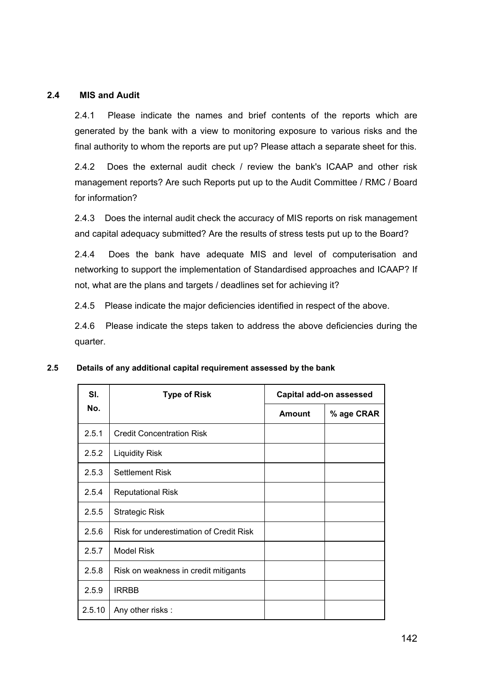## **2.4 MIS and Audit**

2.4.1 Please indicate the names and brief contents of the reports which are generated by the bank with a view to monitoring exposure to various risks and the final authority to whom the reports are put up? Please attach a separate sheet for this.

2.4.2 Does the external audit check / review the bank's ICAAP and other risk management reports? Are such Reports put up to the Audit Committee / RMC / Board for information?

2.4.3 Does the internal audit check the accuracy of MIS reports on risk management and capital adequacy submitted? Are the results of stress tests put up to the Board?

2.4.4 Does the bank have adequate MIS and level of computerisation and networking to support the implementation of Standardised approaches and ICAAP? If not, what are the plans and targets / deadlines set for achieving it?

2.4.5 Please indicate the major deficiencies identified in respect of the above.

2.4.6 Please indicate the steps taken to address the above deficiencies during the quarter.

| SI.    | <b>Type of Risk</b>                     | Capital add-on assessed |            |
|--------|-----------------------------------------|-------------------------|------------|
| No.    |                                         | <b>Amount</b>           | % age CRAR |
| 2.5.1  | <b>Credit Concentration Risk</b>        |                         |            |
| 2.5.2  | <b>Liquidity Risk</b>                   |                         |            |
| 2.5.3  | <b>Settlement Risk</b>                  |                         |            |
| 2.5.4  | <b>Reputational Risk</b>                |                         |            |
| 2.5.5  | <b>Strategic Risk</b>                   |                         |            |
| 2.5.6  | Risk for underestimation of Credit Risk |                         |            |
| 2.5.7  | <b>Model Risk</b>                       |                         |            |
| 2.5.8  | Risk on weakness in credit mitigants    |                         |            |
| 2.5.9  | <b>IRRBB</b>                            |                         |            |
| 2.5.10 | Any other risks:                        |                         |            |

#### **2.5 Details of any additional capital requirement assessed by the bank**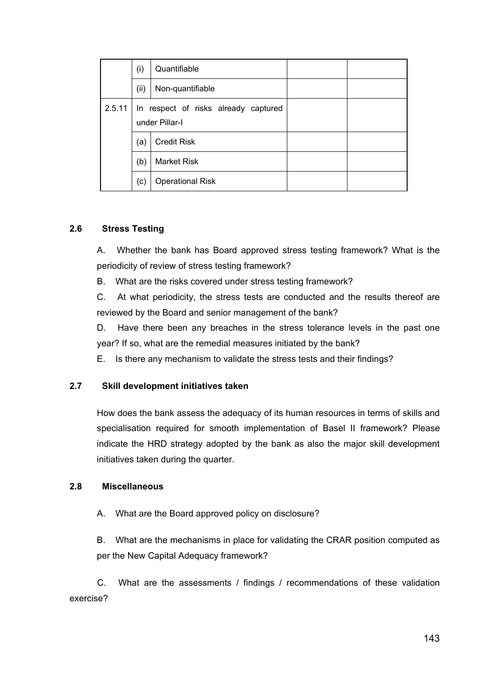|        | (i)  | Quantifiable                                           |  |
|--------|------|--------------------------------------------------------|--|
|        | (ii) | Non-quantifiable                                       |  |
| 2.5.11 |      | In respect of risks already captured<br>under Pillar-I |  |
|        | (a)  | <b>Credit Risk</b>                                     |  |
|        | (b)  | <b>Market Risk</b>                                     |  |
|        | (c)  | <b>Operational Risk</b>                                |  |

## **2.6 Stress Testing**

A. Whether the bank has Board approved stress testing framework? What is the periodicity of review of stress testing framework?

B. What are the risks covered under stress testing framework?

C. At what periodicity, the stress tests are conducted and the results thereof are reviewed by the Board and senior management of the bank?

D. Have there been any breaches in the stress tolerance levels in the past one year? If so, what are the remedial measures initiated by the bank?

E. Is there any mechanism to validate the stress tests and their findings?

## **2.7 Skill development initiatives taken**

How does the bank assess the adequacy of its human resources in terms of skills and specialisation required for smooth implementation of Basel II framework? Please indicate the HRD strategy adopted by the bank as also the major skill development initiatives taken during the quarter.

## **2.8 Miscellaneous**

A. What are the Board approved policy on disclosure?

B. What are the mechanisms in place for validating the CRAR position computed as per the New Capital Adequacy framework?

 C. What are the assessments / findings / recommendations of these validation exercise?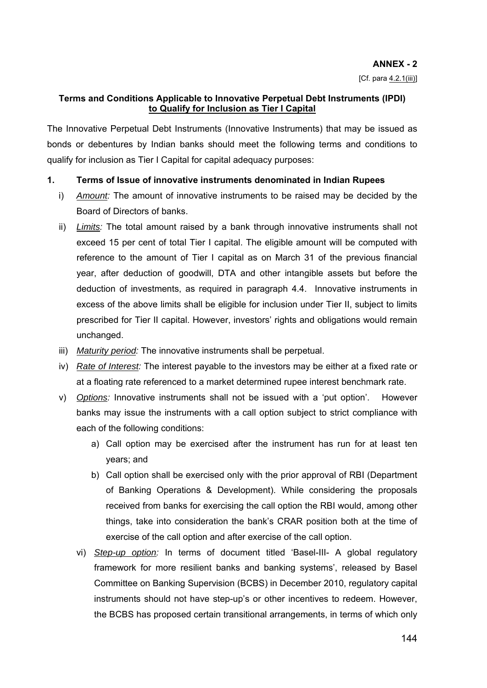## **Terms and Conditions Applicable to Innovative Perpetual Debt Instruments (IPDI) to Qualify for Inclusion as Tier I Capital**

The Innovative Perpetual Debt Instruments (Innovative Instruments) that may be issued as bonds or debentures by Indian banks should meet the following terms and conditions to qualify for inclusion as Tier I Capital for capital adequacy purposes:

## **1. Terms of Issue of innovative instruments denominated in Indian Rupees**

- i) *Amount:* The amount of innovative instruments to be raised may be decided by the Board of Directors of banks.
- ii) *Limits:* The total amount raised by a bank through innovative instruments shall not exceed 15 per cent of total Tier I capital. The eligible amount will be computed with reference to the amount of Tier I capital as on March 31 of the previous financial year, after deduction of goodwill, DTA and other intangible assets but before the deduction of investments, as required in paragraph 4.4. Innovative instruments in excess of the above limits shall be eligible for inclusion under Tier II, subject to limits prescribed for Tier II capital. However, investors' rights and obligations would remain unchanged.
- iii) *Maturity period:* The innovative instruments shall be perpetual.
- iv) *Rate of Interest:* The interest payable to the investors may be either at a fixed rate or at a floating rate referenced to a market determined rupee interest benchmark rate.
- v) *Options:* Innovative instruments shall not be issued with a 'put option'. However banks may issue the instruments with a call option subject to strict compliance with each of the following conditions:
	- a) Call option may be exercised after the instrument has run for at least ten years; and
	- b) Call option shall be exercised only with the prior approval of RBI (Department of Banking Operations & Development). While considering the proposals received from banks for exercising the call option the RBI would, among other things, take into consideration the bank's CRAR position both at the time of exercise of the call option and after exercise of the call option.
	- vi) *Step-up option:* In terms of document titled 'Basel-III- A global regulatory framework for more resilient banks and banking systems', released by Basel Committee on Banking Supervision (BCBS) in December 2010, regulatory capital instruments should not have step-up's or other incentives to redeem. However, the BCBS has proposed certain transitional arrangements, in terms of which only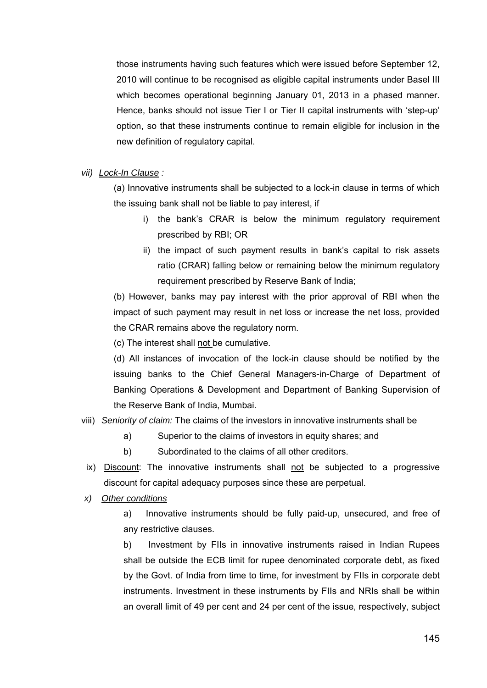those instruments having such features which were issued before September 12, 2010 will continue to be recognised as eligible capital instruments under Basel III which becomes operational beginning January 01, 2013 in a phased manner. Hence, banks should not issue Tier I or Tier II capital instruments with 'step-up' option, so that these instruments continue to remain eligible for inclusion in the new definition of regulatory capital.

#### *vii) Lock-In Clause :*

(a) Innovative instruments shall be subjected to a lock-in clause in terms of which the issuing bank shall not be liable to pay interest, if

- i) the bank's CRAR is below the minimum regulatory requirement prescribed by RBI; OR
- ii) the impact of such payment results in bank's capital to risk assets ratio (CRAR) falling below or remaining below the minimum regulatory requirement prescribed by Reserve Bank of India;

(b) However, banks may pay interest with the prior approval of RBI when the impact of such payment may result in net loss or increase the net loss, provided the CRAR remains above the regulatory norm.

(c) The interest shall not be cumulative.

(d) All instances of invocation of the lock-in clause should be notified by the issuing banks to the Chief General Managers-in-Charge of Department of Banking Operations & Development and Department of Banking Supervision of the Reserve Bank of India, Mumbai.

- viii) *Seniority of claim:* The claims of the investors in innovative instruments shall be
	- a) Superior to the claims of investors in equity shares; and
	- b) Subordinated to the claims of all other creditors.
- ix) Discount: The innovative instruments shall not be subjected to a progressive discount for capital adequacy purposes since these are perpetual.
- *x) Other conditions*

a) Innovative instruments should be fully paid-up, unsecured, and free of any restrictive clauses.

b) Investment by FIIs in innovative instruments raised in Indian Rupees shall be outside the ECB limit for rupee denominated corporate debt, as fixed by the Govt. of India from time to time, for investment by FIIs in corporate debt instruments. Investment in these instruments by FIIs and NRIs shall be within an overall limit of 49 per cent and 24 per cent of the issue, respectively, subject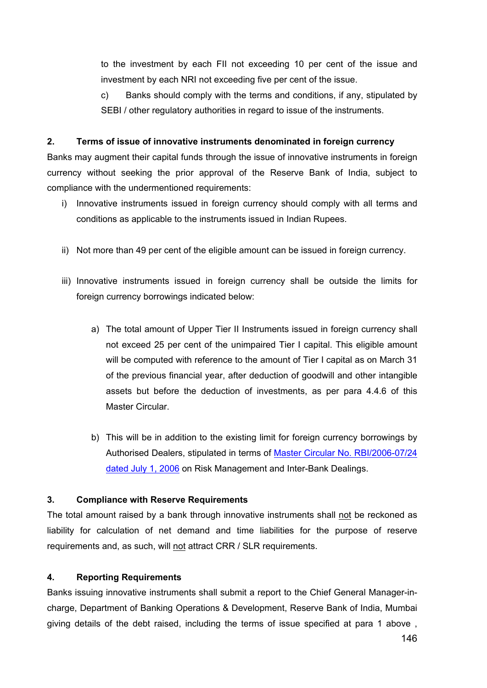to the investment by each FII not exceeding 10 per cent of the issue and investment by each NRI not exceeding five per cent of the issue.

c) Banks should comply with the terms and conditions, if any, stipulated by SEBI / other regulatory authorities in regard to issue of the instruments.

### **2. Terms of issue of innovative instruments denominated in foreign currency**

Banks may augment their capital funds through the issue of innovative instruments in foreign currency without seeking the prior approval of the Reserve Bank of India, subject to compliance with the undermentioned requirements:

- i) Innovative instruments issued in foreign currency should comply with all terms and conditions as applicable to the instruments issued in Indian Rupees.
- ii) Not more than 49 per cent of the eligible amount can be issued in foreign currency.
- iii) Innovative instruments issued in foreign currency shall be outside the limits for foreign currency borrowings indicated below:
	- a) The total amount of Upper Tier II Instruments issued in foreign currency shall not exceed 25 per cent of the unimpaired Tier I capital. This eligible amount will be computed with reference to the amount of Tier I capital as on March 31 of the previous financial year, after deduction of goodwill and other intangible assets but before the deduction of investments, as per para 4.4.6 of this Master Circular.
	- b) This will be in addition to the existing limit for foreign currency borrowings by Authorised Dealers, stipulated in terms of [Master Circular No. RBI/2006-07/24](http://www.rbi.org.in/scripts/BS_ViewMasCirculardetails.aspx?id=2952)  [dated July 1, 2006](http://www.rbi.org.in/scripts/BS_ViewMasCirculardetails.aspx?id=2952) on Risk Management and Inter-Bank Dealings.

### **3. Compliance with Reserve Requirements**

The total amount raised by a bank through innovative instruments shall not be reckoned as liability for calculation of net demand and time liabilities for the purpose of reserve requirements and, as such, will not attract CRR / SLR requirements.

### **4. Reporting Requirements**

Banks issuing innovative instruments shall submit a report to the Chief General Manager-incharge, Department of Banking Operations & Development, Reserve Bank of India, Mumbai giving details of the debt raised, including the terms of issue specified at para 1 above ,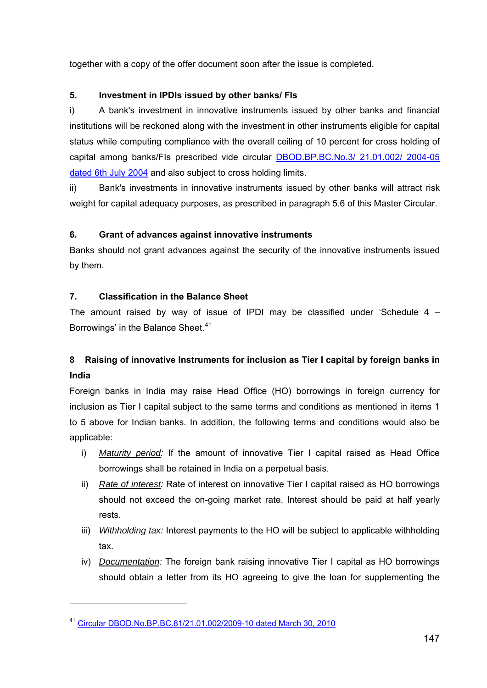together with a copy of the offer document soon after the issue is completed.

# **5. Investment in IPDIs issued by other banks/ FIs**

i) A bank's investment in innovative instruments issued by other banks and financial institutions will be reckoned along with the investment in other instruments eligible for capital status while computing compliance with the overall ceiling of 10 percent for cross holding of capital among banks/FIs prescribed vide circular **DBOD.BP.BC.No.3/ 21.01.002/ 2004-05** [dated 6th July 2004](http://www.rbi.org.in/scripts/NotificationUser.aspx?Id=1772&Mode=0) and also subject to cross holding limits.

ii) Bank's investments in innovative instruments issued by other banks will attract risk weight for capital adequacy purposes, as prescribed in paragraph 5.6 of this Master Circular.

## **6. Grant of advances against innovative instruments**

Banks should not grant advances against the security of the innovative instruments issued by them.

## **7. Classification in the Balance Sheet**

The amount raised by way of issue of IPDI may be classified under 'Schedule 4 – Borrowings' in the Balance Sheet.<sup>[41](#page-146-0)</sup>

# **8 Raising of innovative Instruments for inclusion as Tier I capital by foreign banks in India**

Foreign banks in India may raise Head Office (HO) borrowings in foreign currency for inclusion as Tier I capital subject to the same terms and conditions as mentioned in items 1 to 5 above for Indian banks. In addition, the following terms and conditions would also be applicable:

- i) *Maturity period:* If the amount of innovative Tier I capital raised as Head Office borrowings shall be retained in India on a perpetual basis.
- ii) *Rate of interest:* Rate of interest on innovative Tier I capital raised as HO borrowings should not exceed the on-going market rate. Interest should be paid at half yearly rests.
- iii) *Withholding tax:* Interest payments to the HO will be subject to applicable withholding tax.
- iv) *Documentation:* The foreign bank raising innovative Tier I capital as HO borrowings should obtain a letter from its HO agreeing to give the loan for supplementing the

1

<span id="page-146-0"></span><sup>41</sup> Circular DBOD.No.BP.BC.81/21.01.002/2009-10 dated March 30, 2010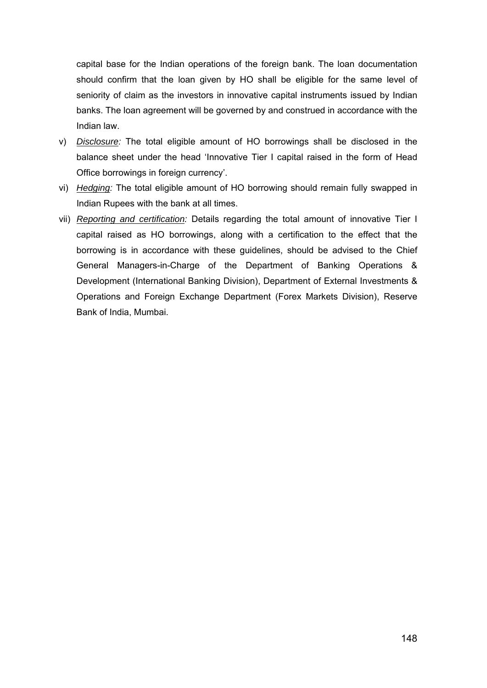capital base for the Indian operations of the foreign bank. The loan documentation should confirm that the loan given by HO shall be eligible for the same level of seniority of claim as the investors in innovative capital instruments issued by Indian banks. The loan agreement will be governed by and construed in accordance with the Indian law.

- v) *Disclosure:* The total eligible amount of HO borrowings shall be disclosed in the balance sheet under the head 'Innovative Tier I capital raised in the form of Head Office borrowings in foreign currency'.
- vi) *Hedging:* The total eligible amount of HO borrowing should remain fully swapped in Indian Rupees with the bank at all times.
- vii) *Reporting and certification:* Details regarding the total amount of innovative Tier I capital raised as HO borrowings, along with a certification to the effect that the borrowing is in accordance with these guidelines, should be advised to the Chief General Managers-in-Charge of the Department of Banking Operations & Development (International Banking Division), Department of External Investments & Operations and Foreign Exchange Department (Forex Markets Division), Reserve Bank of India, Mumbai.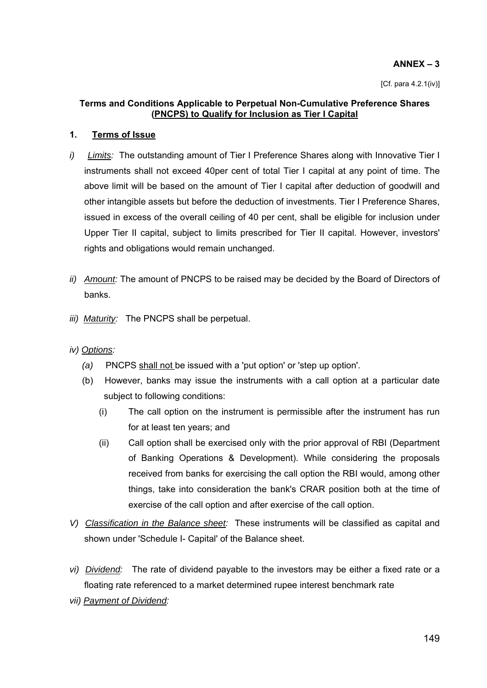### **ANNEX – 3**

[Cf. para 4.2.1(iv)]

### **Terms and Conditions Applicable to Perpetual Non-Cumulative Preference Shares (PNCPS) to Qualify for Inclusion as Tier I Capital**

### **1. Terms of Issue**

- *i*) Limits: The outstanding amount of Tier I Preference Shares along with Innovative Tier I instruments shall not exceed 40per cent of total Tier I capital at any point of time. The above limit will be based on the amount of Tier I capital after deduction of goodwill and other intangible assets but before the deduction of investments. Tier I Preference Shares, issued in excess of the overall ceiling of 40 per cent, shall be eligible for inclusion under Upper Tier II capital, subject to limits prescribed for Tier II capital. However, investors' rights and obligations would remain unchanged.
- *ii) Amount:* The amount of PNCPS to be raised may be decided by the Board of Directors of banks.
- *iii) Maturity:* The PNCPS shall be perpetual.
- *iv) Options:* 
	- *(a)* PNCPS shall not be issued with a 'put option' or 'step up option'.
	- (b) However, banks may issue the instruments with a call option at a particular date subject to following conditions:
		- (i) The call option on the instrument is permissible after the instrument has run for at least ten years; and
		- (ii) Call option shall be exercised only with the prior approval of RBI (Department of Banking Operations & Development). While considering the proposals received from banks for exercising the call option the RBI would, among other things, take into consideration the bank's CRAR position both at the time of exercise of the call option and after exercise of the call option.
- *V) Classification in the Balance sheet:* These instruments will be classified as capital and shown under 'Schedule I- Capital' of the Balance sheet.
- *vi) Dividend:*The rate of dividend payable to the investors may be either a fixed rate or a floating rate referenced to a market determined rupee interest benchmark rate
- *vii) Payment of Dividend:*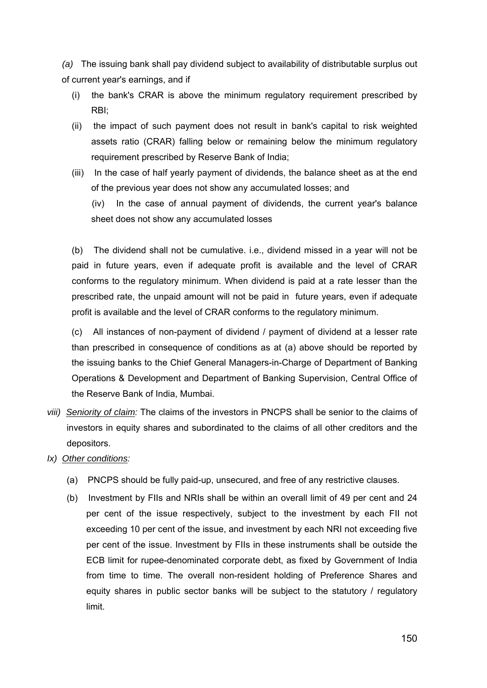*(a)* The issuing bank shall pay dividend subject to availability of distributable surplus out of current year's earnings, and if

- (i) the bank's CRAR is above the minimum regulatory requirement prescribed by RBI;
- (ii) the impact of such payment does not result in bank's capital to risk weighted assets ratio (CRAR) falling below or remaining below the minimum regulatory requirement prescribed by Reserve Bank of India;
- (iii) In the case of half yearly payment of dividends, the balance sheet as at the end of the previous year does not show any accumulated losses; and

 (iv) In the case of annual payment of dividends, the current year's balance sheet does not show any accumulated losses

(b) The dividend shall not be cumulative. i.e., dividend missed in a year will not be paid in future years, even if adequate profit is available and the level of CRAR conforms to the regulatory minimum. When dividend is paid at a rate lesser than the prescribed rate, the unpaid amount will not be paid in future years, even if adequate profit is available and the level of CRAR conforms to the regulatory minimum.

(c) All instances of non-payment of dividend / payment of dividend at a lesser rate than prescribed in consequence of conditions as at (a) above should be reported by the issuing banks to the Chief General Managers-in-Charge of Department of Banking Operations & Development and Department of Banking Supervision, Central Office of the Reserve Bank of India, Mumbai.

- *viii) Seniority of claim:* The claims of the investors in PNCPS shall be senior to the claims of investors in equity shares and subordinated to the claims of all other creditors and the depositors.
- *Ix) Other conditions:* 
	- (a) PNCPS should be fully paid-up, unsecured, and free of any restrictive clauses.
	- (b) Investment by FIIs and NRIs shall be within an overall limit of 49 per cent and 24 per cent of the issue respectively, subject to the investment by each FII not exceeding 10 per cent of the issue, and investment by each NRI not exceeding five per cent of the issue. Investment by FIIs in these instruments shall be outside the ECB limit for rupee-denominated corporate debt, as fixed by Government of India from time to time. The overall non-resident holding of Preference Shares and equity shares in public sector banks will be subject to the statutory / regulatory limit.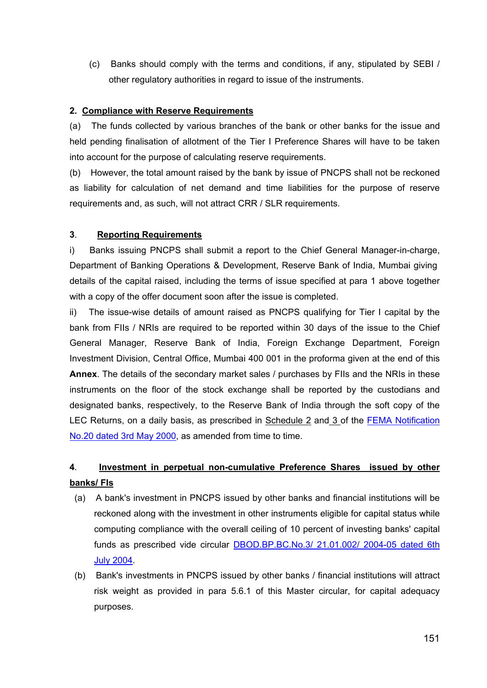(c) Banks should comply with the terms and conditions, if any, stipulated by SEBI / other regulatory authorities in regard to issue of the instruments.

#### **2. Compliance with Reserve Requirements**

(a) The funds collected by various branches of the bank or other banks for the issue and held pending finalisation of allotment of the Tier I Preference Shares will have to be taken into account for the purpose of calculating reserve requirements.

(b) However, the total amount raised by the bank by issue of PNCPS shall not be reckoned as liability for calculation of net demand and time liabilities for the purpose of reserve requirements and, as such, will not attract CRR / SLR requirements.

### **3**. **Reporting Requirements**

i) Banks issuing PNCPS shall submit a report to the Chief General Manager-in-charge, Department of Banking Operations & Development, Reserve Bank of India, Mumbai giving details of the capital raised, including the terms of issue specified at para 1 above together with a copy of the offer document soon after the issue is completed.

ii) The issue-wise details of amount raised as PNCPS qualifying for Tier I capital by the bank from FIIs / NRIs are required to be reported within 30 days of the issue to the Chief General Manager, Reserve Bank of India, Foreign Exchange Department, Foreign Investment Division, Central Office, Mumbai 400 001 in the proforma given at the end of this **Annex**. The details of the secondary market sales / purchases by FIIs and the NRIs in these instruments on the floor of the stock exchange shall be reported by the custodians and designated banks, respectively, to the Reserve Bank of India through the soft copy of the LEC Returns, on a daily basis, as prescribed in [Schedule 2](http://10.24.1.98/kmt/GetDocument.asp?PageRef=ecm/fema2003-05-2000_sch.htm#sch2) and [3 o](http://10.24.1.98/kmt/GetDocument.asp?PageRef=ecm/fema2003-05-2000_sch.htm#sch3)f the [FEMA Notification](http://rbi.org.in/Scripts/BS_FemaNotifications.aspx?Id=174)  [No.20 dated 3rd May 2000](http://rbi.org.in/Scripts/BS_FemaNotifications.aspx?Id=174), as amended from time to time.

# **4**. **Investment in perpetual non-cumulative Preference Shares issued by other banks/ FIs**

- (a) A bank's investment in PNCPS issued by other banks and financial institutions will be reckoned along with the investment in other instruments eligible for capital status while computing compliance with the overall ceiling of 10 percent of investing banks' capital funds as prescribed vide circular [DBOD.BP.BC.No.3/ 21.01.002/ 2004-05 dated 6th](http://www.rbi.org.in/scripts/NotificationUser.aspx?Id=1772&Mode=0)  [July 2004](http://www.rbi.org.in/scripts/NotificationUser.aspx?Id=1772&Mode=0).
- (b) Bank's investments in PNCPS issued by other banks / financial institutions will attract risk weight as provided in para 5.6.1 of this Master circular, for capital adequacy purposes.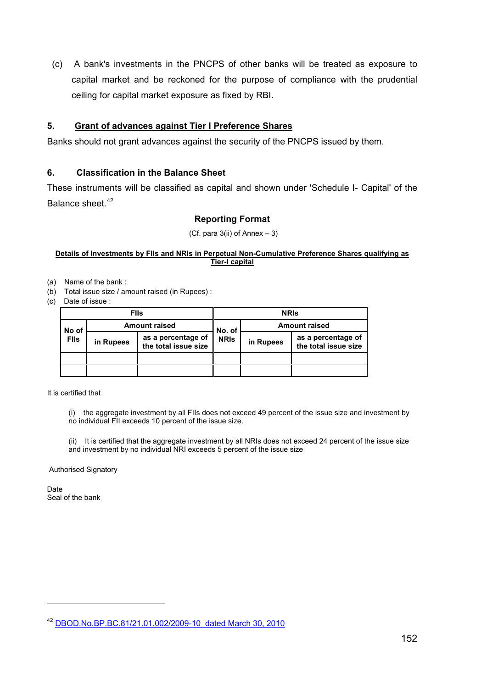(c) A bank's investments in the PNCPS of other banks will be treated as exposure to capital market and be reckoned for the purpose of compliance with the prudential ceiling for capital market exposure as fixed by RBI.

### **5. Grant of advances against Tier I Preference Shares**

Banks should not grant advances against the security of the PNCPS issued by them.

#### **6. Classification in the Balance Sheet**

These instruments will be classified as capital and shown under 'Schedule I- Capital' of the Balance sheet<sup>[42](#page-151-0)</sup>

### **Reporting Format**

(Cf. para 3(ii) of Annex – 3)

#### **Details of Investments by FIIs and NRIs in Perpetual Non-Cumulative Preference Shares qualifying as Tier-I capital**

- (a) Name of the bank :
- (b) Total issue size / amount raised (in Rupees) :
- (c) Date of issue :

| <b>Fils</b>          |                      |                                            | <b>NRIS</b> |                      |                                            |
|----------------------|----------------------|--------------------------------------------|-------------|----------------------|--------------------------------------------|
| No of<br><b>Fils</b> | <b>Amount raised</b> |                                            | No. of      | <b>Amount raised</b> |                                            |
|                      | in Rupees            | as a percentage of<br>the total issue size | <b>NRIS</b> | in Rupees            | as a percentage of<br>the total issue size |
|                      |                      |                                            |             |                      |                                            |
|                      |                      |                                            |             |                      |                                            |

It is certified that

(i) the aggregate investment by all FIIs does not exceed 49 percent of the issue size and investment by no individual FII exceeds 10 percent of the issue size.

(ii) It is certified that the aggregate investment by all NRIs does not exceed 24 percent of the issue size and investment by no individual NRI exceeds 5 percent of the issue size

Authorised Signatory

**Date** Seal of the bank

l

<span id="page-151-0"></span><sup>42</sup> DBOD.No.BP.BC.81/21.01.002/2009-10 dated March 30, 2010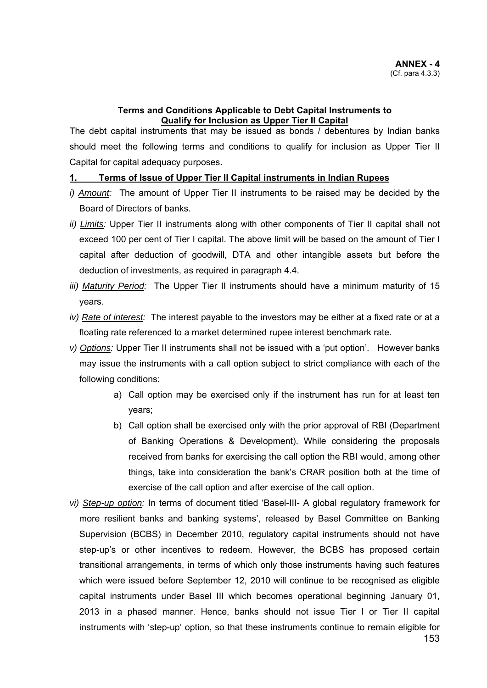#### **Terms and Conditions Applicable to Debt Capital Instruments to Qualify for Inclusion as Upper Tier II Capital**

The debt capital instruments that may be issued as bonds / debentures by Indian banks should meet the following terms and conditions to qualify for inclusion as Upper Tier II Capital for capital adequacy purposes.

### **1. Terms of Issue of Upper Tier II Capital instruments in Indian Rupees**

- *i) Amount:* The amount of Upper Tier II instruments to be raised may be decided by the Board of Directors of banks.
- *ii) Limits:* Upper Tier II instruments along with other components of Tier II capital shall not exceed 100 per cent of Tier I capital. The above limit will be based on the amount of Tier I capital after deduction of goodwill, DTA and other intangible assets but before the deduction of investments, as required in paragraph 4.4.
- *iii) Maturity Period:* The Upper Tier II instruments should have a minimum maturity of 15 years.
- *iv) Rate of interest:*The interest payable to the investors may be either at a fixed rate or at a floating rate referenced to a market determined rupee interest benchmark rate.
- *v) Options:* Upper Tier II instruments shall not be issued with a 'put option'. However banks may issue the instruments with a call option subject to strict compliance with each of the following conditions:
	- a) Call option may be exercised only if the instrument has run for at least ten years;
	- b) Call option shall be exercised only with the prior approval of RBI (Department of Banking Operations & Development). While considering the proposals received from banks for exercising the call option the RBI would, among other things, take into consideration the bank's CRAR position both at the time of exercise of the call option and after exercise of the call option.
- 153 *vi) Step-up option:* In terms of document titled 'Basel-III- A global regulatory framework for more resilient banks and banking systems', released by Basel Committee on Banking Supervision (BCBS) in December 2010, regulatory capital instruments should not have step-up's or other incentives to redeem. However, the BCBS has proposed certain transitional arrangements, in terms of which only those instruments having such features which were issued before September 12, 2010 will continue to be recognised as eligible capital instruments under Basel III which becomes operational beginning January 01, 2013 in a phased manner. Hence, banks should not issue Tier I or Tier II capital instruments with 'step-up' option, so that these instruments continue to remain eligible for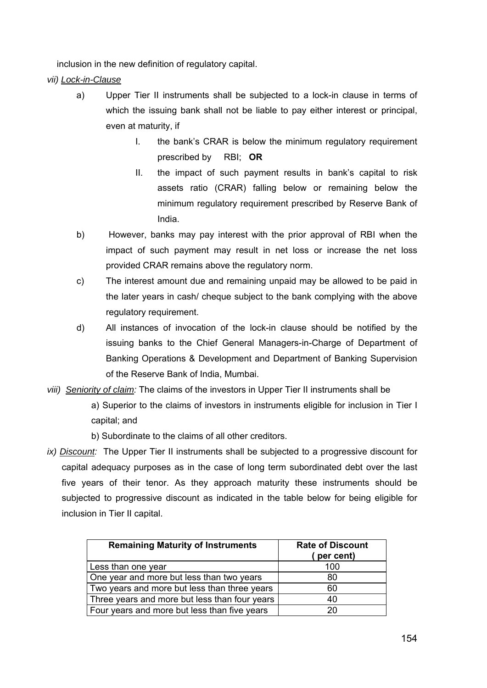inclusion in the new definition of regulatory capital.

*vii) Lock-in-Clause*

- a) Upper Tier II instruments shall be subjected to a lock-in clause in terms of which the issuing bank shall not be liable to pay either interest or principal, even at maturity, if
	- I. the bank's CRAR is below the minimum regulatory requirement prescribed by RBI; **OR**
	- II. the impact of such payment results in bank's capital to risk assets ratio (CRAR) falling below or remaining below the minimum regulatory requirement prescribed by Reserve Bank of India.
- b) However, banks may pay interest with the prior approval of RBI when the impact of such payment may result in net loss or increase the net loss provided CRAR remains above the regulatory norm.
- c) The interest amount due and remaining unpaid may be allowed to be paid in the later years in cash/ cheque subject to the bank complying with the above regulatory requirement.
- d) All instances of invocation of the lock-in clause should be notified by the issuing banks to the Chief General Managers-in-Charge of Department of Banking Operations & Development and Department of Banking Supervision of the Reserve Bank of India, Mumbai.
- *viii) Seniority of claim:* The claims of the investors in Upper Tier II instruments shall be

a) Superior to the claims of investors in instruments eligible for inclusion in Tier I capital; and

- b) Subordinate to the claims of all other creditors.
- *ix) Discount:*The Upper Tier II instruments shall be subjected to a progressive discount for capital adequacy purposes as in the case of long term subordinated debt over the last five years of their tenor. As they approach maturity these instruments should be subjected to progressive discount as indicated in the table below for being eligible for inclusion in Tier II capital.

| <b>Remaining Maturity of Instruments</b>      | <b>Rate of Discount</b><br>per cent) |
|-----------------------------------------------|--------------------------------------|
| Less than one year                            | 100                                  |
| One year and more but less than two years     | 80                                   |
| Two years and more but less than three years  | 60                                   |
| Three years and more but less than four years | 40                                   |
| Four years and more but less than five years  |                                      |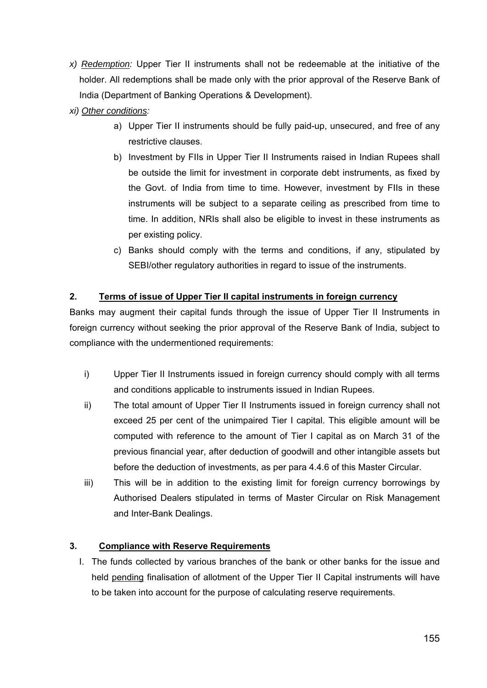- *x) Redemption:* Upper Tier II instruments shall not be redeemable at the initiative of the holder. All redemptions shall be made only with the prior approval of the Reserve Bank of India (Department of Banking Operations & Development).
- *xi) Other conditions:* 
	- a) Upper Tier II instruments should be fully paid-up, unsecured, and free of any restrictive clauses.
	- b) Investment by FIIs in Upper Tier II Instruments raised in Indian Rupees shall be outside the limit for investment in corporate debt instruments, as fixed by the Govt. of India from time to time. However, investment by FIIs in these instruments will be subject to a separate ceiling as prescribed from time to time. In addition, NRIs shall also be eligible to invest in these instruments as per existing policy.
	- c) Banks should comply with the terms and conditions, if any, stipulated by SEBI/other regulatory authorities in regard to issue of the instruments.

## **2. Terms of issue of Upper Tier II capital instruments in foreign currency**

Banks may augment their capital funds through the issue of Upper Tier II Instruments in foreign currency without seeking the prior approval of the Reserve Bank of India, subject to compliance with the undermentioned requirements:

- i) Upper Tier II Instruments issued in foreign currency should comply with all terms and conditions applicable to instruments issued in Indian Rupees.
- ii) The total amount of Upper Tier II Instruments issued in foreign currency shall not exceed 25 per cent of the unimpaired Tier I capital. This eligible amount will be computed with reference to the amount of Tier I capital as on March 31 of the previous financial year, after deduction of goodwill and other intangible assets but before the deduction of investments, as per para 4.4.6 of this Master Circular.
- iii) This will be in addition to the existing limit for foreign currency borrowings by Authorised Dealers stipulated in terms of Master Circular on Risk Management and Inter-Bank Dealings.

### **3. Compliance with Reserve Requirements**

I. The funds collected by various branches of the bank or other banks for the issue and held pending finalisation of allotment of the Upper Tier II Capital instruments will have to be taken into account for the purpose of calculating reserve requirements.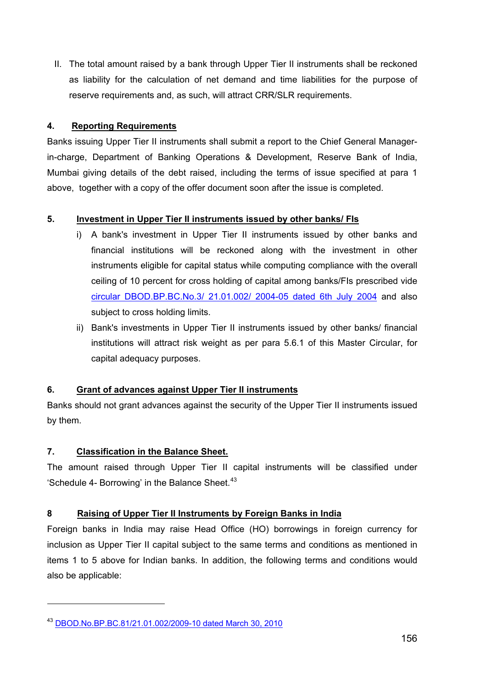II. The total amount raised by a bank through Upper Tier II instruments shall be reckoned as liability for the calculation of net demand and time liabilities for the purpose of reserve requirements and, as such, will attract CRR/SLR requirements.

## **4. Reporting Requirements**

Banks issuing Upper Tier II instruments shall submit a report to the Chief General Managerin-charge, Department of Banking Operations & Development, Reserve Bank of India, Mumbai giving details of the debt raised, including the terms of issue specified at para 1 above, together with a copy of the offer document soon after the issue is completed.

## **5. Investment in Upper Tier II instruments issued by other banks/ FIs**

- i) A bank's investment in Upper Tier II instruments issued by other banks and financial institutions will be reckoned along with the investment in other instruments eligible for capital status while computing compliance with the overall ceiling of 10 percent for cross holding of capital among banks/FIs prescribed vide [circular DBOD.BP.BC.No.3/ 21.01.002/ 2004-05 dated 6th July 2004](http://www.rbi.org.in/scripts/NotificationUser.aspx?Id=1772&Mode=0) and also subject to cross holding limits.
- ii) Bank's investments in Upper Tier II instruments issued by other banks/ financial institutions will attract risk weight as per para 5.6.1 of this Master Circular, for capital adequacy purposes.

# **6. Grant of advances against Upper Tier II instruments**

Banks should not grant advances against the security of the Upper Tier II instruments issued by them.

# **7. Classification in the Balance Sheet.**

l

The amount raised through Upper Tier II capital instruments will be classified under 'Schedule 4- Borrowing' in the Balance Sheet.<sup>[43](#page-155-0)</sup>

# **8 Raising of Upper Tier II Instruments by Foreign Banks in India**

Foreign banks in India may raise Head Office (HO) borrowings in foreign currency for inclusion as Upper Tier II capital subject to the same terms and conditions as mentioned in items 1 to 5 above for Indian banks. In addition, the following terms and conditions would also be applicable:

<span id="page-155-0"></span><sup>43</sup> DBOD.No.BP.BC.81/21.01.002/2009-10 dated March 30, 2010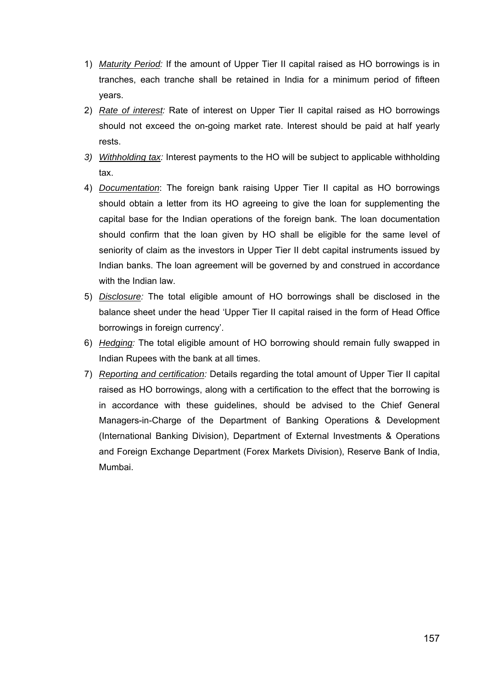- 1) *Maturity Period:* If the amount of Upper Tier II capital raised as HO borrowings is in tranches, each tranche shall be retained in India for a minimum period of fifteen years.
- 2) *Rate of interest:* Rate of interest on Upper Tier II capital raised as HO borrowings should not exceed the on-going market rate. Interest should be paid at half yearly rests.
- *3) Withholding tax:* Interest payments to the HO will be subject to applicable withholding tax.
- 4) *Documentation*: The foreign bank raising Upper Tier II capital as HO borrowings should obtain a letter from its HO agreeing to give the loan for supplementing the capital base for the Indian operations of the foreign bank. The loan documentation should confirm that the loan given by HO shall be eligible for the same level of seniority of claim as the investors in Upper Tier II debt capital instruments issued by Indian banks. The loan agreement will be governed by and construed in accordance with the Indian law.
- 5) *Disclosure:* The total eligible amount of HO borrowings shall be disclosed in the balance sheet under the head 'Upper Tier II capital raised in the form of Head Office borrowings in foreign currency'.
- 6) *Hedging:* The total eligible amount of HO borrowing should remain fully swapped in Indian Rupees with the bank at all times.
- 7) *Reporting and certification:* Details regarding the total amount of Upper Tier II capital raised as HO borrowings, along with a certification to the effect that the borrowing is in accordance with these guidelines, should be advised to the Chief General Managers-in-Charge of the Department of Banking Operations & Development (International Banking Division), Department of External Investments & Operations and Foreign Exchange Department (Forex Markets Division), Reserve Bank of India, Mumbai.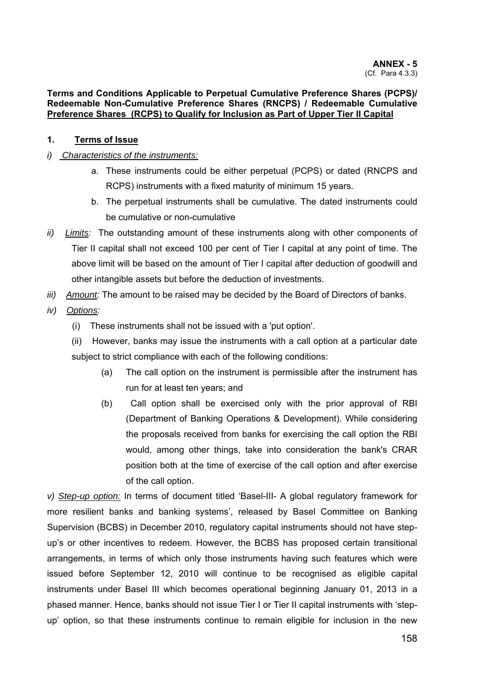#### **Terms and Conditions Applicable to Perpetual Cumulative Preference Shares (PCPS)/ Redeemable Non-Cumulative Preference Shares (RNCPS) / Redeemable Cumulative Preference Shares (RCPS) to Qualify for Inclusion as Part of Upper Tier II Capital**

### **1. Terms of Issue**

#### *i) Characteristics of the instruments:*

- a. These instruments could be either perpetual (PCPS) or dated (RNCPS and RCPS) instruments with a fixed maturity of minimum 15 years.
- b. The perpetual instruments shall be cumulative. The dated instruments could be cumulative or non-cumulative
- *ii) Limits:* The outstanding amount of these instruments along with other components of Tier II capital shall not exceed 100 per cent of Tier I capital at any point of time. The above limit will be based on the amount of Tier I capital after deduction of goodwill and other intangible assets but before the deduction of investments.
- *iii) Amount:* The amount to be raised may be decided by the Board of Directors of banks.
- *iv) Options:* 
	- (i) These instruments shall not be issued with a 'put option'.

(ii) However, banks may issue the instruments with a call option at a particular date subject to strict compliance with each of the following conditions:

- (a) The call option on the instrument is permissible after the instrument has run for at least ten years; and
- (b) Call option shall be exercised only with the prior approval of RBI (Department of Banking Operations & Development). While considering the proposals received from banks for exercising the call option the RBI would, among other things, take into consideration the bank's CRAR position both at the time of exercise of the call option and after exercise of the call option.

*v) Step-up option:* In terms of document titled 'Basel-III- A global regulatory framework for more resilient banks and banking systems', released by Basel Committee on Banking Supervision (BCBS) in December 2010, regulatory capital instruments should not have stepup's or other incentives to redeem. However, the BCBS has proposed certain transitional arrangements, in terms of which only those instruments having such features which were issued before September 12, 2010 will continue to be recognised as eligible capital instruments under Basel III which becomes operational beginning January 01, 2013 in a phased manner. Hence, banks should not issue Tier I or Tier II capital instruments with 'stepup' option, so that these instruments continue to remain eligible for inclusion in the new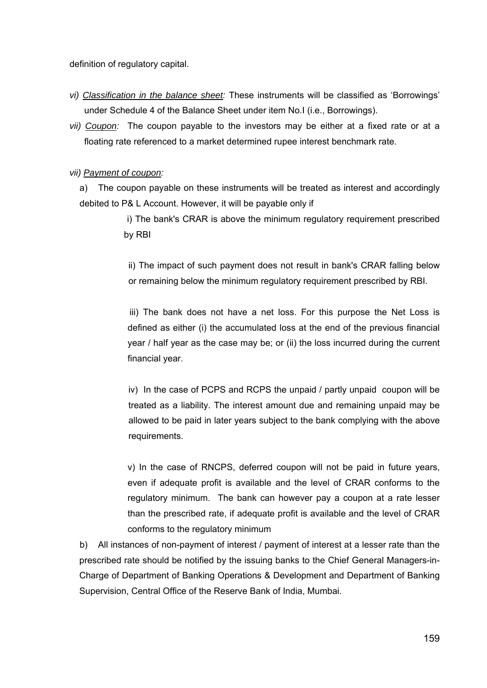definition of regulatory capital.

- *vi) Classification in the balance sheet:* These instruments will be classified as 'Borrowings' under Schedule 4 of the Balance Sheet under item No.I (i.e., Borrowings).
- *vii) Coupon:* The coupon payable to the investors may be either at a fixed rate or at a floating rate referenced to a market determined rupee interest benchmark rate.

### *vii) Payment of coupon:*

a) The coupon payable on these instruments will be treated as interest and accordingly debited to P& L Account. However, it will be payable only if

> i) The bank's CRAR is above the minimum regulatory requirement prescribed by RBI

ii) The impact of such payment does not result in bank's CRAR falling below or remaining below the minimum regulatory requirement prescribed by RBI.

 iii) The bank does not have a net loss. For this purpose the Net Loss is defined as either (i) the accumulated loss at the end of the previous financial year / half year as the case may be; or (ii) the loss incurred during the current financial year.

iv) In the case of PCPS and RCPS the unpaid / partly unpaid coupon will be treated as a liability. The interest amount due and remaining unpaid may be allowed to be paid in later years subject to the bank complying with the above requirements.

v) In the case of RNCPS, deferred coupon will not be paid in future years, even if adequate profit is available and the level of CRAR conforms to the regulatory minimum. The bank can however pay a coupon at a rate lesser than the prescribed rate, if adequate profit is available and the level of CRAR conforms to the regulatory minimum

 b) All instances of non-payment of interest / payment of interest at a lesser rate than the prescribed rate should be notified by the issuing banks to the Chief General Managers-in-Charge of Department of Banking Operations & Development and Department of Banking Supervision, Central Office of the Reserve Bank of India, Mumbai.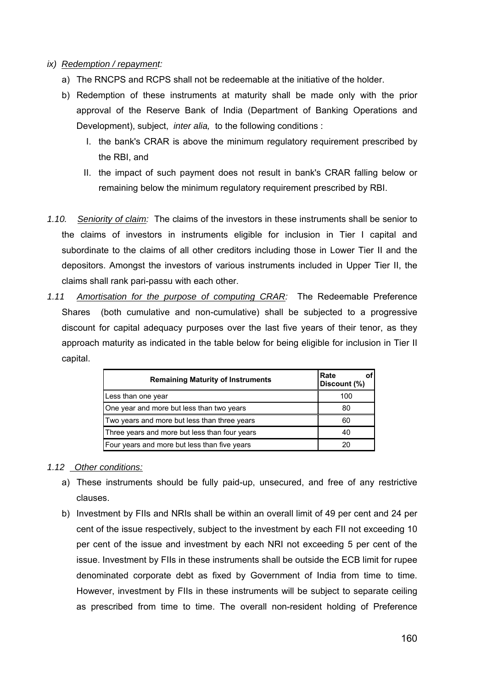### *ix) Redemption / repayment:*

- a) The RNCPS and RCPS shall not be redeemable at the initiative of the holder.
- b) Redemption of these instruments at maturity shall be made only with the prior approval of the Reserve Bank of India (Department of Banking Operations and Development), subject, *inter alia,* to the following conditions :
	- I. the bank's CRAR is above the minimum regulatory requirement prescribed by the RBI, and
	- II. the impact of such payment does not result in bank's CRAR falling below or remaining below the minimum regulatory requirement prescribed by RBI.
- *1.10. Seniority of claim:* The claims of the investors in these instruments shall be senior to the claims of investors in instruments eligible for inclusion in Tier I capital and subordinate to the claims of all other creditors including those in Lower Tier II and the depositors. Amongst the investors of various instruments included in Upper Tier II, the claims shall rank pari-passu with each other.
- *1.11 Amortisation for the purpose of computing CRAR:* The Redeemable Preference Shares (both cumulative and non-cumulative) shall be subjected to a progressive discount for capital adequacy purposes over the last five years of their tenor, as they approach maturity as indicated in the table below for being eligible for inclusion in Tier II capital.

| <b>Remaining Maturity of Instruments</b>      | Rate<br>Discount (%) |
|-----------------------------------------------|----------------------|
| Less than one year                            | 100                  |
| One year and more but less than two years     | 80                   |
| Two years and more but less than three years  | 60                   |
| Three years and more but less than four years | 40                   |
| Four years and more but less than five years  |                      |

#### *1.12 Other conditions:*

- a) These instruments should be fully paid-up, unsecured, and free of any restrictive clauses.
- b) Investment by FIIs and NRIs shall be within an overall limit of 49 per cent and 24 per cent of the issue respectively, subject to the investment by each FII not exceeding 10 per cent of the issue and investment by each NRI not exceeding 5 per cent of the issue. Investment by FIIs in these instruments shall be outside the ECB limit for rupee denominated corporate debt as fixed by Government of India from time to time. However, investment by FIIs in these instruments will be subject to separate ceiling as prescribed from time to time. The overall non-resident holding of Preference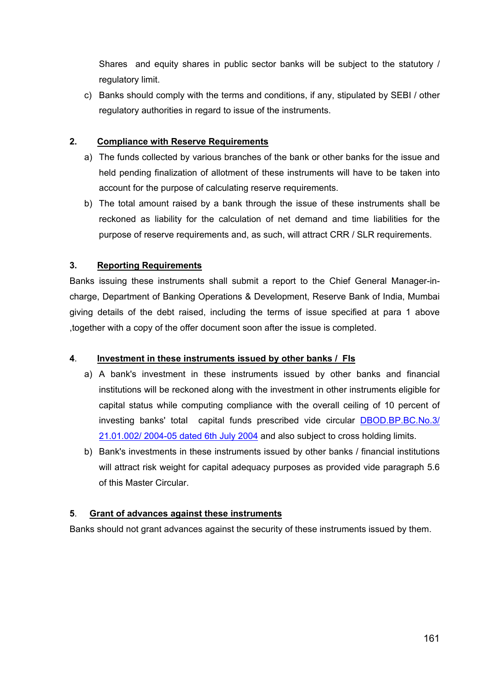Shares and equity shares in public sector banks will be subject to the statutory / regulatory limit.

c) Banks should comply with the terms and conditions, if any, stipulated by SEBI / other regulatory authorities in regard to issue of the instruments.

## **2. Compliance with Reserve Requirements**

- a) The funds collected by various branches of the bank or other banks for the issue and held pending finalization of allotment of these instruments will have to be taken into account for the purpose of calculating reserve requirements.
- b) The total amount raised by a bank through the issue of these instruments shall be reckoned as liability for the calculation of net demand and time liabilities for the purpose of reserve requirements and, as such, will attract CRR / SLR requirements.

## **3. Reporting Requirements**

Banks issuing these instruments shall submit a report to the Chief General Manager-incharge, Department of Banking Operations & Development, Reserve Bank of India, Mumbai giving details of the debt raised, including the terms of issue specified at para 1 above ,together with a copy of the offer document soon after the issue is completed.

### **4**. **Investment in these instruments issued by other banks / FIs**

- a) A bank's investment in these instruments issued by other banks and financial institutions will be reckoned along with the investment in other instruments eligible for capital status while computing compliance with the overall ceiling of 10 percent of investing banks' total capital funds prescribed vide circular [DBOD.BP.BC.No.3/](http://www.rbi.org.in/scripts/NotificationUser.aspx?Id=1772&Mode=0)  [21.01.002/ 2004-05 dated 6th July 2004](http://www.rbi.org.in/scripts/NotificationUser.aspx?Id=1772&Mode=0) and also subject to cross holding limits.
- b) Bank's investments in these instruments issued by other banks / financial institutions will attract risk weight for capital adequacy purposes as provided vide paragraph 5.6 of this Master Circular.

# **5**. **Grant of advances against these instruments**

Banks should not grant advances against the security of these instruments issued by them.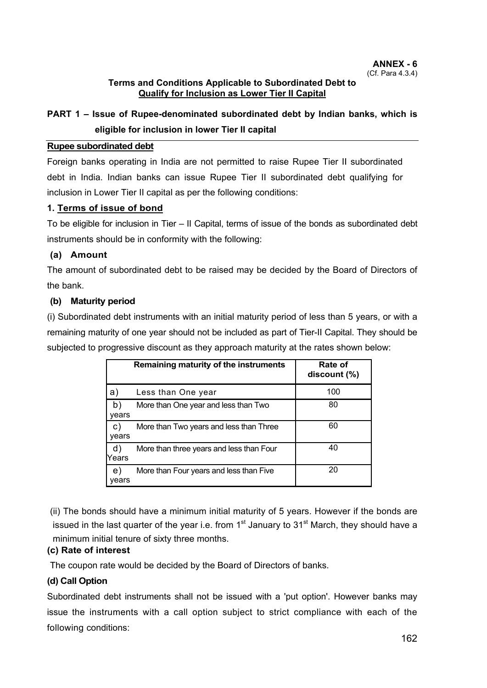### **Terms and Conditions Applicable to Subordinated Debt to Qualify for Inclusion as Lower Tier II Capital**

# **PART 1 – Issue of Rupee-denominated subordinated debt by Indian banks, which is eligible for inclusion in lower Tier II capital**

### **Rupee subordinated debt**

Foreign banks operating in India are not permitted to raise Rupee Tier II subordinated debt in India. Indian banks can issue Rupee Tier II subordinated debt qualifying for inclusion in Lower Tier II capital as per the following conditions:

### **1. Terms of issue of bond**

To be eligible for inclusion in Tier – II Capital, terms of issue of the bonds as subordinated debt instruments should be in conformity with the following:

## **(a) Amount**

The amount of subordinated debt to be raised may be decided by the Board of Directors of the bank.

### **(b) Maturity period**

(i) Subordinated debt instruments with an initial maturity period of less than 5 years, or with a remaining maturity of one year should not be included as part of Tier-II Capital. They should be subjected to progressive discount as they approach maturity at the rates shown below:

|                       | Remaining maturity of the instruments    | Rate of<br>discount (%) |
|-----------------------|------------------------------------------|-------------------------|
| a)                    | Less than One year                       | 100                     |
| b)<br>years           | More than One year and less than Two     | 80                      |
| $\mathsf{C}$<br>vears | More than Two years and less than Three  | 60                      |
| d)<br>Years           | More than three years and less than Four | 40                      |
| e)<br>vears           | More than Four years and less than Five  | 20                      |

(ii) The bonds should have a minimum initial maturity of 5 years. However if the bonds are issued in the last quarter of the year i.e. from  $1<sup>st</sup>$  January to  $31<sup>st</sup>$  March, they should have a minimum initial tenure of sixty three months.

### **(c) Rate of interest**

The coupon rate would be decided by the Board of Directors of banks.

# **(d) Call Option**

Subordinated debt instruments shall not be issued with a 'put option'. However banks may issue the instruments with a call option subject to strict compliance with each of the following conditions: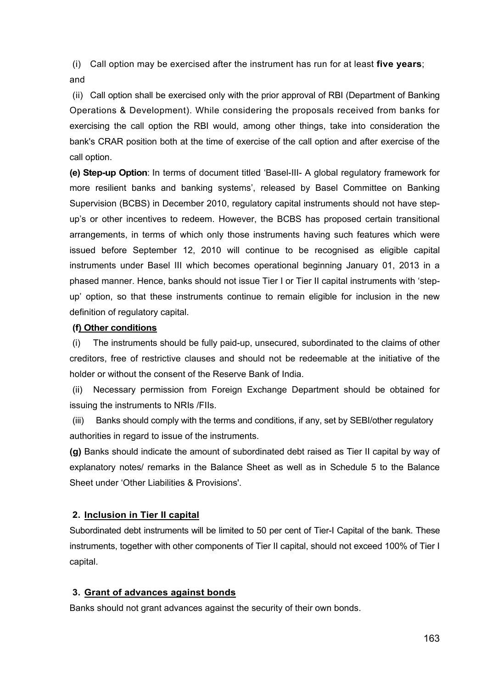(i) Call option may be exercised after the instrument has run for at least **five years**; and

(ii) Call option shall be exercised only with the prior approval of RBI (Department of Banking Operations & Development). While considering the proposals received from banks for exercising the call option the RBI would, among other things, take into consideration the bank's CRAR position both at the time of exercise of the call option and after exercise of the call option.

**(e) Step-up Option**: In terms of document titled 'Basel-III- A global regulatory framework for more resilient banks and banking systems', released by Basel Committee on Banking Supervision (BCBS) in December 2010, regulatory capital instruments should not have stepup's or other incentives to redeem. However, the BCBS has proposed certain transitional arrangements, in terms of which only those instruments having such features which were issued before September 12, 2010 will continue to be recognised as eligible capital instruments under Basel III which becomes operational beginning January 01, 2013 in a phased manner. Hence, banks should not issue Tier I or Tier II capital instruments with 'stepup' option, so that these instruments continue to remain eligible for inclusion in the new definition of regulatory capital.

### **(f) Other conditions**

(i) The instruments should be fully paid-up, unsecured, subordinated to the claims of other creditors, free of restrictive clauses and should not be redeemable at the initiative of the holder or without the consent of the Reserve Bank of India.

(ii) Necessary permission from Foreign Exchange Department should be obtained for issuing the instruments to NRIs /FIIs.

(iii) Banks should comply with the terms and conditions, if any, set by SEBI/other regulatory authorities in regard to issue of the instruments.

**(g)** Banks should indicate the amount of subordinated debt raised as Tier II capital by way of explanatory notes/ remarks in the Balance Sheet as well as in Schedule 5 to the Balance Sheet under 'Other Liabilities & Provisions'.

### **2. Inclusion in Tier II capital**

Subordinated debt instruments will be limited to 50 per cent of Tier-I Capital of the bank. These instruments, together with other components of Tier II capital, should not exceed 100% of Tier I capital.

#### **3. Grant of advances against bonds**

Banks should not grant advances against the security of their own bonds.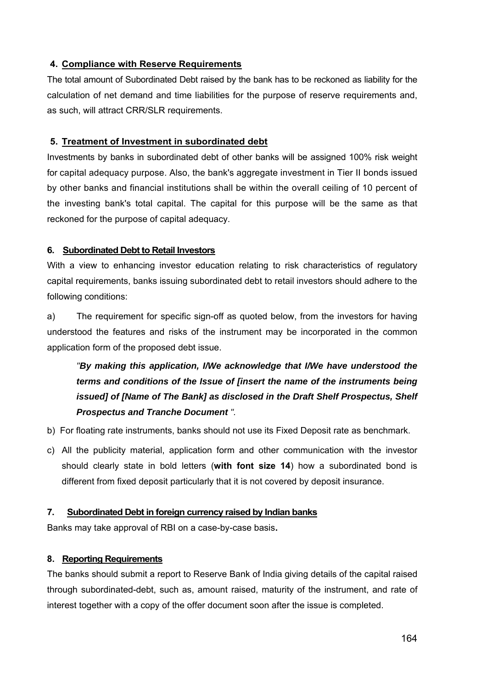### **4. Compliance with Reserve Requirements**

The total amount of Subordinated Debt raised by the bank has to be reckoned as liability for the calculation of net demand and time liabilities for the purpose of reserve requirements and, as such, will attract CRR/SLR requirements.

### **5. Treatment of Investment in subordinated debt**

Investments by banks in subordinated debt of other banks will be assigned 100% risk weight for capital adequacy purpose. Also, the bank's aggregate investment in Tier II bonds issued by other banks and financial institutions shall be within the overall ceiling of 10 percent of the investing bank's total capital. The capital for this purpose will be the same as that reckoned for the purpose of capital adequacy.

### **6. Subordinated Debt to Retail Investors**

With a view to enhancing investor education relating to risk characteristics of regulatory capital requirements, banks issuing subordinated debt to retail investors should adhere to the following conditions:

a) The requirement for specific sign-off as quoted below, from the investors for having understood the features and risks of the instrument may be incorporated in the common application form of the proposed debt issue.

*"By making this application, I/We acknowledge that I/We have understood the terms and conditions of the Issue of [insert the name of the instruments being issued] of [Name of The Bank] as disclosed in the Draft Shelf Prospectus, Shelf Prospectus and Tranche Document ".* 

- b) For floating rate instruments, banks should not use its Fixed Deposit rate as benchmark.
- c) All the publicity material, application form and other communication with the investor should clearly state in bold letters (**with font size 14**) how a subordinated bond is different from fixed deposit particularly that it is not covered by deposit insurance.

#### **7. Subordinated Debt in foreign currency raised by Indian banks**

Banks may take approval of RBI on a case-by-case basis**.** 

### **8. Reporting Requirements**

The banks should submit a report to Reserve Bank of India giving details of the capital raised through subordinated-debt, such as, amount raised, maturity of the instrument, and rate of interest together with a copy of the offer document soon after the issue is completed.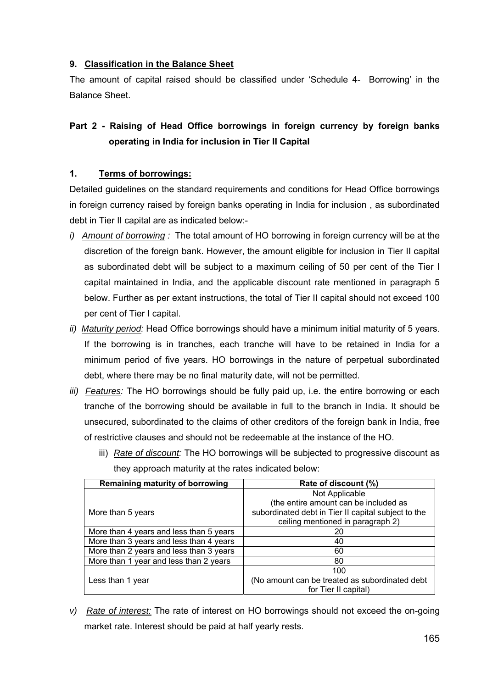### **9. Classification in the Balance Sheet**

The amount of capital raised should be classified under 'Schedule 4- Borrowing' in the Balance Sheet.

# **Part 2 - Raising of Head Office borrowings in foreign currency by foreign banks operating in India for inclusion in Tier II Capital**

### **1. Terms of borrowings:**

Detailed guidelines on the standard requirements and conditions for Head Office borrowings in foreign currency raised by foreign banks operating in India for inclusion , as subordinated debt in Tier II capital are as indicated below:-

- *i) Amount of borrowing :* The total amount of HO borrowing in foreign currency will be at the discretion of the foreign bank. However, the amount eligible for inclusion in Tier II capital as subordinated debt will be subject to a maximum ceiling of 50 per cent of the Tier I capital maintained in India, and the applicable discount rate mentioned in paragraph 5 below. Further as per extant instructions, the total of Tier II capital should not exceed 100 per cent of Tier I capital.
- *ii) Maturity period:* Head Office borrowings should have a minimum initial maturity of 5 years. If the borrowing is in tranches, each tranche will have to be retained in India for a minimum period of five years. HO borrowings in the nature of perpetual subordinated debt, where there may be no final maturity date, will not be permitted.
- *iii) Features:* The HO borrowings should be fully paid up, i.e. the entire borrowing or each tranche of the borrowing should be available in full to the branch in India. It should be unsecured, subordinated to the claims of other creditors of the foreign bank in India, free of restrictive clauses and should not be redeemable at the instance of the HO.
	- iii) *Rate of discount:* The HO borrowings will be subjected to progressive discount as they approach maturity at the rates indicated below:

| <b>Remaining maturity of borrowing</b>  | Rate of discount (%)                                |  |  |
|-----------------------------------------|-----------------------------------------------------|--|--|
|                                         | Not Applicable                                      |  |  |
|                                         | (the entire amount can be included as               |  |  |
| More than 5 years                       | subordinated debt in Tier II capital subject to the |  |  |
|                                         | ceiling mentioned in paragraph 2)                   |  |  |
| More than 4 years and less than 5 years | 20                                                  |  |  |
| More than 3 years and less than 4 years | 40                                                  |  |  |
| More than 2 years and less than 3 years | 60                                                  |  |  |
| More than 1 year and less than 2 years  | 80                                                  |  |  |
|                                         | 100                                                 |  |  |
| Less than 1 year                        | (No amount can be treated as subordinated debt      |  |  |
|                                         | for Tier II capital)                                |  |  |

*v) Rate of interest:* The rate of interest on HO borrowings should not exceed the on-going market rate. Interest should be paid at half yearly rests.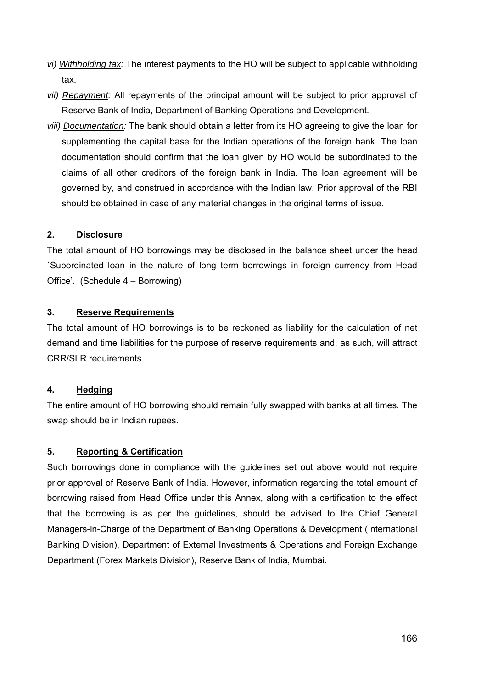- *vi) Withholding tax:* The interest payments to the HO will be subject to applicable withholding tax.
- *vii) Repayment:* All repayments of the principal amount will be subject to prior approval of Reserve Bank of India, Department of Banking Operations and Development.
- *viii) Documentation:* The bank should obtain a letter from its HO agreeing to give the loan for supplementing the capital base for the Indian operations of the foreign bank. The loan documentation should confirm that the loan given by HO would be subordinated to the claims of all other creditors of the foreign bank in India. The loan agreement will be governed by, and construed in accordance with the Indian law. Prior approval of the RBI should be obtained in case of any material changes in the original terms of issue.

### **2. Disclosure**

The total amount of HO borrowings may be disclosed in the balance sheet under the head `Subordinated loan in the nature of long term borrowings in foreign currency from Head Office'. (Schedule 4 – Borrowing)

### **3. Reserve Requirements**

The total amount of HO borrowings is to be reckoned as liability for the calculation of net demand and time liabilities for the purpose of reserve requirements and, as such, will attract CRR/SLR requirements.

### **4. Hedging**

The entire amount of HO borrowing should remain fully swapped with banks at all times. The swap should be in Indian rupees.

### **5. Reporting & Certification**

Such borrowings done in compliance with the guidelines set out above would not require prior approval of Reserve Bank of India. However, information regarding the total amount of borrowing raised from Head Office under this Annex, along with a certification to the effect that the borrowing is as per the guidelines, should be advised to the Chief General Managers-in-Charge of the Department of Banking Operations & Development (International Banking Division), Department of External Investments & Operations and Foreign Exchange Department (Forex Markets Division), Reserve Bank of India, Mumbai.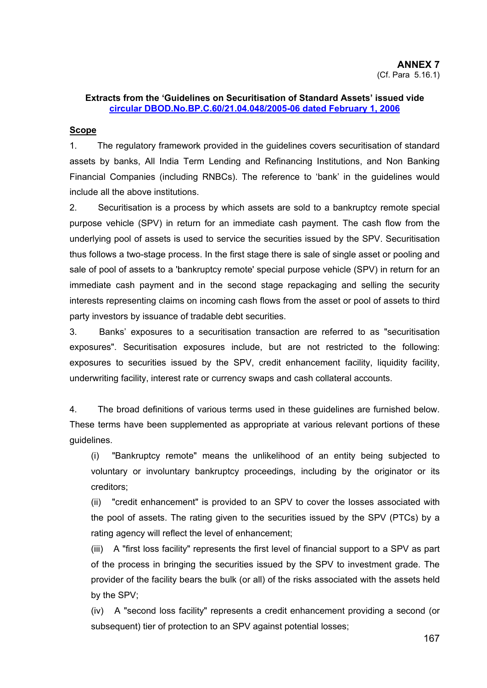### **Extracts from the 'Guidelines on Securitisation of Standard Assets' issued vide [circular DBOD.No.BP.C.60/21.04.048/2005-06 dated February 1, 2006](http://www.rbi.org.in/scripts/NotificationUser.aspx?Id=2723&Mode=0)**

#### **Scope**

1. The regulatory framework provided in the guidelines covers securitisation of standard assets by banks, All India Term Lending and Refinancing Institutions, and Non Banking Financial Companies (including RNBCs). The reference to 'bank' in the guidelines would include all the above institutions.

2. Securitisation is a process by which assets are sold to a bankruptcy remote special purpose vehicle (SPV) in return for an immediate cash payment. The cash flow from the underlying pool of assets is used to service the securities issued by the SPV. Securitisation thus follows a two-stage process. In the first stage there is sale of single asset or pooling and sale of pool of assets to a 'bankruptcy remote' special purpose vehicle (SPV) in return for an immediate cash payment and in the second stage repackaging and selling the security interests representing claims on incoming cash flows from the asset or pool of assets to third party investors by issuance of tradable debt securities.

3. Banks' exposures to a securitisation transaction are referred to as "securitisation exposures". Securitisation exposures include, but are not restricted to the following: exposures to securities issued by the SPV, credit enhancement facility, liquidity facility, underwriting facility, interest rate or currency swaps and cash collateral accounts.

4. The broad definitions of various terms used in these guidelines are furnished below. These terms have been supplemented as appropriate at various relevant portions of these guidelines.

(i) "Bankruptcy remote" means the unlikelihood of an entity being subjected to voluntary or involuntary bankruptcy proceedings, including by the originator or its creditors;

(ii) "credit enhancement" is provided to an SPV to cover the losses associated with the pool of assets. The rating given to the securities issued by the SPV (PTCs) by a rating agency will reflect the level of enhancement;

(iii) A "first loss facility" represents the first level of financial support to a SPV as part of the process in bringing the securities issued by the SPV to investment grade. The provider of the facility bears the bulk (or all) of the risks associated with the assets held by the SPV;

(iv) A "second loss facility" represents a credit enhancement providing a second (or subsequent) tier of protection to an SPV against potential losses;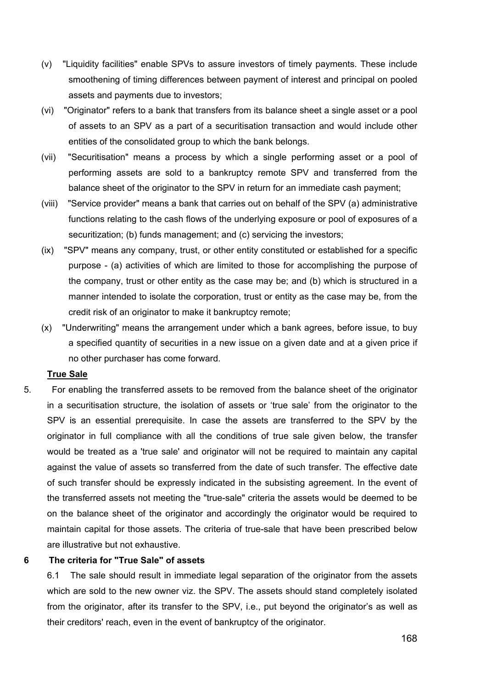- (v) "Liquidity facilities" enable SPVs to assure investors of timely payments. These include smoothening of timing differences between payment of interest and principal on pooled assets and payments due to investors;
- (vi) "Originator" refers to a bank that transfers from its balance sheet a single asset or a pool of assets to an SPV as a part of a securitisation transaction and would include other entities of the consolidated group to which the bank belongs.
- (vii) "Securitisation" means a process by which a single performing asset or a pool of performing assets are sold to a bankruptcy remote SPV and transferred from the balance sheet of the originator to the SPV in return for an immediate cash payment;
- (viii) "Service provider" means a bank that carries out on behalf of the SPV (a) administrative functions relating to the cash flows of the underlying exposure or pool of exposures of a securitization; (b) funds management; and (c) servicing the investors;
- (ix) "SPV" means any company, trust, or other entity constituted or established for a specific purpose - (a) activities of which are limited to those for accomplishing the purpose of the company, trust or other entity as the case may be; and (b) which is structured in a manner intended to isolate the corporation, trust or entity as the case may be, from the credit risk of an originator to make it bankruptcy remote;
- (x) "Underwriting" means the arrangement under which a bank agrees, before issue, to buy a specified quantity of securities in a new issue on a given date and at a given price if no other purchaser has come forward.

#### **True Sale**

5. For enabling the transferred assets to be removed from the balance sheet of the originator in a securitisation structure, the isolation of assets or 'true sale' from the originator to the SPV is an essential prerequisite. In case the assets are transferred to the SPV by the originator in full compliance with all the conditions of true sale given below, the transfer would be treated as a 'true sale' and originator will not be required to maintain any capital against the value of assets so transferred from the date of such transfer. The effective date of such transfer should be expressly indicated in the subsisting agreement. In the event of the transferred assets not meeting the "true-sale" criteria the assets would be deemed to be on the balance sheet of the originator and accordingly the originator would be required to maintain capital for those assets. The criteria of true-sale that have been prescribed below are illustrative but not exhaustive.

### **6 The criteria for "True Sale" of assets**

6.1 The sale should result in immediate legal separation of the originator from the assets which are sold to the new owner viz. the SPV. The assets should stand completely isolated from the originator, after its transfer to the SPV, i.e., put beyond the originator's as well as their creditors' reach, even in the event of bankruptcy of the originator.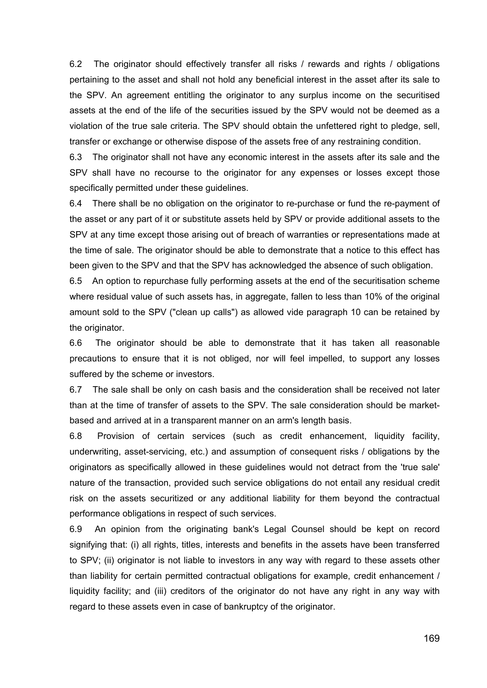6.2 The originator should effectively transfer all risks / rewards and rights / obligations pertaining to the asset and shall not hold any beneficial interest in the asset after its sale to the SPV. An agreement entitling the originator to any surplus income on the securitised assets at the end of the life of the securities issued by the SPV would not be deemed as a violation of the true sale criteria. The SPV should obtain the unfettered right to pledge, sell, transfer or exchange or otherwise dispose of the assets free of any restraining condition.

6.3 The originator shall not have any economic interest in the assets after its sale and the SPV shall have no recourse to the originator for any expenses or losses except those specifically permitted under these guidelines.

6.4 There shall be no obligation on the originator to re-purchase or fund the re-payment of the asset or any part of it or substitute assets held by SPV or provide additional assets to the SPV at any time except those arising out of breach of warranties or representations made at the time of sale. The originator should be able to demonstrate that a notice to this effect has been given to the SPV and that the SPV has acknowledged the absence of such obligation.

6.5 An option to repurchase fully performing assets at the end of the securitisation scheme where residual value of such assets has, in aggregate, fallen to less than 10% of the original amount sold to the SPV ("clean up calls") as allowed vide paragraph 10 can be retained by the originator.

6.6 The originator should be able to demonstrate that it has taken all reasonable precautions to ensure that it is not obliged, nor will feel impelled, to support any losses suffered by the scheme or investors.

6.7 The sale shall be only on cash basis and the consideration shall be received not later than at the time of transfer of assets to the SPV. The sale consideration should be marketbased and arrived at in a transparent manner on an arm's length basis.

6.8 Provision of certain services (such as credit enhancement, liquidity facility, underwriting, asset-servicing, etc.) and assumption of consequent risks / obligations by the originators as specifically allowed in these guidelines would not detract from the 'true sale' nature of the transaction, provided such service obligations do not entail any residual credit risk on the assets securitized or any additional liability for them beyond the contractual performance obligations in respect of such services.

6.9 An opinion from the originating bank's Legal Counsel should be kept on record signifying that: (i) all rights, titles, interests and benefits in the assets have been transferred to SPV; (ii) originator is not liable to investors in any way with regard to these assets other than liability for certain permitted contractual obligations for example, credit enhancement / liquidity facility; and (iii) creditors of the originator do not have any right in any way with regard to these assets even in case of bankruptcy of the originator.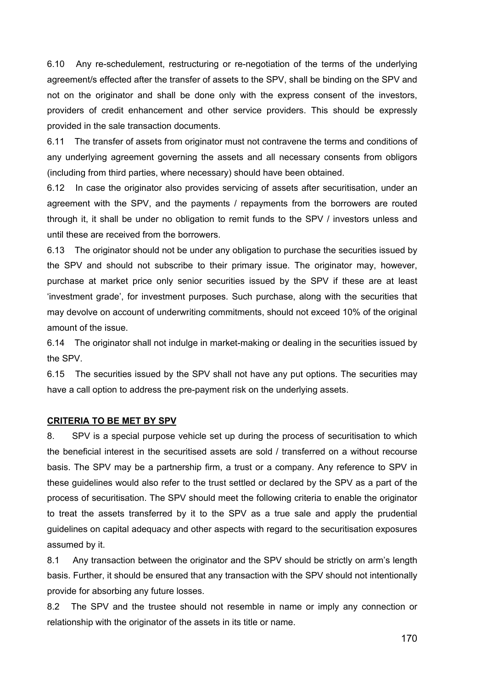6.10 Any re-schedulement, restructuring or re-negotiation of the terms of the underlying agreement/s effected after the transfer of assets to the SPV, shall be binding on the SPV and not on the originator and shall be done only with the express consent of the investors, providers of credit enhancement and other service providers. This should be expressly provided in the sale transaction documents.

6.11 The transfer of assets from originator must not contravene the terms and conditions of any underlying agreement governing the assets and all necessary consents from obligors (including from third parties, where necessary) should have been obtained.

6.12 In case the originator also provides servicing of assets after securitisation, under an agreement with the SPV, and the payments / repayments from the borrowers are routed through it, it shall be under no obligation to remit funds to the SPV / investors unless and until these are received from the borrowers.

6.13 The originator should not be under any obligation to purchase the securities issued by the SPV and should not subscribe to their primary issue. The originator may, however, purchase at market price only senior securities issued by the SPV if these are at least 'investment grade', for investment purposes. Such purchase, along with the securities that may devolve on account of underwriting commitments, should not exceed 10% of the original amount of the issue.

6.14 The originator shall not indulge in market-making or dealing in the securities issued by the SPV.

6.15 The securities issued by the SPV shall not have any put options. The securities may have a call option to address the pre-payment risk on the underlying assets.

#### **CRITERIA TO BE MET BY SPV**

8. SPV is a special purpose vehicle set up during the process of securitisation to which the beneficial interest in the securitised assets are sold / transferred on a without recourse basis. The SPV may be a partnership firm, a trust or a company. Any reference to SPV in these guidelines would also refer to the trust settled or declared by the SPV as a part of the process of securitisation. The SPV should meet the following criteria to enable the originator to treat the assets transferred by it to the SPV as a true sale and apply the prudential guidelines on capital adequacy and other aspects with regard to the securitisation exposures assumed by it.

8.1 Any transaction between the originator and the SPV should be strictly on arm's length basis. Further, it should be ensured that any transaction with the SPV should not intentionally provide for absorbing any future losses.

8.2 The SPV and the trustee should not resemble in name or imply any connection or relationship with the originator of the assets in its title or name.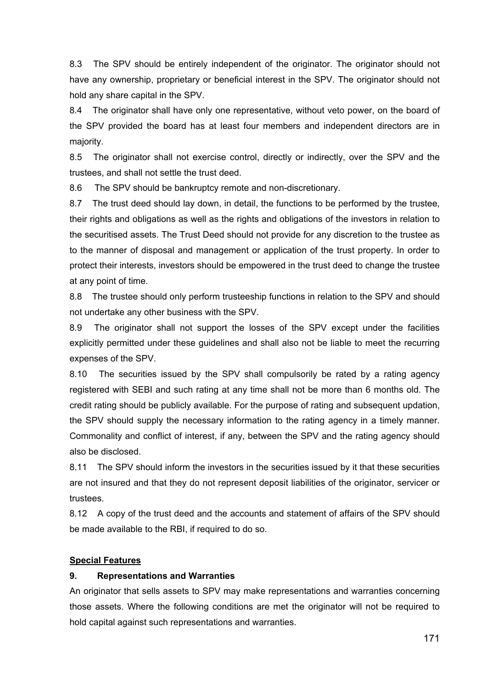8.3 The SPV should be entirely independent of the originator. The originator should not have any ownership, proprietary or beneficial interest in the SPV. The originator should not hold any share capital in the SPV.

8.4 The originator shall have only one representative, without veto power, on the board of the SPV provided the board has at least four members and independent directors are in majority.

8.5 The originator shall not exercise control, directly or indirectly, over the SPV and the trustees, and shall not settle the trust deed.

8.6 The SPV should be bankruptcy remote and non-discretionary.

8.7 The trust deed should lay down, in detail, the functions to be performed by the trustee, their rights and obligations as well as the rights and obligations of the investors in relation to the securitised assets. The Trust Deed should not provide for any discretion to the trustee as to the manner of disposal and management or application of the trust property. In order to protect their interests, investors should be empowered in the trust deed to change the trustee at any point of time.

8.8 The trustee should only perform trusteeship functions in relation to the SPV and should not undertake any other business with the SPV.

8.9 The originator shall not support the losses of the SPV except under the facilities explicitly permitted under these guidelines and shall also not be liable to meet the recurring expenses of the SPV.

8.10 The securities issued by the SPV shall compulsorily be rated by a rating agency registered with SEBI and such rating at any time shall not be more than 6 months old. The credit rating should be publicly available. For the purpose of rating and subsequent updation, the SPV should supply the necessary information to the rating agency in a timely manner. Commonality and conflict of interest, if any, between the SPV and the rating agency should also be disclosed.

8.11 The SPV should inform the investors in the securities issued by it that these securities are not insured and that they do not represent deposit liabilities of the originator, servicer or trustees.

8.12 A copy of the trust deed and the accounts and statement of affairs of the SPV should be made available to the RBI, if required to do so.

#### **Special Features**

#### **9. Representations and Warranties**

An originator that sells assets to SPV may make representations and warranties concerning those assets. Where the following conditions are met the originator will not be required to hold capital against such representations and warranties.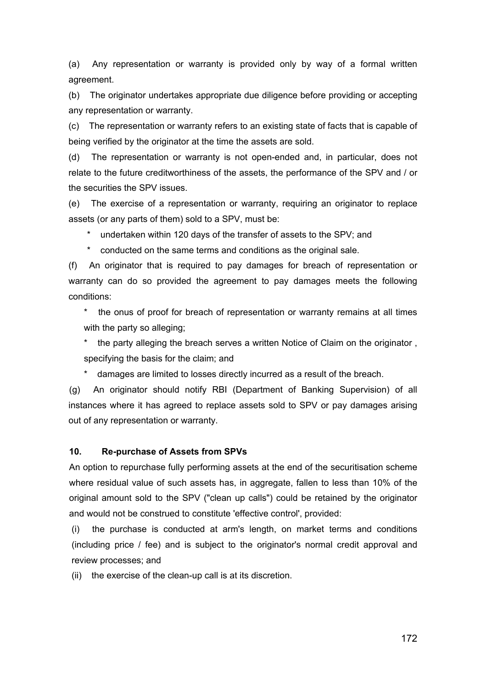(a) Any representation or warranty is provided only by way of a formal written agreement.

(b) The originator undertakes appropriate due diligence before providing or accepting any representation or warranty.

(c) The representation or warranty refers to an existing state of facts that is capable of being verified by the originator at the time the assets are sold.

(d) The representation or warranty is not open-ended and, in particular, does not relate to the future creditworthiness of the assets, the performance of the SPV and / or the securities the SPV issues.

(e) The exercise of a representation or warranty, requiring an originator to replace assets (or any parts of them) sold to a SPV, must be:

\* undertaken within 120 days of the transfer of assets to the SPV; and

\* conducted on the same terms and conditions as the original sale.

(f) An originator that is required to pay damages for breach of representation or warranty can do so provided the agreement to pay damages meets the following conditions:

the onus of proof for breach of representation or warranty remains at all times with the party so alleging;

the party alleging the breach serves a written Notice of Claim on the originator, specifying the basis for the claim; and

\* damages are limited to losses directly incurred as a result of the breach.

(g) An originator should notify RBI (Department of Banking Supervision) of all instances where it has agreed to replace assets sold to SPV or pay damages arising out of any representation or warranty.

#### **10. Re-purchase of Assets from SPVs**

An option to repurchase fully performing assets at the end of the securitisation scheme where residual value of such assets has, in aggregate, fallen to less than 10% of the original amount sold to the SPV ("clean up calls") could be retained by the originator and would not be construed to constitute 'effective control', provided:

(i) the purchase is conducted at arm's length, on market terms and conditions (including price / fee) and is subject to the originator's normal credit approval and review processes; and

(ii) the exercise of the clean-up call is at its discretion.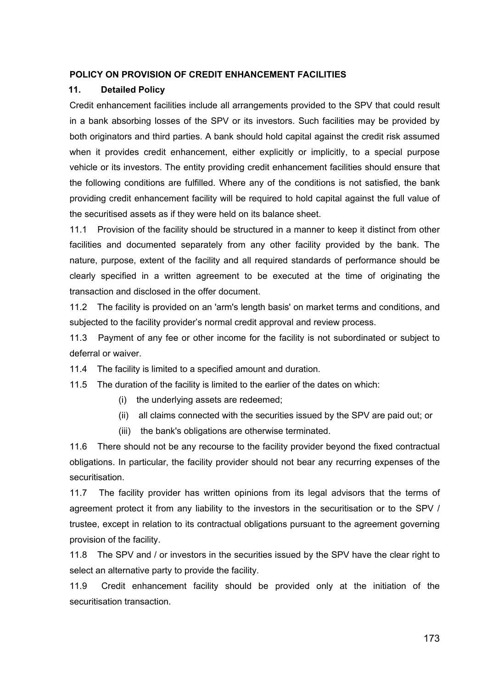### **POLICY ON PROVISION OF CREDIT ENHANCEMENT FACILITIES**

### **11. Detailed Policy**

Credit enhancement facilities include all arrangements provided to the SPV that could result in a bank absorbing losses of the SPV or its investors. Such facilities may be provided by both originators and third parties. A bank should hold capital against the credit risk assumed when it provides credit enhancement, either explicitly or implicitly, to a special purpose vehicle or its investors. The entity providing credit enhancement facilities should ensure that the following conditions are fulfilled. Where any of the conditions is not satisfied, the bank providing credit enhancement facility will be required to hold capital against the full value of the securitised assets as if they were held on its balance sheet.

11.1 Provision of the facility should be structured in a manner to keep it distinct from other facilities and documented separately from any other facility provided by the bank. The nature, purpose, extent of the facility and all required standards of performance should be clearly specified in a written agreement to be executed at the time of originating the transaction and disclosed in the offer document.

11.2 The facility is provided on an 'arm's length basis' on market terms and conditions, and subjected to the facility provider's normal credit approval and review process.

11.3 Payment of any fee or other income for the facility is not subordinated or subject to deferral or waiver.

11.4 The facility is limited to a specified amount and duration.

11.5 The duration of the facility is limited to the earlier of the dates on which:

- (i) the underlying assets are redeemed;
- (ii) all claims connected with the securities issued by the SPV are paid out; or
- (iii) the bank's obligations are otherwise terminated.

11.6 There should not be any recourse to the facility provider beyond the fixed contractual obligations. In particular, the facility provider should not bear any recurring expenses of the securitisation.

11.7 The facility provider has written opinions from its legal advisors that the terms of agreement protect it from any liability to the investors in the securitisation or to the SPV / trustee, except in relation to its contractual obligations pursuant to the agreement governing provision of the facility.

11.8 The SPV and / or investors in the securities issued by the SPV have the clear right to select an alternative party to provide the facility.

11.9 Credit enhancement facility should be provided only at the initiation of the securitisation transaction.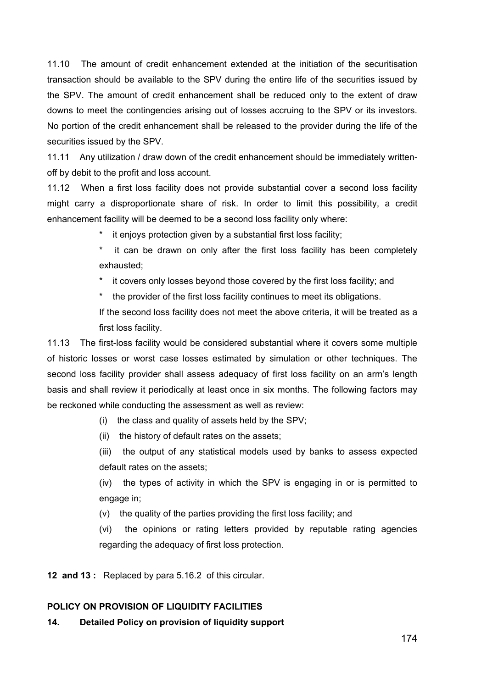11.10 The amount of credit enhancement extended at the initiation of the securitisation transaction should be available to the SPV during the entire life of the securities issued by the SPV. The amount of credit enhancement shall be reduced only to the extent of draw downs to meet the contingencies arising out of losses accruing to the SPV or its investors. No portion of the credit enhancement shall be released to the provider during the life of the securities issued by the SPV.

11.11 Any utilization / draw down of the credit enhancement should be immediately writtenoff by debit to the profit and loss account.

11.12 When a first loss facility does not provide substantial cover a second loss facility might carry a disproportionate share of risk. In order to limit this possibility, a credit enhancement facility will be deemed to be a second loss facility only where:

\* it enjoys protection given by a substantial first loss facility;

\* it can be drawn on only after the first loss facility has been completely exhausted;

\* it covers only losses beyond those covered by the first loss facility; and

\* the provider of the first loss facility continues to meet its obligations.

If the second loss facility does not meet the above criteria, it will be treated as a first loss facility.

11.13 The first-loss facility would be considered substantial where it covers some multiple of historic losses or worst case losses estimated by simulation or other techniques. The second loss facility provider shall assess adequacy of first loss facility on an arm's length basis and shall review it periodically at least once in six months. The following factors may be reckoned while conducting the assessment as well as review:

(i) the class and quality of assets held by the SPV;

(ii) the history of default rates on the assets;

(iii) the output of any statistical models used by banks to assess expected default rates on the assets;

(iv) the types of activity in which the SPV is engaging in or is permitted to engage in;

(v) the quality of the parties providing the first loss facility; and

(vi) the opinions or rating letters provided by reputable rating agencies regarding the adequacy of first loss protection.

**12 and 13 :** Replaced by para 5.16.2 of this circular.

### **POLICY ON PROVISION OF LIQUIDITY FACILITIES**

#### **14. Detailed Policy on provision of liquidity support**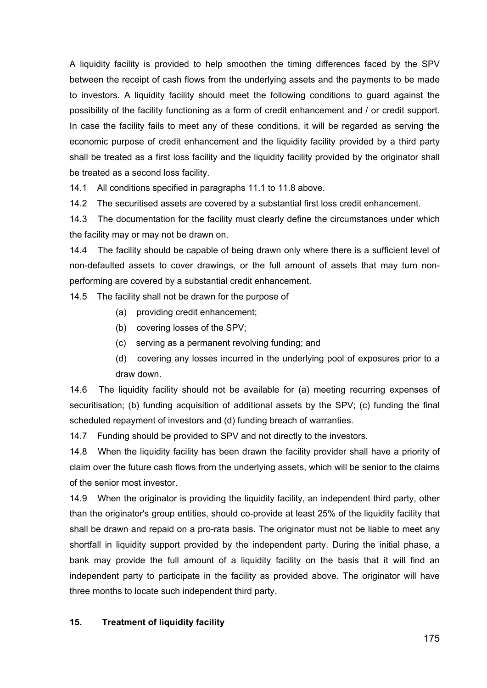A liquidity facility is provided to help smoothen the timing differences faced by the SPV between the receipt of cash flows from the underlying assets and the payments to be made to investors. A liquidity facility should meet the following conditions to guard against the possibility of the facility functioning as a form of credit enhancement and / or credit support. In case the facility fails to meet any of these conditions, it will be regarded as serving the economic purpose of credit enhancement and the liquidity facility provided by a third party shall be treated as a first loss facility and the liquidity facility provided by the originator shall be treated as a second loss facility.

14.1 All conditions specified in paragraphs 11.1 to 11.8 above.

14.2 The securitised assets are covered by a substantial first loss credit enhancement.

14.3 The documentation for the facility must clearly define the circumstances under which the facility may or may not be drawn on.

14.4 The facility should be capable of being drawn only where there is a sufficient level of non-defaulted assets to cover drawings, or the full amount of assets that may turn nonperforming are covered by a substantial credit enhancement.

14.5 The facility shall not be drawn for the purpose of

- (a) providing credit enhancement;
- (b) covering losses of the SPV;
- (c) serving as a permanent revolving funding; and
- (d) covering any losses incurred in the underlying pool of exposures prior to a draw down.

14.6 The liquidity facility should not be available for (a) meeting recurring expenses of securitisation; (b) funding acquisition of additional assets by the SPV; (c) funding the final scheduled repayment of investors and (d) funding breach of warranties.

14.7 Funding should be provided to SPV and not directly to the investors.

14.8 When the liquidity facility has been drawn the facility provider shall have a priority of claim over the future cash flows from the underlying assets, which will be senior to the claims of the senior most investor.

14.9 When the originator is providing the liquidity facility, an independent third party, other than the originator's group entities, should co-provide at least 25% of the liquidity facility that shall be drawn and repaid on a pro-rata basis. The originator must not be liable to meet any shortfall in liquidity support provided by the independent party. During the initial phase, a bank may provide the full amount of a liquidity facility on the basis that it will find an independent party to participate in the facility as provided above. The originator will have three months to locate such independent third party.

#### **15. Treatment of liquidity facility**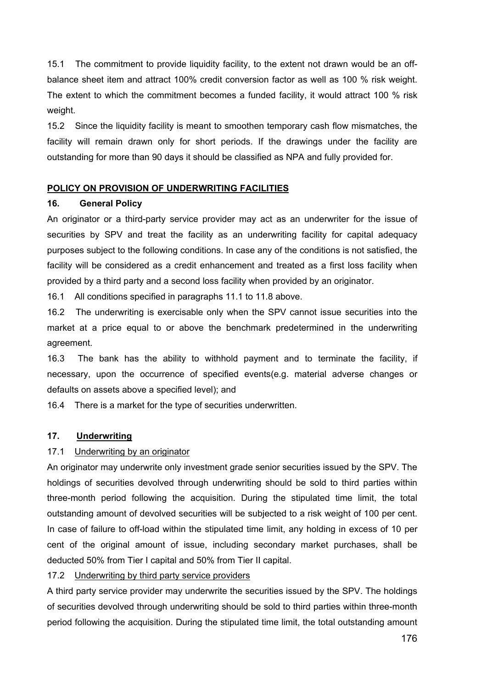15.1 The commitment to provide liquidity facility, to the extent not drawn would be an offbalance sheet item and attract 100% credit conversion factor as well as 100 % risk weight. The extent to which the commitment becomes a funded facility, it would attract 100 % risk weight.

15.2 Since the liquidity facility is meant to smoothen temporary cash flow mismatches, the facility will remain drawn only for short periods. If the drawings under the facility are outstanding for more than 90 days it should be classified as NPA and fully provided for.

#### **POLICY ON PROVISION OF UNDERWRITING FACILITIES**

#### **16. General Policy**

An originator or a third-party service provider may act as an underwriter for the issue of securities by SPV and treat the facility as an underwriting facility for capital adequacy purposes subject to the following conditions. In case any of the conditions is not satisfied, the facility will be considered as a credit enhancement and treated as a first loss facility when provided by a third party and a second loss facility when provided by an originator.

16.1 All conditions specified in paragraphs 11.1 to 11.8 above.

16.2 The underwriting is exercisable only when the SPV cannot issue securities into the market at a price equal to or above the benchmark predetermined in the underwriting agreement.

16.3 The bank has the ability to withhold payment and to terminate the facility, if necessary, upon the occurrence of specified events(e.g. material adverse changes or defaults on assets above a specified level); and

16.4 There is a market for the type of securities underwritten.

### **17. Underwriting**

#### 17.1 Underwriting by an originator

An originator may underwrite only investment grade senior securities issued by the SPV. The holdings of securities devolved through underwriting should be sold to third parties within three-month period following the acquisition. During the stipulated time limit, the total outstanding amount of devolved securities will be subjected to a risk weight of 100 per cent. In case of failure to off-load within the stipulated time limit, any holding in excess of 10 per cent of the original amount of issue, including secondary market purchases, shall be deducted 50% from Tier I capital and 50% from Tier II capital.

### 17.2 Underwriting by third party service providers

A third party service provider may underwrite the securities issued by the SPV. The holdings of securities devolved through underwriting should be sold to third parties within three-month period following the acquisition. During the stipulated time limit, the total outstanding amount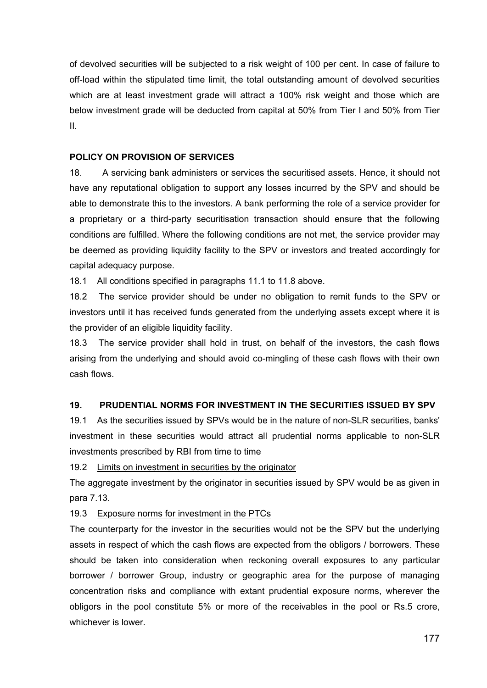of devolved securities will be subjected to a risk weight of 100 per cent. In case of failure to off-load within the stipulated time limit, the total outstanding amount of devolved securities which are at least investment grade will attract a 100% risk weight and those which are below investment grade will be deducted from capital at 50% from Tier I and 50% from Tier II.

#### **POLICY ON PROVISION OF SERVICES**

18. A servicing bank administers or services the securitised assets. Hence, it should not have any reputational obligation to support any losses incurred by the SPV and should be able to demonstrate this to the investors. A bank performing the role of a service provider for a proprietary or a third-party securitisation transaction should ensure that the following conditions are fulfilled. Where the following conditions are not met, the service provider may be deemed as providing liquidity facility to the SPV or investors and treated accordingly for capital adequacy purpose.

18.1 All conditions specified in paragraphs 11.1 to 11.8 above.

18.2 The service provider should be under no obligation to remit funds to the SPV or investors until it has received funds generated from the underlying assets except where it is the provider of an eligible liquidity facility.

18.3 The service provider shall hold in trust, on behalf of the investors, the cash flows arising from the underlying and should avoid co-mingling of these cash flows with their own cash flows.

#### **19. PRUDENTIAL NORMS FOR INVESTMENT IN THE SECURITIES ISSUED BY SPV**

19.1 As the securities issued by SPVs would be in the nature of non-SLR securities, banks' investment in these securities would attract all prudential norms applicable to non-SLR investments prescribed by RBI from time to time

19.2 Limits on investment in securities by the originator

The aggregate investment by the originator in securities issued by SPV would be as given in para 7.13.

#### 19.3 Exposure norms for investment in the PTCs

The counterparty for the investor in the securities would not be the SPV but the underlying assets in respect of which the cash flows are expected from the obligors / borrowers. These should be taken into consideration when reckoning overall exposures to any particular borrower / borrower Group, industry or geographic area for the purpose of managing concentration risks and compliance with extant prudential exposure norms, wherever the obligors in the pool constitute 5% or more of the receivables in the pool or Rs.5 crore, whichever is lower.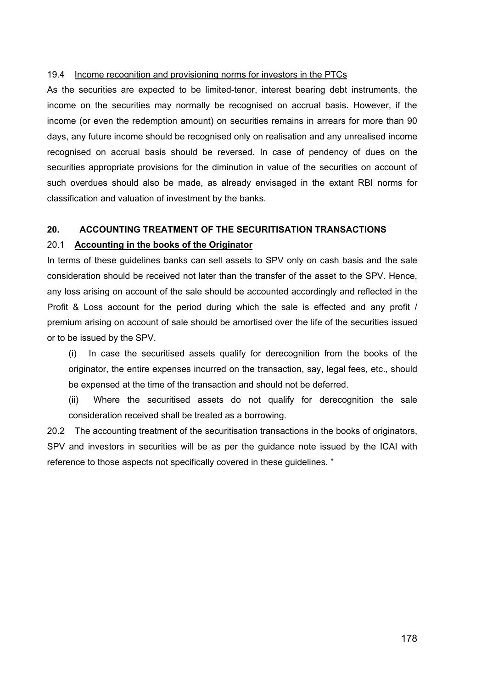### 19.4 Income recognition and provisioning norms for investors in the PTCs

As the securities are expected to be limited-tenor, interest bearing debt instruments, the income on the securities may normally be recognised on accrual basis. However, if the income (or even the redemption amount) on securities remains in arrears for more than 90 days, any future income should be recognised only on realisation and any unrealised income recognised on accrual basis should be reversed. In case of pendency of dues on the securities appropriate provisions for the diminution in value of the securities on account of such overdues should also be made, as already envisaged in the extant RBI norms for classification and valuation of investment by the banks.

### **20. ACCOUNTING TREATMENT OF THE SECURITISATION TRANSACTIONS**

### 20.1 **Accounting in the books of the Originator**

In terms of these guidelines banks can sell assets to SPV only on cash basis and the sale consideration should be received not later than the transfer of the asset to the SPV. Hence, any loss arising on account of the sale should be accounted accordingly and reflected in the Profit & Loss account for the period during which the sale is effected and any profit / premium arising on account of sale should be amortised over the life of the securities issued or to be issued by the SPV.

(i) In case the securitised assets qualify for derecognition from the books of the originator, the entire expenses incurred on the transaction, say, legal fees, etc., should be expensed at the time of the transaction and should not be deferred.

(ii) Where the securitised assets do not qualify for derecognition the sale consideration received shall be treated as a borrowing.

20.2 The accounting treatment of the securitisation transactions in the books of originators, SPV and investors in securities will be as per the guidance note issued by the ICAI with reference to those aspects not specifically covered in these guidelines. "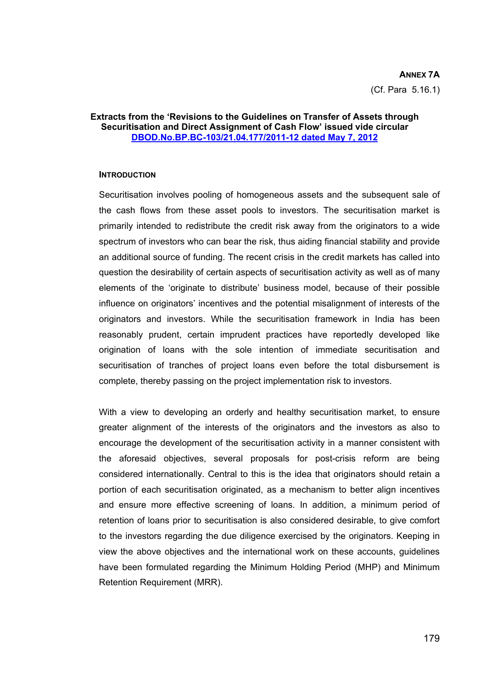#### **ANNEX 7A**

(Cf. Para 5.16.1)

#### **Extracts from the 'Revisions to the Guidelines on Transfer of Assets through Securitisation and Direct Assignment of Cash Flow' issued vide circular [DBOD.No.BP.BC-103/21.04.177/2011-12 dated May 7, 2012](http://www.rbi.org.in/scripts/NotificationUser.aspx?Id=7184&Mode=0)**

#### **INTRODUCTION**

Securitisation involves pooling of homogeneous assets and the subsequent sale of the cash flows from these asset pools to investors. The securitisation market is primarily intended to redistribute the credit risk away from the originators to a wide spectrum of investors who can bear the risk, thus aiding financial stability and provide an additional source of funding. The recent crisis in the credit markets has called into question the desirability of certain aspects of securitisation activity as well as of many elements of the 'originate to distribute' business model, because of their possible influence on originators' incentives and the potential misalignment of interests of the originators and investors. While the securitisation framework in India has been reasonably prudent, certain imprudent practices have reportedly developed like origination of loans with the sole intention of immediate securitisation and securitisation of tranches of project loans even before the total disbursement is complete, thereby passing on the project implementation risk to investors.

With a view to developing an orderly and healthy securitisation market, to ensure greater alignment of the interests of the originators and the investors as also to encourage the development of the securitisation activity in a manner consistent with the aforesaid objectives, several proposals for post-crisis reform are being considered internationally. Central to this is the idea that originators should retain a portion of each securitisation originated, as a mechanism to better align incentives and ensure more effective screening of loans. In addition, a minimum period of retention of loans prior to securitisation is also considered desirable, to give comfort to the investors regarding the due diligence exercised by the originators. Keeping in view the above objectives and the international work on these accounts, guidelines have been formulated regarding the Minimum Holding Period (MHP) and Minimum Retention Requirement (MRR).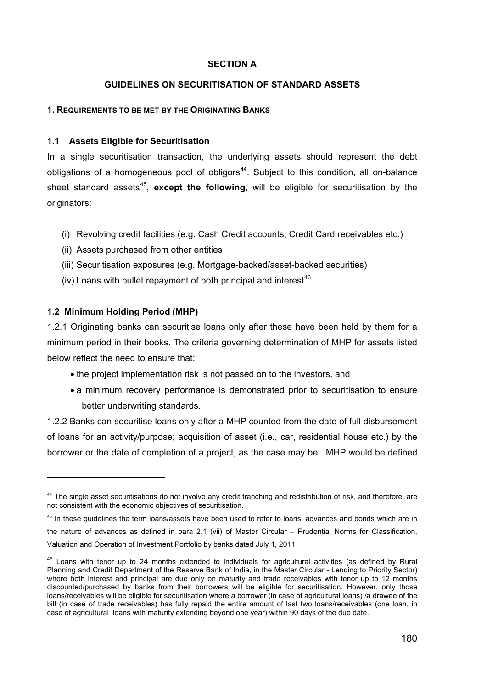#### **SECTION A**

### **GUIDELINES ON SECURITISATION OF STANDARD ASSETS**

#### **1. REQUIREMENTS TO BE MET BY THE ORIGINATING BANKS**

#### **1.1 Assets Eligible for Securitisation**

In a single securitisation transaction, the underlying assets should represent the debt obligations of a homogeneous pool of obligors**[4](#page-179-0)4**. Subject to this condition, all on-balance sheet standard assets<sup>[4](#page-179-1)5</sup>, except the following, will be eligible for securitisation by the originators:

- (i) Revolving credit facilities (e.g. Cash Credit accounts, Credit Card receivables etc.)
- (ii) Assets purchased from other entities
- (iii) Securitisation exposures (e.g. Mortgage-backed/asset-backed securities)
- (iv) Loans with bullet repayment of both principal and interest<sup>[4](#page-179-2)6</sup>.

### **1.2 Minimum Holding Period (MHP)**

l

1.2.1 Originating banks can securitise loans only after these have been held by them for a minimum period in their books. The criteria governing determination of MHP for assets listed below reflect the need to ensure that:

- the project implementation risk is not passed on to the investors, and
- a minimum recovery performance is demonstrated prior to securitisation to ensure better underwriting standards.

1.2.2 Banks can securitise loans only after a MHP counted from the date of full disbursement of loans for an activity/purpose; acquisition of asset (i.e., car, residential house etc.) by the borrower or the date of completion of a project, as the case may be. MHP would be defined

<span id="page-179-0"></span> $44$  The single asset securitisations do not involve any credit tranching and redistribution of risk, and therefore, are not consistent with the economic objectives of securitisation.

<span id="page-179-1"></span> $45$  In these guidelines the term loans/assets have been used to refer to loans, advances and bonds which are in the nature of advances as defined in para 2.1 (vii) of Master Circular – Prudential Norms for Classification, Valuation and Operation of Investment Portfolio by banks dated July 1, 2011

<span id="page-179-2"></span><sup>&</sup>lt;sup>46</sup> Loans with tenor up to 24 months extended to individuals for agricultural activities (as defined by Rural Planning and Credit Department of the Reserve Bank of India, in the Master Circular - Lending to Priority Sector) where both interest and principal are due only on maturity and trade receivables with tenor up to 12 months discounted/purchased by banks from their borrowers will be eligible for securitisation. However, only those loans/receivables will be eligible for securitisation where a borrower (in case of agricultural loans) /a drawee of the bill (in case of trade receivables) has fully repaid the entire amount of last two loans/receivables (one loan, in case of agricultural loans with maturity extending beyond one year) within 90 days of the due date.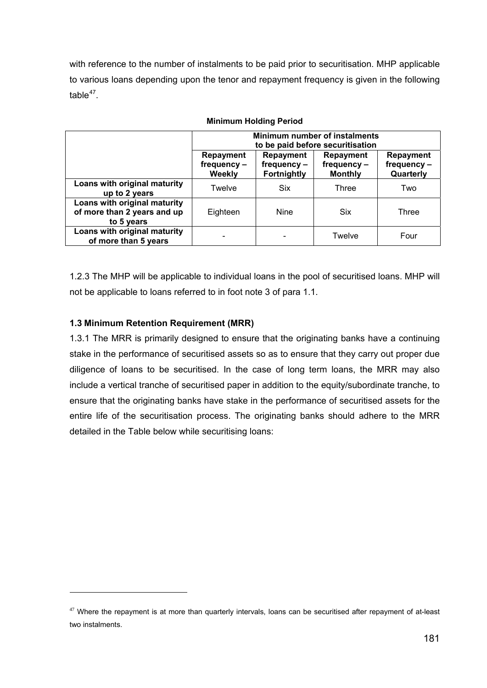with reference to the number of instalments to be paid prior to securitisation. MHP applicable to various loans depending upon the tenor and repayment frequency is given in the following table $47$  $47$ .

|                                                                           | <b>Minimum number of instalments</b><br>to be paid before securitisation |                                               |                                            |                                       |
|---------------------------------------------------------------------------|--------------------------------------------------------------------------|-----------------------------------------------|--------------------------------------------|---------------------------------------|
|                                                                           | Repayment<br>frequency-<br>Weekly                                        | Repayment<br>frequency-<br><b>Fortnightly</b> | Repayment<br>frequency -<br><b>Monthly</b> | Repayment<br>frequency -<br>Quarterly |
| Loans with original maturity<br>up to 2 years                             | Twelve                                                                   | <b>Six</b>                                    | Three                                      | Two                                   |
| Loans with original maturity<br>of more than 2 years and up<br>to 5 years | Eighteen                                                                 | <b>Nine</b>                                   | <b>Six</b>                                 | Three                                 |
| Loans with original maturity<br>of more than 5 years                      |                                                                          |                                               | Twelve                                     | Four                                  |

#### **Minimum Holding Period**

1.2.3 The MHP will be applicable to individual loans in the pool of securitised loans. MHP will not be applicable to loans referred to in foot note 3 of para 1.1.

# **1.3 Minimum Retention Requirement (MRR)**

1

1.3.1 The MRR is primarily designed to ensure that the originating banks have a continuing stake in the performance of securitised assets so as to ensure that they carry out proper due diligence of loans to be securitised. In the case of long term loans, the MRR may also include a vertical tranche of securitised paper in addition to the equity/subordinate tranche, to ensure that the originating banks have stake in the performance of securitised assets for the entire life of the securitisation process. The originating banks should adhere to the MRR detailed in the Table below while securitising loans:

<span id="page-180-0"></span> $47$  Where the repayment is at more than quarterly intervals, loans can be securitised after repayment of at-least two instalments.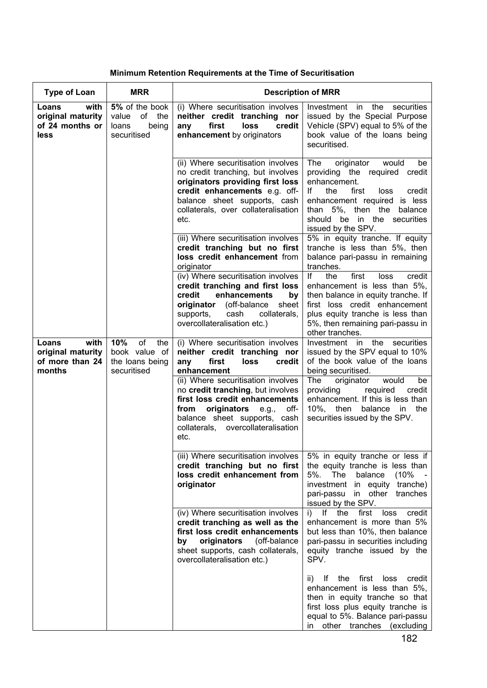| <b>Type of Loan</b>                                             | <b>MRR</b>                                                            | <b>Description of MRR</b>                                                                                                                                                                                                       |                                                                                                                                                                                                                                                      |  |
|-----------------------------------------------------------------|-----------------------------------------------------------------------|---------------------------------------------------------------------------------------------------------------------------------------------------------------------------------------------------------------------------------|------------------------------------------------------------------------------------------------------------------------------------------------------------------------------------------------------------------------------------------------------|--|
| with<br>Loans<br>original maturity<br>of 24 months or<br>less   | 5% of the book<br>of<br>value<br>the<br>loans<br>being<br>securitised | (i) Where securitisation involves<br>neither credit tranching nor<br>first<br>loss<br>credit<br>any<br>enhancement by originators                                                                                               | the<br>Investment in<br>securities<br>issued by the Special Purpose<br>Vehicle (SPV) equal to 5% of the<br>book value of the loans being<br>securitised.                                                                                             |  |
|                                                                 |                                                                       | (ii) Where securitisation involves<br>no credit tranching, but involves<br>originators providing first loss<br>credit enhancements e.g. off-<br>balance sheet supports, cash<br>collaterals, over collateralisation<br>etc.     | originator<br>The<br>would<br>be<br>providing the required<br>credit<br>enhancement.<br>١f<br>the<br>first<br>loss<br>credit<br>enhancement required<br>is less<br>than 5%, then the<br>balance<br>should be in the securities<br>issued by the SPV. |  |
|                                                                 |                                                                       | (iii) Where securitisation involves<br>credit tranching but no first<br>loss credit enhancement from<br>originator                                                                                                              | 5% in equity tranche. If equity<br>tranche is less than 5%, then<br>balance pari-passu in remaining<br>tranches.                                                                                                                                     |  |
|                                                                 |                                                                       | (iv) Where securitisation involves<br>credit tranching and first loss<br>enhancements<br>credit<br>by<br>originator<br>(off-balance<br>sheet<br>supports,<br>cash<br>collaterals,<br>overcollateralisation etc.)                | If<br>first<br>the<br>loss<br>credit<br>enhancement is less than 5%,<br>then balance in equity tranche. If<br>first loss credit enhancement<br>plus equity tranche is less than<br>5%, then remaining pari-passu in<br>other tranches.               |  |
| with<br>Loans<br>original maturity<br>of more than 24<br>months | 10%<br>of<br>the<br>book value of<br>the loans being<br>securitised   | (i) Where securitisation involves<br>neither credit tranching nor<br>first<br>credit<br>any<br><b>loss</b><br>enhancement                                                                                                       | Investment in<br>the<br>securities<br>issued by the SPV equal to 10%<br>of the book value of the loans<br>being securitised.                                                                                                                         |  |
|                                                                 |                                                                       | (ii) Where securitisation involves<br>no credit tranching, but involves<br>first loss credit enhancements<br>from<br>originators e.g.,<br>off-<br>balance sheet supports, cash<br>collaterals,<br>overcollateralisation<br>etc. | The<br>originator<br>would<br>be<br>providing<br>required<br>credit<br>enhancement. If this is less than<br>10%, then<br>balance<br>the<br>in<br>securities issued by the SPV.                                                                       |  |
|                                                                 |                                                                       | (iii) Where securitisation involves<br>credit tranching but no first<br>loss credit enhancement from<br>originator                                                                                                              | 5% in equity tranche or less if<br>the equity tranche is less than<br>5%.<br>The<br>(10%<br>balance<br>investment in equity<br>tranche)<br>pari-passu in other tranches<br>issued by the SPV.                                                        |  |
|                                                                 |                                                                       | (iv) Where securitisation involves<br>credit tranching as well as the<br>first loss credit enhancements<br>originators<br>(off-balance<br>bv<br>sheet supports, cash collaterals,<br>overcollateralisation etc.)                | i) If the<br>first<br>loss<br>credit<br>enhancement is more than 5%<br>but less than 10%, then balance<br>pari-passu in securities including<br>equity tranche issued by the<br>SPV.                                                                 |  |
|                                                                 |                                                                       |                                                                                                                                                                                                                                 | the<br>first<br>loss<br>credit<br>lf<br>II)<br>enhancement is less than 5%,<br>then in equity tranche so that<br>first loss plus equity tranche is<br>equal to 5%. Balance pari-passu<br>other<br>tranches<br>(excluding<br>in                       |  |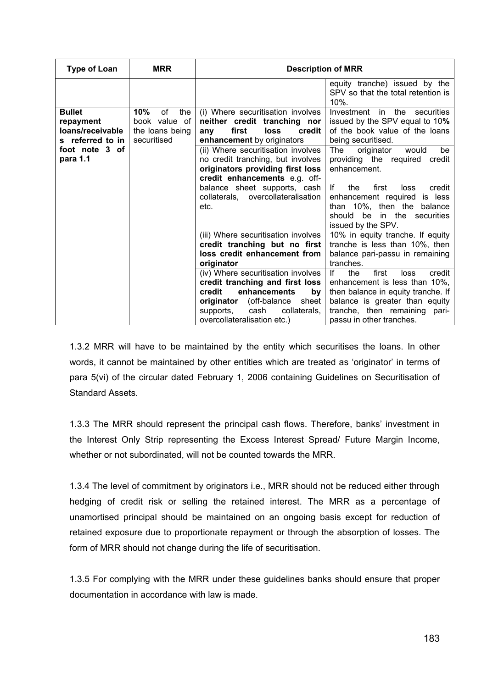| Type of Loan                                                       | <b>MRR</b>                                                          | <b>Description of MRR</b>                                                                                                                                                                                        |                                                                                                                                                                                                            |  |
|--------------------------------------------------------------------|---------------------------------------------------------------------|------------------------------------------------------------------------------------------------------------------------------------------------------------------------------------------------------------------|------------------------------------------------------------------------------------------------------------------------------------------------------------------------------------------------------------|--|
|                                                                    |                                                                     |                                                                                                                                                                                                                  | equity tranche) issued by the<br>SPV so that the total retention is<br>$10%$ .                                                                                                                             |  |
| <b>Bullet</b><br>repayment<br>loans/receivable<br>s referred to in | 10%<br>οf<br>the<br>book value of<br>the loans being<br>securitised | (i) Where securitisation involves<br>neither credit tranching nor<br>first<br>credit<br><b>loss</b><br>anv<br>enhancement by originators                                                                         | Investment in<br>the<br>securities<br>issued by the SPV equal to 10%<br>of the book value of the loans<br>being securitised.                                                                               |  |
| foot note 3 of<br>para 1.1                                         |                                                                     | (ii) Where securitisation involves<br>no credit tranching, but involves<br>originators providing first loss<br>credit enhancements e.g. off-                                                                     | The<br>originator<br>be<br>would<br>providing the required<br>credit<br>enhancement.                                                                                                                       |  |
|                                                                    |                                                                     | balance sheet supports, cash<br>collaterals.<br>overcollateralisation<br>etc.                                                                                                                                    | lf<br>the<br>first<br>credit<br>loss<br>enhancement required<br>is less<br>than 10%, then the balance<br>should<br>be<br>in the<br>securities<br>issued by the SPV.                                        |  |
|                                                                    |                                                                     | (iii) Where securitisation involves<br>credit tranching but no first<br>loss credit enhancement from<br>originator                                                                                               | 10% in equity tranche. If equity<br>tranche is less than 10%, then<br>balance pari-passu in remaining<br>tranches.                                                                                         |  |
|                                                                    |                                                                     | (iv) Where securitisation involves<br>credit tranching and first loss<br>credit<br>enhancements<br>by<br>(off-balance<br>originator<br>sheet<br>collaterals,<br>supports,<br>cash<br>overcollateralisation etc.) | lf<br>first<br>the<br>loss<br>credit<br>enhancement is less than 10%,<br>then balance in equity tranche. If<br>balance is greater than equity<br>tranche, then remaining pari-<br>passu in other tranches. |  |

1.3.2 MRR will have to be maintained by the entity which securitises the loans. In other words, it cannot be maintained by other entities which are treated as 'originator' in terms of para 5(vi) of the circular dated February 1, 2006 containing Guidelines on Securitisation of Standard Assets.

1.3.3 The MRR should represent the principal cash flows. Therefore, banks' investment in the Interest Only Strip representing the Excess Interest Spread/ Future Margin Income, whether or not subordinated, will not be counted towards the MRR.

1.3.4 The level of commitment by originators i.e., MRR should not be reduced either through hedging of credit risk or selling the retained interest. The MRR as a percentage of unamortised principal should be maintained on an ongoing basis except for reduction of retained exposure due to proportionate repayment or through the absorption of losses. The form of MRR should not change during the life of securitisation.

1.3.5 For complying with the MRR under these guidelines banks should ensure that proper documentation in accordance with law is made.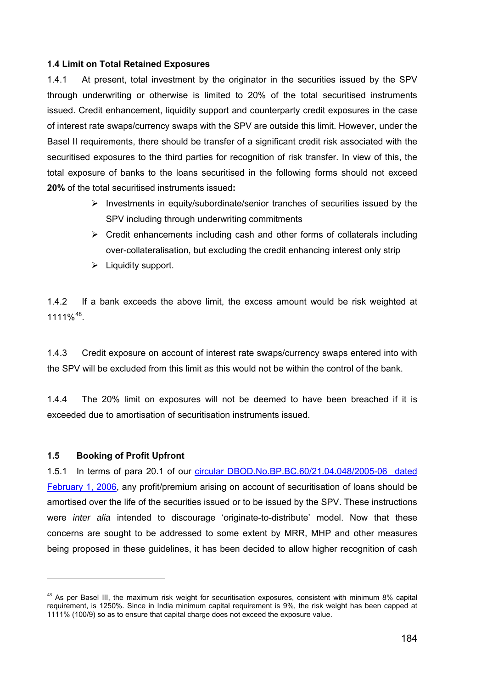#### **1.4 Limit on Total Retained Exposures**

1.4.1 At present, total investment by the originator in the securities issued by the SPV through underwriting or otherwise is limited to 20% of the total securitised instruments issued. Credit enhancement, liquidity support and counterparty credit exposures in the case of interest rate swaps/currency swaps with the SPV are outside this limit. However, under the Basel II requirements, there should be transfer of a significant credit risk associated with the securitised exposures to the third parties for recognition of risk transfer. In view of this, the total exposure of banks to the loans securitised in the following forms should not exceed **20%** of the total securitised instruments issued**:**

- $\triangleright$  Investments in equity/subordinate/senior tranches of securities issued by the SPV including through underwriting commitments
- $\triangleright$  Credit enhancements including cash and other forms of collaterals including over-collateralisation, but excluding the credit enhancing interest only strip
- $\triangleright$  Liquidity support.

1.4.2 If a bank exceeds the above limit, the excess amount would be risk weighted at 1111%[4](#page-183-0)8.

1.4.3 Credit exposure on account of interest rate swaps/currency swaps entered into with the SPV will be excluded from this limit as this would not be within the control of the bank.

1.4.4 The 20% limit on exposures will not be deemed to have been breached if it is exceeded due to amortisation of securitisation instruments issued.

#### **1.5 Booking of Profit Upfront**

l

1.5.1 In terms of para 20.1 of our [circular DBOD.No.BP.BC.60/21.04.048/2005-06 dated](http://www.rbi.org.in/scripts/NotificationUser.aspx?Id=2723&Mode=0)  [February 1, 2006,](http://www.rbi.org.in/scripts/NotificationUser.aspx?Id=2723&Mode=0) any profit/premium arising on account of securitisation of loans should be amortised over the life of the securities issued or to be issued by the SPV. These instructions were *inter alia* intended to discourage 'originate-to-distribute' model. Now that these concerns are sought to be addressed to some extent by MRR, MHP and other measures being proposed in these guidelines, it has been decided to allow higher recognition of cash

<span id="page-183-0"></span><sup>&</sup>lt;sup>48</sup> As per Basel III, the maximum risk weight for securitisation exposures, consistent with minimum 8% capital requirement, is 1250%. Since in India minimum capital requirement is 9%, the risk weight has been capped at 1111% (100/9) so as to ensure that capital charge does not exceed the exposure value.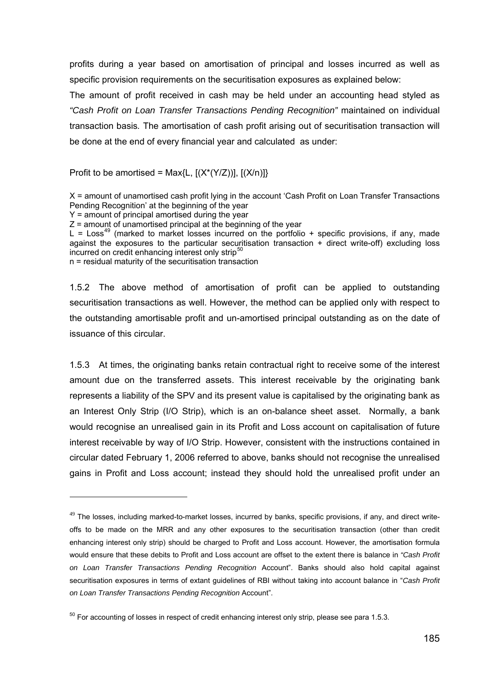profits during a year based on amortisation of principal and losses incurred as well as specific provision requirements on the securitisation exposures as explained below:

The amount of profit received in cash may be held under an accounting head styled as *"Cash Profit on Loan Transfer Transactions Pending Recognition"* maintained on individual transaction basis*.* The amortisation of cash profit arising out of securitisation transaction will be done at the end of every financial year and calculated as under:

Profit to be amortised = Max $\{L, [(X^*(Y/Z))], [(X/n)]\}$ 

X = amount of unamortised cash profit lying in the account 'Cash Profit on Loan Transfer Transactions Pending Recognition' at the beginning of the year

Y = amount of principal amortised during the year

 $Z =$  amount of unamortised principal at the beginning of the year

 $L = Loss<sup>49</sup>$  $L = Loss<sup>49</sup>$  $L = Loss<sup>49</sup>$  (marked to market losses incurred on the portfolio + specific provisions, if any, made against the exposures to the particular securitisation transaction + direct write-off) excluding loss incurred on credit enhancing interest only strip<sup>[50](#page-184-1)</sup>

n = residual maturity of the securitisation transaction

1

1.5.2 The above method of amortisation of profit can be applied to outstanding securitisation transactions as well. However, the method can be applied only with respect to the outstanding amortisable profit and un-amortised principal outstanding as on the date of issuance of this circular.

1.5.3 At times, the originating banks retain contractual right to receive some of the interest amount due on the transferred assets. This interest receivable by the originating bank represents a liability of the SPV and its present value is capitalised by the originating bank as an Interest Only Strip (I/O Strip), which is an on-balance sheet asset. Normally, a bank would recognise an unrealised gain in its Profit and Loss account on capitalisation of future interest receivable by way of I/O Strip. However, consistent with the instructions contained in circular dated February 1, 2006 referred to above, banks should not recognise the unrealised gains in Profit and Loss account; instead they should hold the unrealised profit under an

<span id="page-184-0"></span><sup>&</sup>lt;sup>49</sup> The losses, including marked-to-market losses, incurred by banks, specific provisions, if any, and direct writeoffs to be made on the MRR and any other exposures to the securitisation transaction (other than credit enhancing interest only strip) should be charged to Profit and Loss account. However, the amortisation formula would ensure that these debits to Profit and Loss account are offset to the extent there is balance in *"Cash Profit on Loan Transfer Transactions Pending Recognition* Account". Banks should also hold capital against securitisation exposures in terms of extant guidelines of RBI without taking into account balance in "*Cash Profit on Loan Transfer Transactions Pending Recognition* Account".

<span id="page-184-1"></span> $50$  For accounting of losses in respect of credit enhancing interest only strip, please see para 1.5.3.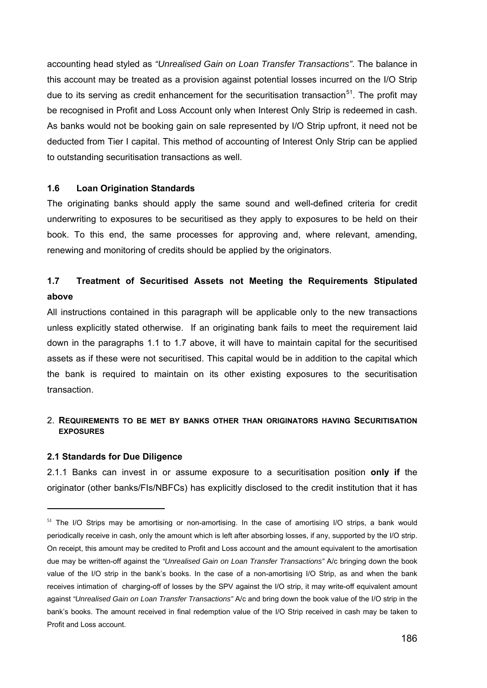accounting head styled as *"Unrealised Gain on Loan Transfer Transactions"*. The balance in this account may be treated as a provision against potential losses incurred on the I/O Strip due to its serving as credit enhancement for the securitisation transaction<sup>[5](#page-185-0)1</sup>. The profit may be recognised in Profit and Loss Account only when Interest Only Strip is redeemed in cash. As banks would not be booking gain on sale represented by I/O Strip upfront, it need not be deducted from Tier I capital. This method of accounting of Interest Only Strip can be applied to outstanding securitisation transactions as well.

#### **1.6 Loan Origination Standards**

The originating banks should apply the same sound and well-defined criteria for credit underwriting to exposures to be securitised as they apply to exposures to be held on their book. To this end, the same processes for approving and, where relevant, amending, renewing and monitoring of credits should be applied by the originators.

# **1.7 Treatment of Securitised Assets not Meeting the Requirements Stipulated above**

All instructions contained in this paragraph will be applicable only to the new transactions unless explicitly stated otherwise. If an originating bank fails to meet the requirement laid down in the paragraphs 1.1 to 1.7 above, it will have to maintain capital for the securitised assets as if these were not securitised. This capital would be in addition to the capital which the bank is required to maintain on its other existing exposures to the securitisation transaction.

#### 2. **REQUIREMENTS TO BE MET BY BANKS OTHER THAN ORIGINATORS HAVING SECURITISATION EXPOSURES**

#### **2.1 Standards for Due Diligence**

 $\overline{a}$ 

2.1.1 Banks can invest in or assume exposure to a securitisation position **only if** the originator (other banks/FIs/NBFCs) has explicitly disclosed to the credit institution that it has

<span id="page-185-0"></span><sup>&</sup>lt;sup>51</sup> The I/O Strips may be amortising or non-amortising. In the case of amortising I/O strips, a bank would periodically receive in cash, only the amount which is left after absorbing losses, if any, supported by the I/O strip. On receipt, this amount may be credited to Profit and Loss account and the amount equivalent to the amortisation due may be written-off against the *"Unrealised Gain on Loan Transfer Transactions"* A/c bringing down the book value of the I/O strip in the bank's books. In the case of a non-amortising I/O Strip, as and when the bank receives intimation of charging-off of losses by the SPV against the I/O strip, it may write-off equivalent amount against *"Unrealised Gain on Loan Transfer Transactions"* A/c and bring down the book value of the I/O strip in the bank's books. The amount received in final redemption value of the I/O Strip received in cash may be taken to Profit and Loss account.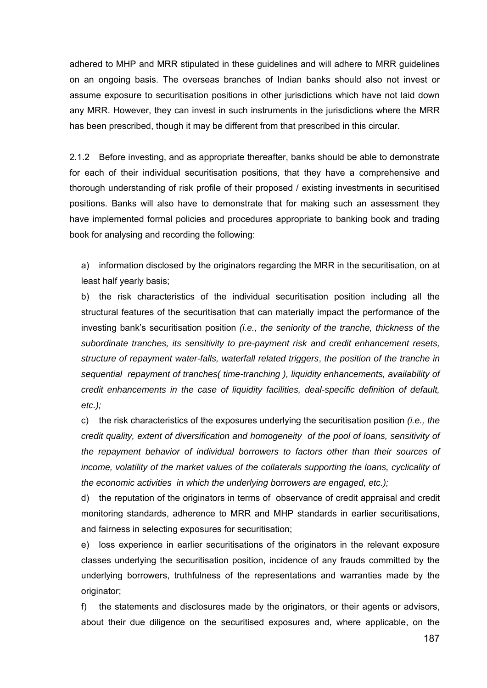adhered to MHP and MRR stipulated in these guidelines and will adhere to MRR guidelines on an ongoing basis. The overseas branches of Indian banks should also not invest or assume exposure to securitisation positions in other jurisdictions which have not laid down any MRR. However, they can invest in such instruments in the jurisdictions where the MRR has been prescribed, though it may be different from that prescribed in this circular.

2.1.2 Before investing, and as appropriate thereafter, banks should be able to demonstrate for each of their individual securitisation positions, that they have a comprehensive and thorough understanding of risk profile of their proposed / existing investments in securitised positions. Banks will also have to demonstrate that for making such an assessment they have implemented formal policies and procedures appropriate to banking book and trading book for analysing and recording the following:

a) information disclosed by the originators regarding the MRR in the securitisation, on at least half yearly basis;

b) the risk characteristics of the individual securitisation position including all the structural features of the securitisation that can materially impact the performance of the investing bank's securitisation position *(i.e., the seniority of the tranche, thickness of the subordinate tranches, its sensitivity to pre-payment risk and credit enhancement resets, structure of repayment water-falls, waterfall related triggers*, *the position of the tranche in sequential repayment of tranches( time-tranching ), liquidity enhancements, availability of credit enhancements in the case of liquidity facilities, deal-specific definition of default, etc.);* 

c) the risk characteristics of the exposures underlying the securitisation position *(i.e., the credit quality, extent of diversification and homogeneity of the pool of loans, sensitivity of the repayment behavior of individual borrowers to factors other than their sources of income, volatility of the market values of the collaterals supporting the loans, cyclicality of the economic activities in which the underlying borrowers are engaged, etc.);*

d) the reputation of the originators in terms of observance of credit appraisal and credit monitoring standards, adherence to MRR and MHP standards in earlier securitisations, and fairness in selecting exposures for securitisation;

e) loss experience in earlier securitisations of the originators in the relevant exposure classes underlying the securitisation position, incidence of any frauds committed by the underlying borrowers, truthfulness of the representations and warranties made by the originator;

f) the statements and disclosures made by the originators, or their agents or advisors, about their due diligence on the securitised exposures and, where applicable, on the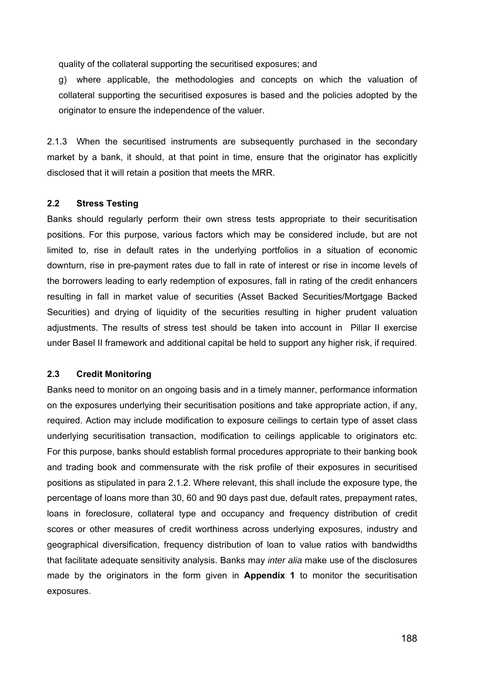quality of the collateral supporting the securitised exposures; and

g) where applicable, the methodologies and concepts on which the valuation of collateral supporting the securitised exposures is based and the policies adopted by the originator to ensure the independence of the valuer.

2.1.3 When the securitised instruments are subsequently purchased in the secondary market by a bank, it should, at that point in time, ensure that the originator has explicitly disclosed that it will retain a position that meets the MRR.

#### **2.2 Stress Testing**

Banks should regularly perform their own stress tests appropriate to their securitisation positions. For this purpose, various factors which may be considered include, but are not limited to, rise in default rates in the underlying portfolios in a situation of economic downturn, rise in pre-payment rates due to fall in rate of interest or rise in income levels of the borrowers leading to early redemption of exposures, fall in rating of the credit enhancers resulting in fall in market value of securities (Asset Backed Securities/Mortgage Backed Securities) and drying of liquidity of the securities resulting in higher prudent valuation adjustments. The results of stress test should be taken into account in Pillar II exercise under Basel II framework and additional capital be held to support any higher risk, if required.

#### **2.3 Credit Monitoring**

Banks need to monitor on an ongoing basis and in a timely manner, performance information on the exposures underlying their securitisation positions and take appropriate action, if any, required. Action may include modification to exposure ceilings to certain type of asset class underlying securitisation transaction, modification to ceilings applicable to originators etc. For this purpose, banks should establish formal procedures appropriate to their banking book and trading book and commensurate with the risk profile of their exposures in securitised positions as stipulated in para 2.1.2. Where relevant, this shall include the exposure type, the percentage of loans more than 30, 60 and 90 days past due, default rates, prepayment rates, loans in foreclosure, collateral type and occupancy and frequency distribution of credit scores or other measures of credit worthiness across underlying exposures, industry and geographical diversification, frequency distribution of loan to value ratios with bandwidths that facilitate adequate sensitivity analysis. Banks may *inter alia* make use of the disclosures made by the originators in the form given in **Appendix 1** to monitor the securitisation exposures.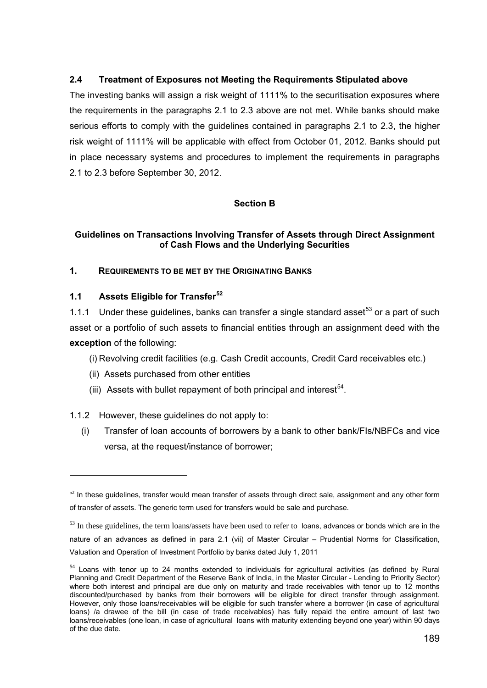## **2.4 Treatment of Exposures not Meeting the Requirements Stipulated above**

The investing banks will assign a risk weight of 1111% to the securitisation exposures where the requirements in the paragraphs 2.1 to 2.3 above are not met. While banks should make serious efforts to comply with the guidelines contained in paragraphs 2.1 to 2.3, the higher risk weight of 1111% will be applicable with effect from October 01, 2012. Banks should put in place necessary systems and procedures to implement the requirements in paragraphs 2.1 to 2.3 before September 30, 2012.

## **Section B**

## **Guidelines on Transactions Involving Transfer of Assets through Direct Assignment of Cash Flows and the Underlying Securities**

#### **1. REQUIREMENTS TO BE MET BY THE ORIGINATING BANKS**

#### **1.1 Assets Eligible for Transfer[5](#page-188-0)2**

1.1.1 Under these guidelines, banks can transfer a single standard asset<sup>[5](#page-188-1)3</sup> or a part of such asset or a portfolio of such assets to financial entities through an assignment deed with the **exception** of the following:

(i) Revolving credit facilities (e.g. Cash Credit accounts, Credit Card receivables etc.)

- (ii) Assets purchased from other entities
- (iii) Assets with bullet repayment of both principal and interest $54$  $54$ .

1.1.2 However, these guidelines do not apply to:

1

(i) Transfer of loan accounts of borrowers by a bank to other bank/FIs/NBFCs and vice versa, at the request/instance of borrower;

<span id="page-188-0"></span> $52$  In these guidelines, transfer would mean transfer of assets through direct sale, assignment and any other form of transfer of assets. The generic term used for transfers would be sale and purchase.

<span id="page-188-1"></span><sup>&</sup>lt;sup>53</sup> In these guidelines, the term loans/assets have been used to refer to loans, advances or bonds which are in the nature of an advances as defined in para 2.1 (vii) of Master Circular – Prudential Norms for Classification, Valuation and Operation of Investment Portfolio by banks dated July 1, 2011

<span id="page-188-2"></span><sup>&</sup>lt;sup>54</sup> Loans with tenor up to 24 months extended to individuals for agricultural activities (as defined by Rural Planning and Credit Department of the Reserve Bank of India, in the Master Circular - Lending to Priority Sector) where both interest and principal are due only on maturity and trade receivables with tenor up to 12 months discounted/purchased by banks from their borrowers will be eligible for direct transfer through assignment. However, only those loans/receivables will be eligible for such transfer where a borrower (in case of agricultural loans) /a drawee of the bill (in case of trade receivables) has fully repaid the entire amount of last two loans/receivables (one loan, in case of agricultural loans with maturity extending beyond one year) within 90 days of the due date.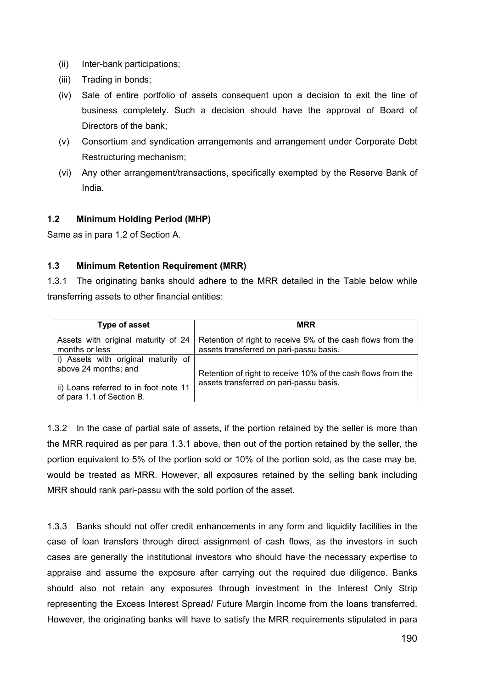- (ii) Inter-bank participations;
- (iii) Trading in bonds;
- (iv) Sale of entire portfolio of assets consequent upon a decision to exit the line of business completely. Such a decision should have the approval of Board of Directors of the bank;
- (v) Consortium and syndication arrangements and arrangement under Corporate Debt Restructuring mechanism;
- (vi) Any other arrangement/transactions, specifically exempted by the Reserve Bank of India.

## **1.2 Minimum Holding Period (MHP)**

Same as in para 1.2 of Section A.

## **1.3 Minimum Retention Requirement (MRR)**

1.3.1 The originating banks should adhere to the MRR detailed in the Table below while transferring assets to other financial entities:

| Type of asset                         | <b>MRR</b>                                                   |
|---------------------------------------|--------------------------------------------------------------|
| Assets with original maturity of 24   | Retention of right to receive 5% of the cash flows from the  |
| months or less                        | assets transferred on pari-passu basis.                      |
| i) Assets with original maturity of   |                                                              |
| above 24 months; and                  | Retention of right to receive 10% of the cash flows from the |
| ii) Loans referred to in foot note 11 | assets transferred on pari-passu basis.                      |
| of para 1.1 of Section B.             |                                                              |

1.3.2 In the case of partial sale of assets, if the portion retained by the seller is more than the MRR required as per para 1.3.1 above, then out of the portion retained by the seller, the portion equivalent to 5% of the portion sold or 10% of the portion sold, as the case may be, would be treated as MRR. However, all exposures retained by the selling bank including MRR should rank pari-passu with the sold portion of the asset.

1.3.3 Banks should not offer credit enhancements in any form and liquidity facilities in the case of loan transfers through direct assignment of cash flows, as the investors in such cases are generally the institutional investors who should have the necessary expertise to appraise and assume the exposure after carrying out the required due diligence. Banks should also not retain any exposures through investment in the Interest Only Strip representing the Excess Interest Spread/ Future Margin Income from the loans transferred. However, the originating banks will have to satisfy the MRR requirements stipulated in para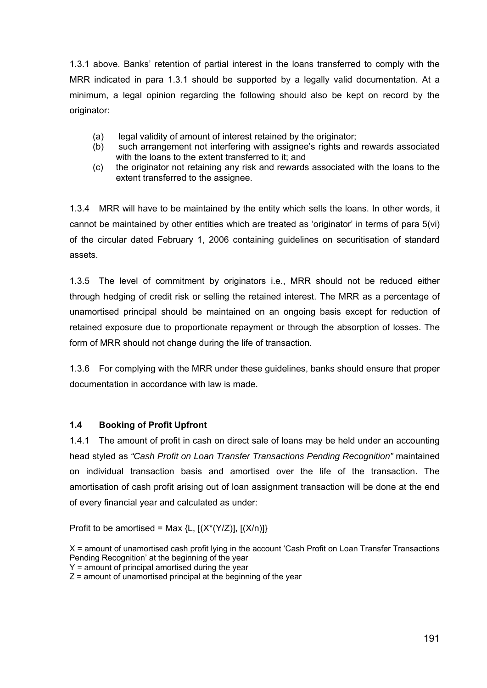1.3.1 above. Banks' retention of partial interest in the loans transferred to comply with the MRR indicated in para 1.3.1 should be supported by a legally valid documentation. At a minimum, a legal opinion regarding the following should also be kept on record by the originator:

- (a) legal validity of amount of interest retained by the originator;
- (b) such arrangement not interfering with assignee's rights and rewards associated with the loans to the extent transferred to it; and
- (c) the originator not retaining any risk and rewards associated with the loans to the extent transferred to the assignee.

1.3.4 MRR will have to be maintained by the entity which sells the loans. In other words, it cannot be maintained by other entities which are treated as 'originator' in terms of para 5(vi) of the circular dated February 1, 2006 containing guidelines on securitisation of standard assets.

1.3.5 The level of commitment by originators i.e., MRR should not be reduced either through hedging of credit risk or selling the retained interest. The MRR as a percentage of unamortised principal should be maintained on an ongoing basis except for reduction of retained exposure due to proportionate repayment or through the absorption of losses. The form of MRR should not change during the life of transaction.

1.3.6 For complying with the MRR under these guidelines, banks should ensure that proper documentation in accordance with law is made.

# **1.4 Booking of Profit Upfront**

1.4.1 The amount of profit in cash on direct sale of loans may be held under an accounting head styled as *"Cash Profit on Loan Transfer Transactions Pending Recognition"* maintained on individual transaction basis and amortised over the life of the transaction. The amortisation of cash profit arising out of loan assignment transaction will be done at the end of every financial year and calculated as under:

Profit to be amortised = Max {L,  $[(X^*(Y/Z)], [(X/n)]\}$ 

X = amount of unamortised cash profit lying in the account 'Cash Profit on Loan Transfer Transactions Pending Recognition' at the beginning of the year

Y = amount of principal amortised during the year

 $Z =$  amount of unamortised principal at the beginning of the year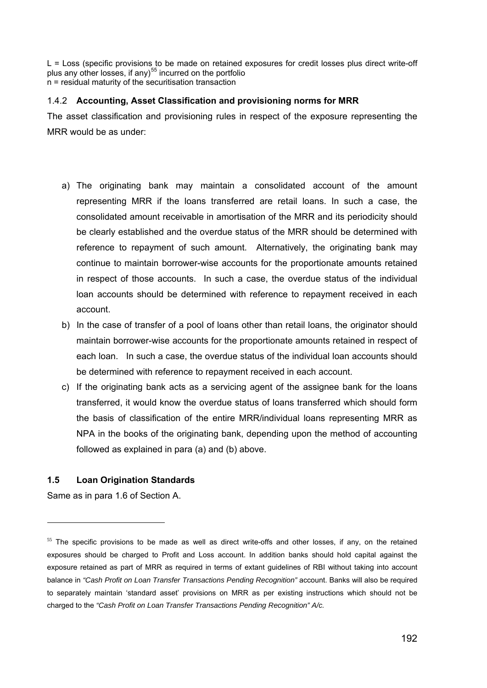L = Loss (specific provisions to be made on retained exposures for credit losses plus direct write-off plus any other losses, if any)<sup>[5](#page-191-0)5</sup> incurred on the portfolio n = residual maturity of the securitisation transaction

#### 1.4.2 **Accounting, Asset Classification and provisioning norms for MRR**

The asset classification and provisioning rules in respect of the exposure representing the MRR would be as under:

- a) The originating bank may maintain a consolidated account of the amount representing MRR if the loans transferred are retail loans. In such a case, the consolidated amount receivable in amortisation of the MRR and its periodicity should be clearly established and the overdue status of the MRR should be determined with reference to repayment of such amount. Alternatively, the originating bank may continue to maintain borrower-wise accounts for the proportionate amounts retained in respect of those accounts. In such a case, the overdue status of the individual loan accounts should be determined with reference to repayment received in each account.
- b) In the case of transfer of a pool of loans other than retail loans, the originator should maintain borrower-wise accounts for the proportionate amounts retained in respect of each loan. In such a case, the overdue status of the individual loan accounts should be determined with reference to repayment received in each account.
- c) If the originating bank acts as a servicing agent of the assignee bank for the loans transferred, it would know the overdue status of loans transferred which should form the basis of classification of the entire MRR/individual loans representing MRR as NPA in the books of the originating bank, depending upon the method of accounting followed as explained in para (a) and (b) above.

# **1.5 Loan Origination Standards**

Same as in para 1.6 of Section A.

l

<span id="page-191-0"></span> $55$  The specific provisions to be made as well as direct write-offs and other losses, if any, on the retained exposures should be charged to Profit and Loss account. In addition banks should hold capital against the exposure retained as part of MRR as required in terms of extant guidelines of RBI without taking into account balance in *"Cash Profit on Loan Transfer Transactions Pending Recognition"* account. Banks will also be required to separately maintain 'standard asset' provisions on MRR as per existing instructions which should not be charged to the *"Cash Profit on Loan Transfer Transactions Pending Recognition" A/c.*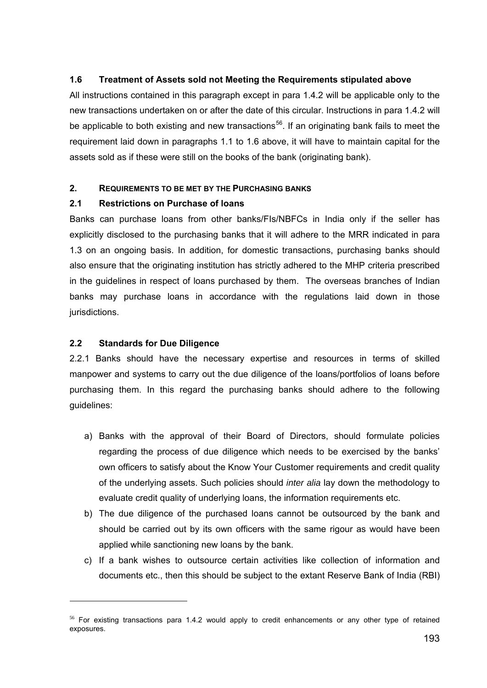## **1.6 Treatment of Assets sold not Meeting the Requirements stipulated above**

All instructions contained in this paragraph except in para 1.4.2 will be applicable only to the new transactions undertaken on or after the date of this circular. Instructions in para 1.4.2 will be applicable to both existing and new transactions<sup>[56](#page-192-0)</sup>. If an originating bank fails to meet the requirement laid down in paragraphs 1.1 to 1.6 above, it will have to maintain capital for the assets sold as if these were still on the books of the bank (originating bank).

## **2. REQUIREMENTS TO BE MET BY THE PURCHASING BANKS**

## **2.1 Restrictions on Purchase of loans**

Banks can purchase loans from other banks/FIs/NBFCs in India only if the seller has explicitly disclosed to the purchasing banks that it will adhere to the MRR indicated in para 1.3 on an ongoing basis. In addition, for domestic transactions, purchasing banks should also ensure that the originating institution has strictly adhered to the MHP criteria prescribed in the guidelines in respect of loans purchased by them. The overseas branches of Indian banks may purchase loans in accordance with the regulations laid down in those jurisdictions.

## **2.2 Standards for Due Diligence**

1

2.2.1 Banks should have the necessary expertise and resources in terms of skilled manpower and systems to carry out the due diligence of the loans/portfolios of loans before purchasing them. In this regard the purchasing banks should adhere to the following guidelines:

- a) Banks with the approval of their Board of Directors, should formulate policies regarding the process of due diligence which needs to be exercised by the banks' own officers to satisfy about the Know Your Customer requirements and credit quality of the underlying assets. Such policies should *inter alia* lay down the methodology to evaluate credit quality of underlying loans, the information requirements etc.
- b) The due diligence of the purchased loans cannot be outsourced by the bank and should be carried out by its own officers with the same rigour as would have been applied while sanctioning new loans by the bank.
- c) If a bank wishes to outsource certain activities like collection of information and documents etc., then this should be subject to the extant Reserve Bank of India (RBI)

<span id="page-192-0"></span> $56$  For existing transactions para 1.4.2 would apply to credit enhancements or any other type of retained exposures.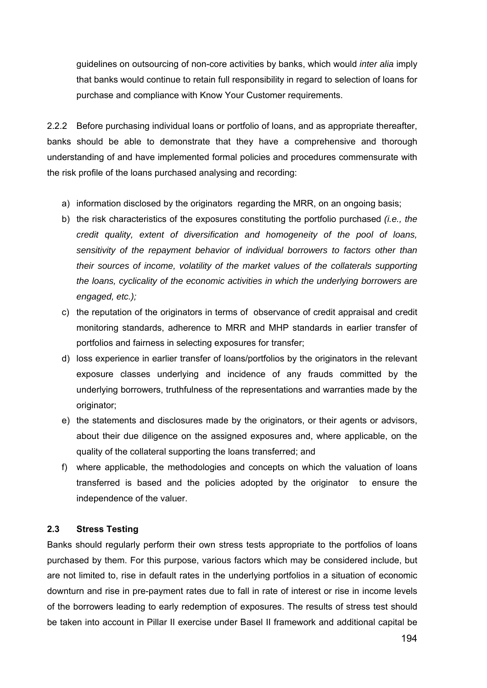guidelines on outsourcing of non-core activities by banks, which would *inter alia* imply that banks would continue to retain full responsibility in regard to selection of loans for purchase and compliance with Know Your Customer requirements.

2.2.2 Before purchasing individual loans or portfolio of loans, and as appropriate thereafter, banks should be able to demonstrate that they have a comprehensive and thorough understanding of and have implemented formal policies and procedures commensurate with the risk profile of the loans purchased analysing and recording:

- a) information disclosed by the originators regarding the MRR, on an ongoing basis;
- b) the risk characteristics of the exposures constituting the portfolio purchased *(i.e., the credit quality, extent of diversification and homogeneity of the pool of loans, sensitivity of the repayment behavior of individual borrowers to factors other than their sources of income, volatility of the market values of the collaterals supporting the loans, cyclicality of the economic activities in which the underlying borrowers are engaged, etc.);*
- c) the reputation of the originators in terms of observance of credit appraisal and credit monitoring standards, adherence to MRR and MHP standards in earlier transfer of portfolios and fairness in selecting exposures for transfer;
- d) loss experience in earlier transfer of loans/portfolios by the originators in the relevant exposure classes underlying and incidence of any frauds committed by the underlying borrowers, truthfulness of the representations and warranties made by the originator;
- e) the statements and disclosures made by the originators, or their agents or advisors, about their due diligence on the assigned exposures and, where applicable, on the quality of the collateral supporting the loans transferred; and
- f) where applicable, the methodologies and concepts on which the valuation of loans transferred is based and the policies adopted by the originator to ensure the independence of the valuer.

#### **2.3 Stress Testing**

Banks should regularly perform their own stress tests appropriate to the portfolios of loans purchased by them. For this purpose, various factors which may be considered include, but are not limited to, rise in default rates in the underlying portfolios in a situation of economic downturn and rise in pre-payment rates due to fall in rate of interest or rise in income levels of the borrowers leading to early redemption of exposures. The results of stress test should be taken into account in Pillar II exercise under Basel II framework and additional capital be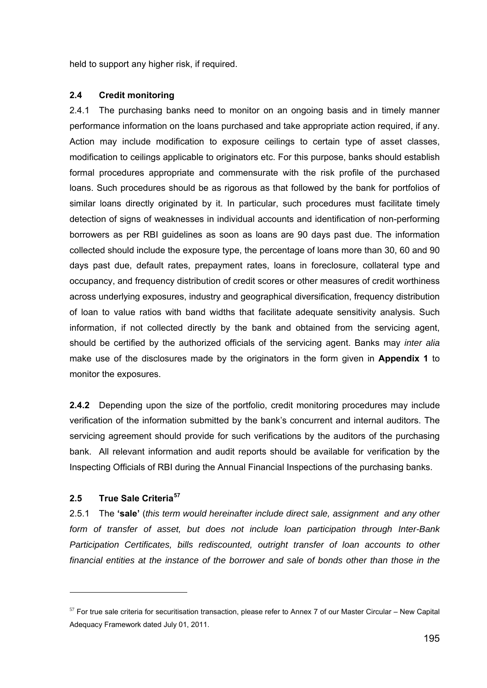held to support any higher risk, if required.

#### **2.4 Credit monitoring**

2.4.1 The purchasing banks need to monitor on an ongoing basis and in timely manner performance information on the loans purchased and take appropriate action required, if any. Action may include modification to exposure ceilings to certain type of asset classes, modification to ceilings applicable to originators etc. For this purpose, banks should establish formal procedures appropriate and commensurate with the risk profile of the purchased loans. Such procedures should be as rigorous as that followed by the bank for portfolios of similar loans directly originated by it. In particular, such procedures must facilitate timely detection of signs of weaknesses in individual accounts and identification of non-performing borrowers as per RBI guidelines as soon as loans are 90 days past due. The information collected should include the exposure type, the percentage of loans more than 30, 60 and 90 days past due, default rates, prepayment rates, loans in foreclosure, collateral type and occupancy, and frequency distribution of credit scores or other measures of credit worthiness across underlying exposures, industry and geographical diversification, frequency distribution of loan to value ratios with band widths that facilitate adequate sensitivity analysis. Such information, if not collected directly by the bank and obtained from the servicing agent, should be certified by the authorized officials of the servicing agent. Banks may *inter alia* make use of the disclosures made by the originators in the form given in **Appendix 1** to monitor the exposures.

**2.4.2** Depending upon the size of the portfolio, credit monitoring procedures may include verification of the information submitted by the bank's concurrent and internal auditors. The servicing agreement should provide for such verifications by the auditors of the purchasing bank. All relevant information and audit reports should be available for verification by the Inspecting Officials of RBI during the Annual Financial Inspections of the purchasing banks.

#### **2.5 True Sale Criteria[57](#page-194-0)**

1

2.5.1 The **'sale'** (*this term would hereinafter include direct sale, assignment and any other form of transfer of asset, but does not include loan participation through Inter-Bank Participation Certificates, bills rediscounted, outright transfer of loan accounts to other financial entities at the instance of the borrower and sale of bonds other than those in the* 

<span id="page-194-0"></span> $57$  For true sale criteria for securitisation transaction, please refer to Annex 7 of our Master Circular – New Capital Adequacy Framework dated July 01, 2011.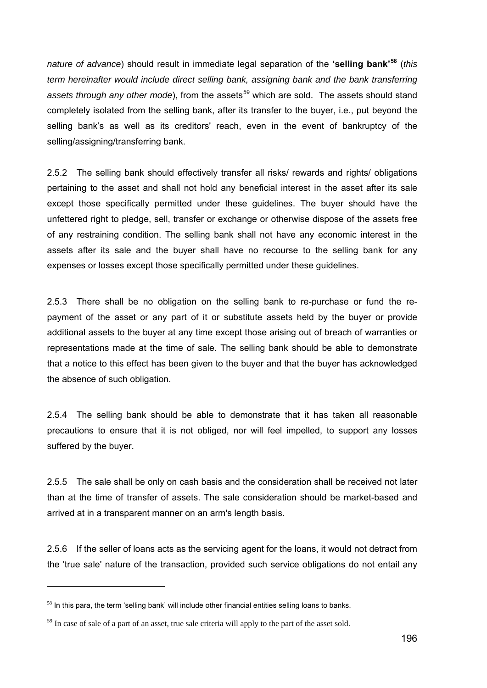*nature of advance*) should result in immediate legal separation of the **'selling bank'[58](#page-195-0)** (*this term hereinafter would include direct selling bank, assigning bank and the bank transferring*  assets through any other mode), from the assets<sup>[5](#page-195-1)9</sup> which are sold. The assets should stand completely isolated from the selling bank, after its transfer to the buyer, i.e., put beyond the selling bank's as well as its creditors' reach, even in the event of bankruptcy of the selling/assigning/transferring bank.

2.5.2 The selling bank should effectively transfer all risks/ rewards and rights/ obligations pertaining to the asset and shall not hold any beneficial interest in the asset after its sale except those specifically permitted under these guidelines. The buyer should have the unfettered right to pledge, sell, transfer or exchange or otherwise dispose of the assets free of any restraining condition. The selling bank shall not have any economic interest in the assets after its sale and the buyer shall have no recourse to the selling bank for any expenses or losses except those specifically permitted under these guidelines.

2.5.3 There shall be no obligation on the selling bank to re-purchase or fund the repayment of the asset or any part of it or substitute assets held by the buyer or provide additional assets to the buyer at any time except those arising out of breach of warranties or representations made at the time of sale. The selling bank should be able to demonstrate that a notice to this effect has been given to the buyer and that the buyer has acknowledged the absence of such obligation.

2.5.4 The selling bank should be able to demonstrate that it has taken all reasonable precautions to ensure that it is not obliged, nor will feel impelled, to support any losses suffered by the buyer.

2.5.5 The sale shall be only on cash basis and the consideration shall be received not later than at the time of transfer of assets. The sale consideration should be market-based and arrived at in a transparent manner on an arm's length basis.

2.5.6 If the seller of loans acts as the servicing agent for the loans, it would not detract from the 'true sale' nature of the transaction, provided such service obligations do not entail any

l

<span id="page-195-0"></span> $58$  In this para, the term 'selling bank' will include other financial entities selling loans to banks.

<span id="page-195-1"></span> $59$  In case of sale of a part of an asset, true sale criteria will apply to the part of the asset sold.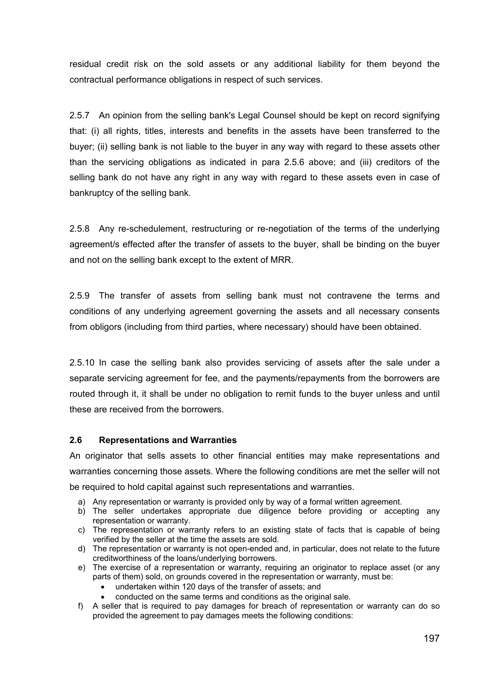residual credit risk on the sold assets or any additional liability for them beyond the contractual performance obligations in respect of such services.

2.5.7 An opinion from the selling bank's Legal Counsel should be kept on record signifying that: (i) all rights, titles, interests and benefits in the assets have been transferred to the buyer; (ii) selling bank is not liable to the buyer in any way with regard to these assets other than the servicing obligations as indicated in para 2.5.6 above; and (iii) creditors of the selling bank do not have any right in any way with regard to these assets even in case of bankruptcy of the selling bank.

2.5.8 Any re-schedulement, restructuring or re-negotiation of the terms of the underlying agreement/s effected after the transfer of assets to the buyer, shall be binding on the buyer and not on the selling bank except to the extent of MRR.

2.5.9 The transfer of assets from selling bank must not contravene the terms and conditions of any underlying agreement governing the assets and all necessary consents from obligors (including from third parties, where necessary) should have been obtained.

2.5.10 In case the selling bank also provides servicing of assets after the sale under a separate servicing agreement for fee, and the payments/repayments from the borrowers are routed through it, it shall be under no obligation to remit funds to the buyer unless and until these are received from the borrowers.

#### **2.6 Representations and Warranties**

An originator that sells assets to other financial entities may make representations and warranties concerning those assets. Where the following conditions are met the seller will not be required to hold capital against such representations and warranties.

- a) Any representation or warranty is provided only by way of a formal written agreement.
- b) The seller undertakes appropriate due diligence before providing or accepting any representation or warranty.
- c) The representation or warranty refers to an existing state of facts that is capable of being verified by the seller at the time the assets are sold.
- d) The representation or warranty is not open-ended and, in particular, does not relate to the future creditworthiness of the loans/underlying borrowers.
- e) The exercise of a representation or warranty, requiring an originator to replace asset (or any parts of them) sold, on grounds covered in the representation or warranty, must be:
	- undertaken within 120 days of the transfer of assets; and
	- conducted on the same terms and conditions as the original sale.
- f) A seller that is required to pay damages for breach of representation or warranty can do so provided the agreement to pay damages meets the following conditions: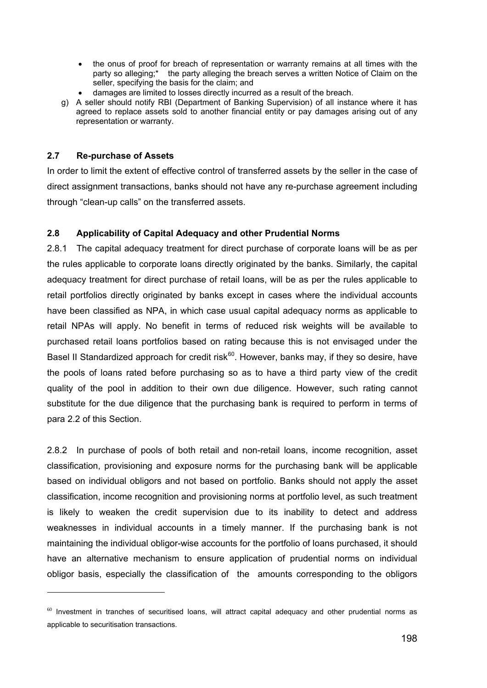- the onus of proof for breach of representation or warranty remains at all times with the party so alleging;\* the party alleging the breach serves a written Notice of Claim on the seller, specifying the basis for the claim; and
- damages are limited to losses directly incurred as a result of the breach.
- g) A seller should notify RBI (Department of Banking Supervision) of all instance where it has agreed to replace assets sold to another financial entity or pay damages arising out of any representation or warranty.

#### **2.7 Re-purchase of Assets**

l

In order to limit the extent of effective control of transferred assets by the seller in the case of direct assignment transactions, banks should not have any re-purchase agreement including through "clean-up calls" on the transferred assets.

#### **2.8 Applicability of Capital Adequacy and other Prudential Norms**

2.8.1 The capital adequacy treatment for direct purchase of corporate loans will be as per the rules applicable to corporate loans directly originated by the banks. Similarly, the capital adequacy treatment for direct purchase of retail loans, will be as per the rules applicable to retail portfolios directly originated by banks except in cases where the individual accounts have been classified as NPA, in which case usual capital adequacy norms as applicable to retail NPAs will apply. No benefit in terms of reduced risk weights will be available to purchased retail loans portfolios based on rating because this is not envisaged under the Basel II Standardized approach for credit risk<sup>[60](#page-197-0)</sup>. However, banks may, if they so desire, have the pools of loans rated before purchasing so as to have a third party view of the credit quality of the pool in addition to their own due diligence. However, such rating cannot substitute for the due diligence that the purchasing bank is required to perform in terms of para 2.2 of this Section.

2.8.2 In purchase of pools of both retail and non-retail loans, income recognition, asset classification, provisioning and exposure norms for the purchasing bank will be applicable based on individual obligors and not based on portfolio. Banks should not apply the asset classification, income recognition and provisioning norms at portfolio level, as such treatment is likely to weaken the credit supervision due to its inability to detect and address weaknesses in individual accounts in a timely manner. If the purchasing bank is not maintaining the individual obligor-wise accounts for the portfolio of loans purchased, it should have an alternative mechanism to ensure application of prudential norms on individual obligor basis, especially the classification of the amounts corresponding to the obligors

<span id="page-197-0"></span> $60$  Investment in tranches of securitised loans, will attract capital adequacy and other prudential norms as applicable to securitisation transactions.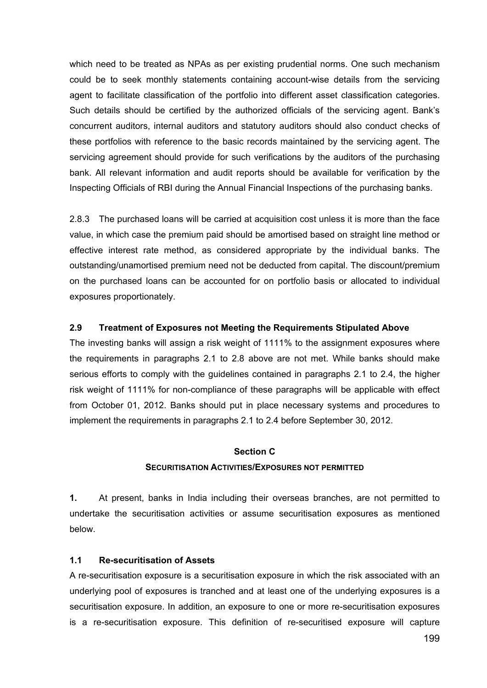which need to be treated as NPAs as per existing prudential norms. One such mechanism could be to seek monthly statements containing account-wise details from the servicing agent to facilitate classification of the portfolio into different asset classification categories. Such details should be certified by the authorized officials of the servicing agent. Bank's concurrent auditors, internal auditors and statutory auditors should also conduct checks of these portfolios with reference to the basic records maintained by the servicing agent. The servicing agreement should provide for such verifications by the auditors of the purchasing bank. All relevant information and audit reports should be available for verification by the Inspecting Officials of RBI during the Annual Financial Inspections of the purchasing banks.

2.8.3 The purchased loans will be carried at acquisition cost unless it is more than the face value, in which case the premium paid should be amortised based on straight line method or effective interest rate method, as considered appropriate by the individual banks. The outstanding/unamortised premium need not be deducted from capital. The discount/premium on the purchased loans can be accounted for on portfolio basis or allocated to individual exposures proportionately.

#### **2.9 Treatment of Exposures not Meeting the Requirements Stipulated Above**

The investing banks will assign a risk weight of 1111% to the assignment exposures where the requirements in paragraphs 2.1 to 2.8 above are not met. While banks should make serious efforts to comply with the guidelines contained in paragraphs 2.1 to 2.4, the higher risk weight of 1111% for non-compliance of these paragraphs will be applicable with effect from October 01, 2012. Banks should put in place necessary systems and procedures to implement the requirements in paragraphs 2.1 to 2.4 before September 30, 2012.

#### **Section C**

#### **SECURITISATION ACTIVITIES/EXPOSURES NOT PERMITTED**

**1.** At present, banks in India including their overseas branches, are not permitted to undertake the securitisation activities or assume securitisation exposures as mentioned below.

#### **1.1 Re-securitisation of Assets**

A re-securitisation exposure is a securitisation exposure in which the risk associated with an underlying pool of exposures is tranched and at least one of the underlying exposures is a securitisation exposure. In addition, an exposure to one or more re-securitisation exposures is a re-securitisation exposure. This definition of re-securitised exposure will capture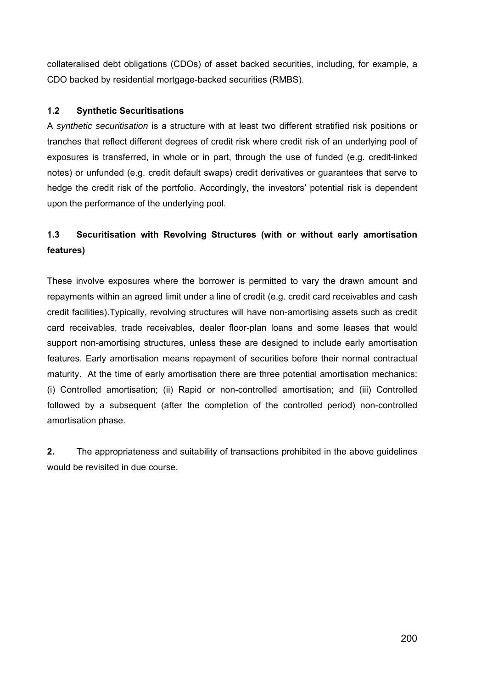collateralised debt obligations (CDOs) of asset backed securities, including, for example, a CDO backed by residential mortgage-backed securities (RMBS).

## **1.2 Synthetic Securitisations**

A *synthetic securitisation* is a structure with at least two different stratified risk positions or tranches that reflect different degrees of credit risk where credit risk of an underlying pool of exposures is transferred, in whole or in part, through the use of funded (e.g. credit-linked notes) or unfunded (e.g. credit default swaps) credit derivatives or guarantees that serve to hedge the credit risk of the portfolio. Accordingly, the investors' potential risk is dependent upon the performance of the underlying pool.

# **1.3 Securitisation with Revolving Structures (with or without early amortisation features)**

These involve exposures where the borrower is permitted to vary the drawn amount and repayments within an agreed limit under a line of credit (e.g. credit card receivables and cash credit facilities).Typically, revolving structures will have non-amortising assets such as credit card receivables, trade receivables, dealer floor-plan [loans](http://www.allbusiness.com/accounting-reporting/assets/551202-1.html) and some leases that would support non-amortising structures, unless these are designed to include early amortisation features. Early amortisation means repayment of securities before their normal contractual maturity. At the time of early amortisation there are three potential amortisation mechanics: (i) Controlled amortisation; (ii) Rapid or non-controlled amortisation; and (iii) Controlled followed by a subsequent (after the completion of the controlled period) non-controlled amortisation phase.

**2.** The appropriateness and suitability of transactions prohibited in the above guidelines would be revisited in due course.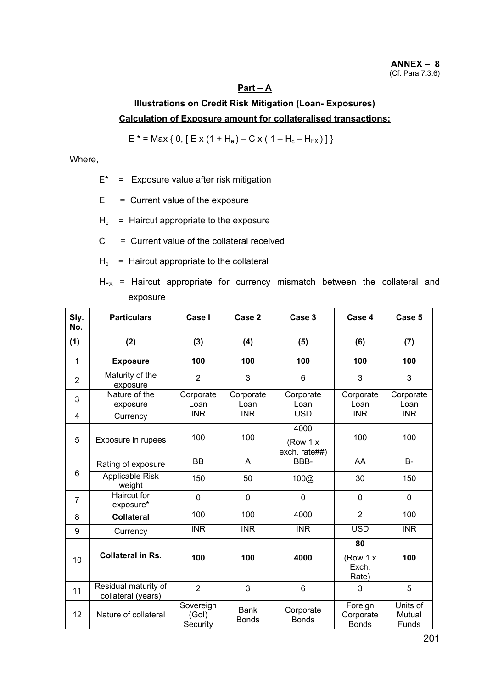#### **Part – A**

# **Illustrations on Credit Risk Mitigation (Loan- Exposures) Calculation of Exposure amount for collateralised transactions:**

 $E^*$  = Max { 0, [ E x (1 + H<sub>e</sub>) – C x ( 1 – H<sub>c</sub> – H<sub>FX</sub>) ] }

Where,

- $E^*$  = Exposure value after risk mitigation
- $E =$  Current value of the exposure
- $H<sub>e</sub>$  = Haircut appropriate to the exposure
- $C =$  Current value of the collateral received
- $H_c$  = Haircut appropriate to the collateral
- $H_{FX}$  = Haircut appropriate for currency mismatch between the collateral and exposure

| Sly.<br>No.    | <b>Particulars</b>                         | Case I                         | Case 2                      | Case 3                              | Case 4                                          | Case 5                      |
|----------------|--------------------------------------------|--------------------------------|-----------------------------|-------------------------------------|-------------------------------------------------|-----------------------------|
| (1)            | (2)                                        | (3)                            | (4)                         | (5)                                 | (6)                                             | (7)                         |
| 1              | <b>Exposure</b>                            | 100                            | 100                         | 100                                 | 100                                             | 100                         |
| $\overline{2}$ | Maturity of the<br>exposure                | $\overline{2}$                 | 3                           | 6                                   | 3                                               | 3                           |
| 3              | Nature of the<br>exposure                  | Corporate<br>Loan              | Corporate<br>Loan           | Corporate<br>Loan                   | Corporate<br>Loan                               | Corporate<br>Loan           |
| $\overline{4}$ | Currency                                   | <b>INR</b>                     | <b>INR</b>                  | <b>USD</b>                          | <b>INR</b>                                      | <b>INR</b>                  |
| 5              | Exposure in rupees                         | 100                            | 100                         | 4000<br>(Row $1 x$<br>exch. rate##) | 100                                             | 100                         |
|                | Rating of exposure                         | <b>BB</b>                      | A                           | BBB-                                | AA                                              | $B -$                       |
| 6              | Applicable Risk<br>weight                  | 150                            | 50                          | 100@                                | 30                                              | 150                         |
| $\overline{7}$ | <b>Haircut</b> for<br>exposure*            | $\mathbf 0$                    | $\mathbf 0$                 | $\mathbf 0$                         | $\mathbf 0$                                     | $\mathbf 0$                 |
| 8              | <b>Collateral</b>                          | 100                            | 100                         | 4000                                | $\overline{2}$                                  | 100                         |
| 9              | Currency                                   | <b>INR</b>                     | <b>INR</b>                  | <b>INR</b>                          | <b>USD</b>                                      | <b>INR</b>                  |
| 10             | <b>Collateral in Rs.</b>                   | 100                            | 100                         | 4000                                | $\overline{80}$<br>(Row $1 x$<br>Exch.<br>Rate) | 100                         |
| 11             | Residual maturity of<br>collateral (years) | $\overline{2}$                 | 3                           | 6                                   | 3                                               | 5                           |
| 12             | Nature of collateral                       | Sovereign<br>(Gol)<br>Security | <b>Bank</b><br><b>Bonds</b> | Corporate<br><b>Bonds</b>           | Foreign<br>Corporate<br><b>Bonds</b>            | Units of<br>Mutual<br>Funds |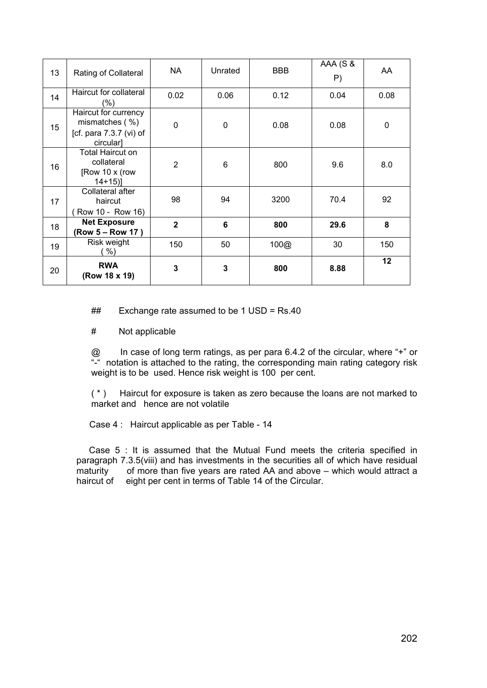| 13 | Rating of Collateral                                                             | <b>NA</b>      | Unrated | <b>BBB</b> | AAA (S &<br>P) | AA   |
|----|----------------------------------------------------------------------------------|----------------|---------|------------|----------------|------|
| 14 | Haircut for collateral<br>$(\% )$                                                | 0.02           | 0.06    | 0.12       | 0.04           | 0.08 |
| 15 | Haircut for currency<br>mismatches (%)<br>[cf. para $7.3.7$ (vi) of<br>circular] | 0              | 0       | 0.08       | 0.08           | 0    |
| 16 | Total Haircut on<br>collateral<br>[Row 10 x (row<br>$14+15$ ]                    | $\overline{2}$ | 6       | 800        | 9.6            | 8.0  |
| 17 | Collateral after<br>haircut<br>Row 10 - Row 16)                                  | 98             | 94      | 3200       | 70.4           | 92   |
| 18 | <b>Net Exposure</b><br>(Row 5 – Row 17)                                          | $\overline{2}$ | 6       | 800        | 29.6           | 8    |
| 19 | Risk weight<br>$%$ )                                                             | 150            | 50      | 100@       | 30             | 150  |
| 20 | <b>RWA</b><br>(Row 18 x 19)                                                      | 3              | 3       | 800        | 8.88           | 12   |

## Exchange rate assumed to be 1 USD = Rs.40

# Not applicable

@ In case of long term ratings, as per para 6.4.2 of the circular, where "+" or "-" notation is attached to the rating, the corresponding main rating category risk weight is to be used. Hence risk weight is 100 per cent.

( \* ) Haircut for exposure is taken as zero because the loans are not marked to market and hence are not volatile

Case 4 : Haircut applicable as per Table - 14

 Case 5 : It is assumed that the Mutual Fund meets the criteria specified in paragraph 7.3.5(viii) and has investments in the securities all of which have residual maturity of more than five years are rated AA and above – which would attract a haircut of eight per cent in terms of Table 14 of the Circular. eight per cent in terms of Table 14 of the Circular.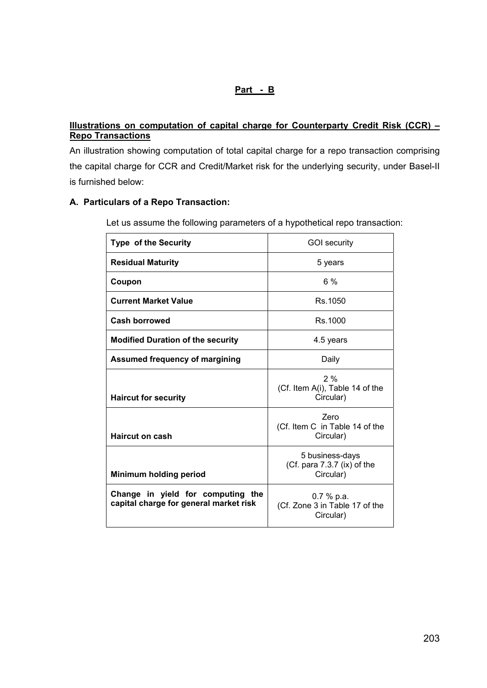## **Part - B**

#### **Illustrations on computation of capital charge for Counterparty Credit Risk (CCR) – Repo Transactions**

An illustration showing computation of total capital charge for a repo transaction comprising the capital charge for CCR and Credit/Market risk for the underlying security, under Basel-II is furnished below:

#### **A. Particulars of a Repo Transaction:**

Let us assume the following parameters of a hypothetical repo transaction:

| <b>Type of the Security</b>                                                 | <b>GOI</b> security                                         |
|-----------------------------------------------------------------------------|-------------------------------------------------------------|
| <b>Residual Maturity</b>                                                    | 5 years                                                     |
| Coupon                                                                      | 6%                                                          |
| <b>Current Market Value</b>                                                 | Rs.1050                                                     |
| <b>Cash borrowed</b>                                                        | Rs.1000                                                     |
| <b>Modified Duration of the security</b>                                    | 4.5 years                                                   |
| Assumed frequency of margining                                              | Daily                                                       |
| <b>Haircut for security</b>                                                 | 2%<br>(Cf. Item A(i), Table 14 of the<br>Circular)          |
| Haircut on cash                                                             | Zero<br>(Cf. Item C in Table 14 of the<br>Circular)         |
| Minimum holding period                                                      | 5 business-days<br>(Cf. para 7.3.7 (ix) of the<br>Circular) |
| Change in yield for computing the<br>capital charge for general market risk | 0.7 % p.a.<br>(Cf. Zone 3 in Table 17 of the<br>Circular)   |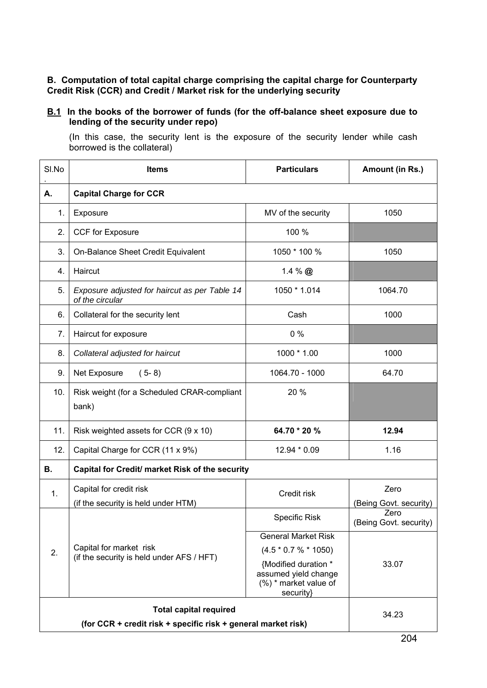**B. Computation of total capital charge comprising the capital charge for Counterparty Credit Risk (CCR) and Credit / Market risk for the underlying security** 

#### **B.1 In the books of the borrower of funds (for the off-balance sheet exposure due to lending of the security under repo)**

(In this case, the security lent is the exposure of the security lender while cash borrowed is the collateral)

| SI.No | <b>Items</b>                                                         | <b>Particulars</b>                                                                 | Amount (in Rs.)                |
|-------|----------------------------------------------------------------------|------------------------------------------------------------------------------------|--------------------------------|
| А.    | <b>Capital Charge for CCR</b>                                        |                                                                                    |                                |
| 1.    | Exposure                                                             | MV of the security                                                                 | 1050                           |
| 2.    | CCF for Exposure                                                     | 100 %                                                                              |                                |
| 3.    | On-Balance Sheet Credit Equivalent                                   | 1050 * 100 %                                                                       | 1050                           |
| 4.    | Haircut                                                              | 1.4 % $\omega$                                                                     |                                |
| 5.    | Exposure adjusted for haircut as per Table 14<br>of the circular     | 1050 * 1.014                                                                       | 1064.70                        |
| 6.    | Collateral for the security lent                                     | Cash                                                                               | 1000                           |
| 7.    | Haircut for exposure                                                 | $0\%$                                                                              |                                |
| 8.    | Collateral adjusted for haircut                                      | 1000 * 1.00                                                                        | 1000                           |
| 9.    | Net Exposure<br>$(5-8)$                                              | 1064.70 - 1000                                                                     | 64.70                          |
| 10.   | Risk weight (for a Scheduled CRAR-compliant<br>bank)                 | 20 %                                                                               |                                |
| 11.   | Risk weighted assets for CCR (9 x 10)                                | 64.70 * 20 %                                                                       | 12.94                          |
| 12.   | Capital Charge for CCR (11 x 9%)                                     | 12.94 * 0.09                                                                       | 1.16                           |
| В.    | Capital for Credit/ market Risk of the security                      |                                                                                    |                                |
| 1.    | Capital for credit risk<br>(if the security is held under HTM)       | Credit risk                                                                        | Zero<br>(Being Govt. security) |
|       |                                                                      | Specific Risk                                                                      | Zero<br>(Being Govt. security) |
|       |                                                                      | <b>General Market Risk</b>                                                         |                                |
| 2.    | Capital for market risk<br>(if the security is held under AFS / HFT) | $(4.5 * 0.7 % * 1050)$                                                             |                                |
|       |                                                                      | {Modified duration *<br>assumed yield change<br>(%) * market value of<br>security} | 33.07                          |
|       | <b>Total capital required</b>                                        |                                                                                    | 34.23                          |
|       | (for CCR + credit risk + specific risk + general market risk)        |                                                                                    |                                |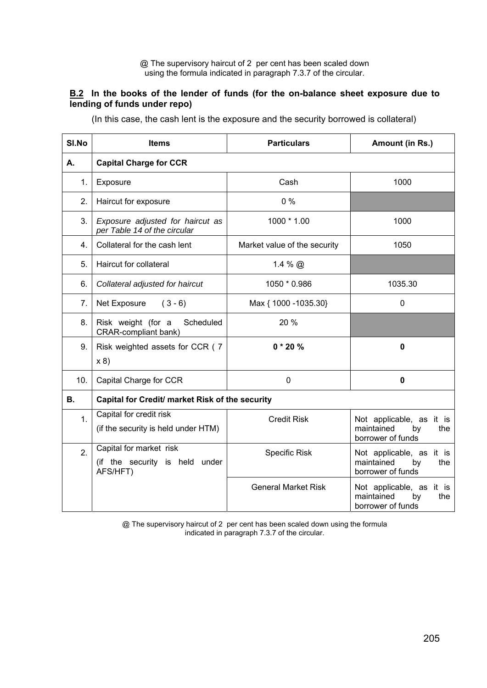@ The supervisory haircut of 2 per cent has been scaled down using the formula indicated in paragraph 7.3.7 of the circular.

#### **B.2 In the books of the lender of funds (for the on-balance sheet exposure due to lending of funds under repo)**

(In this case, the cash lent is the exposure and the security borrowed is collateral)

| SI.No          | <b>Items</b>                                                          | <b>Particulars</b>           | Amount (in Rs.)                                                          |
|----------------|-----------------------------------------------------------------------|------------------------------|--------------------------------------------------------------------------|
| А.             | <b>Capital Charge for CCR</b>                                         |                              |                                                                          |
| 1.             | Exposure                                                              | Cash                         | 1000                                                                     |
| 2.             | Haircut for exposure                                                  | $0\%$                        |                                                                          |
| 3.             | Exposure adjusted for haircut as<br>per Table 14 of the circular      | 1000 * 1.00                  | 1000                                                                     |
| 4.             | Collateral for the cash lent                                          | Market value of the security | 1050                                                                     |
| 5.             | Haircut for collateral                                                | $1.4 \% @$                   |                                                                          |
| 6.             | Collateral adjusted for haircut                                       | 1050 * 0.986                 | 1035.30                                                                  |
| 7.             | Net Exposure<br>$(3 - 6)$                                             | Max { 1000 -1035.30}         | 0                                                                        |
| 8.             | Scheduled<br>Risk weight (for a<br>CRAR-compliant bank)               | 20 %                         |                                                                          |
| 9.             | Risk weighted assets for CCR (7<br>x 8)                               | $0 * 20 \%$                  | $\bf{0}$                                                                 |
| 10.            | Capital Charge for CCR                                                | 0                            | $\mathbf 0$                                                              |
| В.             | Capital for Credit/ market Risk of the security                       |                              |                                                                          |
| 1 <sub>1</sub> | Capital for credit risk<br>(if the security is held under HTM)        | <b>Credit Risk</b>           | Not applicable, as it is<br>maintained<br>by<br>the<br>borrower of funds |
| 2.             | Capital for market risk<br>(if the security is held under<br>AFS/HFT) | <b>Specific Risk</b>         | Not applicable, as it is<br>maintained<br>the<br>by<br>borrower of funds |
|                |                                                                       | <b>General Market Risk</b>   | Not applicable, as it is<br>maintained<br>by<br>the<br>borrower of funds |

@ The supervisory haircut of 2 per cent has been scaled down using the formula indicated in paragraph 7.3.7 of the circular.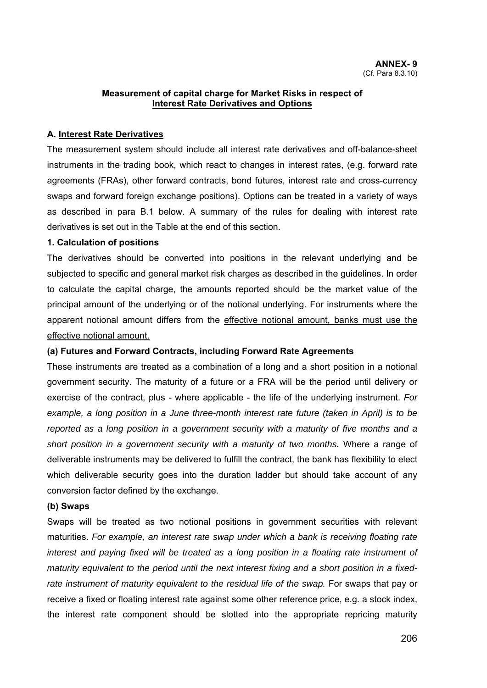#### **Measurement of capital charge for Market Risks in respect of Interest Rate Derivatives and Options**

#### **A. Interest Rate Derivatives**

The measurement system should include all interest rate derivatives and off-balance-sheet instruments in the trading book, which react to changes in interest rates, (e.g. forward rate agreements (FRAs), other forward contracts, bond futures, interest rate and cross-currency swaps and forward foreign exchange positions). Options can be treated in a variety of ways as described in para B.1 below. A summary of the rules for dealing with interest rate derivatives is set out in the Table at the end of this section.

#### **1. Calculation of positions**

The derivatives should be converted into positions in the relevant underlying and be subjected to specific and general market risk charges as described in the guidelines. In order to calculate the capital charge, the amounts reported should be the market value of the principal amount of the underlying or of the notional underlying. For instruments where the apparent notional amount differs from the effective notional amount, banks must use the effective notional amount.

#### **(a) Futures and Forward Contracts, including Forward Rate Agreements**

These instruments are treated as a combination of a long and a short position in a notional government security. The maturity of a future or a FRA will be the period until delivery or exercise of the contract, plus - where applicable - the life of the underlying instrument. *For example, a long position in a June three-month interest rate future (taken in April) is to be reported as a long position in a government security with a maturity of five months and a short position in a government security with a maturity of two months.* Where a range of deliverable instruments may be delivered to fulfill the contract, the bank has flexibility to elect which deliverable security goes into the duration ladder but should take account of any conversion factor defined by the exchange.

#### **(b) Swaps**

Swaps will be treated as two notional positions in government securities with relevant maturities. *For example, an interest rate swap under which a bank is receiving floating rate interest and paying fixed will be treated as a long position in a floating rate instrument of maturity equivalent to the period until the next interest fixing and a short position in a fixedrate instrument of maturity equivalent to the residual life of the swap.* For swaps that pay or receive a fixed or floating interest rate against some other reference price, e.g. a stock index, the interest rate component should be slotted into the appropriate repricing maturity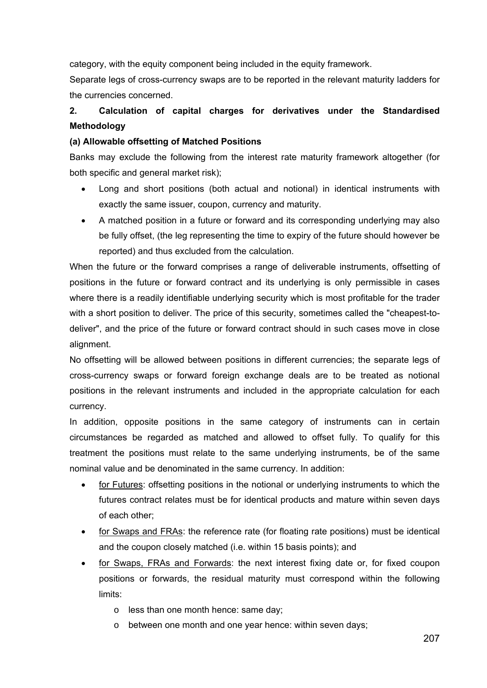category, with the equity component being included in the equity framework.

Separate legs of cross-currency swaps are to be reported in the relevant maturity ladders for the currencies concerned.

# **2. Calculation of capital charges for derivatives under the Standardised Methodology**

# **(a) Allowable offsetting of Matched Positions**

Banks may exclude the following from the interest rate maturity framework altogether (for both specific and general market risk);

- Long and short positions (both actual and notional) in identical instruments with exactly the same issuer, coupon, currency and maturity.
- A matched position in a future or forward and its corresponding underlying may also be fully offset, (the leg representing the time to expiry of the future should however be reported) and thus excluded from the calculation.

When the future or the forward comprises a range of deliverable instruments, offsetting of positions in the future or forward contract and its underlying is only permissible in cases where there is a readily identifiable underlying security which is most profitable for the trader with a short position to deliver. The price of this security, sometimes called the "cheapest-todeliver", and the price of the future or forward contract should in such cases move in close alignment.

No offsetting will be allowed between positions in different currencies; the separate legs of cross-currency swaps or forward foreign exchange deals are to be treated as notional positions in the relevant instruments and included in the appropriate calculation for each currency.

In addition, opposite positions in the same category of instruments can in certain circumstances be regarded as matched and allowed to offset fully. To qualify for this treatment the positions must relate to the same underlying instruments, be of the same nominal value and be denominated in the same currency. In addition:

- for Futures: offsetting positions in the notional or underlying instruments to which the futures contract relates must be for identical products and mature within seven days of each other;
- for Swaps and FRAs: the reference rate (for floating rate positions) must be identical and the coupon closely matched (i.e. within 15 basis points); and
- for Swaps, FRAs and Forwards: the next interest fixing date or, for fixed coupon positions or forwards, the residual maturity must correspond within the following limits:
	- o less than one month hence: same day;
	- o between one month and one year hence: within seven days;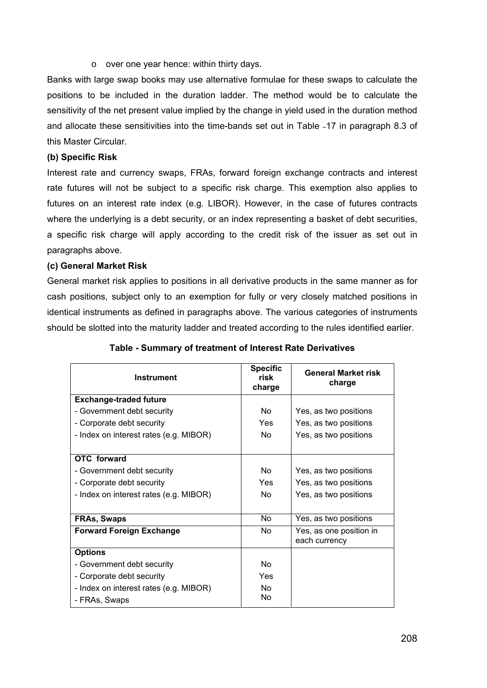o over one year hence: within thirty days.

Banks with large swap books may use alternative formulae for these swaps to calculate the positions to be included in the duration ladder. The method would be to calculate the sensitivity of the net present value implied by the change in yield used in the duration method and allocate these sensitivities into the time-bands set out in Table -17 in paragraph 8.3 of this Master Circular.

## **(b) Specific Risk**

Interest rate and currency swaps, FRAs, forward foreign exchange contracts and interest rate futures will not be subject to a specific risk charge. This exemption also applies to futures on an interest rate index (e.g. LIBOR). However, in the case of futures contracts where the underlying is a debt security, or an index representing a basket of debt securities, a specific risk charge will apply according to the credit risk of the issuer as set out in paragraphs above.

#### **(c) General Market Risk**

General market risk applies to positions in all derivative products in the same manner as for cash positions, subject only to an exemption for fully or very closely matched positions in identical instruments as defined in paragraphs above. The various categories of instruments should be slotted into the maturity ladder and treated according to the rules identified earlier.

| <b>Instrument</b>                      | <b>Specific</b><br>risk<br>charge | <b>General Market risk</b><br>charge     |
|----------------------------------------|-----------------------------------|------------------------------------------|
| <b>Exchange-traded future</b>          |                                   |                                          |
| - Government debt security             | No.                               | Yes, as two positions                    |
| - Corporate debt security              | Yes                               | Yes, as two positions                    |
| - Index on interest rates (e.g. MIBOR) | <b>No</b>                         | Yes, as two positions                    |
|                                        |                                   |                                          |
| OTC forward                            |                                   |                                          |
| - Government debt security             | No.                               | Yes, as two positions                    |
| - Corporate debt security              | Yes                               | Yes, as two positions                    |
| - Index on interest rates (e.g. MIBOR) | No.                               | Yes, as two positions                    |
|                                        |                                   |                                          |
| <b>FRAs, Swaps</b>                     | No.                               | Yes, as two positions                    |
| <b>Forward Foreign Exchange</b>        | No.                               | Yes, as one position in<br>each currency |
| <b>Options</b>                         |                                   |                                          |
| - Government debt security             | No                                |                                          |
| - Corporate debt security              | Yes                               |                                          |
| - Index on interest rates (e.g. MIBOR) | N <sub>0</sub>                    |                                          |
| - FRAs, Swaps                          | No                                |                                          |

|  | Table - Summary of treatment of Interest Rate Derivatives |
|--|-----------------------------------------------------------|
|  |                                                           |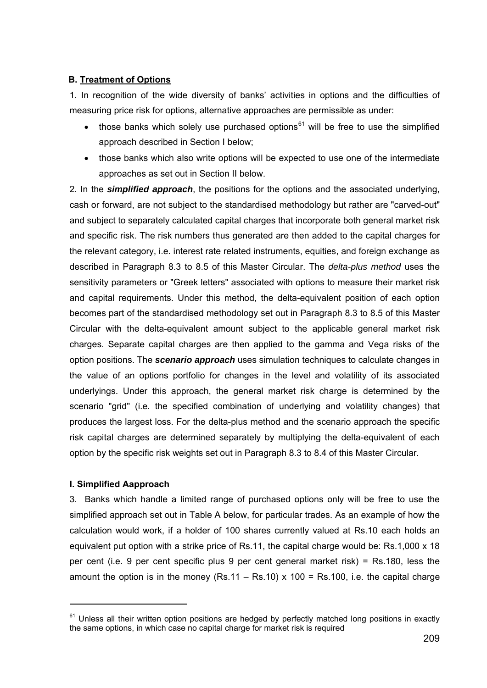## **B. Treatment of Options**

1. In recognition of the wide diversity of banks' activities in options and the difficulties of measuring price risk for options, alternative approaches are permissible as under:

- those banks which solely use purchased options<sup>[61](#page-208-0)</sup> will be free to use the simplified approach described in Section I below;
- those banks which also write options will be expected to use one of the intermediate approaches as set out in Section II below.

2. In the *simplified approach*, the positions for the options and the associated underlying, cash or forward, are not subject to the standardised methodology but rather are "carved-out" and subject to separately calculated capital charges that incorporate both general market risk and specific risk. The risk numbers thus generated are then added to the capital charges for the relevant category, i.e. interest rate related instruments, equities, and foreign exchange as described in Paragraph 8.3 to 8.5 of this Master Circular. The *delta-plus method* uses the sensitivity parameters or "Greek letters" associated with options to measure their market risk and capital requirements. Under this method, the delta-equivalent position of each option becomes part of the standardised methodology set out in Paragraph 8.3 to 8.5 of this Master Circular with the delta-equivalent amount subject to the applicable general market risk charges. Separate capital charges are then applied to the gamma and Vega risks of the option positions. The *scenario approach* uses simulation techniques to calculate changes in the value of an options portfolio for changes in the level and volatility of its associated underlyings. Under this approach, the general market risk charge is determined by the scenario "grid" (i.e. the specified combination of underlying and volatility changes) that produces the largest loss. For the delta-plus method and the scenario approach the specific risk capital charges are determined separately by multiplying the delta-equivalent of each option by the specific risk weights set out in Paragraph 8.3 to 8.4 of this Master Circular.

# **I. Simplified Aapproach**

1

3. Banks which handle a limited range of purchased options only will be free to use the simplified approach set out in Table A below, for particular trades. As an example of how the calculation would work, if a holder of 100 shares currently valued at Rs.10 each holds an equivalent put option with a strike price of Rs.11, the capital charge would be: Rs.1,000 x 18 per cent (i.e. 9 per cent specific plus 9 per cent general market risk) = Rs.180, less the amount the option is in the money (Rs.11 – Rs.10)  $\times$  100 = Rs.100, i.e. the capital charge

<span id="page-208-0"></span> $61$  Unless all their written option positions are hedged by perfectly matched long positions in exactly the same options, in which case no capital charge for market risk is required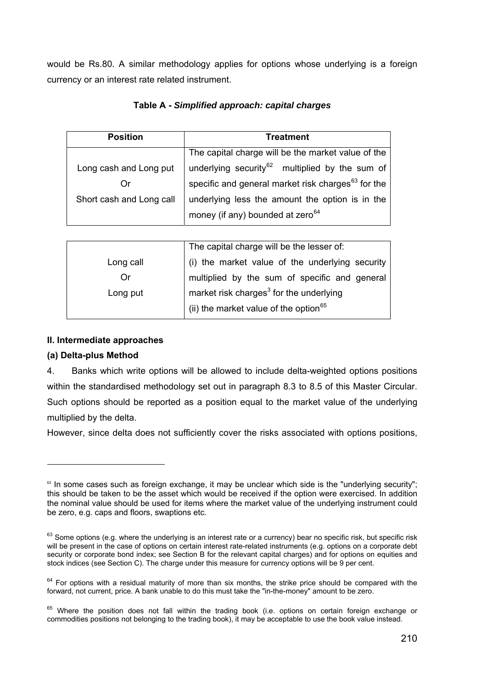would be Rs.80. A similar methodology applies for options whose underlying is a foreign currency or an interest rate related instrument.

| <b>Position</b>          | Treatment                                                      |
|--------------------------|----------------------------------------------------------------|
|                          | The capital charge will be the market value of the             |
| Long cash and Long put   | underlying security <sup>62</sup> multiplied by the sum of     |
| ( )r                     | specific and general market risk charges <sup>63</sup> for the |
| Short cash and Long call | underlying less the amount the option is in the                |
|                          | money (if any) bounded at zero <sup>64</sup>                   |

## **Table A -** *Simplified approach: capital charges*

|           | The capital charge will be the lesser of:           |
|-----------|-----------------------------------------------------|
| Long call | (i) the market value of the underlying security     |
| Or        | multiplied by the sum of specific and general       |
| Long put  | market risk charges <sup>3</sup> for the underlying |
|           | (ii) the market value of the option $65$            |

#### **II. Intermediate approaches**

# **(a) Delta-plus Method**

l

4. Banks which write options will be allowed to include delta-weighted options positions within the standardised methodology set out in paragraph 8.3 to 8.5 of this Master Circular. Such options should be reported as a position equal to the market value of the underlying multiplied by the delta.

However, since delta does not sufficiently cover the risks associated with options positions,

<span id="page-209-0"></span> $62$  In some cases such as foreign exchange, it may be unclear which side is the "underlying security"; this should be taken to be the asset which would be received if the option were exercised. In addition the nominal value should be used for items where the market value of the underlying instrument could be zero, e.g. caps and floors, swaptions etc.

<span id="page-209-1"></span> $63$  Some options (e.g. where the underlying is an interest rate or a currency) bear no specific risk, but specific risk will be present in the case of options on certain interest rate-related instruments (e.g. options on a corporate debt security or corporate bond index; see Section B for the relevant capital charges) and for options on equities and stock indices (see Section C). The charge under this measure for currency options will be 9 per cent.

<span id="page-209-2"></span> $64$  For options with a residual maturity of more than six months, the strike price should be compared with the forward, not current, price. A bank unable to do this must take the "in-the-money" amount to be zero.

<span id="page-209-3"></span><sup>&</sup>lt;sup>65</sup> Where the position does not fall within the trading book (i.e. options on certain foreign exchange or commodities positions not belonging to the trading book), it may be acceptable to use the book value instead.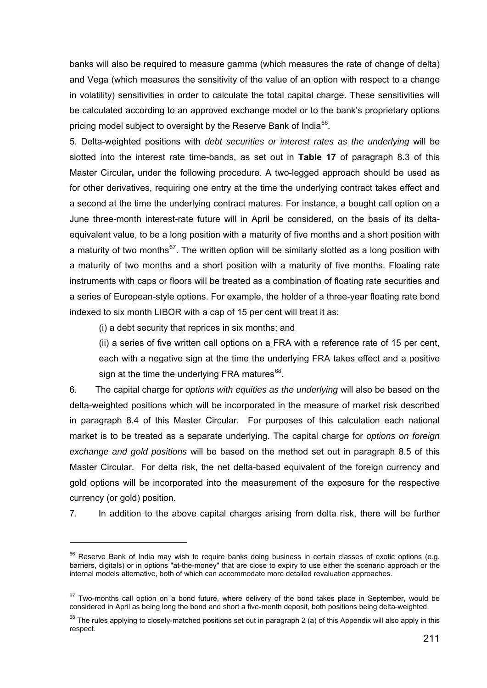banks will also be required to measure gamma (which measures the rate of change of delta) and Vega (which measures the sensitivity of the value of an option with respect to a change in volatility) sensitivities in order to calculate the total capital charge. These sensitivities will be calculated according to an approved exchange model or to the bank's proprietary options pricing model subject to oversight by the Reserve Bank of India<sup>[6](#page-210-0)6</sup>.

5. Delta-weighted positions with *debt securities or interest rates as the underlying* will be slotted into the interest rate time-bands, as set out in **Table 17** of paragraph 8.3 of this Master Circular**,** under the following procedure. A two-legged approach should be used as for other derivatives, requiring one entry at the time the underlying contract takes effect and a second at the time the underlying contract matures. For instance, a bought call option on a June three-month interest-rate future will in April be considered, on the basis of its deltaequivalent value, to be a long position with a maturity of five months and a short position with a maturity of two months<sup>[6](#page-210-1)7</sup>. The written option will be similarly slotted as a long position with a maturity of two months and a short position with a maturity of five months. Floating rate instruments with caps or floors will be treated as a combination of floating rate securities and a series of European-style options. For example, the holder of a three-year floating rate bond indexed to six month LIBOR with a cap of 15 per cent will treat it as:

(i) a debt security that reprices in six months; and

1

(ii) a series of five written call options on a FRA with a reference rate of 15 per cent, each with a negative sign at the time the underlying FRA takes effect and a positive sign at the time the underlying FRA matures  $68$  $68$ .

6. The capital charge for *options with equities as the underlying* will also be based on the delta-weighted positions which will be incorporated in the measure of market risk described in paragraph 8.4 of this Master Circular. For purposes of this calculation each national market is to be treated as a separate underlying. The capital charge for *options on foreign exchange and gold positions* will be based on the method set out in paragraph 8.5 of this Master Circular. For delta risk, the net delta-based equivalent of the foreign currency and gold options will be incorporated into the measurement of the exposure for the respective currency (or gold) position.

7. In addition to the above capital charges arising from delta risk, there will be further

<span id="page-210-0"></span> $66$  Reserve Bank of India may wish to require banks doing business in certain classes of exotic options (e.g. barriers, digitals) or in options "at-the-money" that are close to expiry to use either the scenario approach or the internal models alternative, both of which can accommodate more detailed revaluation approaches.

<span id="page-210-1"></span> $67$  Two-months call option on a bond future, where delivery of the bond takes place in September, would be considered in April as being long the bond and short a five-month deposit, both positions being delta-weighted.

<span id="page-210-2"></span> $68$  The rules applying to closely-matched positions set out in paragraph 2 (a) of this Appendix will also apply in this respect.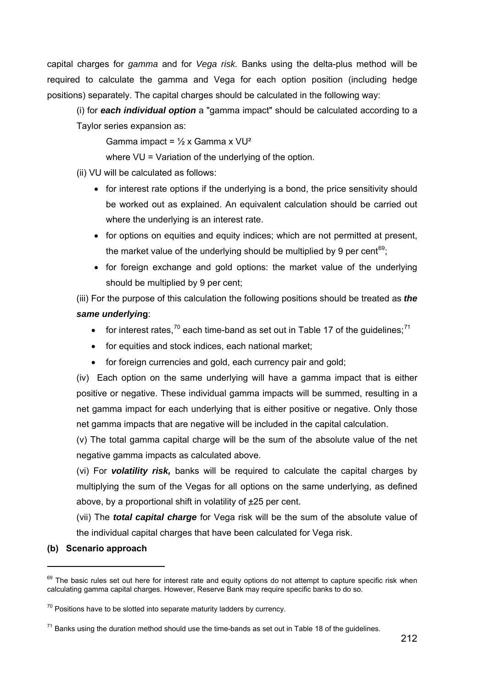capital charges for *gamma* and for *Vega risk.* Banks using the delta-plus method will be required to calculate the gamma and Vega for each option position (including hedge positions) separately. The capital charges should be calculated in the following way:

(i) for *each individual option* a "gamma impact" should be calculated according to a Taylor series expansion as:

Gamma impact =  $\frac{1}{2}$  x Gamma x VU<sup>2</sup>

where VU = Variation of the underlying of the option.

(ii) VU will be calculated as follows:

- for interest rate options if the underlying is a bond, the price sensitivity should be worked out as explained. An equivalent calculation should be carried out where the underlying is an interest rate.
- for options on equities and equity indices; which are not permitted at present, the market value of the underlying should be multiplied by 9 per cent<sup>[69](#page-211-0)</sup>;
- for foreign exchange and gold options: the market value of the underlying should be multiplied by 9 per cent;

(iii) For the purpose of this calculation the following positions should be treated as *the same underlyin***g**:

- for interest rates,<sup>[70](#page-211-1)</sup> each time-band as set out in Table 1[7](#page-211-2) of the guidelines;<sup>71</sup>
- for equities and stock indices, each national market;
- for foreign currencies and gold, each currency pair and gold;

(iv) Each option on the same underlying will have a gamma impact that is either positive or negative. These individual gamma impacts will be summed, resulting in a net gamma impact for each underlying that is either positive or negative. Only those net gamma impacts that are negative will be included in the capital calculation.

(v) The total gamma capital charge will be the sum of the absolute value of the net negative gamma impacts as calculated above.

(vi) For *volatility risk,* banks will be required to calculate the capital charges by multiplying the sum of the Vegas for all options on the same underlying, as defined above, by a proportional shift in volatility of  $\pm 25$  per cent.

(vii) The *total capital charge* for Vega risk will be the sum of the absolute value of the individual capital charges that have been calculated for Vega risk.

**(b) Scenario approach** 

l

<span id="page-211-0"></span><sup>&</sup>lt;sup>69</sup> The basic rules set out here for interest rate and equity options do not attempt to capture specific risk when calculating gamma capital charges. However, Reserve Bank may require specific banks to do so.

<span id="page-211-1"></span> $70$  Positions have to be slotted into separate maturity ladders by currency.

<span id="page-211-2"></span> $71$  Banks using the duration method should use the time-bands as set out in Table 18 of the quidelines.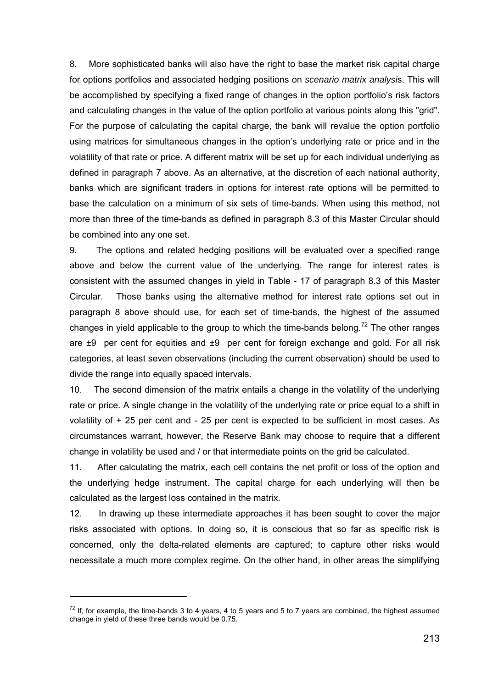8. More sophisticated banks will also have the right to base the market risk capital charge for options portfolios and associated hedging positions on *scenario matrix analysi*s. This will be accomplished by specifying a fixed range of changes in the option portfolio's risk factors and calculating changes in the value of the option portfolio at various points along this "grid". For the purpose of calculating the capital charge, the bank will revalue the option portfolio using matrices for simultaneous changes in the option's underlying rate or price and in the volatility of that rate or price. A different matrix will be set up for each individual underlying as defined in paragraph 7 above. As an alternative, at the discretion of each national authority, banks which are significant traders in options for interest rate options will be permitted to base the calculation on a minimum of six sets of time-bands. When using this method, not more than three of the time-bands as defined in paragraph 8.3 of this Master Circular should be combined into any one set.

9. The options and related hedging positions will be evaluated over a specified range above and below the current value of the underlying. The range for interest rates is consistent with the assumed changes in yield in Table - 17 of paragraph 8.3 of this Master Circular. Those banks using the alternative method for interest rate options set out in paragraph 8 above should use, for each set of time-bands, the highest of the assumed changes in yield applicable to the group to which the time-bands belong.<sup>[72](#page-212-0)</sup> The other ranges are ±9 per cent for equities and ±9 per cent for foreign exchange and gold. For all risk categories, at least seven observations (including the current observation) should be used to divide the range into equally spaced intervals.

10. The second dimension of the matrix entails a change in the volatility of the underlying rate or price. A single change in the volatility of the underlying rate or price equal to a shift in volatility of + 25 per cent and - 25 per cent is expected to be sufficient in most cases. As circumstances warrant, however, the Reserve Bank may choose to require that a different change in volatility be used and / or that intermediate points on the grid be calculated.

11. After calculating the matrix, each cell contains the net profit or loss of the option and the underlying hedge instrument. The capital charge for each underlying will then be calculated as the largest loss contained in the matrix.

12. In drawing up these intermediate approaches it has been sought to cover the major risks associated with options. In doing so, it is conscious that so far as specific risk is concerned, only the delta-related elements are captured; to capture other risks would necessitate a much more complex regime. On the other hand, in other areas the simplifying

1

<span id="page-212-0"></span> $72$  If, for example, the time-bands 3 to 4 years, 4 to 5 years and 5 to 7 years are combined, the highest assumed change in yield of these three bands would be 0.75.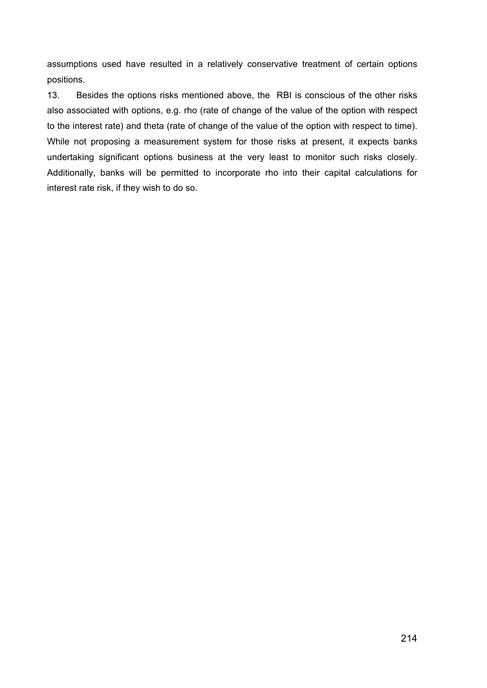assumptions used have resulted in a relatively conservative treatment of certain options positions.

13. Besides the options risks mentioned above, the RBI is conscious of the other risks also associated with options, e.g. rho (rate of change of the value of the option with respect to the interest rate) and theta (rate of change of the value of the option with respect to time). While not proposing a measurement system for those risks at present, it expects banks undertaking significant options business at the very least to monitor such risks closely. Additionally, banks will be permitted to incorporate rho into their capital calculations for interest rate risk, if they wish to do so.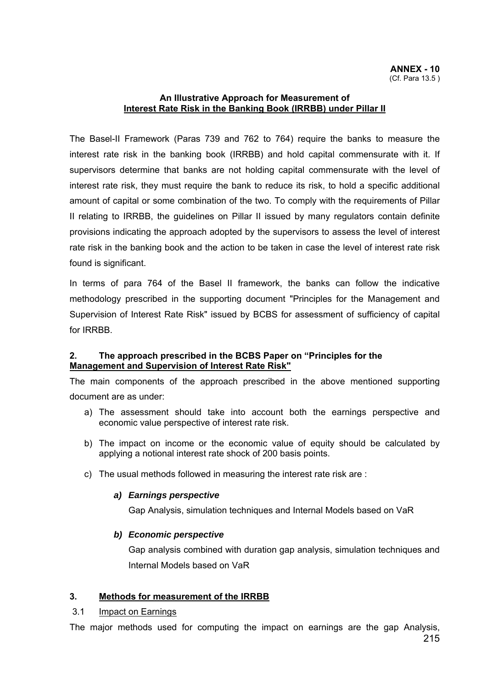#### **An Illustrative Approach for Measurement of Interest Rate Risk in the Banking Book (IRRBB) under Pillar II**

The Basel-II Framework (Paras 739 and 762 to 764) require the banks to measure the interest rate risk in the banking book (IRRBB) and hold capital commensurate with it. If supervisors determine that banks are not holding capital commensurate with the level of interest rate risk, they must require the bank to reduce its risk, to hold a specific additional amount of capital or some combination of the two. To comply with the requirements of Pillar II relating to IRRBB, the guidelines on Pillar II issued by many regulators contain definite provisions indicating the approach adopted by the supervisors to assess the level of interest rate risk in the banking book and the action to be taken in case the level of interest rate risk found is significant.

In terms of para 764 of the Basel II framework, the banks can follow the indicative methodology prescribed in the supporting document "Principles for the Management and Supervision of Interest Rate Risk" issued by BCBS for assessment of sufficiency of capital for IRRBB.

#### **2. The approach prescribed in the BCBS Paper on "Principles for the Management and Supervision of Interest Rate Risk"**

The main components of the approach prescribed in the above mentioned supporting document are as under:

- a) The assessment should take into account both the earnings perspective and economic value perspective of interest rate risk.
- b) The impact on income or the economic value of equity should be calculated by applying a notional interest rate shock of 200 basis points.
- c) The usual methods followed in measuring the interest rate risk are :

#### *a) Earnings perspective*

Gap Analysis, simulation techniques and Internal Models based on VaR

#### *b) Economic perspective*

Gap analysis combined with duration gap analysis, simulation techniques and Internal Models based on VaR

# **3. Methods for measurement of the IRRBB**

#### 3.1 Impact on Earnings

The major methods used for computing the impact on earnings are the gap Analysis,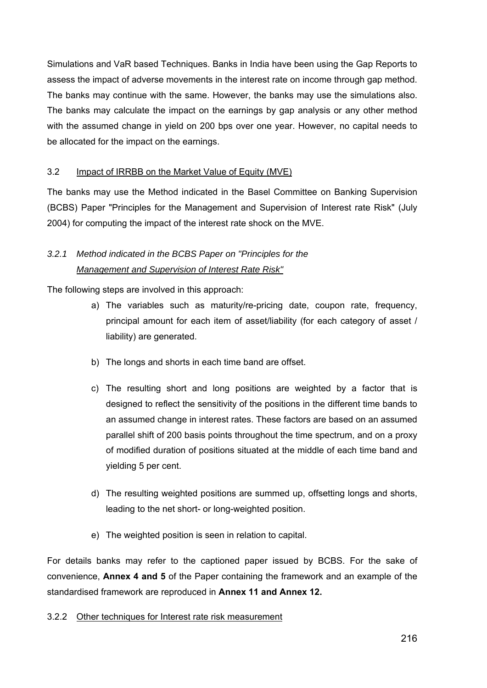Simulations and VaR based Techniques. Banks in India have been using the Gap Reports to assess the impact of adverse movements in the interest rate on income through gap method. The banks may continue with the same. However, the banks may use the simulations also. The banks may calculate the impact on the earnings by gap analysis or any other method with the assumed change in yield on 200 bps over one year. However, no capital needs to be allocated for the impact on the earnings.

# 3.2 Impact of IRRBB on the Market Value of Equity (MVE)

The banks may use the Method indicated in the Basel Committee on Banking Supervision (BCBS) Paper "Principles for the Management and Supervision of Interest rate Risk" (July 2004) for computing the impact of the interest rate shock on the MVE.

# *3.2.1 Method indicated in the BCBS Paper on "Principles for the Management and Supervision of Interest Rate Risk"*

The following steps are involved in this approach:

- a) The variables such as maturity/re-pricing date, coupon rate, frequency, principal amount for each item of asset/liability (for each category of asset / liability) are generated.
- b) The longs and shorts in each time band are offset.
- c) The resulting short and long positions are weighted by a factor that is designed to reflect the sensitivity of the positions in the different time bands to an assumed change in interest rates. These factors are based on an assumed parallel shift of 200 basis points throughout the time spectrum, and on a proxy of modified duration of positions situated at the middle of each time band and yielding 5 per cent.
- d) The resulting weighted positions are summed up, offsetting longs and shorts, leading to the net short- or long-weighted position.
- e) The weighted position is seen in relation to capital.

For details banks may refer to the captioned paper issued by BCBS. For the sake of convenience, **Annex 4 and 5** of the Paper containing the framework and an example of the standardised framework are reproduced in **Annex 11 and Annex 12.**

# 3.2.2 Other techniques for Interest rate risk measurement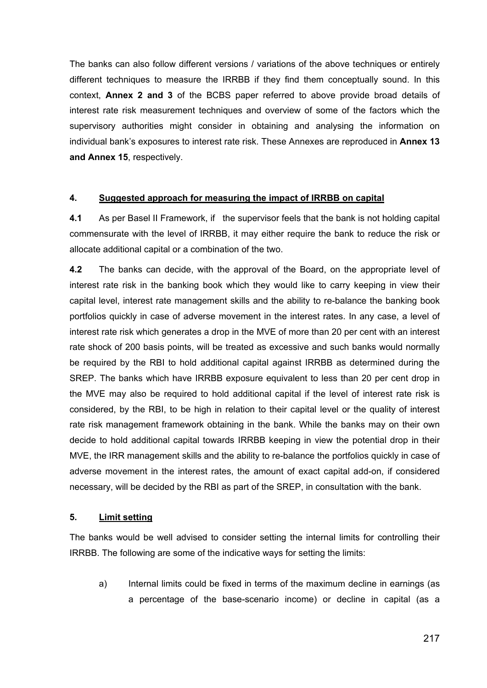The banks can also follow different versions / variations of the above techniques or entirely different techniques to measure the IRRBB if they find them conceptually sound. In this context, **Annex 2 and 3** of the BCBS paper referred to above provide broad details of interest rate risk measurement techniques and overview of some of the factors which the supervisory authorities might consider in obtaining and analysing the information on individual bank's exposures to interest rate risk. These Annexes are reproduced in **Annex 13 and Annex 15**, respectively.

### **4. Suggested approach for measuring the impact of IRRBB on capital**

**4.1** As per Basel II Framework, if the supervisor feels that the bank is not holding capital commensurate with the level of IRRBB, it may either require the bank to reduce the risk or allocate additional capital or a combination of the two.

**4.2** The banks can decide, with the approval of the Board, on the appropriate level of interest rate risk in the banking book which they would like to carry keeping in view their capital level, interest rate management skills and the ability to re-balance the banking book portfolios quickly in case of adverse movement in the interest rates. In any case, a level of interest rate risk which generates a drop in the MVE of more than 20 per cent with an interest rate shock of 200 basis points, will be treated as excessive and such banks would normally be required by the RBI to hold additional capital against IRRBB as determined during the SREP. The banks which have IRRBB exposure equivalent to less than 20 per cent drop in the MVE may also be required to hold additional capital if the level of interest rate risk is considered, by the RBI, to be high in relation to their capital level or the quality of interest rate risk management framework obtaining in the bank. While the banks may on their own decide to hold additional capital towards IRRBB keeping in view the potential drop in their MVE, the IRR management skills and the ability to re-balance the portfolios quickly in case of adverse movement in the interest rates, the amount of exact capital add-on, if considered necessary, will be decided by the RBI as part of the SREP, in consultation with the bank.

#### **5. Limit setting**

The banks would be well advised to consider setting the internal limits for controlling their IRRBB. The following are some of the indicative ways for setting the limits:

a) Internal limits could be fixed in terms of the maximum decline in earnings (as a percentage of the base-scenario income) or decline in capital (as a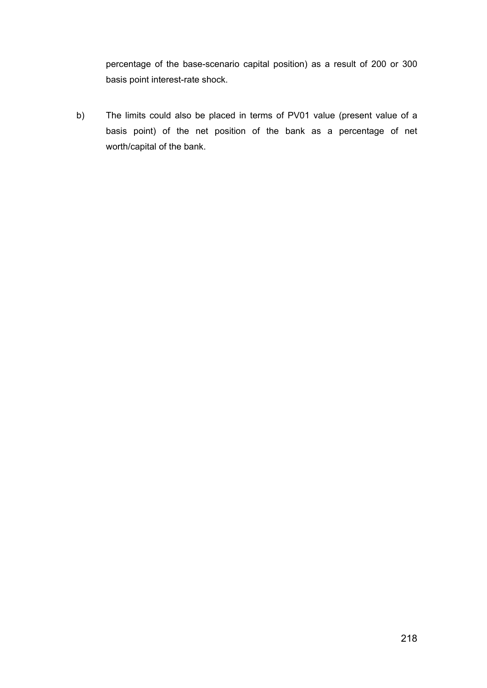percentage of the base-scenario capital position) as a result of 200 or 300 basis point interest-rate shock.

b) The limits could also be placed in terms of PV01 value (present value of a basis point) of the net position of the bank as a percentage of net worth/capital of the bank.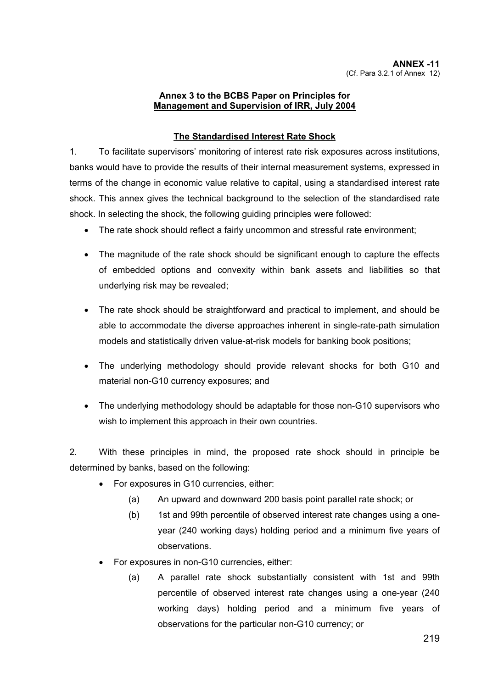### **Annex 3 to the BCBS Paper on Principles for Management and Supervision of IRR, July 2004**

# **The Standardised Interest Rate Shock**

1. To facilitate supervisors' monitoring of interest rate risk exposures across institutions, banks would have to provide the results of their internal measurement systems, expressed in terms of the change in economic value relative to capital, using a standardised interest rate shock. This annex gives the technical background to the selection of the standardised rate shock. In selecting the shock, the following guiding principles were followed:

- The rate shock should reflect a fairly uncommon and stressful rate environment;
- The magnitude of the rate shock should be significant enough to capture the effects of embedded options and convexity within bank assets and liabilities so that underlying risk may be revealed;
- The rate shock should be straightforward and practical to implement, and should be able to accommodate the diverse approaches inherent in single-rate-path simulation models and statistically driven value-at-risk models for banking book positions;
- The underlying methodology should provide relevant shocks for both G10 and material non-G10 currency exposures; and
- The underlying methodology should be adaptable for those non-G10 supervisors who wish to implement this approach in their own countries.

2. With these principles in mind, the proposed rate shock should in principle be determined by banks, based on the following:

- For exposures in G10 currencies, either:
	- (a) An upward and downward 200 basis point parallel rate shock; or
	- (b) 1st and 99th percentile of observed interest rate changes using a oneyear (240 working days) holding period and a minimum five years of observations.
- For exposures in non-G10 currencies, either:
	- (a) A parallel rate shock substantially consistent with 1st and 99th percentile of observed interest rate changes using a one-year (240 working days) holding period and a minimum five years of observations for the particular non-G10 currency; or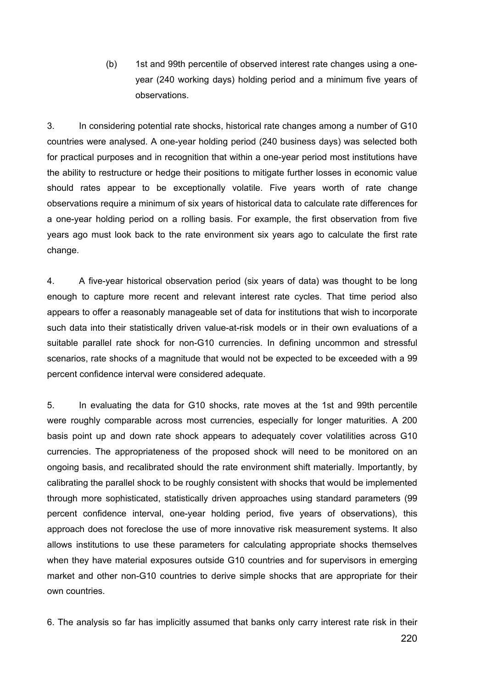(b) 1st and 99th percentile of observed interest rate changes using a oneyear (240 working days) holding period and a minimum five years of observations.

3. In considering potential rate shocks, historical rate changes among a number of G10 countries were analysed. A one-year holding period (240 business days) was selected both for practical purposes and in recognition that within a one-year period most institutions have the ability to restructure or hedge their positions to mitigate further losses in economic value should rates appear to be exceptionally volatile. Five years worth of rate change observations require a minimum of six years of historical data to calculate rate differences for a one-year holding period on a rolling basis. For example, the first observation from five years ago must look back to the rate environment six years ago to calculate the first rate change.

4. A five-year historical observation period (six years of data) was thought to be long enough to capture more recent and relevant interest rate cycles. That time period also appears to offer a reasonably manageable set of data for institutions that wish to incorporate such data into their statistically driven value-at-risk models or in their own evaluations of a suitable parallel rate shock for non-G10 currencies. In defining uncommon and stressful scenarios, rate shocks of a magnitude that would not be expected to be exceeded with a 99 percent confidence interval were considered adequate.

5. In evaluating the data for G10 shocks, rate moves at the 1st and 99th percentile were roughly comparable across most currencies, especially for longer maturities. A 200 basis point up and down rate shock appears to adequately cover volatilities across G10 currencies. The appropriateness of the proposed shock will need to be monitored on an ongoing basis, and recalibrated should the rate environment shift materially. Importantly, by calibrating the parallel shock to be roughly consistent with shocks that would be implemented through more sophisticated, statistically driven approaches using standard parameters (99 percent confidence interval, one-year holding period, five years of observations), this approach does not foreclose the use of more innovative risk measurement systems. It also allows institutions to use these parameters for calculating appropriate shocks themselves when they have material exposures outside G10 countries and for supervisors in emerging market and other non-G10 countries to derive simple shocks that are appropriate for their own countries.

6. The analysis so far has implicitly assumed that banks only carry interest rate risk in their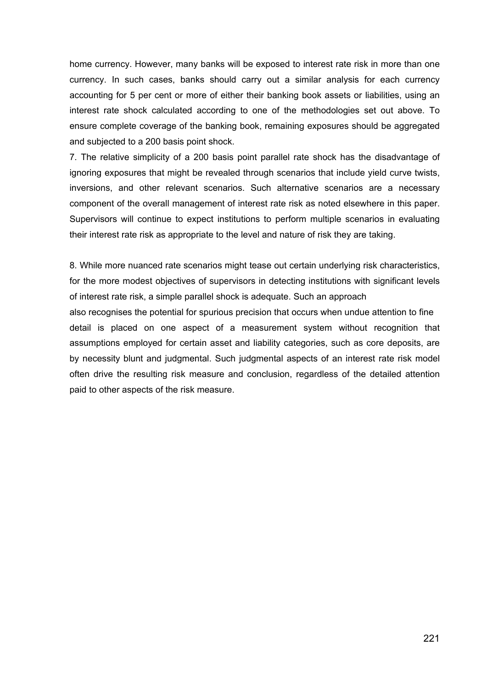home currency. However, many banks will be exposed to interest rate risk in more than one currency. In such cases, banks should carry out a similar analysis for each currency accounting for 5 per cent or more of either their banking book assets or liabilities, using an interest rate shock calculated according to one of the methodologies set out above. To ensure complete coverage of the banking book, remaining exposures should be aggregated and subjected to a 200 basis point shock.

7. The relative simplicity of a 200 basis point parallel rate shock has the disadvantage of ignoring exposures that might be revealed through scenarios that include yield curve twists, inversions, and other relevant scenarios. Such alternative scenarios are a necessary component of the overall management of interest rate risk as noted elsewhere in this paper. Supervisors will continue to expect institutions to perform multiple scenarios in evaluating their interest rate risk as appropriate to the level and nature of risk they are taking.

8. While more nuanced rate scenarios might tease out certain underlying risk characteristics, for the more modest objectives of supervisors in detecting institutions with significant levels of interest rate risk, a simple parallel shock is adequate. Such an approach

also recognises the potential for spurious precision that occurs when undue attention to fine detail is placed on one aspect of a measurement system without recognition that assumptions employed for certain asset and liability categories, such as core deposits, are by necessity blunt and judgmental. Such judgmental aspects of an interest rate risk model often drive the resulting risk measure and conclusion, regardless of the detailed attention paid to other aspects of the risk measure.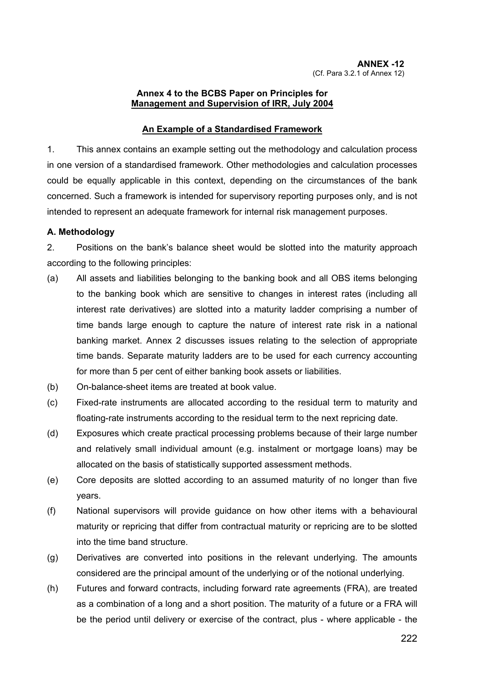### **Annex 4 to the BCBS Paper on Principles for Management and Supervision of IRR, July 2004**

#### **An Example of a Standardised Framework**

1. This annex contains an example setting out the methodology and calculation process in one version of a standardised framework. Other methodologies and calculation processes could be equally applicable in this context, depending on the circumstances of the bank concerned. Such a framework is intended for supervisory reporting purposes only, and is not intended to represent an adequate framework for internal risk management purposes.

### **A. Methodology**

2. Positions on the bank's balance sheet would be slotted into the maturity approach according to the following principles:

- (a) All assets and liabilities belonging to the banking book and all OBS items belonging to the banking book which are sensitive to changes in interest rates (including all interest rate derivatives) are slotted into a maturity ladder comprising a number of time bands large enough to capture the nature of interest rate risk in a national banking market. Annex 2 discusses issues relating to the selection of appropriate time bands. Separate maturity ladders are to be used for each currency accounting for more than 5 per cent of either banking book assets or liabilities.
- (b) On-balance-sheet items are treated at book value.
- (c) Fixed-rate instruments are allocated according to the residual term to maturity and floating-rate instruments according to the residual term to the next repricing date.
- (d) Exposures which create practical processing problems because of their large number and relatively small individual amount (e.g. instalment or mortgage loans) may be allocated on the basis of statistically supported assessment methods.
- (e) Core deposits are slotted according to an assumed maturity of no longer than five years.
- (f) National supervisors will provide guidance on how other items with a behavioural maturity or repricing that differ from contractual maturity or repricing are to be slotted into the time band structure.
- (g) Derivatives are converted into positions in the relevant underlying. The amounts considered are the principal amount of the underlying or of the notional underlying.
- (h) Futures and forward contracts, including forward rate agreements (FRA), are treated as a combination of a long and a short position. The maturity of a future or a FRA will be the period until delivery or exercise of the contract, plus - where applicable - the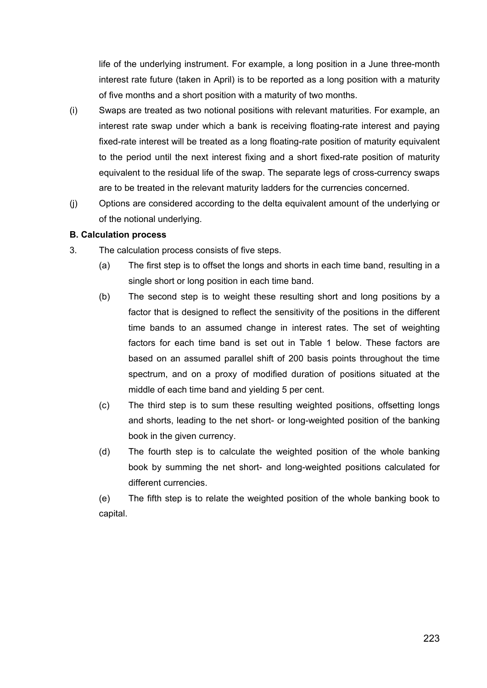life of the underlying instrument. For example, a long position in a June three-month interest rate future (taken in April) is to be reported as a long position with a maturity of five months and a short position with a maturity of two months.

- (i) Swaps are treated as two notional positions with relevant maturities. For example, an interest rate swap under which a bank is receiving floating-rate interest and paying fixed-rate interest will be treated as a long floating-rate position of maturity equivalent to the period until the next interest fixing and a short fixed-rate position of maturity equivalent to the residual life of the swap. The separate legs of cross-currency swaps are to be treated in the relevant maturity ladders for the currencies concerned.
- (j) Options are considered according to the delta equivalent amount of the underlying or of the notional underlying.

### **B. Calculation process**

- 3. The calculation process consists of five steps.
	- (a) The first step is to offset the longs and shorts in each time band, resulting in a single short or long position in each time band.
	- (b) The second step is to weight these resulting short and long positions by a factor that is designed to reflect the sensitivity of the positions in the different time bands to an assumed change in interest rates. The set of weighting factors for each time band is set out in Table 1 below. These factors are based on an assumed parallel shift of 200 basis points throughout the time spectrum, and on a proxy of modified duration of positions situated at the middle of each time band and yielding 5 per cent.
	- (c) The third step is to sum these resulting weighted positions, offsetting longs and shorts, leading to the net short- or long-weighted position of the banking book in the given currency.
	- (d) The fourth step is to calculate the weighted position of the whole banking book by summing the net short- and long-weighted positions calculated for different currencies.

(e) The fifth step is to relate the weighted position of the whole banking book to capital.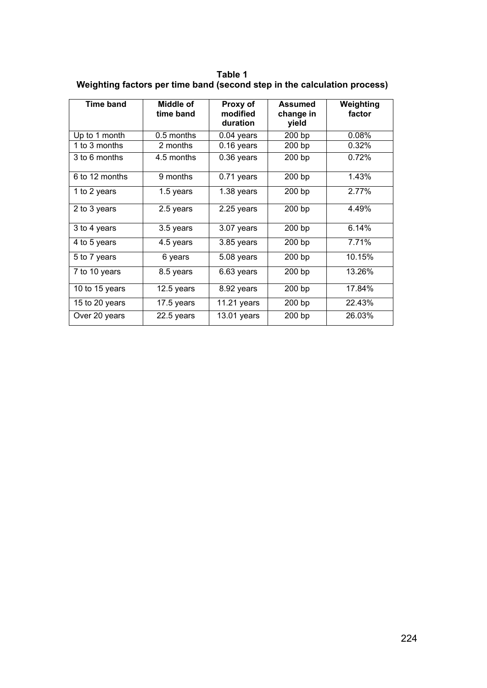**Table 1 Weighting factors per time band (second step in the calculation process)** 

| <b>Time band</b> | <b>Middle of</b><br>time band | Proxy of<br>modified<br>duration | <b>Assumed</b><br>change in<br>yield | Weighting<br>factor |
|------------------|-------------------------------|----------------------------------|--------------------------------------|---------------------|
| Up to 1 month    | 0.5 months                    | 0.04 years                       | 200 bp                               | 0.08%               |
| 1 to 3 months    | 2 months                      | $0.16$ years                     | 200 bp                               | 0.32%               |
| 3 to 6 months    | 4.5 months                    | $0.36$ years                     | 200 bp                               | 0.72%               |
| 6 to 12 months   | 9 months                      | 0.71 years                       | 200 bp                               | 1.43%               |
| 1 to 2 years     | 1.5 years                     | 1.38 years                       | 200 bp                               | 2.77%               |
| 2 to 3 years     | 2.5 years                     | 2.25 years                       | 200 bp                               | 4.49%               |
| 3 to 4 years     | 3.5 years                     | 3.07 years                       | 200 bp                               | 6.14%               |
| 4 to 5 years     | 4.5 years                     | 3.85 years                       | 200 bp                               | 7.71%               |
| 5 to 7 years     | 6 years                       | 5.08 years                       | 200 bp                               | 10.15%              |
| 7 to 10 years    | 8.5 years                     | 6.63 years                       | 200 bp                               | 13.26%              |
| 10 to 15 years   | 12.5 years                    | 8.92 years                       | 200 bp                               | 17.84%              |
| 15 to 20 years   | 17.5 years                    | 11.21 years                      | 200 bp                               | 22.43%              |
| Over 20 years    | 22.5 years                    | 13.01 years                      | 200 bp                               | 26.03%              |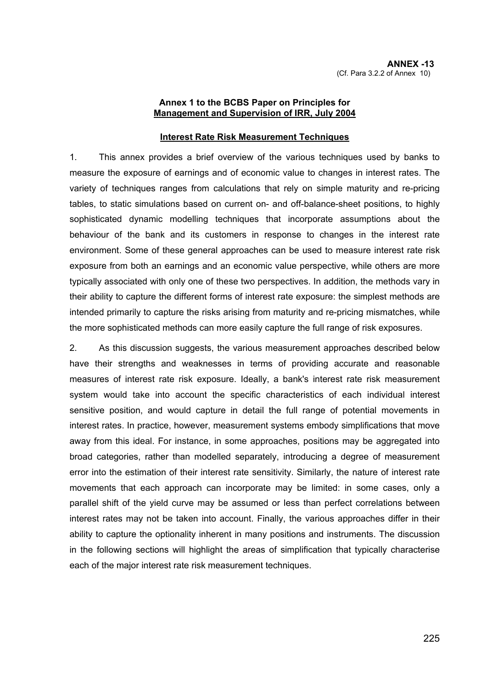#### **Annex 1 to the BCBS Paper on Principles for Management and Supervision of IRR, July 2004**

#### **Interest Rate Risk Measurement Techniques**

1. This annex provides a brief overview of the various techniques used by banks to measure the exposure of earnings and of economic value to changes in interest rates. The variety of techniques ranges from calculations that rely on simple maturity and re-pricing tables, to static simulations based on current on- and off-balance-sheet positions, to highly sophisticated dynamic modelling techniques that incorporate assumptions about the behaviour of the bank and its customers in response to changes in the interest rate environment. Some of these general approaches can be used to measure interest rate risk exposure from both an earnings and an economic value perspective, while others are more typically associated with only one of these two perspectives. In addition, the methods vary in their ability to capture the different forms of interest rate exposure: the simplest methods are intended primarily to capture the risks arising from maturity and re-pricing mismatches, while the more sophisticated methods can more easily capture the full range of risk exposures.

2. As this discussion suggests, the various measurement approaches described below have their strengths and weaknesses in terms of providing accurate and reasonable measures of interest rate risk exposure. Ideally, a bank's interest rate risk measurement system would take into account the specific characteristics of each individual interest sensitive position, and would capture in detail the full range of potential movements in interest rates. In practice, however, measurement systems embody simplifications that move away from this ideal. For instance, in some approaches, positions may be aggregated into broad categories, rather than modelled separately, introducing a degree of measurement error into the estimation of their interest rate sensitivity. Similarly, the nature of interest rate movements that each approach can incorporate may be limited: in some cases, only a parallel shift of the yield curve may be assumed or less than perfect correlations between interest rates may not be taken into account. Finally, the various approaches differ in their ability to capture the optionality inherent in many positions and instruments. The discussion in the following sections will highlight the areas of simplification that typically characterise each of the major interest rate risk measurement techniques.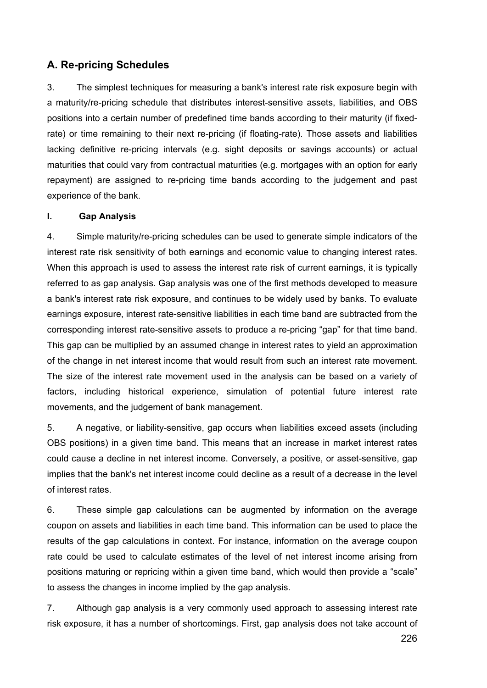# **A. Re-pricing Schedules**

3. The simplest techniques for measuring a bank's interest rate risk exposure begin with a maturity/re-pricing schedule that distributes interest-sensitive assets, liabilities, and OBS positions into a certain number of predefined time bands according to their maturity (if fixedrate) or time remaining to their next re-pricing (if floating-rate). Those assets and liabilities lacking definitive re-pricing intervals (e.g. sight deposits or savings accounts) or actual maturities that could vary from contractual maturities (e.g. mortgages with an option for early repayment) are assigned to re-pricing time bands according to the judgement and past experience of the bank.

#### **I. Gap Analysis**

4. Simple maturity/re-pricing schedules can be used to generate simple indicators of the interest rate risk sensitivity of both earnings and economic value to changing interest rates. When this approach is used to assess the interest rate risk of current earnings, it is typically referred to as gap analysis. Gap analysis was one of the first methods developed to measure a bank's interest rate risk exposure, and continues to be widely used by banks. To evaluate earnings exposure, interest rate-sensitive liabilities in each time band are subtracted from the corresponding interest rate-sensitive assets to produce a re-pricing "gap" for that time band. This gap can be multiplied by an assumed change in interest rates to yield an approximation of the change in net interest income that would result from such an interest rate movement. The size of the interest rate movement used in the analysis can be based on a variety of factors, including historical experience, simulation of potential future interest rate movements, and the judgement of bank management.

5. A negative, or liability-sensitive, gap occurs when liabilities exceed assets (including OBS positions) in a given time band. This means that an increase in market interest rates could cause a decline in net interest income. Conversely, a positive, or asset-sensitive, gap implies that the bank's net interest income could decline as a result of a decrease in the level of interest rates.

6. These simple gap calculations can be augmented by information on the average coupon on assets and liabilities in each time band. This information can be used to place the results of the gap calculations in context. For instance, information on the average coupon rate could be used to calculate estimates of the level of net interest income arising from positions maturing or repricing within a given time band, which would then provide a "scale" to assess the changes in income implied by the gap analysis.

7. Although gap analysis is a very commonly used approach to assessing interest rate risk exposure, it has a number of shortcomings. First, gap analysis does not take account of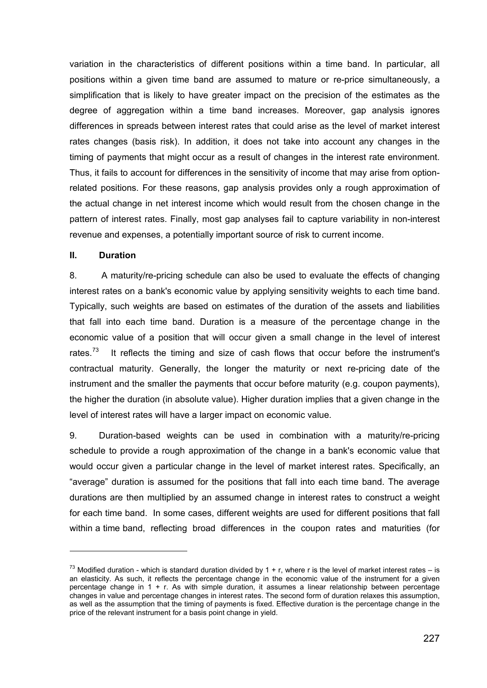variation in the characteristics of different positions within a time band. In particular, all positions within a given time band are assumed to mature or re-price simultaneously, a simplification that is likely to have greater impact on the precision of the estimates as the degree of aggregation within a time band increases. Moreover, gap analysis ignores differences in spreads between interest rates that could arise as the level of market interest rates changes (basis risk). In addition, it does not take into account any changes in the timing of payments that might occur as a result of changes in the interest rate environment. Thus, it fails to account for differences in the sensitivity of income that may arise from optionrelated positions. For these reasons, gap analysis provides only a rough approximation of the actual change in net interest income which would result from the chosen change in the pattern of interest rates. Finally, most gap analyses fail to capture variability in non-interest revenue and expenses, a potentially important source of risk to current income.

#### **II. Duration**

1

8. A maturity/re-pricing schedule can also be used to evaluate the effects of changing interest rates on a bank's economic value by applying sensitivity weights to each time band. Typically, such weights are based on estimates of the duration of the assets and liabilities that fall into each time band. Duration is a measure of the percentage change in the economic value of a position that will occur given a small change in the level of interest rates.<sup>[73](#page-226-0)</sup> It reflects the timing and size of cash flows that occur before the instrument's contractual maturity. Generally, the longer the maturity or next re-pricing date of the instrument and the smaller the payments that occur before maturity (e.g. coupon payments), the higher the duration (in absolute value). Higher duration implies that a given change in the level of interest rates will have a larger impact on economic value.

9. Duration-based weights can be used in combination with a maturity/re-pricing schedule to provide a rough approximation of the change in a bank's economic value that would occur given a particular change in the level of market interest rates. Specifically, an "average" duration is assumed for the positions that fall into each time band. The average durations are then multiplied by an assumed change in interest rates to construct a weight for each time band. In some cases, different weights are used for different positions that fall within a time band, reflecting broad differences in the coupon rates and maturities (for

<span id="page-226-0"></span> $^{73}$  Modified duration - which is standard duration divided by 1 + r, where r is the level of market interest rates – is an elasticity. As such, it reflects the percentage change in the economic value of the instrument for a given percentage change in 1 + r. As with simple duration, it assumes a linear relationship between percentage changes in value and percentage changes in interest rates. The second form of duration relaxes this assumption, as well as the assumption that the timing of payments is fixed. Effective duration is the percentage change in the price of the relevant instrument for a basis point change in yield.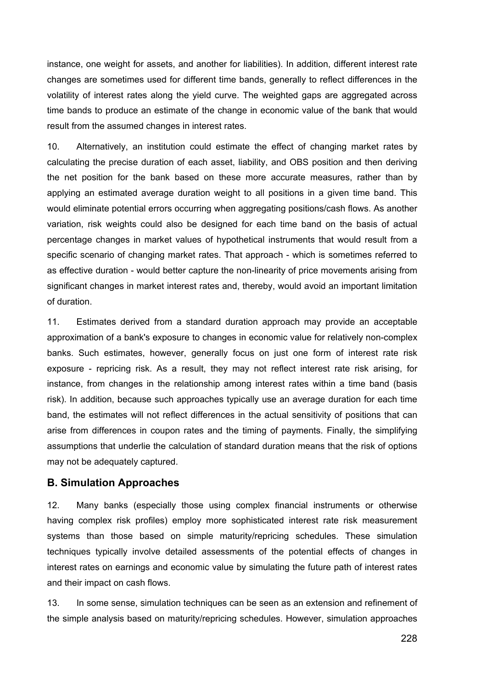instance, one weight for assets, and another for liabilities). In addition, different interest rate changes are sometimes used for different time bands, generally to reflect differences in the volatility of interest rates along the yield curve. The weighted gaps are aggregated across time bands to produce an estimate of the change in economic value of the bank that would result from the assumed changes in interest rates.

10. Alternatively, an institution could estimate the effect of changing market rates by calculating the precise duration of each asset, liability, and OBS position and then deriving the net position for the bank based on these more accurate measures, rather than by applying an estimated average duration weight to all positions in a given time band. This would eliminate potential errors occurring when aggregating positions/cash flows. As another variation, risk weights could also be designed for each time band on the basis of actual percentage changes in market values of hypothetical instruments that would result from a specific scenario of changing market rates. That approach - which is sometimes referred to as effective duration - would better capture the non-linearity of price movements arising from significant changes in market interest rates and, thereby, would avoid an important limitation of duration.

11. Estimates derived from a standard duration approach may provide an acceptable approximation of a bank's exposure to changes in economic value for relatively non-complex banks. Such estimates, however, generally focus on just one form of interest rate risk exposure - repricing risk. As a result, they may not reflect interest rate risk arising, for instance, from changes in the relationship among interest rates within a time band (basis risk). In addition, because such approaches typically use an average duration for each time band, the estimates will not reflect differences in the actual sensitivity of positions that can arise from differences in coupon rates and the timing of payments. Finally, the simplifying assumptions that underlie the calculation of standard duration means that the risk of options may not be adequately captured.

### **B. Simulation Approaches**

12. Many banks (especially those using complex financial instruments or otherwise having complex risk profiles) employ more sophisticated interest rate risk measurement systems than those based on simple maturity/repricing schedules. These simulation techniques typically involve detailed assessments of the potential effects of changes in interest rates on earnings and economic value by simulating the future path of interest rates and their impact on cash flows.

13. In some sense, simulation techniques can be seen as an extension and refinement of the simple analysis based on maturity/repricing schedules. However, simulation approaches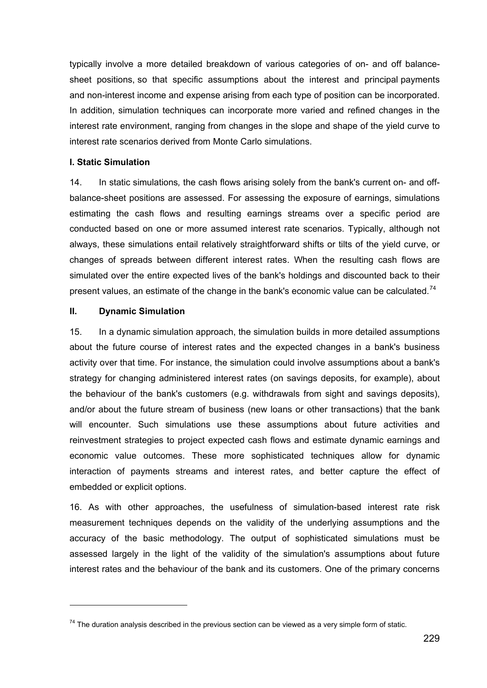typically involve a more detailed breakdown of various categories of on- and off balancesheet positions, so that specific assumptions about the interest and principal payments and non-interest income and expense arising from each type of position can be incorporated. In addition, simulation techniques can incorporate more varied and refined changes in the interest rate environment, ranging from changes in the slope and shape of the yield curve to interest rate scenarios derived from Monte Carlo simulations.

#### **I. Static Simulation**

14. In static simulations*,* the cash flows arising solely from the bank's current on- and offbalance-sheet positions are assessed. For assessing the exposure of earnings, simulations estimating the cash flows and resulting earnings streams over a specific period are conducted based on one or more assumed interest rate scenarios. Typically, although not always, these simulations entail relatively straightforward shifts or tilts of the yield curve, or changes of spreads between different interest rates. When the resulting cash flows are simulated over the entire expected lives of the bank's holdings and discounted back to their present values, an estimate of the change in the bank's economic value can be calculated.<sup>[7](#page-228-0)4</sup>

#### **II. Dynamic Simulation**

1

15. In a dynamic simulation approach, the simulation builds in more detailed assumptions about the future course of interest rates and the expected changes in a bank's business activity over that time. For instance, the simulation could involve assumptions about a bank's strategy for changing administered interest rates (on savings deposits, for example), about the behaviour of the bank's customers (e.g. withdrawals from sight and savings deposits), and/or about the future stream of business (new loans or other transactions) that the bank will encounter. Such simulations use these assumptions about future activities and reinvestment strategies to project expected cash flows and estimate dynamic earnings and economic value outcomes. These more sophisticated techniques allow for dynamic interaction of payments streams and interest rates, and better capture the effect of embedded or explicit options.

16. As with other approaches, the usefulness of simulation-based interest rate risk measurement techniques depends on the validity of the underlying assumptions and the accuracy of the basic methodology. The output of sophisticated simulations must be assessed largely in the light of the validity of the simulation's assumptions about future interest rates and the behaviour of the bank and its customers. One of the primary concerns

<span id="page-228-0"></span> $74$  The duration analysis described in the previous section can be viewed as a very simple form of static.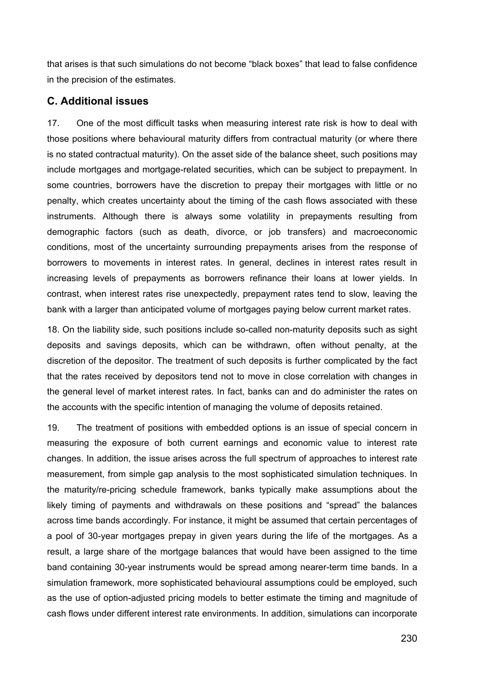that arises is that such simulations do not become "black boxes" that lead to false confidence in the precision of the estimates.

### **C. Additional issues**

17. One of the most difficult tasks when measuring interest rate risk is how to deal with those positions where behavioural maturity differs from contractual maturity (or where there is no stated contractual maturity). On the asset side of the balance sheet, such positions may include mortgages and mortgage-related securities, which can be subject to prepayment. In some countries, borrowers have the discretion to prepay their mortgages with little or no penalty, which creates uncertainty about the timing of the cash flows associated with these instruments. Although there is always some volatility in prepayments resulting from demographic factors (such as death, divorce, or job transfers) and macroeconomic conditions, most of the uncertainty surrounding prepayments arises from the response of borrowers to movements in interest rates. In general, declines in interest rates result in increasing levels of prepayments as borrowers refinance their loans at lower yields. In contrast, when interest rates rise unexpectedly, prepayment rates tend to slow, leaving the bank with a larger than anticipated volume of mortgages paying below current market rates.

18. On the liability side, such positions include so-called non-maturity deposits such as sight deposits and savings deposits, which can be withdrawn, often without penalty, at the discretion of the depositor. The treatment of such deposits is further complicated by the fact that the rates received by depositors tend not to move in close correlation with changes in the general level of market interest rates. In fact, banks can and do administer the rates on the accounts with the specific intention of managing the volume of deposits retained.

19. The treatment of positions with embedded options is an issue of special concern in measuring the exposure of both current earnings and economic value to interest rate changes. In addition, the issue arises across the full spectrum of approaches to interest rate measurement, from simple gap analysis to the most sophisticated simulation techniques. In the maturity/re-pricing schedule framework, banks typically make assumptions about the likely timing of payments and withdrawals on these positions and "spread" the balances across time bands accordingly. For instance, it might be assumed that certain percentages of a pool of 30-year mortgages prepay in given years during the life of the mortgages. As a result, a large share of the mortgage balances that would have been assigned to the time band containing 30-year instruments would be spread among nearer-term time bands. In a simulation framework, more sophisticated behavioural assumptions could be employed, such as the use of option-adjusted pricing models to better estimate the timing and magnitude of cash flows under different interest rate environments. In addition, simulations can incorporate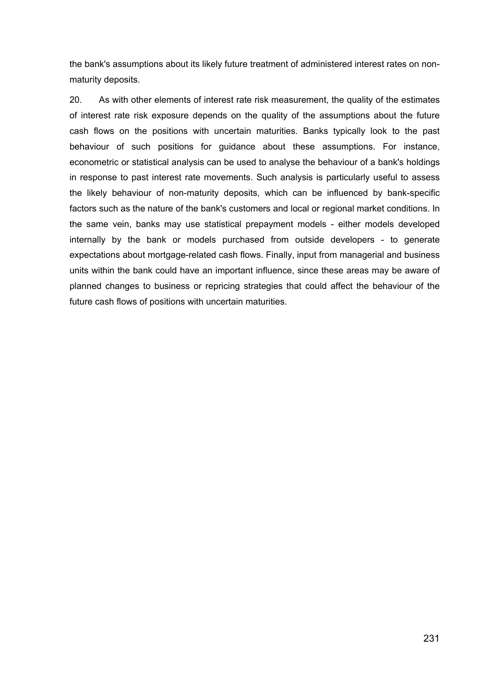the bank's assumptions about its likely future treatment of administered interest rates on nonmaturity deposits.

20. As with other elements of interest rate risk measurement, the quality of the estimates of interest rate risk exposure depends on the quality of the assumptions about the future cash flows on the positions with uncertain maturities. Banks typically look to the past behaviour of such positions for guidance about these assumptions. For instance, econometric or statistical analysis can be used to analyse the behaviour of a bank's holdings in response to past interest rate movements. Such analysis is particularly useful to assess the likely behaviour of non-maturity deposits, which can be influenced by bank-specific factors such as the nature of the bank's customers and local or regional market conditions. In the same vein, banks may use statistical prepayment models - either models developed internally by the bank or models purchased from outside developers - to generate expectations about mortgage-related cash flows. Finally, input from managerial and business units within the bank could have an important influence, since these areas may be aware of planned changes to business or repricing strategies that could affect the behaviour of the future cash flows of positions with uncertain maturities.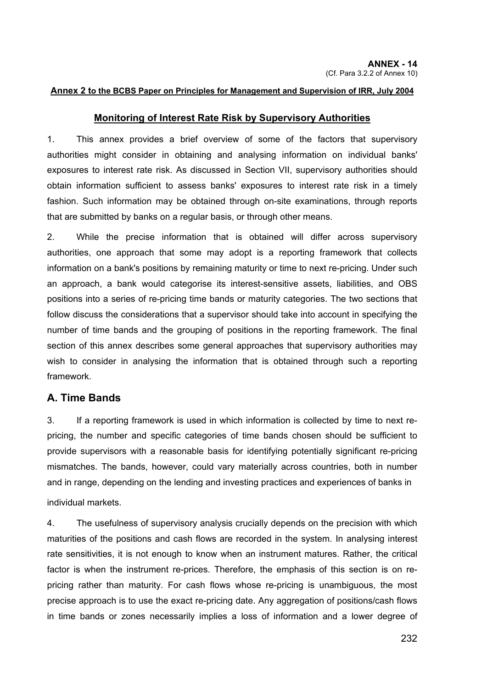#### **Annex 2 to the BCBS Paper on Principles for Management and Supervision of IRR, July 2004**

#### **Monitoring of Interest Rate Risk by Supervisory Authorities**

1. This annex provides a brief overview of some of the factors that supervisory authorities might consider in obtaining and analysing information on individual banks' exposures to interest rate risk. As discussed in Section VII, supervisory authorities should obtain information sufficient to assess banks' exposures to interest rate risk in a timely fashion. Such information may be obtained through on-site examinations, through reports that are submitted by banks on a regular basis, or through other means.

2. While the precise information that is obtained will differ across supervisory authorities, one approach that some may adopt is a reporting framework that collects information on a bank's positions by remaining maturity or time to next re-pricing. Under such an approach, a bank would categorise its interest-sensitive assets, liabilities, and OBS positions into a series of re-pricing time bands or maturity categories. The two sections that follow discuss the considerations that a supervisor should take into account in specifying the number of time bands and the grouping of positions in the reporting framework. The final section of this annex describes some general approaches that supervisory authorities may wish to consider in analysing the information that is obtained through such a reporting framework.

### **A. Time Bands**

3. If a reporting framework is used in which information is collected by time to next repricing, the number and specific categories of time bands chosen should be sufficient to provide supervisors with a reasonable basis for identifying potentially significant re-pricing mismatches. The bands, however, could vary materially across countries, both in number and in range, depending on the lending and investing practices and experiences of banks in

individual markets.

4. The usefulness of supervisory analysis crucially depends on the precision with which maturities of the positions and cash flows are recorded in the system. In analysing interest rate sensitivities, it is not enough to know when an instrument matures. Rather, the critical factor is when the instrument re-prices. Therefore, the emphasis of this section is on repricing rather than maturity. For cash flows whose re-pricing is unambiguous, the most precise approach is to use the exact re-pricing date. Any aggregation of positions/cash flows in time bands or zones necessarily implies a loss of information and a lower degree of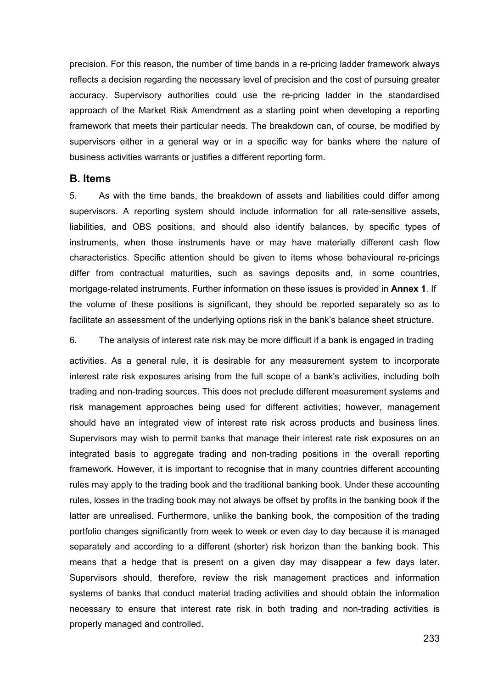precision. For this reason, the number of time bands in a re-pricing ladder framework always reflects a decision regarding the necessary level of precision and the cost of pursuing greater accuracy. Supervisory authorities could use the re-pricing ladder in the standardised approach of the Market Risk Amendment as a starting point when developing a reporting framework that meets their particular needs. The breakdown can, of course, be modified by supervisors either in a general way or in a specific way for banks where the nature of business activities warrants or justifies a different reporting form.

#### **B. Items**

5. As with the time bands, the breakdown of assets and liabilities could differ among supervisors. A reporting system should include information for all rate-sensitive assets, liabilities, and OBS positions, and should also identify balances, by specific types of instruments, when those instruments have or may have materially different cash flow characteristics. Specific attention should be given to items whose behavioural re-pricings differ from contractual maturities, such as savings deposits and, in some countries, mortgage-related instruments. Further information on these issues is provided in **Annex 1**. If the volume of these positions is significant, they should be reported separately so as to facilitate an assessment of the underlying options risk in the bank's balance sheet structure.

6. The analysis of interest rate risk may be more difficult if a bank is engaged in trading

activities. As a general rule, it is desirable for any measurement system to incorporate interest rate risk exposures arising from the full scope of a bank's activities, including both trading and non-trading sources. This does not preclude different measurement systems and risk management approaches being used for different activities; however, management should have an integrated view of interest rate risk across products and business lines. Supervisors may wish to permit banks that manage their interest rate risk exposures on an integrated basis to aggregate trading and non-trading positions in the overall reporting framework. However, it is important to recognise that in many countries different accounting rules may apply to the trading book and the traditional banking book. Under these accounting rules, losses in the trading book may not always be offset by profits in the banking book if the latter are unrealised. Furthermore, unlike the banking book, the composition of the trading portfolio changes significantly from week to week or even day to day because it is managed separately and according to a different (shorter) risk horizon than the banking book. This means that a hedge that is present on a given day may disappear a few days later. Supervisors should, therefore, review the risk management practices and information systems of banks that conduct material trading activities and should obtain the information necessary to ensure that interest rate risk in both trading and non-trading activities is properly managed and controlled.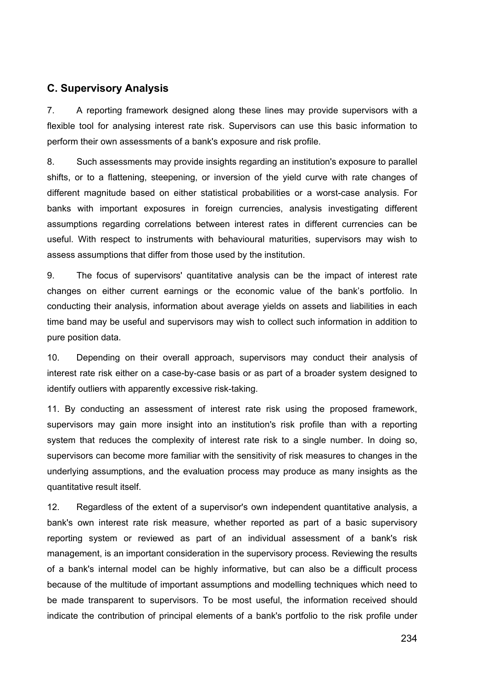# **C. Supervisory Analysis**

7. A reporting framework designed along these lines may provide supervisors with a flexible tool for analysing interest rate risk. Supervisors can use this basic information to perform their own assessments of a bank's exposure and risk profile.

8. Such assessments may provide insights regarding an institution's exposure to parallel shifts, or to a flattening, steepening, or inversion of the yield curve with rate changes of different magnitude based on either statistical probabilities or a worst-case analysis. For banks with important exposures in foreign currencies, analysis investigating different assumptions regarding correlations between interest rates in different currencies can be useful. With respect to instruments with behavioural maturities, supervisors may wish to assess assumptions that differ from those used by the institution.

9. The focus of supervisors' quantitative analysis can be the impact of interest rate changes on either current earnings or the economic value of the bank's portfolio. In conducting their analysis, information about average yields on assets and liabilities in each time band may be useful and supervisors may wish to collect such information in addition to pure position data.

10. Depending on their overall approach, supervisors may conduct their analysis of interest rate risk either on a case-by-case basis or as part of a broader system designed to identify outliers with apparently excessive risk-taking.

11. By conducting an assessment of interest rate risk using the proposed framework, supervisors may gain more insight into an institution's risk profile than with a reporting system that reduces the complexity of interest rate risk to a single number. In doing so, supervisors can become more familiar with the sensitivity of risk measures to changes in the underlying assumptions, and the evaluation process may produce as many insights as the quantitative result itself.

12. Regardless of the extent of a supervisor's own independent quantitative analysis, a bank's own interest rate risk measure, whether reported as part of a basic supervisory reporting system or reviewed as part of an individual assessment of a bank's risk management, is an important consideration in the supervisory process. Reviewing the results of a bank's internal model can be highly informative, but can also be a difficult process because of the multitude of important assumptions and modelling techniques which need to be made transparent to supervisors. To be most useful, the information received should indicate the contribution of principal elements of a bank's portfolio to the risk profile under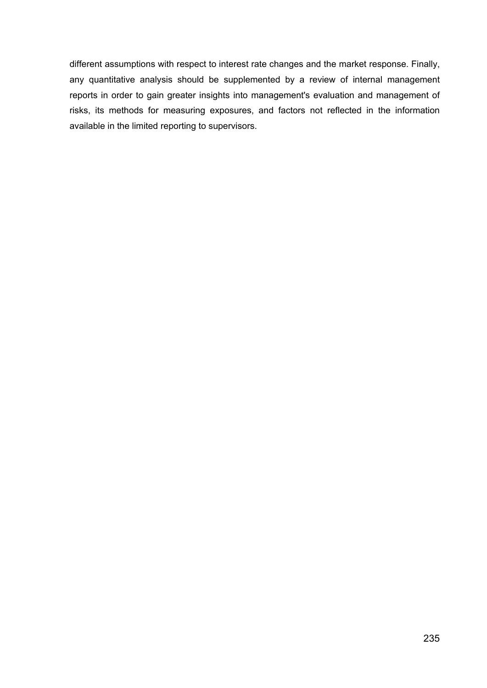different assumptions with respect to interest rate changes and the market response. Finally, any quantitative analysis should be supplemented by a review of internal management reports in order to gain greater insights into management's evaluation and management of risks, its methods for measuring exposures, and factors not reflected in the information available in the limited reporting to supervisors.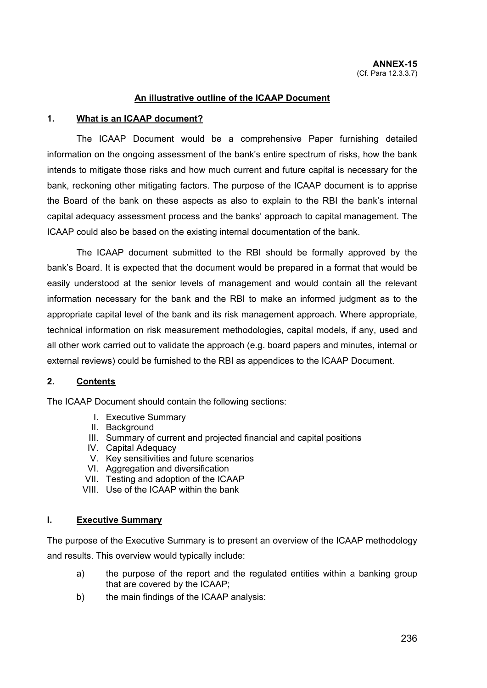### **An illustrative outline of the ICAAP Document**

### **1. What is an ICAAP document?**

The ICAAP Document would be a comprehensive Paper furnishing detailed information on the ongoing assessment of the bank's entire spectrum of risks, how the bank intends to mitigate those risks and how much current and future capital is necessary for the bank, reckoning other mitigating factors. The purpose of the ICAAP document is to apprise the Board of the bank on these aspects as also to explain to the RBI the bank's internal capital adequacy assessment process and the banks' approach to capital management. The ICAAP could also be based on the existing internal documentation of the bank.

The ICAAP document submitted to the RBI should be formally approved by the bank's Board. It is expected that the document would be prepared in a format that would be easily understood at the senior levels of management and would contain all the relevant information necessary for the bank and the RBI to make an informed judgment as to the appropriate capital level of the bank and its risk management approach. Where appropriate, technical information on risk measurement methodologies, capital models, if any, used and all other work carried out to validate the approach (e.g. board papers and minutes, internal or external reviews) could be furnished to the RBI as appendices to the ICAAP Document.

#### **2. Contents**

The ICAAP Document should contain the following sections:

- I. Executive Summary
- II. Background
- III. Summary of current and projected financial and capital positions
- IV. Capital Adequacy
- V. Key sensitivities and future scenarios
- VI. Aggregation and diversification
- VII. Testing and adoption of the ICAAP
- VIII. Use of the ICAAP within the bank

#### **I. Executive Summary**

The purpose of the Executive Summary is to present an overview of the ICAAP methodology and results. This overview would typically include:

- a) the purpose of the report and the regulated entities within a banking group that are covered by the ICAAP;
- b) the main findings of the ICAAP analysis: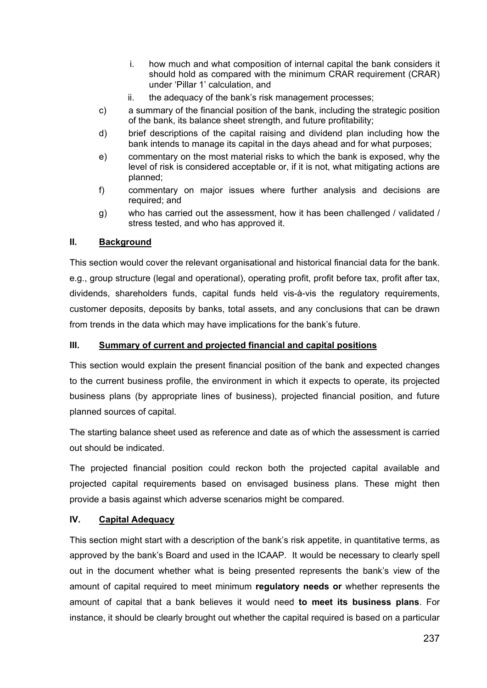- i. how much and what composition of internal capital the bank considers it should hold as compared with the minimum CRAR requirement (CRAR) under 'Pillar 1' calculation, and
- ii. the adequacy of the bank's risk management processes;
- c) a summary of the financial position of the bank, including the strategic position of the bank, its balance sheet strength, and future profitability;
- d) brief descriptions of the capital raising and dividend plan including how the bank intends to manage its capital in the days ahead and for what purposes;
- e) commentary on the most material risks to which the bank is exposed, why the level of risk is considered acceptable or, if it is not, what mitigating actions are planned;
- f) commentary on major issues where further analysis and decisions are required; and
- g) who has carried out the assessment, how it has been challenged / validated / stress tested, and who has approved it.

## **II. Background**

This section would cover the relevant organisational and historical financial data for the bank. e.g., group structure (legal and operational), operating profit, profit before tax, profit after tax, dividends, shareholders funds, capital funds held vis-à-vis the regulatory requirements, customer deposits, deposits by banks, total assets, and any conclusions that can be drawn from trends in the data which may have implications for the bank's future.

#### **III. Summary of current and projected financial and capital positions**

This section would explain the present financial position of the bank and expected changes to the current business profile, the environment in which it expects to operate, its projected business plans (by appropriate lines of business), projected financial position, and future planned sources of capital.

The starting balance sheet used as reference and date as of which the assessment is carried out should be indicated.

The projected financial position could reckon both the projected capital available and projected capital requirements based on envisaged business plans. These might then provide a basis against which adverse scenarios might be compared.

## **IV. Capital Adequacy**

This section might start with a description of the bank's risk appetite, in quantitative terms, as approved by the bank's Board and used in the ICAAP. It would be necessary to clearly spell out in the document whether what is being presented represents the bank's view of the amount of capital required to meet minimum **regulatory needs or** whether represents the amount of capital that a bank believes it would need **to meet its business plans**. For instance, it should be clearly brought out whether the capital required is based on a particular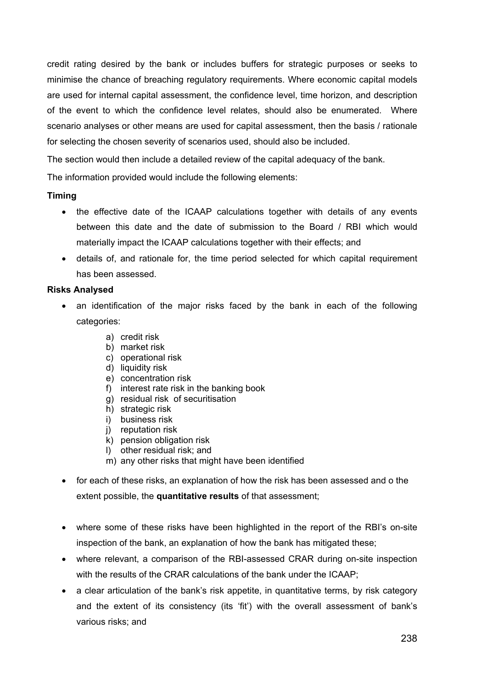credit rating desired by the bank or includes buffers for strategic purposes or seeks to minimise the chance of breaching regulatory requirements. Where economic capital models are used for internal capital assessment, the confidence level, time horizon, and description of the event to which the confidence level relates, should also be enumerated. Where scenario analyses or other means are used for capital assessment, then the basis / rationale for selecting the chosen severity of scenarios used, should also be included.

The section would then include a detailed review of the capital adequacy of the bank.

The information provided would include the following elements:

### **Timing**

- the effective date of the ICAAP calculations together with details of any events between this date and the date of submission to the Board / RBI which would materially impact the ICAAP calculations together with their effects; and
- details of, and rationale for, the time period selected for which capital requirement has been assessed.

## **Risks Analysed**

- an identification of the major risks faced by the bank in each of the following categories:
	- a) credit risk
	- b) market risk
	- c) operational risk
	- d) liquidity risk
	- e) concentration risk
	- f) interest rate risk in the banking book
	- g) residual risk of securitisation
	- h) strategic risk
	- i) business risk
	- j) reputation risk
	- k) pension obligation risk
	- l) other residual risk; and
	- m) any other risks that might have been identified
- for each of these risks, an explanation of how the risk has been assessed and o the extent possible, the **quantitative results** of that assessment;
- where some of these risks have been highlighted in the report of the RBI's on-site inspection of the bank, an explanation of how the bank has mitigated these;
- where relevant, a comparison of the RBI-assessed CRAR during on-site inspection with the results of the CRAR calculations of the bank under the ICAAP;
- a clear articulation of the bank's risk appetite, in quantitative terms, by risk category and the extent of its consistency (its 'fit') with the overall assessment of bank's various risks; and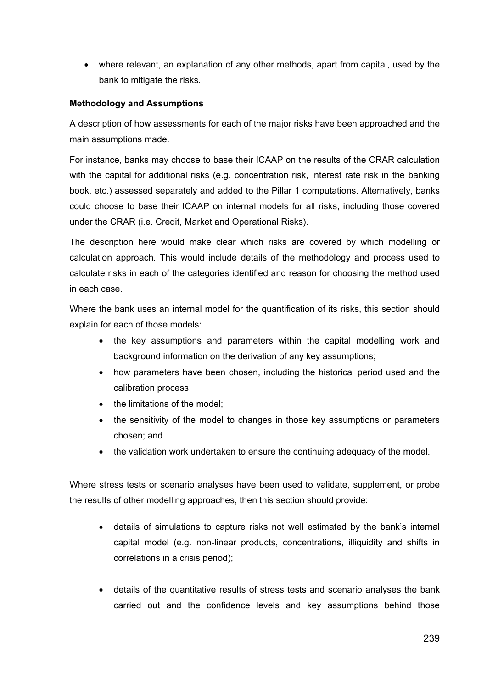• where relevant, an explanation of any other methods, apart from capital, used by the bank to mitigate the risks.

## **Methodology and Assumptions**

A description of how assessments for each of the major risks have been approached and the main assumptions made.

For instance, banks may choose to base their ICAAP on the results of the CRAR calculation with the capital for additional risks (e.g. concentration risk, interest rate risk in the banking book, etc.) assessed separately and added to the Pillar 1 computations. Alternatively, banks could choose to base their ICAAP on internal models for all risks, including those covered under the CRAR (i.e. Credit, Market and Operational Risks).

The description here would make clear which risks are covered by which modelling or calculation approach. This would include details of the methodology and process used to calculate risks in each of the categories identified and reason for choosing the method used in each case.

Where the bank uses an internal model for the quantification of its risks, this section should explain for each of those models:

- the key assumptions and parameters within the capital modelling work and background information on the derivation of any key assumptions;
- how parameters have been chosen, including the historical period used and the calibration process;
- the limitations of the model:
- the sensitivity of the model to changes in those key assumptions or parameters chosen; and
- the validation work undertaken to ensure the continuing adequacy of the model.

Where stress tests or scenario analyses have been used to validate, supplement, or probe the results of other modelling approaches, then this section should provide:

- details of simulations to capture risks not well estimated by the bank's internal capital model (e.g. non-linear products, concentrations, illiquidity and shifts in correlations in a crisis period);
- details of the quantitative results of stress tests and scenario analyses the bank carried out and the confidence levels and key assumptions behind those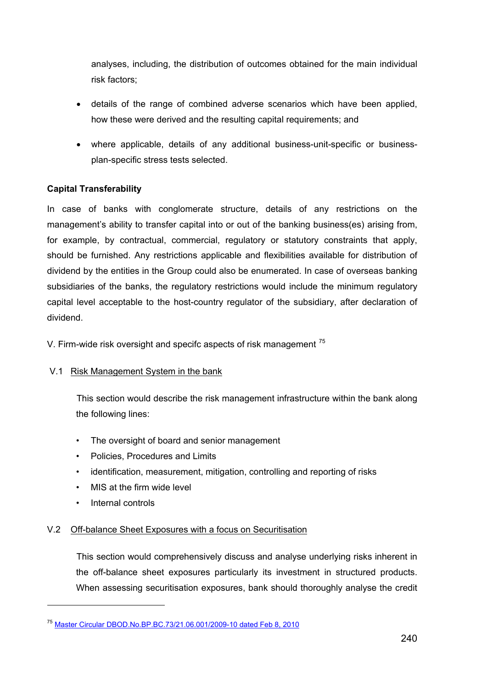analyses, including, the distribution of outcomes obtained for the main individual risk factors;

- details of the range of combined adverse scenarios which have been applied, how these were derived and the resulting capital requirements; and
- where applicable, details of any additional business-unit-specific or businessplan-specific stress tests selected.

## **Capital Transferability**

In case of banks with conglomerate structure, details of any restrictions on the management's ability to transfer capital into or out of the banking business(es) arising from, for example, by contractual, commercial, regulatory or statutory constraints that apply, should be furnished. Any restrictions applicable and flexibilities available for distribution of dividend by the entities in the Group could also be enumerated. In case of overseas banking subsidiaries of the banks, the regulatory restrictions would include the minimum regulatory capital level acceptable to the host-country regulator of the subsidiary, after declaration of dividend.

V. Firm-wide risk oversight and specifc aspects of risk management <sup>[75](#page-239-0)</sup>

## V.1 Risk Management System in the bank

 This section would describe the risk management infrastructure within the bank along the following lines:

- The oversight of board and senior management
- Policies, Procedures and Limits
- identification, measurement, mitigation, controlling and reporting of risks
- MIS at the firm wide level
- Internal controls

## V.2 Off-balance Sheet Exposures with a focus on Securitisation

This section would comprehensively discuss and analyse underlying risks inherent in the off-balance sheet exposures particularly its investment in structured products. When assessing securitisation exposures, bank should thoroughly analyse the credit

<span id="page-239-0"></span><sup>75</sup> Master Circular DBOD.No.BP.BC.73/21.06.001/2009-10 dated Feb 8, 2010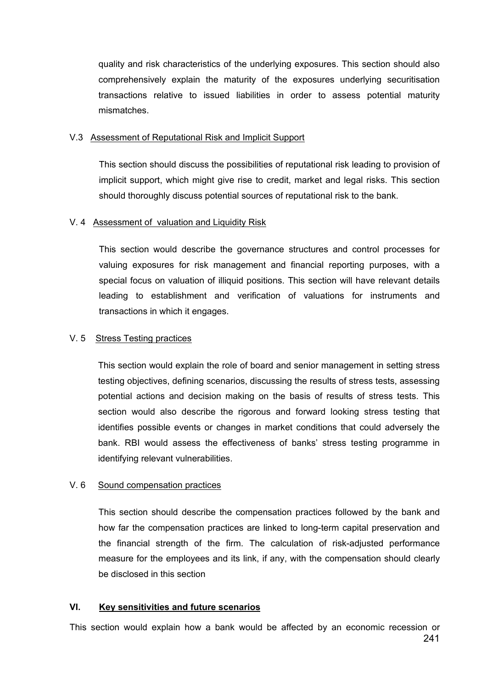quality and risk characteristics of the underlying exposures. This section should also comprehensively explain the maturity of the exposures underlying securitisation transactions relative to issued liabilities in order to assess potential maturity mismatches.

#### V.3 Assessment of Reputational Risk and Implicit Support

This section should discuss the possibilities of reputational risk leading to provision of implicit support, which might give rise to credit, market and legal risks. This section should thoroughly discuss potential sources of reputational risk to the bank.

### V. 4 Assessment of valuation and Liquidity Risk

This section would describe the governance structures and control processes for valuing exposures for risk management and financial reporting purposes, with a special focus on valuation of illiquid positions. This section will have relevant details leading to establishment and verification of valuations for instruments and transactions in which it engages.

### V. 5 Stress Testing practices

This section would explain the role of board and senior management in setting stress testing objectives, defining scenarios, discussing the results of stress tests, assessing potential actions and decision making on the basis of results of stress tests. This section would also describe the rigorous and forward looking stress testing that identifies possible events or changes in market conditions that could adversely the bank. RBI would assess the effectiveness of banks' stress testing programme in identifying relevant vulnerabilities.

## V. 6 Sound compensation practices

This section should describe the compensation practices followed by the bank and how far the compensation practices are linked to long-term capital preservation and the financial strength of the firm. The calculation of risk-adjusted performance measure for the employees and its link, if any, with the compensation should clearly be disclosed in this section

#### **VI. Key sensitivities and future scenarios**

This section would explain how a bank would be affected by an economic recession or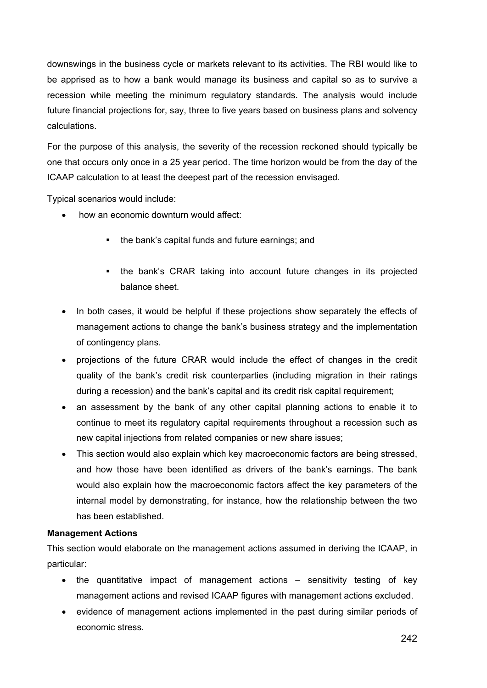downswings in the business cycle or markets relevant to its activities. The RBI would like to be apprised as to how a bank would manage its business and capital so as to survive a recession while meeting the minimum regulatory standards. The analysis would include future financial projections for, say, three to five years based on business plans and solvency calculations.

For the purpose of this analysis, the severity of the recession reckoned should typically be one that occurs only once in a 25 year period. The time horizon would be from the day of the ICAAP calculation to at least the deepest part of the recession envisaged.

Typical scenarios would include:

- how an economic downturn would affect:
	- the bank's capital funds and future earnings; and
	- the bank's CRAR taking into account future changes in its projected balance sheet.
- In both cases, it would be helpful if these projections show separately the effects of management actions to change the bank's business strategy and the implementation of contingency plans.
- projections of the future CRAR would include the effect of changes in the credit quality of the bank's credit risk counterparties (including migration in their ratings during a recession) and the bank's capital and its credit risk capital requirement;
- an assessment by the bank of any other capital planning actions to enable it to continue to meet its regulatory capital requirements throughout a recession such as new capital injections from related companies or new share issues;
- This section would also explain which key macroeconomic factors are being stressed, and how those have been identified as drivers of the bank's earnings. The bank would also explain how the macroeconomic factors affect the key parameters of the internal model by demonstrating, for instance, how the relationship between the two has been established.

## **Management Actions**

This section would elaborate on the management actions assumed in deriving the ICAAP, in particular:

- the quantitative impact of management actions sensitivity testing of key management actions and revised ICAAP figures with management actions excluded.
- evidence of management actions implemented in the past during similar periods of economic stress.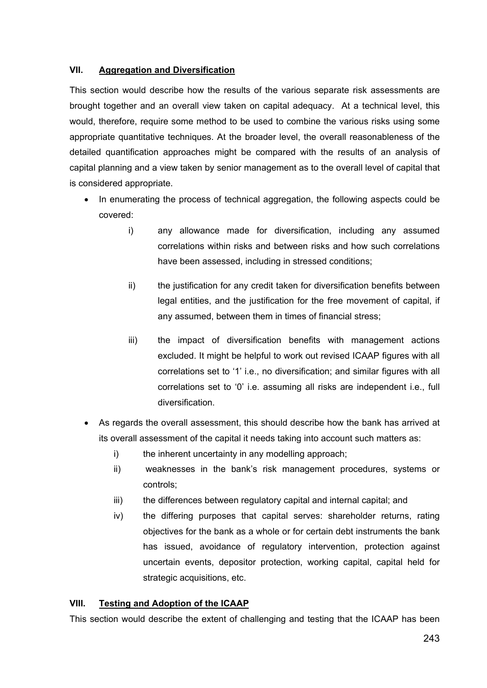# **VII. Aggregation and Diversification**

This section would describe how the results of the various separate risk assessments are brought together and an overall view taken on capital adequacy. At a technical level, this would, therefore, require some method to be used to combine the various risks using some appropriate quantitative techniques. At the broader level, the overall reasonableness of the detailed quantification approaches might be compared with the results of an analysis of capital planning and a view taken by senior management as to the overall level of capital that is considered appropriate.

- In enumerating the process of technical aggregation, the following aspects could be covered:
	- i) any allowance made for diversification, including any assumed correlations within risks and between risks and how such correlations have been assessed, including in stressed conditions;
	- ii) the justification for any credit taken for diversification benefits between legal entities, and the justification for the free movement of capital, if any assumed, between them in times of financial stress;
	- iii) the impact of diversification benefits with management actions excluded. It might be helpful to work out revised ICAAP figures with all correlations set to '1' i.e., no diversification; and similar figures with all correlations set to '0' i.e. assuming all risks are independent i.e., full diversification.
- As regards the overall assessment, this should describe how the bank has arrived at its overall assessment of the capital it needs taking into account such matters as:
	- i) the inherent uncertainty in any modelling approach;
	- ii) weaknesses in the bank's risk management procedures, systems or controls;
	- iii) the differences between regulatory capital and internal capital; and
	- iv) the differing purposes that capital serves: shareholder returns, rating objectives for the bank as a whole or for certain debt instruments the bank has issued, avoidance of regulatory intervention, protection against uncertain events, depositor protection, working capital, capital held for strategic acquisitions, etc.

## **VIII. Testing and Adoption of the ICAAP**

This section would describe the extent of challenging and testing that the ICAAP has been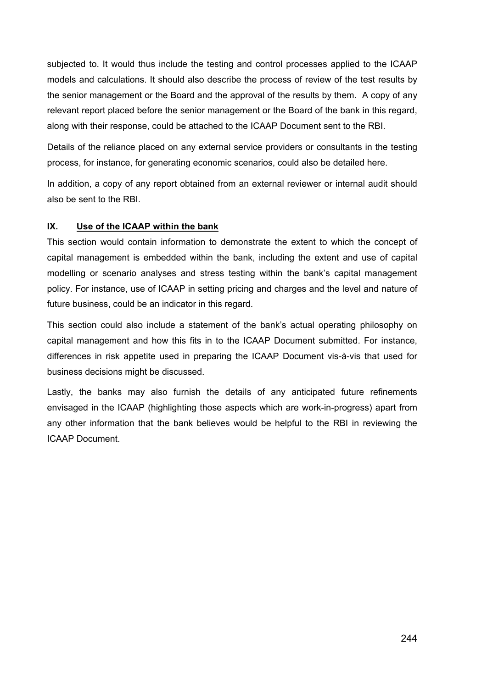subjected to. It would thus include the testing and control processes applied to the ICAAP models and calculations. It should also describe the process of review of the test results by the senior management or the Board and the approval of the results by them. A copy of any relevant report placed before the senior management or the Board of the bank in this regard, along with their response, could be attached to the ICAAP Document sent to the RBI.

Details of the reliance placed on any external service providers or consultants in the testing process, for instance, for generating economic scenarios, could also be detailed here.

In addition, a copy of any report obtained from an external reviewer or internal audit should also be sent to the RBI.

## **IX. Use of the ICAAP within the bank**

This section would contain information to demonstrate the extent to which the concept of capital management is embedded within the bank, including the extent and use of capital modelling or scenario analyses and stress testing within the bank's capital management policy. For instance, use of ICAAP in setting pricing and charges and the level and nature of future business, could be an indicator in this regard.

This section could also include a statement of the bank's actual operating philosophy on capital management and how this fits in to the ICAAP Document submitted. For instance, differences in risk appetite used in preparing the ICAAP Document vis-à-vis that used for business decisions might be discussed.

Lastly, the banks may also furnish the details of any anticipated future refinements envisaged in the ICAAP (highlighting those aspects which are work-in-progress) apart from any other information that the bank believes would be helpful to the RBI in reviewing the ICAAP Document.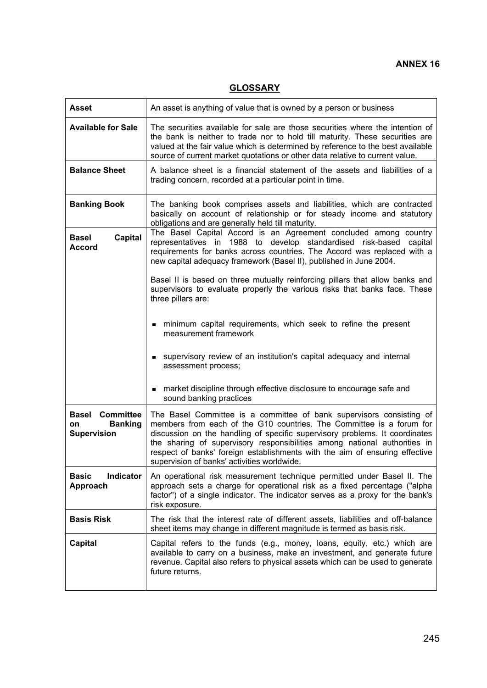| <b>Asset</b>                                                                                                                                                                                                                                                                                                                                                                                                                                                                                                      | An asset is anything of value that is owned by a person or business                                                                                                                                                                                                                                                              |  |  |
|-------------------------------------------------------------------------------------------------------------------------------------------------------------------------------------------------------------------------------------------------------------------------------------------------------------------------------------------------------------------------------------------------------------------------------------------------------------------------------------------------------------------|----------------------------------------------------------------------------------------------------------------------------------------------------------------------------------------------------------------------------------------------------------------------------------------------------------------------------------|--|--|
| <b>Available for Sale</b>                                                                                                                                                                                                                                                                                                                                                                                                                                                                                         | The securities available for sale are those securities where the intention of<br>the bank is neither to trade nor to hold till maturity. These securities are<br>valued at the fair value which is determined by reference to the best available<br>source of current market quotations or other data relative to current value. |  |  |
| <b>Balance Sheet</b>                                                                                                                                                                                                                                                                                                                                                                                                                                                                                              | A balance sheet is a financial statement of the assets and liabilities of a<br>trading concern, recorded at a particular point in time.                                                                                                                                                                                          |  |  |
| <b>Banking Book</b>                                                                                                                                                                                                                                                                                                                                                                                                                                                                                               | The banking book comprises assets and liabilities, which are contracted<br>basically on account of relationship or for steady income and statutory<br>obligations and are generally held till maturity.                                                                                                                          |  |  |
| <b>Capital</b><br><b>Basel</b><br><b>Accord</b>                                                                                                                                                                                                                                                                                                                                                                                                                                                                   | The Basel Capital Accord is an Agreement concluded among country<br>representatives in 1988 to develop standardised risk-based<br>capital<br>requirements for banks across countries. The Accord was replaced with a<br>new capital adequacy framework (Basel II), published in June 2004.                                       |  |  |
| Basel II is based on three mutually reinforcing pillars that allow banks and<br>supervisors to evaluate properly the various risks that banks face. These<br>three pillars are:                                                                                                                                                                                                                                                                                                                                   |                                                                                                                                                                                                                                                                                                                                  |  |  |
|                                                                                                                                                                                                                                                                                                                                                                                                                                                                                                                   | minimum capital requirements, which seek to refine the present<br>measurement framework                                                                                                                                                                                                                                          |  |  |
|                                                                                                                                                                                                                                                                                                                                                                                                                                                                                                                   | supervisory review of an institution's capital adequacy and internal<br>assessment process;                                                                                                                                                                                                                                      |  |  |
|                                                                                                                                                                                                                                                                                                                                                                                                                                                                                                                   | market discipline through effective disclosure to encourage safe and<br>sound banking practices                                                                                                                                                                                                                                  |  |  |
| <b>Committee</b><br>Basel<br>The Basel Committee is a committee of bank supervisors consisting of<br>members from each of the G10 countries. The Committee is a forum for<br><b>Banking</b><br>on<br>discussion on the handling of specific supervisory problems. It coordinates<br><b>Supervision</b><br>the sharing of supervisory responsibilities among national authorities in<br>respect of banks' foreign establishments with the aim of ensuring effective<br>supervision of banks' activities worldwide. |                                                                                                                                                                                                                                                                                                                                  |  |  |
| Indicator<br><b>Basic</b><br>Approach                                                                                                                                                                                                                                                                                                                                                                                                                                                                             | An operational risk measurement technique permitted under Basel II. The<br>approach sets a charge for operational risk as a fixed percentage ("alpha<br>factor") of a single indicator. The indicator serves as a proxy for the bank's<br>risk exposure.                                                                         |  |  |
| <b>Basis Risk</b>                                                                                                                                                                                                                                                                                                                                                                                                                                                                                                 | The risk that the interest rate of different assets, liabilities and off-balance<br>sheet items may change in different magnitude is termed as basis risk.                                                                                                                                                                       |  |  |
| <b>Capital</b>                                                                                                                                                                                                                                                                                                                                                                                                                                                                                                    | Capital refers to the funds (e.g., money, loans, equity, etc.) which are<br>available to carry on a business, make an investment, and generate future<br>revenue. Capital also refers to physical assets which can be used to generate<br>future returns.                                                                        |  |  |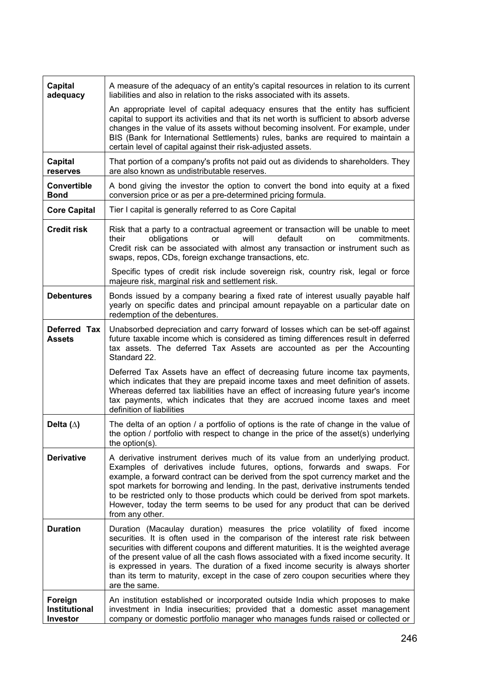| Capital<br>adequacy                                | A measure of the adequacy of an entity's capital resources in relation to its current<br>liabilities and also in relation to the risks associated with its assets.                                                                                                                                                                                                                                                                                                                                                                            |  |  |
|----------------------------------------------------|-----------------------------------------------------------------------------------------------------------------------------------------------------------------------------------------------------------------------------------------------------------------------------------------------------------------------------------------------------------------------------------------------------------------------------------------------------------------------------------------------------------------------------------------------|--|--|
|                                                    | An appropriate level of capital adequacy ensures that the entity has sufficient<br>capital to support its activities and that its net worth is sufficient to absorb adverse<br>changes in the value of its assets without becoming insolvent. For example, under<br>BIS (Bank for International Settlements) rules, banks are required to maintain a<br>certain level of capital against their risk-adjusted assets.                                                                                                                          |  |  |
| Capital<br>reserves                                | That portion of a company's profits not paid out as dividends to shareholders. They<br>are also known as undistributable reserves.                                                                                                                                                                                                                                                                                                                                                                                                            |  |  |
| <b>Convertible</b><br><b>Bond</b>                  | A bond giving the investor the option to convert the bond into equity at a fixed<br>conversion price or as per a pre-determined pricing formula.                                                                                                                                                                                                                                                                                                                                                                                              |  |  |
| <b>Core Capital</b>                                | Tier I capital is generally referred to as Core Capital                                                                                                                                                                                                                                                                                                                                                                                                                                                                                       |  |  |
| <b>Credit risk</b>                                 | Risk that a party to a contractual agreement or transaction will be unable to meet<br>their<br>obligations<br>will<br>default<br>commitments.<br>or<br>on<br>Credit risk can be associated with almost any transaction or instrument such as<br>swaps, repos, CDs, foreign exchange transactions, etc.                                                                                                                                                                                                                                        |  |  |
|                                                    | Specific types of credit risk include sovereign risk, country risk, legal or force<br>majeure risk, marginal risk and settlement risk.                                                                                                                                                                                                                                                                                                                                                                                                        |  |  |
| <b>Debentures</b>                                  | Bonds issued by a company bearing a fixed rate of interest usually payable half<br>yearly on specific dates and principal amount repayable on a particular date on<br>redemption of the debentures.                                                                                                                                                                                                                                                                                                                                           |  |  |
| Deferred Tax<br><b>Assets</b>                      | Unabsorbed depreciation and carry forward of losses which can be set-off against<br>future taxable income which is considered as timing differences result in deferred<br>tax assets. The deferred Tax Assets are accounted as per the Accounting<br>Standard 22.                                                                                                                                                                                                                                                                             |  |  |
|                                                    | Deferred Tax Assets have an effect of decreasing future income tax payments,<br>which indicates that they are prepaid income taxes and meet definition of assets.<br>Whereas deferred tax liabilities have an effect of increasing future year's income<br>tax payments, which indicates that they are accrued income taxes and meet<br>definition of liabilities                                                                                                                                                                             |  |  |
| Delta $(\triangle)$                                | The delta of an option / a portfolio of options is the rate of change in the value of<br>the option / portfolio with respect to change in the price of the asset(s) underlying<br>the option(s).                                                                                                                                                                                                                                                                                                                                              |  |  |
| <b>Derivative</b>                                  | A derivative instrument derives much of its value from an underlying product.<br>Examples of derivatives include futures, options, forwards and swaps. For<br>example, a forward contract can be derived from the spot currency market and the<br>spot markets for borrowing and lending. In the past, derivative instruments tended<br>to be restricted only to those products which could be derived from spot markets.<br>However, today the term seems to be used for any product that can be derived<br>from any other.                  |  |  |
| <b>Duration</b>                                    | Duration (Macaulay duration) measures the price volatility of fixed income<br>securities. It is often used in the comparison of the interest rate risk between<br>securities with different coupons and different maturities. It is the weighted average<br>of the present value of all the cash flows associated with a fixed income security. It<br>is expressed in years. The duration of a fixed income security is always shorter<br>than its term to maturity, except in the case of zero coupon securities where they<br>are the same. |  |  |
| Foreign<br><b>Institutional</b><br><b>Investor</b> | An institution established or incorporated outside India which proposes to make<br>investment in India insecurities; provided that a domestic asset management<br>company or domestic portfolio manager who manages funds raised or collected or                                                                                                                                                                                                                                                                                              |  |  |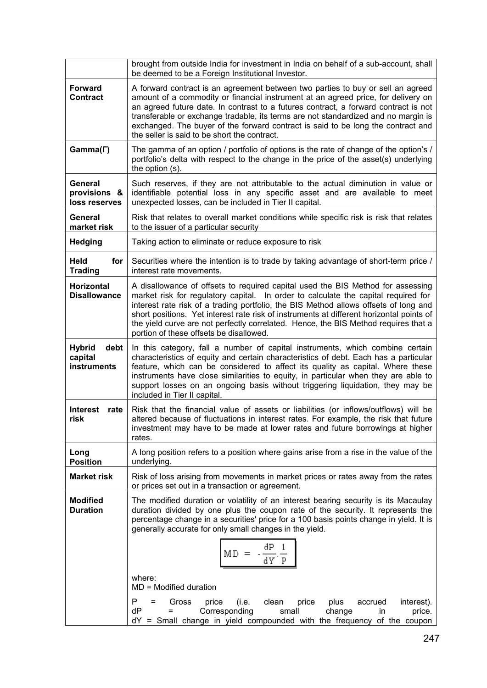|                                                 | brought from outside India for investment in India on behalf of a sub-account, shall<br>be deemed to be a Foreign Institutional Investor.                                                                                                                                                                                                                                                                                                                                                   |  |  |
|-------------------------------------------------|---------------------------------------------------------------------------------------------------------------------------------------------------------------------------------------------------------------------------------------------------------------------------------------------------------------------------------------------------------------------------------------------------------------------------------------------------------------------------------------------|--|--|
| <b>Forward</b><br><b>Contract</b>               | A forward contract is an agreement between two parties to buy or sell an agreed<br>amount of a commodity or financial instrument at an agreed price, for delivery on<br>an agreed future date. In contrast to a futures contract, a forward contract is not<br>transferable or exchange tradable, its terms are not standardized and no margin is<br>exchanged. The buyer of the forward contract is said to be long the contract and<br>the seller is said to be short the contract.       |  |  |
| Gamma(I)                                        | The gamma of an option / portfolio of options is the rate of change of the option's /<br>portfolio's delta with respect to the change in the price of the asset(s) underlying<br>the option (s).                                                                                                                                                                                                                                                                                            |  |  |
| General<br>provisions &<br>loss reserves        | Such reserves, if they are not attributable to the actual diminution in value or<br>identifiable potential loss in any specific asset and are available to meet<br>unexpected losses, can be included in Tier II capital.                                                                                                                                                                                                                                                                   |  |  |
| General<br>market risk                          | Risk that relates to overall market conditions while specific risk is risk that relates<br>to the issuer of a particular security                                                                                                                                                                                                                                                                                                                                                           |  |  |
| <b>Hedging</b>                                  | Taking action to eliminate or reduce exposure to risk                                                                                                                                                                                                                                                                                                                                                                                                                                       |  |  |
| Held<br>for<br><b>Trading</b>                   | Securities where the intention is to trade by taking advantage of short-term price /<br>interest rate movements.                                                                                                                                                                                                                                                                                                                                                                            |  |  |
| Horizontal<br><b>Disallowance</b>               | A disallowance of offsets to required capital used the BIS Method for assessing<br>market risk for regulatory capital. In order to calculate the capital required for<br>interest rate risk of a trading portfolio, the BIS Method allows offsets of long and<br>short positions. Yet interest rate risk of instruments at different horizontal points of<br>the yield curve are not perfectly correlated. Hence, the BIS Method requires that a<br>portion of these offsets be disallowed. |  |  |
| debt<br><b>Hybrid</b><br>capital<br>instruments | In this category, fall a number of capital instruments, which combine certain<br>characteristics of equity and certain characteristics of debt. Each has a particular<br>feature, which can be considered to affect its quality as capital. Where these<br>instruments have close similarities to equity, in particular when they are able to<br>support losses on an ongoing basis without triggering liquidation, they may be<br>included in Tier II capital.                             |  |  |
| <b>Interest</b><br>rate<br>risk                 | Risk that the financial value of assets or liabilities (or inflows/outflows) will be<br>altered because of fluctuations in interest rates. For example, the risk that future<br>investment may have to be made at lower rates and future borrowings at higher<br>rates.                                                                                                                                                                                                                     |  |  |
| Long<br><b>Position</b>                         | A long position refers to a position where gains arise from a rise in the value of the<br>underlying.                                                                                                                                                                                                                                                                                                                                                                                       |  |  |
| <b>Market risk</b>                              | Risk of loss arising from movements in market prices or rates away from the rates<br>or prices set out in a transaction or agreement.                                                                                                                                                                                                                                                                                                                                                       |  |  |
| <b>Modified</b><br><b>Duration</b>              | The modified duration or volatility of an interest bearing security is its Macaulay<br>duration divided by one plus the coupon rate of the security. It represents the<br>percentage change in a securities' price for a 100 basis points change in yield. It is<br>generally accurate for only small changes in the yield.                                                                                                                                                                 |  |  |
|                                                 | dP.<br>$MD =$<br>$dY$ P                                                                                                                                                                                                                                                                                                                                                                                                                                                                     |  |  |
|                                                 | where:<br>$MD =$ Modified duration                                                                                                                                                                                                                                                                                                                                                                                                                                                          |  |  |
|                                                 | P<br>price<br>(i.e.<br>clean<br>plus<br>interest).<br>Gross<br>price<br>accrued<br>Ξ<br>dP<br>Corresponding<br>$=$<br>small<br>change<br>price.<br>in<br>dY = Small change in yield compounded with the frequency of the coupon                                                                                                                                                                                                                                                             |  |  |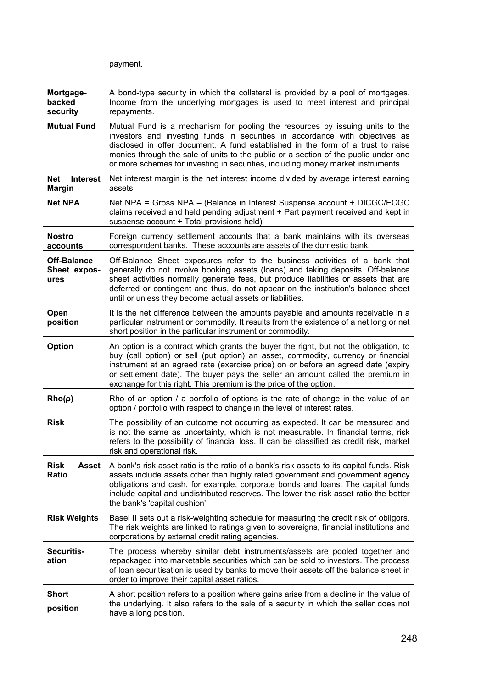|                                            | payment.                                                                                                                                                                                                                                                                                                                                                                                                                   |
|--------------------------------------------|----------------------------------------------------------------------------------------------------------------------------------------------------------------------------------------------------------------------------------------------------------------------------------------------------------------------------------------------------------------------------------------------------------------------------|
| Mortgage-<br>backed<br>security            | A bond-type security in which the collateral is provided by a pool of mortgages.<br>Income from the underlying mortgages is used to meet interest and principal<br>repayments.                                                                                                                                                                                                                                             |
| <b>Mutual Fund</b>                         | Mutual Fund is a mechanism for pooling the resources by issuing units to the<br>investors and investing funds in securities in accordance with objectives as<br>disclosed in offer document. A fund established in the form of a trust to raise<br>monies through the sale of units to the public or a section of the public under one<br>or more schemes for investing in securities, including money market instruments. |
| <b>Interest</b><br>Net<br><b>Margin</b>    | Net interest margin is the net interest income divided by average interest earning<br>assets                                                                                                                                                                                                                                                                                                                               |
| <b>Net NPA</b>                             | Net NPA = Gross NPA - (Balance in Interest Suspense account + DICGC/ECGC<br>claims received and held pending adjustment + Part payment received and kept in<br>suspense account + Total provisions held)'                                                                                                                                                                                                                  |
| <b>Nostro</b><br>accounts                  | Foreign currency settlement accounts that a bank maintains with its overseas<br>correspondent banks. These accounts are assets of the domestic bank.                                                                                                                                                                                                                                                                       |
| <b>Off-Balance</b><br>Sheet expos-<br>ures | Off-Balance Sheet exposures refer to the business activities of a bank that<br>generally do not involve booking assets (loans) and taking deposits. Off-balance<br>sheet activities normally generate fees, but produce liabilities or assets that are<br>deferred or contingent and thus, do not appear on the institution's balance sheet<br>until or unless they become actual assets or liabilities.                   |
| Open<br>position                           | It is the net difference between the amounts payable and amounts receivable in a<br>particular instrument or commodity. It results from the existence of a net long or net<br>short position in the particular instrument or commodity.                                                                                                                                                                                    |
| Option                                     | An option is a contract which grants the buyer the right, but not the obligation, to<br>buy (call option) or sell (put option) an asset, commodity, currency or financial<br>instrument at an agreed rate (exercise price) on or before an agreed date (expiry<br>or settlement date). The buyer pays the seller an amount called the premium in<br>exchange for this right. This premium is the price of the option.      |
| $Rho(\rho)$                                | Rho of an option / a portfolio of options is the rate of change in the value of an<br>option / portfolio with respect to change in the level of interest rates.                                                                                                                                                                                                                                                            |
| Risk                                       | The possibility of an outcome not occurring as expected. It can be measured and<br>is not the same as uncertainty, which is not measurable. In financial terms, risk<br>refers to the possibility of financial loss. It can be classified as credit risk, market<br>risk and operational risk.                                                                                                                             |
| Risk<br>Asset<br>Ratio                     | A bank's risk asset ratio is the ratio of a bank's risk assets to its capital funds. Risk<br>assets include assets other than highly rated government and government agency<br>obligations and cash, for example, corporate bonds and loans. The capital funds<br>include capital and undistributed reserves. The lower the risk asset ratio the better<br>the bank's 'capital cushion'                                    |
| <b>Risk Weights</b>                        | Basel II sets out a risk-weighting schedule for measuring the credit risk of obligors.<br>The risk weights are linked to ratings given to sovereigns, financial institutions and<br>corporations by external credit rating agencies.                                                                                                                                                                                       |
| Securitis-<br>ation                        | The process whereby similar debt instruments/assets are pooled together and<br>repackaged into marketable securities which can be sold to investors. The process<br>of loan securitisation is used by banks to move their assets off the balance sheet in<br>order to improve their capital asset ratios.                                                                                                                  |
| <b>Short</b><br>position                   | A short position refers to a position where gains arise from a decline in the value of<br>the underlying. It also refers to the sale of a security in which the seller does not<br>have a long position.                                                                                                                                                                                                                   |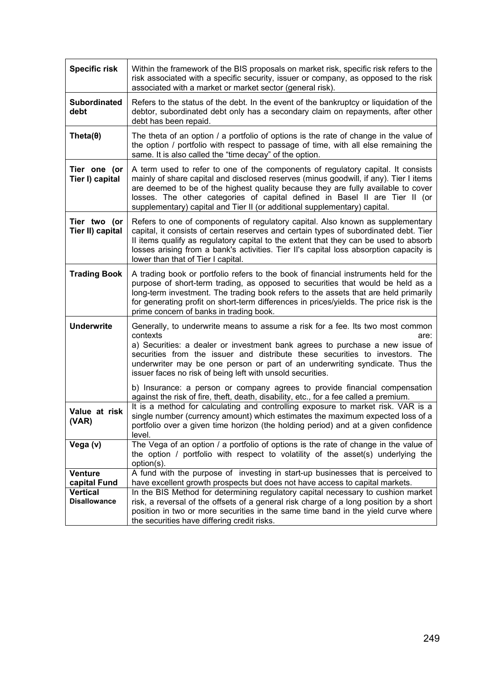| <b>Specific risk</b>             | Within the framework of the BIS proposals on market risk, specific risk refers to the<br>risk associated with a specific security, issuer or company, as opposed to the risk<br>associated with a market or market sector (general risk).                                                                                                                                                                                  |
|----------------------------------|----------------------------------------------------------------------------------------------------------------------------------------------------------------------------------------------------------------------------------------------------------------------------------------------------------------------------------------------------------------------------------------------------------------------------|
| <b>Subordinated</b><br>debt      | Refers to the status of the debt. In the event of the bankruptcy or liquidation of the<br>debtor, subordinated debt only has a secondary claim on repayments, after other<br>debt has been repaid.                                                                                                                                                                                                                         |
| Theta $(\theta)$                 | The theta of an option / a portfolio of options is the rate of change in the value of<br>the option / portfolio with respect to passage of time, with all else remaining the<br>same. It is also called the "time decay" of the option.                                                                                                                                                                                    |
| Tier one (or<br>Tier I) capital  | A term used to refer to one of the components of regulatory capital. It consists<br>mainly of share capital and disclosed reserves (minus goodwill, if any). Tier I items<br>are deemed to be of the highest quality because they are fully available to cover<br>losses. The other categories of capital defined in Basel II are Tier II (or<br>supplementary) capital and Tier II (or additional supplementary) capital. |
| Tier two (or<br>Tier II) capital | Refers to one of components of regulatory capital. Also known as supplementary<br>capital, it consists of certain reserves and certain types of subordinated debt. Tier<br>II items qualify as regulatory capital to the extent that they can be used to absorb<br>losses arising from a bank's activities. Tier II's capital loss absorption capacity is<br>lower than that of Tier I capital.                            |
| <b>Trading Book</b>              | A trading book or portfolio refers to the book of financial instruments held for the<br>purpose of short-term trading, as opposed to securities that would be held as a<br>long-term investment. The trading book refers to the assets that are held primarily<br>for generating profit on short-term differences in prices/yields. The price risk is the<br>prime concern of banks in trading book.                       |
| <b>Underwrite</b>                | Generally, to underwrite means to assume a risk for a fee. Its two most common<br>contexts<br>are:<br>a) Securities: a dealer or investment bank agrees to purchase a new issue of<br>securities from the issuer and distribute these securities to investors. The<br>underwriter may be one person or part of an underwriting syndicate. Thus the<br>issuer faces no risk of being left with unsold securities.           |
|                                  | b) Insurance: a person or company agrees to provide financial compensation<br>against the risk of fire, theft, death, disability, etc., for a fee called a premium.<br>It is a method for calculating and controlling exposure to market risk. VAR is a                                                                                                                                                                    |
| Value at risk<br>(VAR)           | single number (currency amount) which estimates the maximum expected loss of a<br>portfolio over a given time horizon (the holding period) and at a given confidence<br>level.                                                                                                                                                                                                                                             |
| Vega (v)                         | The Vega of an option / a portfolio of options is the rate of change in the value of<br>the option / portfolio with respect to volatility of the asset(s) underlying the<br>option(s).                                                                                                                                                                                                                                     |
| <b>Venture</b>                   | A fund with the purpose of investing in start-up businesses that is perceived to                                                                                                                                                                                                                                                                                                                                           |
| capital Fund<br><b>Vertical</b>  | have excellent growth prospects but does not have access to capital markets.                                                                                                                                                                                                                                                                                                                                               |
|                                  | In the BIS Method for determining regulatory capital necessary to cushion market                                                                                                                                                                                                                                                                                                                                           |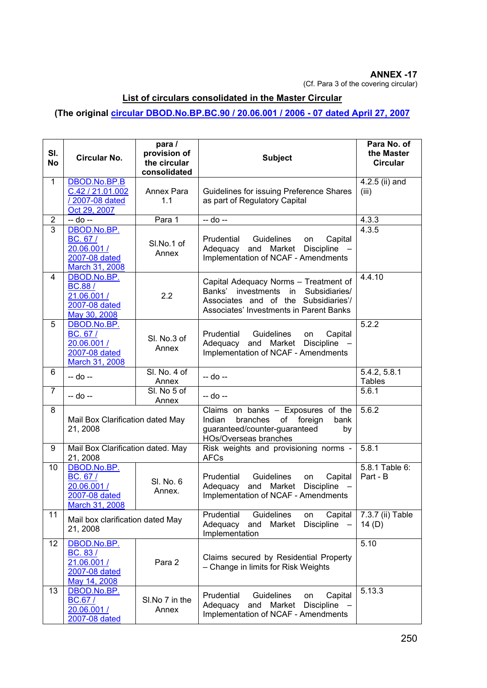#### **ANNEX -17**

(Cf. Para 3 of the covering circular)

# **List of circulars consolidated in the Master Circular**

# **(The original [circular DBOD.No.BP.BC.90 / 20.06.001 / 2006 - 07 dated April 27, 2007](http://rbi.org.in/scripts/BS_ViewMasCirculardetails.aspx?id=3464)**

| SI.<br><b>No</b>        | <b>Circular No.</b>                                                             | para /<br>provision of<br>the circular<br>consolidated | <b>Subject</b>                                                                                                                                                        | Para No. of<br>the Master<br><b>Circular</b> |
|-------------------------|---------------------------------------------------------------------------------|--------------------------------------------------------|-----------------------------------------------------------------------------------------------------------------------------------------------------------------------|----------------------------------------------|
| $\mathbf{1}$            | DBOD.No.BP.B<br>C.42 / 21.01.002<br>/ 2007-08 dated<br>Oct 29, 2007             | Annex Para<br>1.1                                      | Guidelines for issuing Preference Shares<br>as part of Regulatory Capital                                                                                             | 4.2.5 (ii) and<br>(iii)                      |
| $\overline{\mathbf{c}}$ | -- do --                                                                        | Para 1                                                 | -- do --                                                                                                                                                              | 4.3.3                                        |
| $\overline{3}$          | DBOD.No.BP.<br>BC. 67/<br>20.06.001 /<br>2007-08 dated<br>March 31, 2008        | SI.No.1 of<br>Annex                                    | Prudential<br>Guidelines<br>Capital<br>on<br>Adequacy and Market<br>Discipline -<br>Implementation of NCAF - Amendments                                               | 4.3.5                                        |
| $\overline{4}$          | DBOD.No.BP.<br><b>BC.88/</b><br>21.06.001 /<br>2007-08 dated<br>May 30, 2008    | 2.2                                                    | Capital Adequacy Norms - Treatment of<br>investments in<br>Subsidiaries/<br>Banks'<br>Associates and of the Subsidiaries'/<br>Associates' Investments in Parent Banks | 4.4.10                                       |
| 5                       | DBOD.No.BP.<br>BC. 67 /<br>20.06.001 /<br>2007-08 dated<br>March 31, 2008       | SI. No.3 of<br>Annex                                   | Prudential<br>Guidelines<br>Capital<br>on<br>Adequacy and Market<br>Discipline -<br>Implementation of NCAF - Amendments                                               | 5.2.2                                        |
| 6                       | -- do --                                                                        | SI. No. 4 of<br>Annex                                  | -- do --                                                                                                                                                              | 5.4.2, 5.8.1<br><b>Tables</b>                |
| $\overline{7}$          | -- do --                                                                        | SI. No 5 of<br>Annex                                   | -- do --                                                                                                                                                              | 5.6.1                                        |
| 8                       | Mail Box Clarification dated May<br>21, 2008                                    |                                                        | Claims on banks - Exposures of the<br>of foreign<br>Indian<br>branches<br>bank<br>guaranteed/counter-guaranteed<br>by<br>HOs/Overseas branches                        | 5.6.2                                        |
| 9                       | Mail Box Clarification dated. May<br>21, 2008                                   |                                                        | Risk weights and provisioning norms -<br><b>AFCs</b>                                                                                                                  | 5.8.1                                        |
| 10                      | DBOD.No.BP.<br>BC. 67/<br>20.06.001 /<br>2007-08 dated<br><b>March 31, 2008</b> | SI. No. 6<br>Annex.                                    | Prudential<br>Guidelines<br>Capital<br>on<br>Adequacy and Market<br><b>Discipline</b><br>Implementation of NCAF - Amendments                                          | 5.8.1 Table 6:<br>Part - B                   |
| 11                      | Mail box clarification dated May<br>21, 2008                                    |                                                        | Prudential<br>Guidelines<br>Capital<br>on<br><b>Discipline</b><br>Adequacy<br>and<br>Market<br>Implementation                                                         | 7.3.7 (ii) Table<br>14 $(D)$                 |
| 12                      | DBOD.No.BP.<br>BC. 83/<br>21.06.001 /<br>2007-08 dated<br>May 14, 2008          | Para 2                                                 | Claims secured by Residential Property<br>- Change in limits for Risk Weights                                                                                         | 5.10                                         |
| 13                      | DBOD.No.BP.<br>BC.67/<br>20.06.001 /<br>2007-08 dated                           | SI.No 7 in the<br>Annex                                | Capital<br>Prudential<br><b>Guidelines</b><br>on<br>Adequacy<br>and<br>Market<br>Discipline -<br>Implementation of NCAF - Amendments                                  | 5.13.3                                       |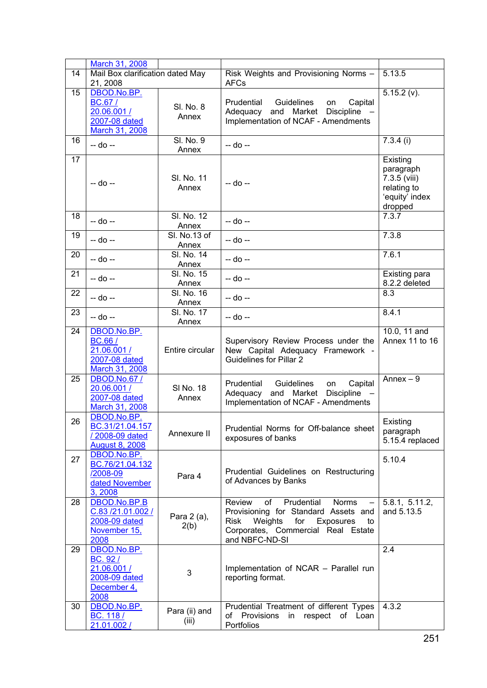|                 | March 31, 2008                                                                 |                            |                                                                                                                                                                                                |                                                                                   |
|-----------------|--------------------------------------------------------------------------------|----------------------------|------------------------------------------------------------------------------------------------------------------------------------------------------------------------------------------------|-----------------------------------------------------------------------------------|
| 14              | Mail Box clarification dated May<br>21, 2008                                   |                            | Risk Weights and Provisioning Norms -<br><b>AFCs</b>                                                                                                                                           | 5.13.5                                                                            |
| 15              | DBOD.No.BP.                                                                    |                            |                                                                                                                                                                                                | $5.15.2$ (v).                                                                     |
|                 | BC.67/                                                                         |                            | Capital<br>Prudential<br>Guidelines<br>on                                                                                                                                                      |                                                                                   |
|                 | 20.06.001 /                                                                    | SI. No. 8                  | and Market<br>Adequacy<br>Discipline                                                                                                                                                           |                                                                                   |
|                 | 2007-08 dated                                                                  | Annex                      | Implementation of NCAF - Amendments                                                                                                                                                            |                                                                                   |
|                 | March 31, 2008                                                                 |                            |                                                                                                                                                                                                |                                                                                   |
| 16              | -- do --                                                                       | <b>SI. No. 9</b><br>Annex  | -- do --                                                                                                                                                                                       | $7.3.4$ (i)                                                                       |
| $\overline{17}$ | -- do --                                                                       | SI. No. 11<br>Annex        | -- do --                                                                                                                                                                                       | Existing<br>paragraph<br>7.3.5 (viii)<br>relating to<br>'equity' index<br>dropped |
| 18              | -- do --                                                                       | SI. No. 12<br>Annex        | -- do --                                                                                                                                                                                       | 7.3.7                                                                             |
| $\overline{19}$ | -- do --                                                                       | SI. No.13 of<br>Annex      | -- do --                                                                                                                                                                                       | 7.3.8                                                                             |
| 20              | -- do --                                                                       | SI. No. 14<br>Annex        | -- do --                                                                                                                                                                                       | 7.6.1                                                                             |
| 21              | -- do --                                                                       | SI. No. 15<br>Annex        | -- do --                                                                                                                                                                                       | Existing para<br>8.2.2 deleted                                                    |
| 22              | -- do --                                                                       | <b>SI. No. 16</b><br>Annex | -- do --                                                                                                                                                                                       | 8.3                                                                               |
| 23              | -- do --                                                                       | SI. No. 17<br>Annex        | -- do --                                                                                                                                                                                       | 8.4.1                                                                             |
| 24              | DBOD.No.BP.<br><b>BC.66/</b><br>21.06.001 /<br>2007-08 dated<br>March 31, 2008 | Entire circular            | Supervisory Review Process under the<br>New Capital Adequacy Framework -<br><b>Guidelines for Pillar 2</b>                                                                                     | 10.0, 11 and<br>Annex 11 to 16                                                    |
| 25              | <b>DBOD.No.67 /</b><br>20.06.001 /<br>2007-08 dated<br>March 31, 2008          | SI No. 18<br>Annex         | Capital<br>Prudential<br>Guidelines<br>on<br>Adequacy and Market Discipline<br>Implementation of NCAF - Amendments                                                                             | Annex $-9$                                                                        |
| 26              | DBOD.No.BP.<br>BC.31/21.04.157<br>/ 2008-09 dated<br><b>August 8, 2008</b>     | Annexure II                | Prudential Norms for Off-balance sheet<br>exposures of banks                                                                                                                                   | Existing<br>paragraph<br>5.15.4 replaced                                          |
| 27              | DBOD.No.BP.<br>BC.76/21.04.132<br>/2008-09<br>dated November<br>3,2008         | Para 4                     | Prudential Guidelines on Restructuring<br>of Advances by Banks                                                                                                                                 | 5.10.4                                                                            |
| 28              | DBOD.No.BP.B<br>C.83 /21.01.002 /<br>2008-09 dated<br>November 15,<br>2008     | Para 2 (a),<br>2(b)        | Prudential<br>Review<br>of<br><b>Norms</b><br>Provisioning for Standard Assets and<br><b>Risk</b><br>Weights<br>for<br>Exposures<br>to<br>Corporates, Commercial Real Estate<br>and NBFC-ND-SI | 5.8.1, 5.11.2,<br>and 5.13.5                                                      |
| 29              | DBOD.No.BP.                                                                    |                            |                                                                                                                                                                                                | 2.4                                                                               |
|                 | BC. 92/<br>21.06.001/<br>2008-09 dated<br>December 4,<br>2008                  | 3                          | Implementation of NCAR - Parallel run<br>reporting format.                                                                                                                                     |                                                                                   |
| 30              | DBOD.No.BP.                                                                    |                            | Prudential Treatment of different Types                                                                                                                                                        | 4.3.2                                                                             |
|                 | BC. 118/<br>21.01.002/                                                         | Para (ii) and<br>(iii)     | in respect of Loan<br>Provisions<br>οf<br>Portfolios                                                                                                                                           |                                                                                   |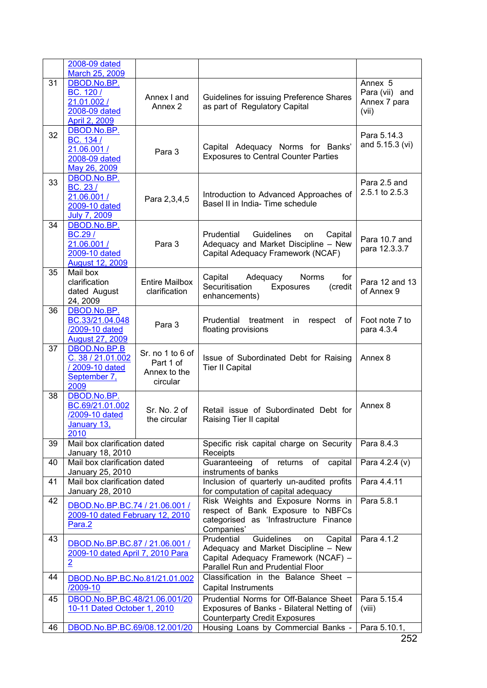|    | 2008-09 dated                                    |                          |                                                                                      |                                           |
|----|--------------------------------------------------|--------------------------|--------------------------------------------------------------------------------------|-------------------------------------------|
|    | March 25, 2009                                   |                          |                                                                                      |                                           |
| 31 | DBOD.No.BP.<br>BC. 120/<br>21.01.002 /           | Annex I and<br>Annex 2   | Guidelines for issuing Preference Shares<br>as part of Regulatory Capital            | Annex 5<br>Para (vii) and<br>Annex 7 para |
|    | 2008-09 dated<br>April 2, 2009                   |                          |                                                                                      | (vii)                                     |
| 32 | DBOD.No.BP.                                      |                          |                                                                                      | Para 5.14.3                               |
|    | BC. 134 /                                        |                          |                                                                                      | and 5.15.3 (vi)                           |
|    | 21.06.001 /                                      | Para 3                   | Capital Adequacy Norms for Banks'<br><b>Exposures to Central Counter Parties</b>     |                                           |
|    | 2008-09 dated<br>May 26, 2009                    |                          |                                                                                      |                                           |
|    | DBOD.No.BP.                                      |                          |                                                                                      |                                           |
| 33 | BC. 23/                                          |                          |                                                                                      | Para 2.5 and<br>2.5.1 to 2.5.3            |
|    | 21.06.001 /                                      | Para 2,3,4,5             | Introduction to Advanced Approaches of<br>Basel II in India- Time schedule           |                                           |
|    | 2009-10 dated<br>July 7, 2009                    |                          |                                                                                      |                                           |
| 34 | DBOD.No.BP.                                      |                          |                                                                                      |                                           |
|    | BC.29/                                           |                          | Prudential<br>Guidelines<br>Capital<br>on                                            | Para 10.7 and                             |
|    | 21.06.001 /                                      | Para 3                   | Adequacy and Market Discipline - New                                                 | para 12.3.3.7                             |
|    | 2009-10 dated<br><b>August 12, 2009</b>          |                          | Capital Adequacy Framework (NCAF)                                                    |                                           |
| 35 | Mail box                                         |                          |                                                                                      |                                           |
|    | clarification                                    | <b>Entire Mailbox</b>    | Capital<br>Adequacy<br><b>Norms</b><br>for<br>Securitisation<br>Exposures<br>(credit | Para 12 and 13                            |
|    | dated August                                     | clarification            | enhancements)                                                                        | of Annex 9                                |
| 36 | 24, 2009<br>DBOD.No.BP.                          |                          |                                                                                      |                                           |
|    | BC.33/21.04.048                                  |                          | Prudential<br>treatment<br>respect<br>of<br>in                                       | Foot note 7 to                            |
|    | /2009-10 dated                                   | Para 3                   | floating provisions                                                                  | para 4.3.4                                |
|    | <b>August 27, 2009</b>                           |                          |                                                                                      |                                           |
| 37 | DBOD.No.BP.B<br>C. 38 / 21.01.002                | Sr. no 1 to 6 of         | Issue of Subordinated Debt for Raising                                               | Annex 8                                   |
|    | / 2009-10 dated                                  | Part 1 of                | <b>Tier II Capital</b>                                                               |                                           |
|    | September 7,                                     | Annex to the<br>circular |                                                                                      |                                           |
|    | 2009                                             |                          |                                                                                      |                                           |
| 38 | DBOD.No.BP.<br>BC.69/21.01.002                   |                          |                                                                                      | Annex 8                                   |
|    | /2009-10 dated                                   | Sr. No. 2 of             | Retail issue of Subordinated Debt for                                                |                                           |
|    | <u>January 13,</u>                               | the circular             | Raising Tier II capital                                                              |                                           |
|    | 2010                                             |                          |                                                                                      |                                           |
| 39 | Mail box clarification dated                     |                          | Specific risk capital charge on Security                                             | Para 8.4.3                                |
| 40 | January 18, 2010<br>Mail box clarification dated |                          | Receipts<br>Guaranteeing<br>of returns<br>capital<br>of                              | Para 4.2.4 (v)                            |
|    | January 25, 2010                                 |                          | instruments of banks                                                                 |                                           |
| 41 | Mail box clarification dated                     |                          | Inclusion of quarterly un-audited profits                                            | Para 4.4.11                               |
| 42 | January 28, 2010                                 |                          | for computation of capital adequacy<br>Risk Weights and Exposure Norms in            | Para 5.8.1                                |
|    | DBOD.No.BP.BC.74 / 21.06.001 /                   |                          | respect of Bank Exposure to NBFCs                                                    |                                           |
|    | 2009-10 dated February 12, 2010                  |                          | categorised as 'Infrastructure Finance                                               |                                           |
|    | Para.2                                           |                          | Companies'                                                                           |                                           |
| 43 | DBOD.No.BP.BC.87 / 21.06.001 /                   |                          | Prudential<br>Guidelines<br>Capital<br>on                                            | Para 4.1.2                                |
|    | 2009-10 dated April 7, 2010 Para                 |                          | Adequacy and Market Discipline - New<br>Capital Adequacy Framework (NCAF) -          |                                           |
|    | $\overline{2}$                                   |                          | Parallel Run and Prudential Floor                                                    |                                           |
| 44 | DBOD.No.BP.BC.No.81/21.01.002                    |                          | Classification in the Balance Sheet -                                                |                                           |
|    | /2009-10                                         |                          | Capital Instruments                                                                  |                                           |
| 45 | DBOD.No.BP.BC.48/21.06.001/20                    |                          | Prudential Norms for Off-Balance Sheet                                               | Para 5.15.4                               |
|    | 10-11 Dated October 1, 2010                      |                          | Exposures of Banks - Bilateral Netting of<br><b>Counterparty Credit Exposures</b>    | (viii)                                    |
| 46 | DBOD.No.BP.BC.69/08.12.001/20                    |                          | Housing Loans by Commercial Banks -                                                  | Para 5.10.1,                              |
|    |                                                  |                          |                                                                                      |                                           |